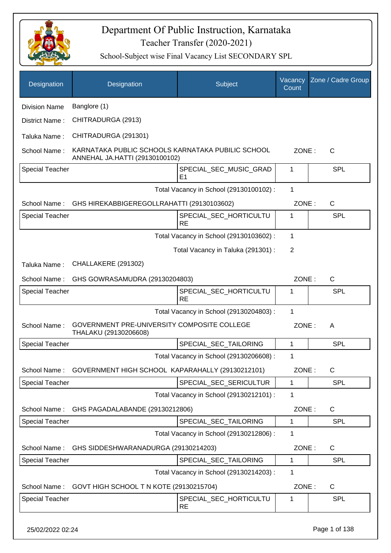

| Designation            | Designation                                                                         | Subject                                  | Vacancy<br>Count | Zone / Cadre Group |
|------------------------|-------------------------------------------------------------------------------------|------------------------------------------|------------------|--------------------|
| <b>Division Name</b>   | Banglore (1)                                                                        |                                          |                  |                    |
| District Name:         | CHITRADURGA (2913)                                                                  |                                          |                  |                    |
| Taluka Name:           | CHITRADURGA (291301)                                                                |                                          |                  |                    |
| School Name:           | KARNATAKA PUBLIC SCHOOLS KARNATAKA PUBILIC SCHOOL<br>ANNEHAL JA.HATTI (29130100102) |                                          | ZONE:            | $\mathsf{C}$       |
| <b>Special Teacher</b> |                                                                                     | SPECIAL_SEC_MUSIC_GRAD<br>E <sub>1</sub> | 1                | <b>SPL</b>         |
|                        |                                                                                     | Total Vacancy in School (29130100102) :  | 1                |                    |
| School Name:           | GHS HIREKABBIGEREGOLLRAHATTI (29130103602)                                          |                                          | ZONE:            | $\mathsf{C}$       |
| <b>Special Teacher</b> |                                                                                     | SPECIAL SEC HORTICULTU<br><b>RE</b>      | 1                | <b>SPL</b>         |
|                        |                                                                                     | Total Vacancy in School (29130103602) :  | 1                |                    |
|                        |                                                                                     | Total Vacancy in Taluka (291301) :       | 2                |                    |
| Taluka Name:           | CHALLAKERE (291302)                                                                 |                                          |                  |                    |
| School Name:           | GHS GOWRASAMUDRA (29130204803)                                                      |                                          | ZONE:            | C                  |
| <b>Special Teacher</b> |                                                                                     | SPECIAL_SEC_HORTICULTU<br><b>RE</b>      | 1                | SPL                |
|                        |                                                                                     | Total Vacancy in School (29130204803) :  | 1                |                    |
| School Name:           | GOVERNMENT PRE-UNIVERSITY COMPOSITE COLLEGE<br>THALAKU (29130206608)                |                                          | ZONE:            | A                  |
| <b>Special Teacher</b> |                                                                                     | SPECIAL_SEC_TAILORING                    | 1                | <b>SPL</b>         |
|                        |                                                                                     | Total Vacancy in School (29130206608) :  | 1                |                    |
| School Name:           | GOVERNMENT HIGH SCHOOL KAPARAHALLY (29130212101)                                    |                                          | ZONE:            | $\mathsf{C}$       |
| <b>Special Teacher</b> |                                                                                     | SPECIAL_SEC_SERICULTUR                   | 1                | <b>SPL</b>         |
|                        |                                                                                     | Total Vacancy in School (29130212101) :  | 1                |                    |
| School Name:           | GHS PAGADALABANDE (29130212806)                                                     |                                          | ZONE:            | C                  |
| <b>Special Teacher</b> |                                                                                     | SPECIAL_SEC_TAILORING                    | 1                | <b>SPL</b>         |
|                        |                                                                                     | Total Vacancy in School (29130212806) :  | 1                |                    |
| School Name:           | GHS SIDDESHWARANADURGA (29130214203)                                                |                                          | ZONE:            | C                  |
| <b>Special Teacher</b> |                                                                                     | SPECIAL_SEC_TAILORING                    | 1                | <b>SPL</b>         |
|                        |                                                                                     | Total Vacancy in School (29130214203) :  | 1                |                    |
| School Name:           | GOVT HIGH SCHOOL T N KOTE (29130215704)                                             |                                          | ZONE:            | C                  |
| <b>Special Teacher</b> |                                                                                     | SPECIAL_SEC_HORTICULTU<br><b>RE</b>      | 1                | <b>SPL</b>         |
| 25/02/2022 02:24       |                                                                                     |                                          |                  | Page 1 of 138      |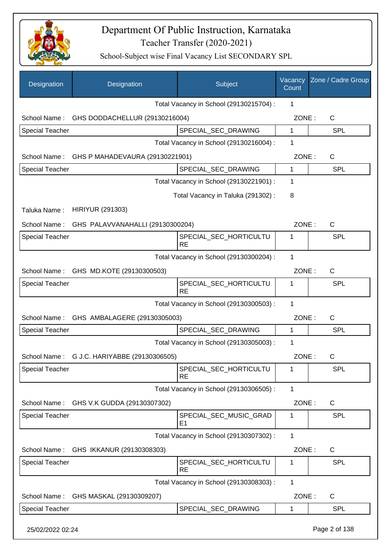

| Designation            | Designation                      | Subject                                  | Vacancy<br>Count | Zone / Cadre Group |
|------------------------|----------------------------------|------------------------------------------|------------------|--------------------|
|                        |                                  | Total Vacancy in School (29130215704) :  | 1                |                    |
| School Name:           | GHS DODDACHELLUR (29130216004)   |                                          | ZONE:            | $\mathsf{C}$       |
| Special Teacher        |                                  | SPECIAL_SEC_DRAWING                      | 1                | <b>SPL</b>         |
|                        |                                  | Total Vacancy in School (29130216004) :  | 1                |                    |
| School Name:           | GHS P MAHADEVAURA (29130221901)  |                                          | ZONE:            | C                  |
| <b>Special Teacher</b> |                                  | SPECIAL_SEC_DRAWING                      | $\mathbf{1}$     | <b>SPL</b>         |
|                        |                                  | Total Vacancy in School (29130221901) :  | 1                |                    |
|                        |                                  | Total Vacancy in Taluka (291302):        | 8                |                    |
| Taluka Name:           | <b>HIRIYUR (291303)</b>          |                                          |                  |                    |
| School Name:           | GHS PALAVVANAHALLI (29130300204) |                                          | ZONE:            | C                  |
| Special Teacher        |                                  | SPECIAL_SEC_HORTICULTU<br><b>RE</b>      | 1                | <b>SPL</b>         |
|                        |                                  | Total Vacancy in School (29130300204) :  | 1                |                    |
| School Name:           | GHS MD.KOTE (29130300503)        |                                          | ZONE:            | $\mathsf{C}$       |
| <b>Special Teacher</b> |                                  | SPECIAL_SEC_HORTICULTU<br><b>RE</b>      | 1                | SPL                |
|                        |                                  | Total Vacancy in School (29130300503) :  | 1                |                    |
| School Name:           | GHS AMBALAGERE (29130305003)     |                                          | ZONE:            | $\mathsf{C}$       |
| <b>Special Teacher</b> |                                  | SPECIAL_SEC_DRAWING                      | 1                | SPL                |
|                        |                                  | Total Vacancy in School (29130305003) :  | 1                |                    |
| School Name:           | G J.C. HARIYABBE (29130306505)   |                                          | ZONE:            | C                  |
| <b>Special Teacher</b> |                                  | SPECIAL_SEC_HORTICULTU<br><b>RE</b>      | 1                | <b>SPL</b>         |
|                        |                                  | Total Vacancy in School (29130306505) :  | 1                |                    |
| School Name:           | GHS V.K GUDDA (29130307302)      |                                          | ZONE:            | C                  |
| Special Teacher        |                                  | SPECIAL SEC MUSIC GRAD<br>E <sub>1</sub> | 1                | <b>SPL</b>         |
|                        |                                  | Total Vacancy in School (29130307302) :  | 1                |                    |
| School Name:           | GHS IKKANUR (29130308303)        |                                          | ZONE:            | $\mathsf{C}$       |
| <b>Special Teacher</b> |                                  | SPECIAL_SEC_HORTICULTU<br><b>RE</b>      | 1                | <b>SPL</b>         |
|                        |                                  | Total Vacancy in School (29130308303) :  | 1                |                    |
| School Name:           | GHS MASKAL (29130309207)         |                                          | ZONE:            | $\mathsf{C}$       |
| Special Teacher        |                                  | SPECIAL_SEC_DRAWING                      | $\mathbf 1$      | <b>SPL</b>         |
| 25/02/2022 02:24       |                                  |                                          |                  | Page 2 of 138      |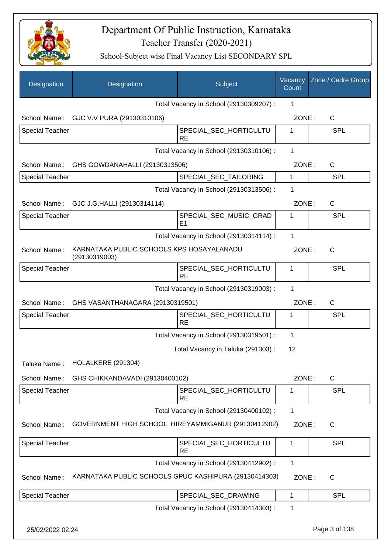

| Designation            | Designation                                                | Subject                                  | Vacancy<br>Count | Zone / Cadre Group |
|------------------------|------------------------------------------------------------|------------------------------------------|------------------|--------------------|
|                        |                                                            | Total Vacancy in School (29130309207) :  | 1                |                    |
| School Name:           | GJC V.V PURA (29130310106)                                 |                                          | ZONE:            | $\mathsf{C}$       |
| <b>Special Teacher</b> |                                                            | SPECIAL_SEC_HORTICULTU<br><b>RE</b>      | 1                | <b>SPL</b>         |
|                        |                                                            | Total Vacancy in School (29130310106) :  | 1                |                    |
| School Name:           | GHS GOWDANAHALLI (29130313506)                             |                                          | ZONE:            | C                  |
| <b>Special Teacher</b> |                                                            | SPECIAL_SEC_TAILORING                    | $\mathbf{1}$     | <b>SPL</b>         |
|                        |                                                            | Total Vacancy in School (29130313506) :  | 1                |                    |
| School Name:           | GJC J.G.HALLI (29130314114)                                |                                          | ZONE:            | $\mathsf{C}$       |
| <b>Special Teacher</b> |                                                            | SPECIAL SEC MUSIC GRAD<br>E <sub>1</sub> | 1                | SPL                |
|                        |                                                            | Total Vacancy in School (29130314114) :  | 1                |                    |
| School Name:           | KARNATAKA PUBLIC SCHOOLS KPS HOSAYALANADU<br>(29130319003) |                                          | ZONE:            | $\mathsf{C}$       |
| <b>Special Teacher</b> |                                                            | SPECIAL_SEC_HORTICULTU<br><b>RE</b>      | 1                | <b>SPL</b>         |
|                        |                                                            | Total Vacancy in School (29130319003) :  | 1                |                    |
| School Name:           | GHS VASANTHANAGARA (29130319501)                           |                                          | ZONE:            | $\mathsf{C}$       |
| <b>Special Teacher</b> |                                                            | SPECIAL_SEC_HORTICULTU<br><b>RE</b>      | 1                | <b>SPL</b>         |
|                        |                                                            | Total Vacancy in School (29130319501) :  | 1                |                    |
|                        |                                                            | Total Vacancy in Taluka (291303):        | 12               |                    |
| Taluka Name:           | HOLALKERE (291304)                                         |                                          |                  |                    |
| School Name:           | GHS CHIKKANDAVADI (29130400102)                            |                                          | ZONE:            | C                  |
| <b>Special Teacher</b> |                                                            | SPECIAL_SEC_HORTICULTU<br><b>RE</b>      | 1                | <b>SPL</b>         |
|                        |                                                            | Total Vacancy in School (29130400102) :  | 1                |                    |
| School Name:           | GOVERNMENT HIGH SCHOOL HIREYAMMIGANUR (29130412902)        |                                          | ZONE:            | C                  |
| Special Teacher        |                                                            | SPECIAL_SEC_HORTICULTU<br><b>RE</b>      | $\mathbf 1$      | <b>SPL</b>         |
|                        |                                                            | Total Vacancy in School (29130412902) :  | $\mathbf{1}$     |                    |
| School Name:           | KARNATAKA PUBLIC SCHOOLS GPUC KASHIPURA (29130414303)      |                                          | ZONE:            | C                  |
| <b>Special Teacher</b> |                                                            | SPECIAL_SEC_DRAWING                      | 1                | <b>SPL</b>         |
|                        |                                                            | Total Vacancy in School (29130414303) :  | 1                |                    |
| 25/02/2022 02:24       |                                                            |                                          |                  | Page 3 of 138      |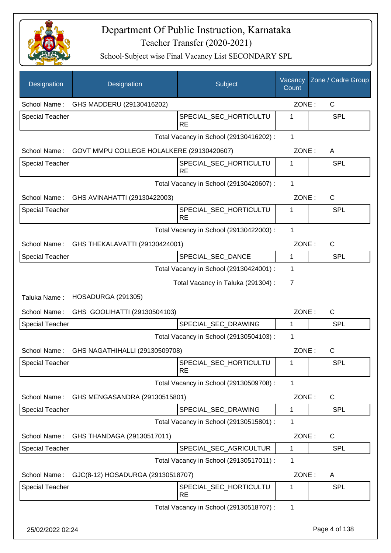

| Designation            | Designation                               | Subject                                 | Vacancy<br>Count | Zone / Cadre Group |
|------------------------|-------------------------------------------|-----------------------------------------|------------------|--------------------|
| School Name:           | GHS MADDERU (29130416202)                 |                                         | ZONE:            | $\mathsf{C}$       |
| <b>Special Teacher</b> |                                           | SPECIAL_SEC_HORTICULTU<br><b>RE</b>     | 1                | SPL                |
|                        |                                           | Total Vacancy in School (29130416202) : | $\mathbf{1}$     |                    |
| School Name:           | GOVT MMPU COLLEGE HOLALKERE (29130420607) |                                         | ZONE:            | A                  |
| <b>Special Teacher</b> |                                           | SPECIAL_SEC_HORTICULTU<br><b>RE</b>     | 1                | <b>SPL</b>         |
|                        |                                           | Total Vacancy in School (29130420607) : | 1                |                    |
| School Name:           | GHS AVINAHATTI (29130422003)              |                                         | ZONE:            | $\mathsf{C}$       |
| Special Teacher        |                                           | SPECIAL_SEC_HORTICULTU<br><b>RE</b>     | 1                | <b>SPL</b>         |
|                        |                                           | Total Vacancy in School (29130422003) : | 1                |                    |
| School Name:           | GHS THEKALAVATTI (29130424001)            |                                         | ZONE:            | C                  |
| <b>Special Teacher</b> |                                           | SPECIAL SEC DANCE                       | $\mathbf{1}$     | <b>SPL</b>         |
|                        |                                           | Total Vacancy in School (29130424001) : | 1                |                    |
|                        |                                           | Total Vacancy in Taluka (291304) :      | 7                |                    |
| Taluka Name:           | HOSADURGA (291305)                        |                                         |                  |                    |
| School Name:           | GHS GOOLIHATTI (29130504103)              |                                         | ZONE:            | $\mathsf{C}$       |
| <b>Special Teacher</b> |                                           | SPECIAL_SEC_DRAWING                     | $\mathbf 1$      | <b>SPL</b>         |
|                        |                                           | Total Vacancy in School (29130504103) : | 1                |                    |
| School Name:           | GHS NAGATHIHALLI (29130509708)            |                                         | ZONE:            | $\mathsf{C}$       |
| <b>Special Teacher</b> |                                           | SPECIAL_SEC_HORTICULTU<br><b>RE</b>     | 1                | <b>SPL</b>         |
|                        |                                           | Total Vacancy in School (29130509708) : | 1                |                    |
| School Name:           | GHS MENGASANDRA (29130515801)             |                                         | ZONE:            | $\mathsf{C}$       |
| <b>Special Teacher</b> |                                           | SPECIAL_SEC_DRAWING                     | 1                | <b>SPL</b>         |
|                        |                                           | Total Vacancy in School (29130515801) : | 1                |                    |
| School Name:           | GHS THANDAGA (29130517011)                |                                         | ZONE:            | C                  |
| <b>Special Teacher</b> |                                           | SPECIAL_SEC_AGRICULTUR                  | 1                | <b>SPL</b>         |
|                        |                                           | Total Vacancy in School (29130517011) : | 1                |                    |
| School Name:           | GJC(8-12) HOSADURGA (29130518707)         |                                         | ZONE:            | A                  |
| <b>Special Teacher</b> |                                           | SPECIAL_SEC_HORTICULTU<br><b>RE</b>     | 1                | <b>SPL</b>         |
|                        |                                           | Total Vacancy in School (29130518707) : | 1                |                    |
| 25/02/2022 02:24       |                                           |                                         |                  | Page 4 of 138      |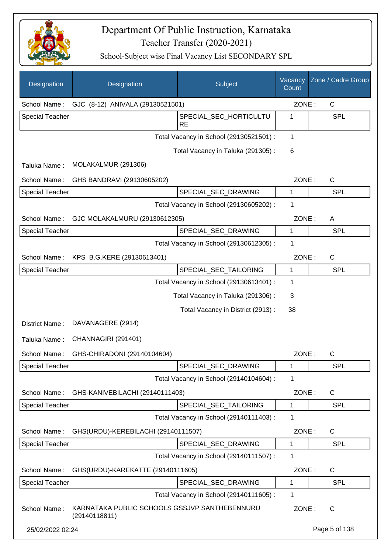

| Designation            | Designation                                                    | Subject                                 | Vacancy<br>Count | Zone / Cadre Group |
|------------------------|----------------------------------------------------------------|-----------------------------------------|------------------|--------------------|
| School Name:           | GJC (8-12) ANIVALA (29130521501)                               |                                         | ZONE:            | $\mathsf{C}$       |
| Special Teacher        |                                                                | SPECIAL_SEC_HORTICULTU<br><b>RE</b>     | 1                | <b>SPL</b>         |
|                        |                                                                | Total Vacancy in School (29130521501) : | 1                |                    |
|                        |                                                                | Total Vacancy in Taluka (291305):       | 6                |                    |
| Taluka Name:           | MOLAKALMUR (291306)                                            |                                         |                  |                    |
| School Name:           | GHS BANDRAVI (29130605202)                                     |                                         | ZONE:            | C                  |
| Special Teacher        |                                                                | SPECIAL_SEC_DRAWING                     | 1                | SPL                |
|                        |                                                                | Total Vacancy in School (29130605202) : | 1                |                    |
| School Name:           | GJC MOLAKALMURU (29130612305)                                  |                                         | ZONE:            | A                  |
| <b>Special Teacher</b> |                                                                | SPECIAL_SEC_DRAWING                     | 1                | <b>SPL</b>         |
|                        |                                                                | Total Vacancy in School (29130612305) : | 1                |                    |
| School Name:           | KPS B.G.KERE (29130613401)                                     |                                         | ZONE:            | C                  |
| Special Teacher        |                                                                | SPECIAL_SEC_TAILORING                   | 1                | <b>SPL</b>         |
|                        |                                                                | Total Vacancy in School (29130613401) : | 1                |                    |
|                        |                                                                | Total Vacancy in Taluka (291306):       | 3                |                    |
|                        |                                                                | Total Vacancy in District (2913):       | 38               |                    |
| District Name:         | DAVANAGERE (2914)                                              |                                         |                  |                    |
| Taluka Name:           | CHANNAGIRI (291401)                                            |                                         |                  |                    |
| School Name:           | GHS-CHIRADONI (29140104604)                                    |                                         | ZONE:            | $\mathsf{C}$       |
| <b>Special Teacher</b> |                                                                | SPECIAL_SEC_DRAWING                     | 1                | <b>SPL</b>         |
|                        |                                                                | Total Vacancy in School (29140104604) : | 1                |                    |
| School Name:           | GHS-KANIVEBILACHI (29140111403)                                |                                         | ZONE:            | C                  |
| <b>Special Teacher</b> |                                                                | SPECIAL SEC TAILORING                   | 1                | <b>SPL</b>         |
|                        |                                                                | Total Vacancy in School (29140111403) : | 1                |                    |
| School Name:           | GHS(URDU)-KEREBILACHI (29140111507)                            |                                         | ZONE:            | C                  |
| <b>Special Teacher</b> |                                                                | SPECIAL_SEC_DRAWING                     | 1                | <b>SPL</b>         |
|                        |                                                                | Total Vacancy in School (29140111507) : | 1                |                    |
| School Name:           | GHS(URDU)-KAREKATTE (29140111605)                              |                                         | ZONE:            | C                  |
| <b>Special Teacher</b> |                                                                | SPECIAL_SEC_DRAWING                     | 1                | <b>SPL</b>         |
|                        |                                                                | Total Vacancy in School (29140111605) : | 1                |                    |
| School Name:           | KARNATAKA PUBLIC SCHOOLS GSSJVP SANTHEBENNURU<br>(29140118811) |                                         | ZONE:            | C                  |
| 25/02/2022 02:24       |                                                                |                                         |                  | Page 5 of 138      |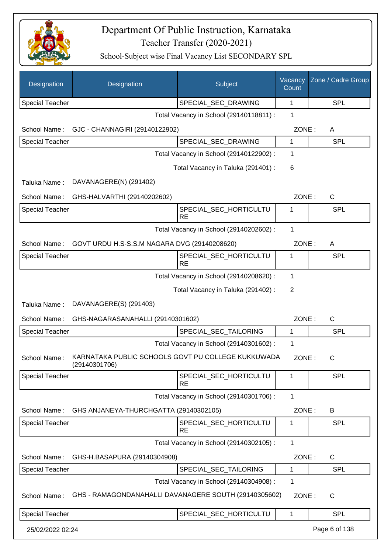

| Designation            | Designation                                                         | Subject                                 | Vacancy<br>Count | Zone / Cadre Group |
|------------------------|---------------------------------------------------------------------|-----------------------------------------|------------------|--------------------|
| <b>Special Teacher</b> |                                                                     | SPECIAL_SEC_DRAWING                     | 1                | <b>SPL</b>         |
|                        |                                                                     | Total Vacancy in School (29140118811) : | 1                |                    |
| School Name:           | GJC - CHANNAGIRI (29140122902)                                      |                                         | ZONE:            | A                  |
| <b>Special Teacher</b> |                                                                     | SPECIAL_SEC_DRAWING                     | 1                | <b>SPL</b>         |
|                        |                                                                     | Total Vacancy in School (29140122902) : | 1                |                    |
|                        |                                                                     | Total Vacancy in Taluka (291401) :      | 6                |                    |
| Taluka Name:           | DAVANAGERE(N) (291402)                                              |                                         |                  |                    |
| School Name:           | GHS-HALVARTHI (29140202602)                                         |                                         | ZONE:            | $\mathsf{C}$       |
| Special Teacher        |                                                                     | SPECIAL_SEC_HORTICULTU<br><b>RE</b>     | 1                | <b>SPL</b>         |
|                        |                                                                     | Total Vacancy in School (29140202602) : | 1                |                    |
| School Name:           | GOVT URDU H.S-S.S.M NAGARA DVG (29140208620)                        |                                         | ZONE:            | A                  |
| <b>Special Teacher</b> |                                                                     | SPECIAL_SEC_HORTICULTU<br><b>RE</b>     | 1                | <b>SPL</b>         |
|                        |                                                                     | Total Vacancy in School (29140208620) : | 1                |                    |
|                        |                                                                     | Total Vacancy in Taluka (291402):       | 2                |                    |
| Taluka Name:           | DAVANAGERE(S) (291403)                                              |                                         |                  |                    |
| School Name:           | GHS-NAGARASANAHALLI (29140301602)                                   |                                         | ZONE:            | $\mathsf{C}$       |
| <b>Special Teacher</b> |                                                                     | SPECIAL_SEC_TAILORING                   | 1                | <b>SPL</b>         |
|                        |                                                                     | Total Vacancy in School (29140301602) : | 1                |                    |
| School Name:           | KARNATAKA PUBLIC SCHOOLS GOVT PU COLLEGE KUKKUWADA<br>(29140301706) |                                         | ZONE:            | $\mathsf{C}$       |
| <b>Special Teacher</b> |                                                                     | SPECIAL_SEC_HORTICULTU<br><b>RE</b>     | 1                | <b>SPL</b>         |
|                        |                                                                     | Total Vacancy in School (29140301706) : | 1                |                    |
| School Name:           | GHS ANJANEYA-THURCHGATTA (29140302105)                              |                                         | ZONE:            | B                  |
| <b>Special Teacher</b> |                                                                     | SPECIAL_SEC_HORTICULTU<br><b>RE</b>     | 1                | <b>SPL</b>         |
|                        |                                                                     | Total Vacancy in School (29140302105) : | 1                |                    |
| School Name:           | GHS-H.BASAPURA (29140304908)                                        |                                         | ZONE:            | $\mathsf{C}$       |
| <b>Special Teacher</b> |                                                                     | SPECIAL_SEC_TAILORING                   | 1                | <b>SPL</b>         |
|                        |                                                                     | Total Vacancy in School (29140304908) : | 1                |                    |
| School Name:           | GHS - RAMAGONDANAHALLI DAVANAGERE SOUTH (29140305602)               |                                         | ZONE:            | C                  |
| <b>Special Teacher</b> |                                                                     | SPECIAL_SEC_HORTICULTU                  | 1                | <b>SPL</b>         |
| 25/02/2022 02:24       |                                                                     |                                         |                  | Page 6 of 138      |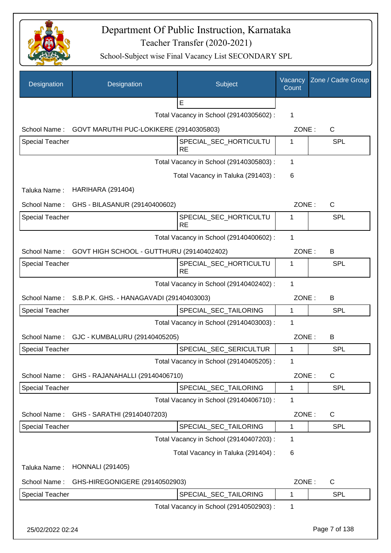

| Designation            | Designation                                           | Subject                                 | Vacancy<br>Count | Zone / Cadre Group |
|------------------------|-------------------------------------------------------|-----------------------------------------|------------------|--------------------|
|                        |                                                       | E                                       |                  |                    |
|                        |                                                       | Total Vacancy in School (29140305602):  | 1                |                    |
| School Name:           | GOVT MARUTHI PUC-LOKIKERE (29140305803)               |                                         | ZONE:            | $\mathsf{C}$       |
| <b>Special Teacher</b> |                                                       | SPECIAL_SEC_HORTICULTU<br><b>RE</b>     | 1                | <b>SPL</b>         |
|                        |                                                       | Total Vacancy in School (29140305803) : | 1                |                    |
|                        |                                                       | Total Vacancy in Taluka (291403) :      | 6                |                    |
| Taluka Name:           | <b>HARIHARA (291404)</b>                              |                                         |                  |                    |
| School Name:           | GHS - BILASANUR (29140400602)                         |                                         | ZONE:            | $\mathsf{C}$       |
| <b>Special Teacher</b> |                                                       | SPECIAL_SEC_HORTICULTU<br><b>RE</b>     | 1                | SPL                |
|                        |                                                       | Total Vacancy in School (29140400602) : | 1                |                    |
| School Name:           | GOVT HIGH SCHOOL - GUTTHURU (29140402402)             |                                         | ZONE:            | B                  |
| <b>Special Teacher</b> |                                                       | SPECIAL_SEC_HORTICULTU<br><b>RE</b>     | 1                | <b>SPL</b>         |
|                        |                                                       | Total Vacancy in School (29140402402) : | 1                |                    |
|                        | School Name: S.B.P.K. GHS. - HANAGAVADI (29140403003) |                                         | ZONE:            | B                  |
| <b>Special Teacher</b> |                                                       | SPECIAL_SEC_TAILORING                   | 1                | SPL                |
|                        |                                                       | Total Vacancy in School (29140403003) : | 1                |                    |
|                        | School Name: GJC - KUMBALURU (29140405205)            |                                         | ZONE:            | B                  |
| Special Teacher        |                                                       | SPECIAL_SEC_SERICULTUR                  | 1                | SPL                |
|                        |                                                       | Total Vacancy in School (29140405205) : | 1                |                    |
| School Name:           | GHS - RAJANAHALLI (29140406710)                       |                                         | ZONE:            | $\mathsf C$        |
| Special Teacher        |                                                       | SPECIAL_SEC_TAILORING                   | 1                | <b>SPL</b>         |
|                        |                                                       | Total Vacancy in School (29140406710) : | 1                |                    |
| School Name:           | GHS - SARATHI (29140407203)                           |                                         | ZONE:            | C                  |
| Special Teacher        |                                                       | SPECIAL_SEC_TAILORING                   | 1                | <b>SPL</b>         |
|                        |                                                       | Total Vacancy in School (29140407203) : | 1                |                    |
|                        |                                                       | Total Vacancy in Taluka (291404) :      | 6                |                    |
| Taluka Name:           | <b>HONNALI (291405)</b>                               |                                         |                  |                    |
| School Name:           | GHS-HIREGONIGERE (29140502903)                        |                                         | ZONE:            | C                  |
| Special Teacher        |                                                       | SPECIAL_SEC_TAILORING                   | 1                | <b>SPL</b>         |
|                        |                                                       | Total Vacancy in School (29140502903) : | 1                |                    |
| 25/02/2022 02:24       |                                                       |                                         |                  | Page 7 of 138      |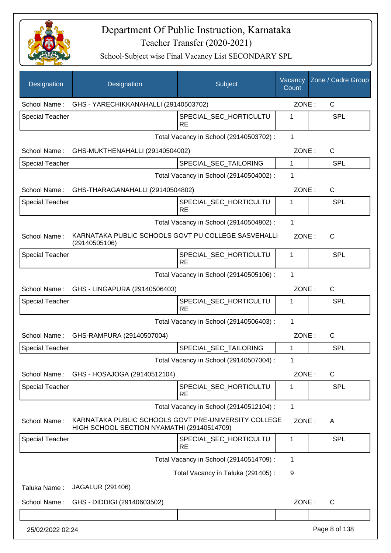

| Designation            | Designation                                                                                        | Subject                                 | Vacancy<br>Count | Zone / Cadre Group |
|------------------------|----------------------------------------------------------------------------------------------------|-----------------------------------------|------------------|--------------------|
| School Name:           | GHS - YARECHIKKANAHALLI (29140503702)                                                              |                                         | ZONE:            | C                  |
| <b>Special Teacher</b> |                                                                                                    | SPECIAL_SEC_HORTICULTU<br><b>RE</b>     | 1                | <b>SPL</b>         |
|                        |                                                                                                    | Total Vacancy in School (29140503702) : | 1                |                    |
| School Name:           | GHS-MUKTHENAHALLI (29140504002)                                                                    |                                         | ZONE:            | $\mathsf{C}$       |
| <b>Special Teacher</b> |                                                                                                    | SPECIAL SEC TAILORING                   | 1                | <b>SPL</b>         |
|                        |                                                                                                    | Total Vacancy in School (29140504002) : | 1                |                    |
| School Name:           | GHS-THARAGANAHALLI (29140504802)                                                                   |                                         | ZONE:            | C                  |
| <b>Special Teacher</b> |                                                                                                    | SPECIAL SEC HORTICULTU<br><b>RE</b>     | 1                | SPL                |
|                        |                                                                                                    | Total Vacancy in School (29140504802) : | $\mathbf{1}$     |                    |
| School Name:           | KARNATAKA PUBLIC SCHOOLS GOVT PU COLLEGE SASVEHALLI<br>(29140505106)                               |                                         | ZONE:            | $\mathsf{C}$       |
| <b>Special Teacher</b> |                                                                                                    | SPECIAL SEC HORTICULTU<br><b>RE</b>     | 1                | <b>SPL</b>         |
|                        |                                                                                                    | Total Vacancy in School (29140505106) : | 1                |                    |
| School Name:           | GHS - LINGAPURA (29140506403)                                                                      |                                         | ZONE:            | $\mathsf{C}$       |
| <b>Special Teacher</b> |                                                                                                    | SPECIAL_SEC_HORTICULTU<br><b>RE</b>     | 1                | <b>SPL</b>         |
|                        |                                                                                                    | Total Vacancy in School (29140506403) : | 1                |                    |
| School Name:           | GHS-RAMPURA (29140507004)                                                                          |                                         | ZONE:            | C                  |
| <b>Special Teacher</b> |                                                                                                    | SPECIAL SEC TAILORING                   | 1                | SPL                |
|                        |                                                                                                    | Total Vacancy in School (29140507004) : | 1                |                    |
| School Name:           | GHS - HOSAJOGA (29140512104)                                                                       |                                         | ZONE:            | C                  |
| <b>Special Teacher</b> |                                                                                                    | SPECIAL_SEC_HORTICULTU<br><b>RE</b>     | 1                | SPL                |
|                        |                                                                                                    | Total Vacancy in School (29140512104) : | 1                |                    |
| School Name:           | KARNATAKA PUBLIC SCHOOLS GOVT PRE-UNIVERSITY COLLEGE<br>HIGH SCHOOL SECTION NYAMATHI (29140514709) |                                         | ZONE:            | A                  |
| <b>Special Teacher</b> |                                                                                                    | SPECIAL_SEC_HORTICULTU<br><b>RE</b>     | 1                | <b>SPL</b>         |
|                        |                                                                                                    | Total Vacancy in School (29140514709) : | 1                |                    |
|                        |                                                                                                    | Total Vacancy in Taluka (291405):       | 9                |                    |
| Taluka Name:           | JAGALUR (291406)                                                                                   |                                         |                  |                    |
| School Name:           | GHS - DIDDIGI (29140603502)                                                                        |                                         | ZONE:            | $\mathsf{C}$       |
|                        |                                                                                                    |                                         |                  |                    |
| 25/02/2022 02:24       |                                                                                                    |                                         |                  | Page 8 of 138      |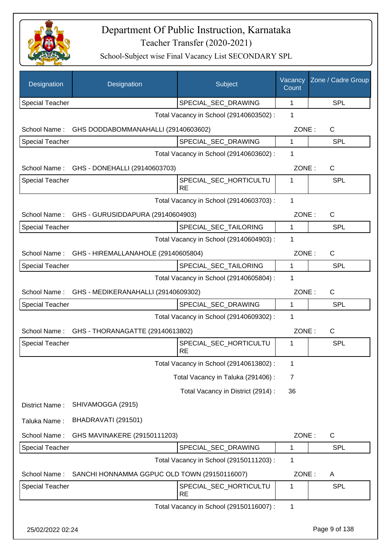

| Designation            | Designation                                      | Subject                                 | Vacancy<br>Count | Zone / Cadre Group |
|------------------------|--------------------------------------------------|-----------------------------------------|------------------|--------------------|
| <b>Special Teacher</b> |                                                  | SPECIAL_SEC_DRAWING                     | 1                | <b>SPL</b>         |
|                        |                                                  | Total Vacancy in School (29140603502) : | 1                |                    |
| School Name:           | GHS DODDABOMMANAHALLI (29140603602)              |                                         | ZONE:            | C                  |
| <b>Special Teacher</b> |                                                  | SPECIAL_SEC_DRAWING                     | $\mathbf{1}$     | <b>SPL</b>         |
|                        |                                                  | Total Vacancy in School (29140603602) : | 1                |                    |
| School Name:           | GHS - DONEHALLI (29140603703)                    |                                         | ZONE:            | C                  |
| <b>Special Teacher</b> |                                                  | SPECIAL_SEC_HORTICULTU<br><b>RE</b>     | 1                | SPL                |
|                        |                                                  | Total Vacancy in School (29140603703) : | 1                |                    |
| School Name:           | GHS - GURUSIDDAPURA (29140604903)                |                                         | ZONE:            | $\mathsf{C}$       |
| <b>Special Teacher</b> |                                                  | SPECIAL_SEC_TAILORING                   | $\mathbf{1}$     | <b>SPL</b>         |
|                        |                                                  | Total Vacancy in School (29140604903) : | 1                |                    |
| School Name:           | GHS - HIREMALLANAHOLE (29140605804)              |                                         | ZONE:            | $\mathsf{C}$       |
| <b>Special Teacher</b> |                                                  | SPECIAL_SEC_TAILORING                   | $\mathbf{1}$     | <b>SPL</b>         |
|                        |                                                  | Total Vacancy in School (29140605804) : | 1                |                    |
|                        | School Name: GHS - MEDIKERANAHALLI (29140609302) |                                         | ZONE:            | $\mathsf{C}$       |
| <b>Special Teacher</b> |                                                  | SPECIAL_SEC_DRAWING                     | $\mathbf{1}$     | <b>SPL</b>         |
|                        |                                                  | Total Vacancy in School (29140609302) : | 1                |                    |
|                        | School Name: GHS - THORANAGATTE (29140613802)    |                                         | ZONE:            | C                  |
| <b>Special Teacher</b> |                                                  | SPECIAL_SEC_HORTICULTU<br><b>RE</b>     | 1                | SPL                |
|                        |                                                  | Total Vacancy in School (29140613802) : | 1                |                    |
|                        |                                                  | Total Vacancy in Taluka (291406) :      | 7                |                    |
|                        |                                                  | Total Vacancy in District (2914) :      | 36               |                    |
| District Name:         | SHIVAMOGGA (2915)                                |                                         |                  |                    |
| Taluka Name:           | BHADRAVATI (291501)                              |                                         |                  |                    |
| School Name:           | GHS MAVINAKERE (29150111203)                     |                                         | ZONE:            | $\mathsf{C}$       |
| Special Teacher        |                                                  | SPECIAL_SEC_DRAWING                     | 1                | <b>SPL</b>         |
|                        |                                                  | Total Vacancy in School (29150111203) : | 1                |                    |
| School Name:           | SANCHI HONNAMMA GGPUC OLD TOWN (29150116007)     |                                         | ZONE:            | A                  |
| Special Teacher        |                                                  | SPECIAL_SEC_HORTICULTU<br><b>RE</b>     | 1                | <b>SPL</b>         |
|                        |                                                  | Total Vacancy in School (29150116007) : | 1                |                    |
| 25/02/2022 02:24       |                                                  |                                         |                  | Page 9 of 138      |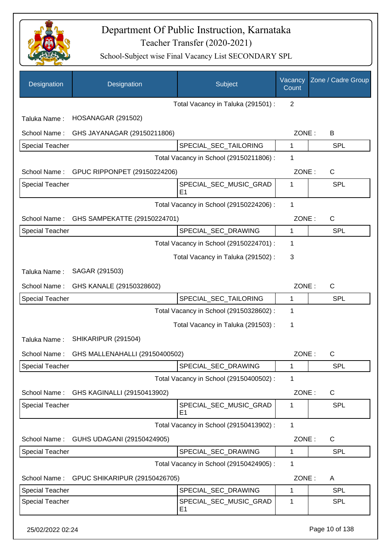

| Designation            | Designation                    | Subject                                  | Vacancy<br>Count | Zone / Cadre Group |
|------------------------|--------------------------------|------------------------------------------|------------------|--------------------|
|                        |                                | Total Vacancy in Taluka (291501) :       | $\overline{2}$   |                    |
| Taluka Name:           | <b>HOSANAGAR (291502)</b>      |                                          |                  |                    |
| School Name:           | GHS JAYANAGAR (29150211806)    |                                          | ZONE:            | B                  |
| <b>Special Teacher</b> |                                | SPECIAL SEC TAILORING                    | 1                | <b>SPL</b>         |
|                        |                                | Total Vacancy in School (29150211806) :  | 1                |                    |
| School Name:           | GPUC RIPPONPET (29150224206)   |                                          | ZONE:            | C                  |
| <b>Special Teacher</b> |                                | SPECIAL_SEC_MUSIC_GRAD<br>E <sub>1</sub> | 1                | <b>SPL</b>         |
|                        |                                | Total Vacancy in School (29150224206) :  | 1                |                    |
| School Name:           | GHS SAMPEKATTE (29150224701)   |                                          | ZONE:            | $\mathsf{C}$       |
| <b>Special Teacher</b> |                                | SPECIAL_SEC_DRAWING                      | $\mathbf{1}$     | <b>SPL</b>         |
|                        |                                | Total Vacancy in School (29150224701) :  | 1                |                    |
|                        |                                | Total Vacancy in Taluka (291502):        | 3                |                    |
| Taluka Name:           | SAGAR (291503)                 |                                          |                  |                    |
| School Name:           | GHS KANALE (29150328602)       |                                          | ZONE:            | $\mathsf{C}$       |
| <b>Special Teacher</b> |                                | SPECIAL_SEC_TAILORING                    | 1                | <b>SPL</b>         |
|                        |                                | Total Vacancy in School (29150328602) :  | 1                |                    |
|                        |                                | Total Vacancy in Taluka (291503) :       | 1                |                    |
| Taluka Name:           | SHIKARIPUR (291504)            |                                          |                  |                    |
| School Name:           | GHS MALLENAHALLI (29150400502) |                                          | ZONE:            | C                  |
| <b>Special Teacher</b> |                                | SPECIAL_SEC_DRAWING                      | 1                | <b>SPL</b>         |
|                        |                                | Total Vacancy in School (29150400502) :  | 1                |                    |
| School Name:           | GHS KAGINALLI (29150413902)    |                                          | ZONE:            | C                  |
| <b>Special Teacher</b> |                                | SPECIAL_SEC_MUSIC_GRAD<br>E <sub>1</sub> | 1                | <b>SPL</b>         |
|                        |                                | Total Vacancy in School (29150413902) :  | $\mathbf{1}$     |                    |
| School Name:           | GUHS UDAGANI (29150424905)     |                                          | ZONE:            | C                  |
| <b>Special Teacher</b> |                                | SPECIAL_SEC_DRAWING                      | 1                | <b>SPL</b>         |
|                        |                                | Total Vacancy in School (29150424905) :  | 1                |                    |
| School Name:           | GPUC SHIKARIPUR (29150426705)  |                                          | ZONE:            | A                  |
| <b>Special Teacher</b> |                                | SPECIAL_SEC_DRAWING                      | 1                | <b>SPL</b>         |
| <b>Special Teacher</b> |                                | SPECIAL_SEC_MUSIC_GRAD<br>E <sub>1</sub> | 1                | <b>SPL</b>         |
| 25/02/2022 02:24       |                                |                                          |                  | Page 10 of 138     |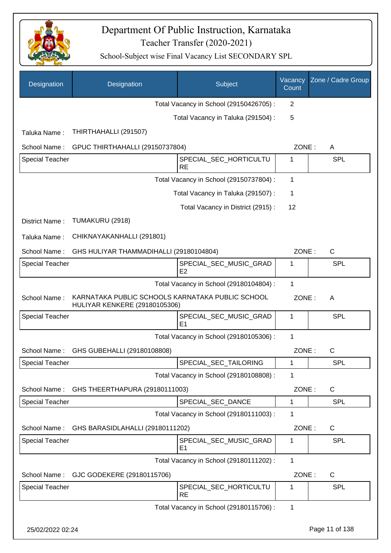

| Designation            | Designation                                                                       | Subject                                  | Vacancy<br>Count | Zone / Cadre Group |
|------------------------|-----------------------------------------------------------------------------------|------------------------------------------|------------------|--------------------|
|                        |                                                                                   | Total Vacancy in School (29150426705) :  | 2                |                    |
|                        |                                                                                   | Total Vacancy in Taluka (291504) :       | 5                |                    |
| Taluka Name:           | THIRTHAHALLI (291507)                                                             |                                          |                  |                    |
| School Name:           | GPUC THIRTHAHALLI (29150737804)                                                   |                                          | ZONE:            | A                  |
| Special Teacher        |                                                                                   | SPECIAL_SEC_HORTICULTU<br><b>RE</b>      | 1                | <b>SPL</b>         |
|                        |                                                                                   | Total Vacancy in School (29150737804) :  | 1                |                    |
|                        |                                                                                   | Total Vacancy in Taluka (291507) :       | 1                |                    |
|                        |                                                                                   | Total Vacancy in District (2915):        | 12               |                    |
| District Name:         | TUMAKURU (2918)                                                                   |                                          |                  |                    |
| Taluka Name:           | CHIKNAYAKANHALLI (291801)                                                         |                                          |                  |                    |
| School Name:           | GHS HULIYAR THAMMADIHALLI (29180104804)                                           |                                          | ZONE:            | $\mathsf{C}$       |
| <b>Special Teacher</b> |                                                                                   | SPECIAL_SEC_MUSIC_GRAD<br>E <sub>2</sub> | 1                | <b>SPL</b>         |
|                        |                                                                                   | Total Vacancy in School (29180104804) :  | 1                |                    |
| School Name:           | KARNATAKA PUBLIC SCHOOLS KARNATAKA PUBLIC SCHOOL<br>HULIYAR KENKERE (29180105306) |                                          | ZONE:            | A                  |
| <b>Special Teacher</b> |                                                                                   | SPECIAL_SEC_MUSIC_GRAD<br>E <sub>1</sub> | 1                | <b>SPL</b>         |
|                        |                                                                                   | Total Vacancy in School (29180105306) :  | 1                |                    |
| School Name:           | GHS GUBEHALLI (29180108808)                                                       |                                          | ZONE:            | $\mathsf{C}$       |
| <b>Special Teacher</b> |                                                                                   | SPECIAL_SEC_TAILORING                    | 1                | <b>SPL</b>         |
|                        |                                                                                   | Total Vacancy in School (29180108808) :  | 1                |                    |
| School Name:           | GHS THEERTHAPURA (29180111003)                                                    |                                          | ZONE:            | C                  |
| <b>Special Teacher</b> |                                                                                   | SPECIAL SEC DANCE                        | 1                | <b>SPL</b>         |
|                        |                                                                                   | Total Vacancy in School (29180111003) :  | 1                |                    |
| School Name:           | GHS BARASIDLAHALLI (29180111202)                                                  |                                          | ZONE:            | C                  |
| <b>Special Teacher</b> |                                                                                   | SPECIAL_SEC_MUSIC_GRAD<br>E1             | 1                | <b>SPL</b>         |
|                        |                                                                                   | Total Vacancy in School (29180111202) :  | 1                |                    |
| School Name:           | GJC GODEKERE (29180115706)                                                        |                                          | ZONE:            | C                  |
| Special Teacher        |                                                                                   | SPECIAL_SEC_HORTICULTU<br><b>RE</b>      | 1                | <b>SPL</b>         |
|                        |                                                                                   | Total Vacancy in School (29180115706) :  | 1                |                    |
| 25/02/2022 02:24       |                                                                                   |                                          |                  | Page 11 of 138     |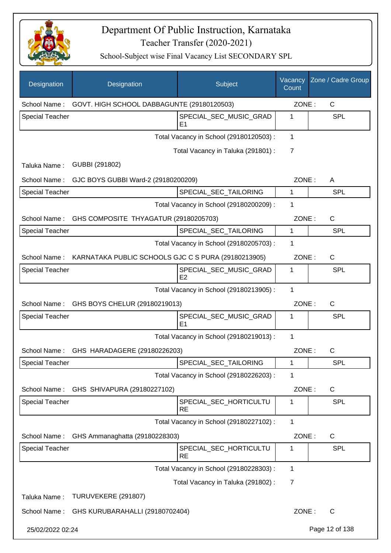

| Designation                             | Designation                                                      | Subject                                  | Vacancy<br>Count | Zone / Cadre Group |
|-----------------------------------------|------------------------------------------------------------------|------------------------------------------|------------------|--------------------|
| School Name:                            | GOVT. HIGH SCHOOL DABBAGUNTE (29180120503)                       |                                          | ZONE:            | $\mathsf{C}$       |
| <b>Special Teacher</b>                  |                                                                  | SPECIAL SEC MUSIC GRAD<br>E1             | 1                | <b>SPL</b>         |
|                                         |                                                                  | Total Vacancy in School (29180120503) :  | 1                |                    |
|                                         |                                                                  | Total Vacancy in Taluka (291801) :       | 7                |                    |
| Taluka Name:                            | GUBBI (291802)                                                   |                                          |                  |                    |
| School Name:                            | GJC BOYS GUBBI Ward-2 (29180200209)                              |                                          | ZONE:            | A                  |
| <b>Special Teacher</b>                  |                                                                  | SPECIAL_SEC_TAILORING                    | 1                | <b>SPL</b>         |
| Total Vacancy in School (29180200209) : |                                                                  |                                          | 1                |                    |
| School Name:                            | GHS COMPOSITE THYAGATUR (29180205703)                            |                                          | ZONE:            | C                  |
| <b>Special Teacher</b>                  |                                                                  | SPECIAL SEC TAILORING                    | 1                | <b>SPL</b>         |
|                                         |                                                                  | Total Vacancy in School (29180205703) :  | 1                |                    |
|                                         | School Name: KARNATAKA PUBLIC SCHOOLS GJC C S PURA (29180213905) |                                          | ZONE:            | $\mathsf{C}$       |
| <b>Special Teacher</b>                  |                                                                  | SPECIAL_SEC_MUSIC_GRAD<br>E <sub>2</sub> | 1                | <b>SPL</b>         |
|                                         |                                                                  | Total Vacancy in School (29180213905) :  | 1                |                    |
| School Name:                            | GHS BOYS CHELUR (29180219013)                                    |                                          | ZONE:            | C                  |
| <b>Special Teacher</b>                  |                                                                  | SPECIAL_SEC_MUSIC_GRAD<br>E1             | 1                | SPL                |
|                                         |                                                                  | Total Vacancy in School (29180219013) :  | $\mathbf{1}$     |                    |
|                                         | School Name: GHS HARADAGERE (29180226203)                        |                                          | ZONE:            | C                  |
| Special Teacher                         |                                                                  | SPECIAL_SEC_TAILORING                    | 1                | <b>SPL</b>         |
|                                         |                                                                  | Total Vacancy in School (29180226203) :  | 1                |                    |
| School Name:                            | GHS SHIVAPURA (29180227102)                                      |                                          | ZONE:            | C                  |
| <b>Special Teacher</b>                  |                                                                  | SPECIAL_SEC_HORTICULTU<br><b>RE</b>      | 1                | <b>SPL</b>         |
|                                         |                                                                  | Total Vacancy in School (29180227102) :  | 1                |                    |
| School Name:                            | GHS Ammanaghatta (29180228303)                                   |                                          | ZONE:            | C                  |
| <b>Special Teacher</b>                  |                                                                  | SPECIAL_SEC_HORTICULTU<br><b>RE</b>      | 1                | <b>SPL</b>         |
|                                         |                                                                  | Total Vacancy in School (29180228303) :  | 1                |                    |
|                                         |                                                                  | Total Vacancy in Taluka (291802) :       | $\overline{7}$   |                    |
| Taluka Name:                            | TURUVEKERE (291807)                                              |                                          |                  |                    |
| School Name:                            | GHS KURUBARAHALLI (29180702404)                                  |                                          | ZONE:            | C                  |
| 25/02/2022 02:24                        |                                                                  |                                          |                  | Page 12 of 138     |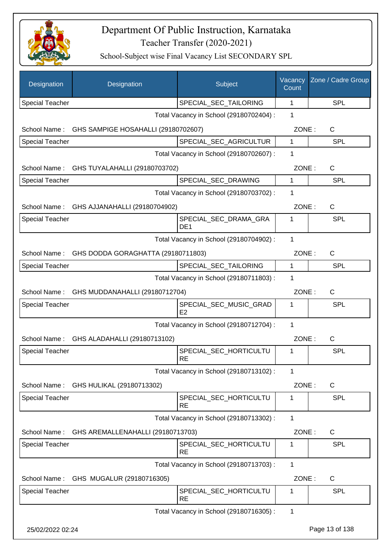

| Designation            | Designation                                 | Subject                                  | Vacancy<br>Count | Zone / Cadre Group |
|------------------------|---------------------------------------------|------------------------------------------|------------------|--------------------|
| <b>Special Teacher</b> |                                             | SPECIAL_SEC_TAILORING                    | 1                | <b>SPL</b>         |
|                        |                                             | Total Vacancy in School (29180702404) :  | 1                |                    |
| School Name:           | GHS SAMPIGE HOSAHALLI (29180702607)         |                                          | ZONE:            | C                  |
| <b>Special Teacher</b> |                                             | SPECIAL_SEC_AGRICULTUR                   | $\mathbf{1}$     | <b>SPL</b>         |
|                        |                                             | Total Vacancy in School (29180702607) :  | 1                |                    |
| School Name:           | GHS TUYALAHALLI (29180703702)               |                                          | ZONE:            | C                  |
| Special Teacher        |                                             | SPECIAL_SEC_DRAWING                      | 1                | <b>SPL</b>         |
|                        |                                             | Total Vacancy in School (29180703702) :  | 1                |                    |
| School Name:           | GHS AJJANAHALLI (29180704902)               |                                          | ZONE:            | $\mathsf{C}$       |
| Special Teacher        |                                             | SPECIAL_SEC_DRAMA_GRA<br>DE <sub>1</sub> | 1                | <b>SPL</b>         |
|                        |                                             | Total Vacancy in School (29180704902) :  | 1                |                    |
| School Name:           | GHS DODDA GORAGHATTA (29180711803)          |                                          | ZONE:            | C                  |
| <b>Special Teacher</b> |                                             | SPECIAL_SEC_TAILORING                    | 1                | <b>SPL</b>         |
|                        |                                             | Total Vacancy in School (29180711803) :  | 1                |                    |
|                        | School Name: GHS MUDDANAHALLI (29180712704) |                                          | ZONE:            | $\mathsf{C}$       |
| Special Teacher        |                                             | SPECIAL_SEC_MUSIC_GRAD<br>E2             | 1                | <b>SPL</b>         |
|                        |                                             | Total Vacancy in School (29180712704) :  | 1                |                    |
|                        | School Name: GHS ALADAHALLI (29180713102)   |                                          | ZONE:            | $\mathsf{C}$       |
| <b>Special Teacher</b> |                                             | SPECIAL SEC HORTICULTU<br><b>RE</b>      | 1                | SPL                |
|                        |                                             | Total Vacancy in School (29180713102):   | 1                |                    |
| School Name:           | GHS HULIKAL (29180713302)                   |                                          | ZONE:            | C                  |
| Special Teacher        |                                             | SPECIAL_SEC_HORTICULTU<br><b>RE</b>      | 1                | <b>SPL</b>         |
|                        |                                             | Total Vacancy in School (29180713302) :  | 1                |                    |
| School Name:           | GHS AREMALLENAHALLI (29180713703)           |                                          | ZONE:            | C                  |
| Special Teacher        |                                             | SPECIAL_SEC_HORTICULTU<br><b>RE</b>      | 1                | <b>SPL</b>         |
|                        |                                             | Total Vacancy in School (29180713703) :  | 1                |                    |
| School Name:           | GHS MUGALUR (29180716305)                   |                                          | ZONE:            | $\mathsf{C}$       |
| Special Teacher        |                                             | SPECIAL_SEC_HORTICULTU<br><b>RE</b>      | 1                | <b>SPL</b>         |
|                        |                                             | Total Vacancy in School (29180716305) :  | 1                |                    |
| 25/02/2022 02:24       |                                             |                                          |                  | Page 13 of 138     |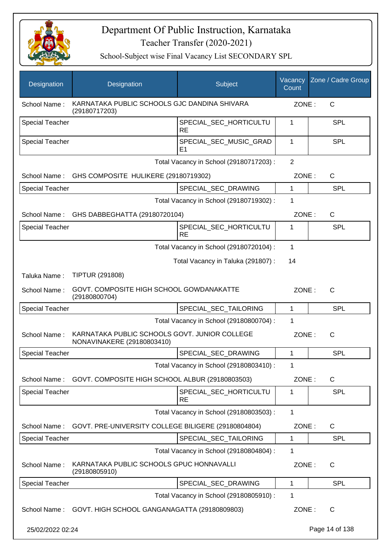

| Designation            | Designation                                                                 | Subject                                 | Vacancy<br>Count | Zone / Cadre Group |
|------------------------|-----------------------------------------------------------------------------|-----------------------------------------|------------------|--------------------|
| School Name:           | KARNATAKA PUBLIC SCHOOLS GJC DANDINA SHIVARA<br>(29180717203)               |                                         | ZONE:            | C                  |
| <b>Special Teacher</b> |                                                                             | SPECIAL_SEC_HORTICULTU<br><b>RE</b>     | 1                | <b>SPL</b>         |
| <b>Special Teacher</b> |                                                                             | SPECIAL SEC MUSIC GRAD<br>E1            | 1                | <b>SPL</b>         |
|                        |                                                                             | Total Vacancy in School (29180717203) : | $\overline{2}$   |                    |
|                        | School Name: GHS COMPOSITE HULIKERE (29180719302)                           |                                         | ZONE:            | $\mathsf{C}$       |
| <b>Special Teacher</b> |                                                                             | SPECIAL_SEC_DRAWING                     | 1                | <b>SPL</b>         |
|                        |                                                                             | Total Vacancy in School (29180719302) : | 1                |                    |
| School Name:           | GHS DABBEGHATTA (29180720104)                                               |                                         | ZONE:            | C                  |
| <b>Special Teacher</b> |                                                                             | SPECIAL_SEC_HORTICULTU<br><b>RE</b>     | 1                | <b>SPL</b>         |
|                        |                                                                             | Total Vacancy in School (29180720104) : | 1                |                    |
|                        |                                                                             | Total Vacancy in Taluka (291807):       | 14               |                    |
| Taluka Name:           | <b>TIPTUR (291808)</b>                                                      |                                         |                  |                    |
| School Name:           | GOVT. COMPOSITE HIGH SCHOOL GOWDANAKATTE<br>(29180800704)                   |                                         | ZONE:            | C                  |
| <b>Special Teacher</b> |                                                                             | SPECIAL_SEC_TAILORING                   | 1                | <b>SPL</b>         |
|                        |                                                                             | Total Vacancy in School (29180800704) : | 1                |                    |
| School Name:           | KARNATAKA PUBLIC SCHOOLS GOVT, JUNIOR COLLEGE<br>NONAVINAKERE (29180803410) |                                         | ZONE:            | $\mathsf{C}$       |
| <b>Special Teacher</b> |                                                                             | SPECIAL SEC DRAWING                     | 1                | <b>SPL</b>         |
|                        |                                                                             | Total Vacancy in School (29180803410) : | 1                |                    |
| School Name:           | GOVT. COMPOSITE HIGH SCHOOL ALBUR (29180803503)                             |                                         | ZONE:            | C                  |
| <b>Special Teacher</b> |                                                                             | SPECIAL_SEC_HORTICULTU<br><b>RE</b>     | 1                | <b>SPL</b>         |
|                        |                                                                             | Total Vacancy in School (29180803503) : | 1                |                    |
| School Name:           | GOVT. PRE-UNIVERSITY COLLEGE BILIGERE (29180804804)                         |                                         | ZONE:            | $\mathsf{C}$       |
| <b>Special Teacher</b> |                                                                             | SPECIAL_SEC_TAILORING                   | 1                | <b>SPL</b>         |
|                        |                                                                             | Total Vacancy in School (29180804804) : | 1                |                    |
| School Name:           | KARNATAKA PUBLIC SCHOOLS GPUC HONNAVALLI<br>(29180805910)                   |                                         | ZONE:            | $\mathsf{C}$       |
| Special Teacher        |                                                                             | SPECIAL_SEC_DRAWING                     | 1                | <b>SPL</b>         |
|                        |                                                                             | Total Vacancy in School (29180805910) : | 1                |                    |
| School Name:           | GOVT. HIGH SCHOOL GANGANAGATTA (29180809803)                                |                                         | ZONE:            | C                  |
| 25/02/2022 02:24       |                                                                             |                                         |                  | Page 14 of 138     |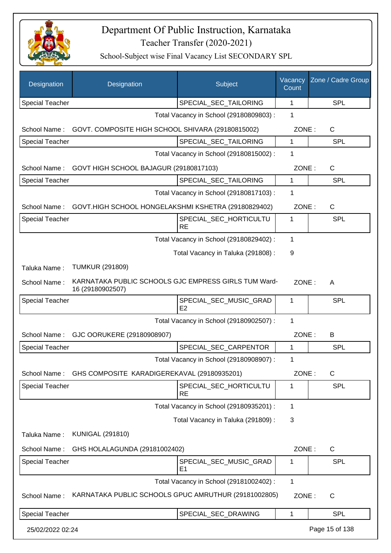

| Designation            | Designation                                                              | Subject                                  | Vacancy<br>Count | Zone / Cadre Group |
|------------------------|--------------------------------------------------------------------------|------------------------------------------|------------------|--------------------|
| <b>Special Teacher</b> |                                                                          | SPECIAL_SEC_TAILORING                    | 1                | <b>SPL</b>         |
|                        |                                                                          | Total Vacancy in School (29180809803) :  | 1                |                    |
| School Name:           | GOVT. COMPOSITE HIGH SCHOOL SHIVARA (29180815002)                        |                                          | ZONE:            | C                  |
| Special Teacher        |                                                                          | SPECIAL_SEC_TAILORING                    | 1                | SPL                |
|                        |                                                                          | Total Vacancy in School (29180815002) :  | 1                |                    |
| School Name:           | GOVT HIGH SCHOOL BAJAGUR (29180817103)                                   |                                          | ZONE:            | C                  |
| Special Teacher        |                                                                          | SPECIAL_SEC_TAILORING                    | 1                | <b>SPL</b>         |
|                        |                                                                          | Total Vacancy in School (29180817103) :  | 1                |                    |
| School Name:           | GOVT.HIGH SCHOOL HONGELAKSHMI KSHETRA (29180829402)                      |                                          | ZONE:            | C                  |
| <b>Special Teacher</b> |                                                                          | SPECIAL_SEC_HORTICULTU<br><b>RE</b>      | 1                | <b>SPL</b>         |
|                        |                                                                          | Total Vacancy in School (29180829402) :  | 1                |                    |
|                        |                                                                          | Total Vacancy in Taluka (291808) :       | 9                |                    |
| Taluka Name:           | <b>TUMKUR (291809)</b>                                                   |                                          |                  |                    |
| School Name:           | KARNATAKA PUBLIC SCHOOLS GJC EMPRESS GIRLS TUM Ward-<br>16 (29180902507) |                                          | ZONE:            | A                  |
| <b>Special Teacher</b> |                                                                          | SPECIAL_SEC_MUSIC_GRAD<br>E2             | 1                | <b>SPL</b>         |
|                        |                                                                          | Total Vacancy in School (29180902507) :  | 1                |                    |
| School Name:           | GJC OORUKERE (29180908907)                                               |                                          | ZONE:            | B                  |
| <b>Special Teacher</b> |                                                                          | SPECIAL_SEC_CARPENTOR                    | 1                | <b>SPL</b>         |
|                        |                                                                          | Total Vacancy in School (29180908907) :  | 1                |                    |
| School Name:           | GHS COMPOSITE KARADIGEREKAVAL (29180935201)                              |                                          | ZONE:            | C                  |
| Special Teacher        |                                                                          | SPECIAL_SEC_HORTICULTU<br><b>RE</b>      | 1                | <b>SPL</b>         |
|                        |                                                                          | Total Vacancy in School (29180935201) :  | 1                |                    |
|                        |                                                                          | Total Vacancy in Taluka (291809):        | 3                |                    |
| Taluka Name:           | <b>KUNIGAL (291810)</b>                                                  |                                          |                  |                    |
| School Name:           | GHS HOLALAGUNDA (29181002402)                                            |                                          | ZONE:            | C                  |
| <b>Special Teacher</b> |                                                                          | SPECIAL_SEC_MUSIC_GRAD<br>E <sub>1</sub> | 1                | <b>SPL</b>         |
|                        |                                                                          | Total Vacancy in School (29181002402) :  | 1                |                    |
| School Name:           | KARNATAKA PUBLIC SCHOOLS GPUC AMRUTHUR (29181002805)                     |                                          | ZONE:            | C                  |
| <b>Special Teacher</b> |                                                                          | SPECIAL_SEC_DRAWING                      | 1                | <b>SPL</b>         |
| 25/02/2022 02:24       |                                                                          |                                          |                  | Page 15 of 138     |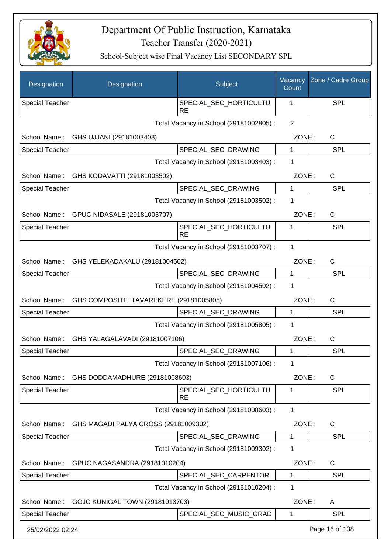

| Designation            | Designation                            | Subject                                 | Vacancy<br>Count | Zone / Cadre Group |
|------------------------|----------------------------------------|-----------------------------------------|------------------|--------------------|
| <b>Special Teacher</b> |                                        | SPECIAL_SEC_HORTICULTU<br><b>RE</b>     | 1                | <b>SPL</b>         |
|                        |                                        | Total Vacancy in School (29181002805) : | $\overline{2}$   |                    |
| School Name:           | GHS UJJANI (29181003403)               |                                         | ZONE:            | C                  |
| <b>Special Teacher</b> |                                        | SPECIAL_SEC_DRAWING                     | 1                | <b>SPL</b>         |
|                        |                                        | Total Vacancy in School (29181003403) : | 1                |                    |
| School Name:           | GHS KODAVATTI (29181003502)            |                                         | ZONE:            | $\mathsf{C}$       |
| Special Teacher        |                                        | SPECIAL_SEC_DRAWING                     | 1                | <b>SPL</b>         |
|                        |                                        | Total Vacancy in School (29181003502) : | 1                |                    |
| School Name:           | GPUC NIDASALE (29181003707)            |                                         | ZONE:            | $\mathsf{C}$       |
| <b>Special Teacher</b> |                                        | SPECIAL_SEC_HORTICULTU<br><b>RE</b>     | 1                | <b>SPL</b>         |
|                        |                                        | Total Vacancy in School (29181003707) : | 1                |                    |
| School Name:           | GHS YELEKADAKALU (29181004502)         |                                         | ZONE:            | $\mathsf{C}$       |
| <b>Special Teacher</b> |                                        | SPECIAL_SEC_DRAWING                     | 1                | <b>SPL</b>         |
|                        |                                        | Total Vacancy in School (29181004502) : | 1                |                    |
| School Name:           | GHS COMPOSITE TAVAREKERE (29181005805) |                                         | ZONE:            | $\mathsf{C}$       |
| <b>Special Teacher</b> |                                        | SPECIAL_SEC_DRAWING                     | 1                | <b>SPL</b>         |
|                        |                                        | Total Vacancy in School (29181005805) : | 1                |                    |
| School Name:           | GHS YALAGALAVADI (29181007106)         |                                         | ZONE:            | $\mathsf{C}$       |
| <b>Special Teacher</b> |                                        | SPECIAL_SEC_DRAWING                     | 1                | <b>SPL</b>         |
|                        |                                        | Total Vacancy in School (29181007106) : | 1                |                    |
| School Name:           | GHS DODDAMADHURE (29181008603)         |                                         | ZONE:            | C                  |
| Special Teacher        |                                        | SPECIAL_SEC_HORTICULTU<br><b>RE</b>     | 1                | <b>SPL</b>         |
|                        |                                        | Total Vacancy in School (29181008603) : | $\mathbf{1}$     |                    |
| School Name:           | GHS MAGADI PALYA CROSS (29181009302)   |                                         | ZONE:            | $\mathsf{C}$       |
| Special Teacher        |                                        | SPECIAL_SEC_DRAWING                     | 1                | <b>SPL</b>         |
|                        |                                        | Total Vacancy in School (29181009302) : | 1                |                    |
| School Name:           | GPUC NAGASANDRA (29181010204)          |                                         | ZONE:            | $\mathsf{C}$       |
| <b>Special Teacher</b> |                                        | SPECIAL_SEC_CARPENTOR                   | 1                | <b>SPL</b>         |
|                        |                                        | Total Vacancy in School (29181010204) : | 1                |                    |
| School Name:           | GGJC KUNIGAL TOWN (29181013703)        |                                         | ZONE:            | A                  |
| <b>Special Teacher</b> |                                        | SPECIAL_SEC_MUSIC_GRAD                  | 1                | <b>SPL</b>         |
| 25/02/2022 02:24       |                                        |                                         |                  | Page 16 of 138     |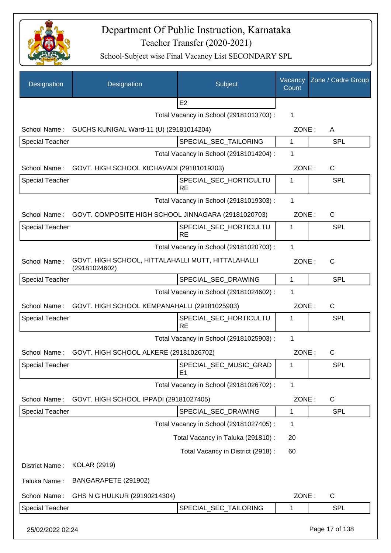

| Designation            | Designation                                                         | Subject                                  | Vacancy<br>Count | Zone / Cadre Group |
|------------------------|---------------------------------------------------------------------|------------------------------------------|------------------|--------------------|
|                        |                                                                     | E <sub>2</sub>                           |                  |                    |
|                        |                                                                     | Total Vacancy in School (29181013703) :  | 1                |                    |
| School Name:           | GUCHS KUNIGAL Ward-11 (U) (29181014204)                             |                                          | ZONE:            | A                  |
| <b>Special Teacher</b> |                                                                     | SPECIAL_SEC_TAILORING                    | 1                | SPL                |
|                        |                                                                     | Total Vacancy in School (29181014204) :  | 1                |                    |
| School Name:           | GOVT. HIGH SCHOOL KICHAVADI (29181019303)                           |                                          | ZONE:            | C                  |
| <b>Special Teacher</b> |                                                                     | SPECIAL_SEC_HORTICULTU<br><b>RE</b>      | 1                | SPL                |
|                        |                                                                     | Total Vacancy in School (29181019303) :  | 1                |                    |
| School Name:           | GOVT. COMPOSITE HIGH SCHOOL JINNAGARA (29181020703)                 |                                          | ZONE:            | C                  |
| <b>Special Teacher</b> |                                                                     | SPECIAL SEC HORTICULTU<br><b>RE</b>      | 1                | SPL                |
|                        |                                                                     | Total Vacancy in School (29181020703) :  | 1                |                    |
| School Name:           | GOVT. HIGH SCHOOL, HITTALAHALLI MUTT, HITTALAHALLI<br>(29181024602) |                                          | ZONE:            | $\mathsf{C}$       |
| <b>Special Teacher</b> |                                                                     | SPECIAL_SEC_DRAWING                      | $\mathbf 1$      | SPL                |
|                        |                                                                     | Total Vacancy in School (29181024602) :  | 1                |                    |
| School Name:           | GOVT. HIGH SCHOOL KEMPANAHALLI (29181025903)                        |                                          | ZONE:            | C                  |
| <b>Special Teacher</b> |                                                                     | SPECIAL_SEC_HORTICULTU<br><b>RE</b>      | 1                | SPL                |
|                        |                                                                     | Total Vacancy in School (29181025903) :  | 1                |                    |
| School Name:           | GOVT. HIGH SCHOOL ALKERE (29181026702)                              |                                          | ZONE:            | $\mathsf{C}$       |
| <b>Special Teacher</b> |                                                                     | SPECIAL_SEC_MUSIC_GRAD<br>E <sub>1</sub> | 1                | <b>SPL</b>         |
|                        |                                                                     | Total Vacancy in School (29181026702) :  | 1                |                    |
| School Name:           | GOVT. HIGH SCHOOL IPPADI (29181027405)                              |                                          | ZONE:            | C                  |
| Special Teacher        |                                                                     | SPECIAL_SEC_DRAWING                      | 1                | <b>SPL</b>         |
|                        |                                                                     | Total Vacancy in School (29181027405) :  | 1                |                    |
|                        |                                                                     | Total Vacancy in Taluka (291810) :       | 20               |                    |
|                        |                                                                     | Total Vacancy in District (2918) :       | 60               |                    |
| District Name:         | <b>KOLAR (2919)</b>                                                 |                                          |                  |                    |
| Taluka Name:           | BANGARAPETE (291902)                                                |                                          |                  |                    |
| School Name:           | GHS N G HULKUR (29190214304)                                        |                                          | ZONE:            | $\mathsf{C}$       |
| <b>Special Teacher</b> |                                                                     | SPECIAL_SEC_TAILORING                    | 1                | <b>SPL</b>         |
| 25/02/2022 02:24       |                                                                     |                                          |                  | Page 17 of 138     |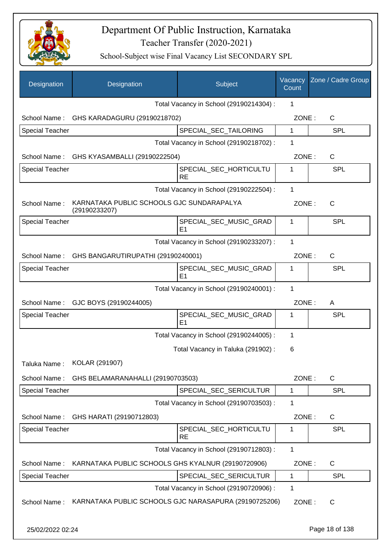

| Designation            | Designation                                                | Subject                                  | Vacancy<br>Count | Zone / Cadre Group |
|------------------------|------------------------------------------------------------|------------------------------------------|------------------|--------------------|
|                        |                                                            | Total Vacancy in School (29190214304) :  | 1                |                    |
| School Name:           | GHS KARADAGURU (29190218702)                               |                                          | ZONE:            | C                  |
| <b>Special Teacher</b> |                                                            | SPECIAL_SEC_TAILORING                    | 1                | <b>SPL</b>         |
|                        |                                                            | Total Vacancy in School (29190218702) :  | 1                |                    |
|                        | School Name: GHS KYASAMBALLI (29190222504)                 |                                          | ZONE:            | $\mathsf{C}$       |
| <b>Special Teacher</b> |                                                            | SPECIAL_SEC_HORTICULTU<br><b>RE</b>      | 1                | SPL                |
|                        |                                                            | Total Vacancy in School (29190222504) :  | $\mathbf 1$      |                    |
| School Name:           | KARNATAKA PUBLIC SCHOOLS GJC SUNDARAPALYA<br>(29190233207) |                                          | ZONE:            | C                  |
| <b>Special Teacher</b> |                                                            | SPECIAL_SEC_MUSIC_GRAD<br>E <sub>1</sub> | 1                | <b>SPL</b>         |
|                        |                                                            | Total Vacancy in School (29190233207) :  | 1                |                    |
| School Name:           | GHS BANGARUTIRUPATHI (29190240001)                         |                                          | ZONE:            | $\mathsf{C}$       |
| <b>Special Teacher</b> |                                                            | SPECIAL_SEC_MUSIC_GRAD<br>E1             | 1                | <b>SPL</b>         |
|                        |                                                            | Total Vacancy in School (29190240001) :  | $\mathbf{1}$     |                    |
| School Name:           | GJC BOYS (29190244005)                                     |                                          | ZONE:            | A                  |
| <b>Special Teacher</b> |                                                            | SPECIAL_SEC_MUSIC_GRAD<br>E <sub>1</sub> | 1                | SPL                |
|                        |                                                            | Total Vacancy in School (29190244005) :  | 1                |                    |
|                        |                                                            | Total Vacancy in Taluka (291902) :       | 6                |                    |
| Taluka Name:           | KOLAR (291907)                                             |                                          |                  |                    |
| School Name:           | GHS BELAMARANAHALLI (29190703503)                          |                                          | ZONE:            | $\mathsf{C}$       |
| <b>Special Teacher</b> |                                                            | SPECIAL_SEC_SERICULTUR                   | 1                | <b>SPL</b>         |
|                        |                                                            | Total Vacancy in School (29190703503) :  | 1                |                    |
| School Name:           | GHS HARATI (29190712803)                                   |                                          | ZONE:            | $\mathsf{C}$       |
| <b>Special Teacher</b> |                                                            | SPECIAL_SEC_HORTICULTU<br><b>RE</b>      | 1                | <b>SPL</b>         |
|                        |                                                            | Total Vacancy in School (29190712803) :  | $\mathbf{1}$     |                    |
| School Name:           | KARNATAKA PUBLIC SCHOOLS GHS KYALNUR (29190720906)         |                                          | ZONE:            | $\mathsf{C}$       |
| <b>Special Teacher</b> |                                                            | SPECIAL_SEC_SERICULTUR                   | 1                | <b>SPL</b>         |
|                        |                                                            | Total Vacancy in School (29190720906) :  | $\mathbf 1$      |                    |
| School Name:           | KARNATAKA PUBLIC SCHOOLS GJC NARASAPURA (29190725206)      |                                          | ZONE:            | C                  |
| 25/02/2022 02:24       |                                                            |                                          |                  | Page 18 of 138     |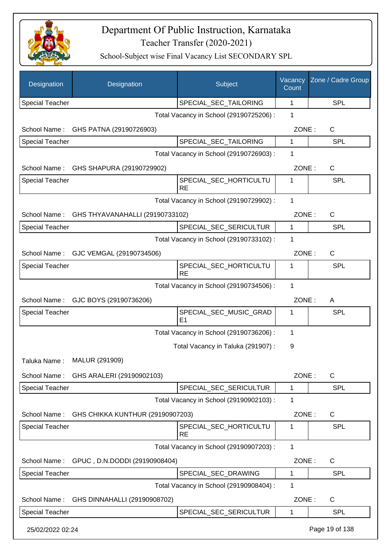

| Designation            | Designation                          | Subject                                  | Vacancy<br>Count | Zone / Cadre Group |
|------------------------|--------------------------------------|------------------------------------------|------------------|--------------------|
| <b>Special Teacher</b> |                                      | SPECIAL_SEC_TAILORING                    | $\mathbf{1}$     | <b>SPL</b>         |
|                        |                                      | Total Vacancy in School (29190725206) :  | 1                |                    |
|                        | School Name: GHS PATNA (29190726903) |                                          | ZONE:            | C                  |
| <b>Special Teacher</b> |                                      | SPECIAL_SEC_TAILORING                    | 1                | SPL                |
|                        |                                      | Total Vacancy in School (29190726903) :  | 1                |                    |
| School Name:           | GHS SHAPURA (29190729902)            |                                          | ZONE:            | C                  |
| <b>Special Teacher</b> |                                      | SPECIAL_SEC_HORTICULTU                   | 1                | <b>SPL</b>         |
|                        |                                      | <b>RE</b>                                | 1                |                    |
|                        |                                      | Total Vacancy in School (29190729902) :  |                  |                    |
| School Name:           | GHS THYAVANAHALLI (29190733102)      |                                          | ZONE:            | C                  |
| <b>Special Teacher</b> |                                      | SPECIAL_SEC_SERICULTUR                   | 1                | <b>SPL</b>         |
|                        |                                      | Total Vacancy in School (29190733102) :  | 1                |                    |
| School Name:           | GJC VEMGAL (29190734506)             |                                          | ZONE:            | C                  |
| <b>Special Teacher</b> |                                      | SPECIAL_SEC_HORTICULTU<br><b>RE</b>      | 1                | SPL                |
|                        |                                      | Total Vacancy in School (29190734506) :  | 1                |                    |
| School Name:           | GJC BOYS (29190736206)               |                                          | ZONE:            | A                  |
| <b>Special Teacher</b> |                                      | SPECIAL_SEC_MUSIC_GRAD<br>E <sub>1</sub> | 1                | <b>SPL</b>         |
|                        |                                      | Total Vacancy in School (29190736206) :  | 1                |                    |
|                        |                                      | Total Vacancy in Taluka (291907) :       | 9                |                    |
| Taluka Name:           | MALUR (291909)                       |                                          |                  |                    |
| School Name:           | GHS ARALERI (29190902103)            |                                          | ZONE:            | C                  |
| <b>Special Teacher</b> |                                      | SPECIAL_SEC_SERICULTUR                   | 1                | <b>SPL</b>         |
|                        |                                      | Total Vacancy in School (29190902103) :  | 1                |                    |
| School Name:           | GHS CHIKKA KUNTHUR (29190907203)     |                                          | ZONE:            | C                  |
| <b>Special Teacher</b> |                                      | SPECIAL_SEC_HORTICULTU<br><b>RE</b>      | 1                | <b>SPL</b>         |
|                        |                                      | Total Vacancy in School (29190907203) :  | 1                |                    |
| School Name:           | GPUC, D.N.DODDI (29190908404)        |                                          | ZONE:            | C                  |
| <b>Special Teacher</b> |                                      | SPECIAL_SEC_DRAWING                      | 1                | <b>SPL</b>         |
|                        |                                      | Total Vacancy in School (29190908404) :  | 1                |                    |
| School Name:           | GHS DINNAHALLI (29190908702)         |                                          | ZONE:            | C                  |
| <b>Special Teacher</b> |                                      | SPECIAL_SEC_SERICULTUR                   | 1                | SPL                |
| 25/02/2022 02:24       |                                      |                                          |                  | Page 19 of 138     |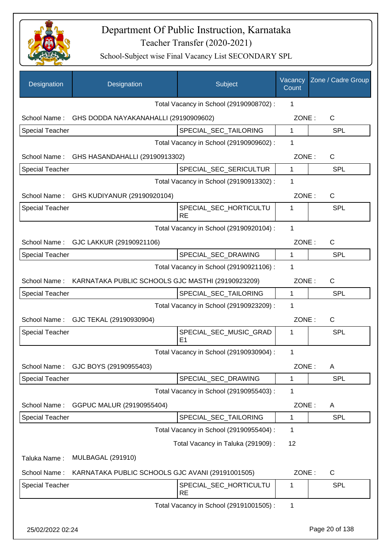

| Designation            | Designation                                        | Subject                                 | Vacancy<br>Count | Zone / Cadre Group |
|------------------------|----------------------------------------------------|-----------------------------------------|------------------|--------------------|
|                        |                                                    | Total Vacancy in School (29190908702) : | 1                |                    |
|                        | School Name: GHS DODDA NAYAKANAHALLI (29190909602) |                                         | ZONE:            | $\mathsf{C}$       |
| Special Teacher        |                                                    | SPECIAL_SEC_TAILORING                   | $\mathbf{1}$     | <b>SPL</b>         |
|                        |                                                    | Total Vacancy in School (29190909602) : | 1                |                    |
|                        | School Name: GHS HASANDAHALLI (29190913302)        |                                         | ZONE:            | C                  |
| <b>Special Teacher</b> |                                                    | SPECIAL_SEC_SERICULTUR                  | $\mathbf{1}$     | <b>SPL</b>         |
|                        |                                                    | Total Vacancy in School (29190913302) : | 1                |                    |
|                        | School Name: GHS KUDIYANUR (29190920104)           |                                         | ZONE:            | C                  |
| <b>Special Teacher</b> |                                                    | SPECIAL_SEC_HORTICULTU<br><b>RE</b>     | 1                | SPL                |
|                        |                                                    | Total Vacancy in School (29190920104) : | 1                |                    |
| School Name:           | GJC LAKKUR (29190921106)                           |                                         | ZONE:            | C                  |
| <b>Special Teacher</b> |                                                    | SPECIAL_SEC_DRAWING                     | $\mathbf{1}$     | <b>SPL</b>         |
|                        |                                                    | Total Vacancy in School (29190921106) : | 1                |                    |
| School Name:           | KARNATAKA PUBLIC SCHOOLS GJC MASTHI (29190923209)  |                                         | ZONE:            | C                  |
| <b>Special Teacher</b> |                                                    | SPECIAL_SEC_TAILORING                   | 1                | <b>SPL</b>         |
|                        |                                                    | Total Vacancy in School (29190923209) : | 1                |                    |
| School Name:           | GJC TEKAL (29190930904)                            |                                         | ZONE:            | C                  |
| Special Teacher        |                                                    | SPECIAL_SEC_MUSIC_GRAD<br>E1            | 1                | <b>SPL</b>         |
|                        |                                                    | Total Vacancy in School (29190930904) : | 1                |                    |
| School Name:           | GJC BOYS (29190955403)                             |                                         | ZONE:            | A                  |
| <b>Special Teacher</b> |                                                    | SPECIAL_SEC_DRAWING                     | 1                | <b>SPL</b>         |
|                        |                                                    | Total Vacancy in School (29190955403) : | 1                |                    |
| School Name:           | GGPUC MALUR (29190955404)                          |                                         | ZONE:            | A                  |
| <b>Special Teacher</b> |                                                    | SPECIAL_SEC_TAILORING                   | 1                | <b>SPL</b>         |
|                        |                                                    | Total Vacancy in School (29190955404) : | 1                |                    |
|                        |                                                    | Total Vacancy in Taluka (291909):       | 12               |                    |
| Taluka Name:           | <b>MULBAGAL (291910)</b>                           |                                         |                  |                    |
| School Name:           | KARNATAKA PUBLIC SCHOOLS GJC AVANI (29191001505)   |                                         | ZONE:            | $\mathsf{C}$       |
| <b>Special Teacher</b> |                                                    | SPECIAL_SEC_HORTICULTU<br><b>RE</b>     | 1                | SPL                |
|                        |                                                    | Total Vacancy in School (29191001505) : | 1                |                    |
| 25/02/2022 02:24       |                                                    |                                         |                  | Page 20 of 138     |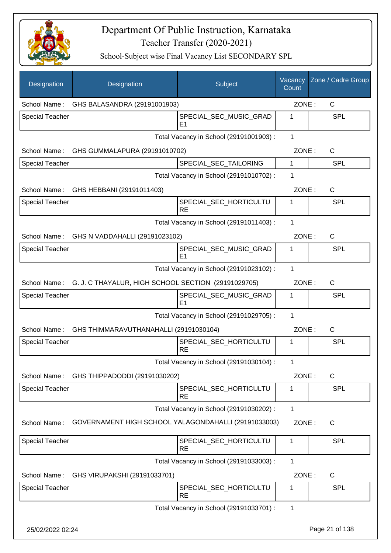

| Designation            | Designation                                                      | Subject                                  | Vacancy<br>Count | Zone / Cadre Group |
|------------------------|------------------------------------------------------------------|------------------------------------------|------------------|--------------------|
|                        | School Name: GHS BALASANDRA (29191001903)                        |                                          | ZONE:            | C                  |
| <b>Special Teacher</b> |                                                                  | SPECIAL_SEC_MUSIC_GRAD<br>E1             | 1                | <b>SPL</b>         |
|                        |                                                                  | Total Vacancy in School (29191001903) :  | $\mathbf{1}$     |                    |
|                        | School Name: GHS GUMMALAPURA (29191010702)                       |                                          | ZONE:            | C                  |
| <b>Special Teacher</b> |                                                                  | SPECIAL_SEC_TAILORING                    | 1                | <b>SPL</b>         |
|                        |                                                                  | Total Vacancy in School (29191010702) :  | 1                |                    |
|                        | School Name: GHS HEBBANI (29191011403)                           |                                          | ZONE:            | $\mathsf{C}$       |
| <b>Special Teacher</b> |                                                                  | SPECIAL_SEC_HORTICULTU<br><b>RE</b>      | 1                | SPL                |
|                        |                                                                  | Total Vacancy in School (29191011403) :  | 1                |                    |
|                        | School Name: GHS N VADDAHALLI (29191023102)                      |                                          | ZONE:            | $\mathsf{C}$       |
| <b>Special Teacher</b> |                                                                  | SPECIAL_SEC_MUSIC_GRAD<br>E <sub>1</sub> | 1                | <b>SPL</b>         |
|                        |                                                                  | Total Vacancy in School (29191023102) :  | 1                |                    |
|                        | School Name: G. J. C THAYALUR, HIGH SCHOOL SECTION (29191029705) |                                          | ZONE:            | $\mathsf{C}$       |
| <b>Special Teacher</b> |                                                                  | SPECIAL_SEC_MUSIC_GRAD<br>E <sub>1</sub> | 1                | SPL                |
|                        |                                                                  | Total Vacancy in School (29191029705) :  | 1                |                    |
|                        | School Name: GHS THIMMARAVUTHANAHALLI (29191030104)              |                                          | ZONE:            | $\mathsf C$        |
| <b>Special Teacher</b> |                                                                  | SPECIAL SEC HORTICULTU<br><b>RE</b>      | 1                | <b>SPL</b>         |
|                        |                                                                  | Total Vacancy in School (29191030104) :  |                  |                    |
| School Name:           | GHS THIPPADODDI (29191030202)                                    |                                          | ZONE:            | C                  |
| <b>Special Teacher</b> |                                                                  | SPECIAL_SEC_HORTICULTU<br><b>RE</b>      | 1                | SPL                |
|                        |                                                                  | Total Vacancy in School (29191030202) :  | $\mathbf{1}$     |                    |
| School Name:           | GOVERNAMENT HIGH SCHOOL YALAGONDAHALLI (29191033003)             |                                          | ZONE:            | C                  |
| <b>Special Teacher</b> |                                                                  | SPECIAL_SEC_HORTICULTU<br><b>RE</b>      | 1                | <b>SPL</b>         |
|                        |                                                                  | Total Vacancy in School (29191033003) :  | 1                |                    |
| School Name:           | GHS VIRUPAKSHI (29191033701)                                     |                                          | ZONE:            | C                  |
| <b>Special Teacher</b> |                                                                  | SPECIAL_SEC_HORTICULTU<br><b>RE</b>      | 1                | <b>SPL</b>         |
|                        |                                                                  | Total Vacancy in School (29191033701) :  | 1                |                    |
| 25/02/2022 02:24       |                                                                  |                                          |                  | Page 21 of 138     |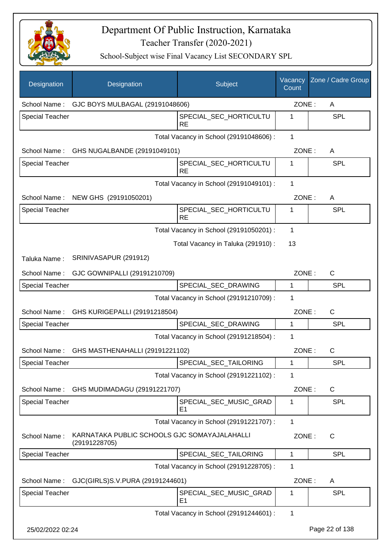

| Designation            | Designation                                                   | Subject                                 | Vacancy<br>Count | Zone / Cadre Group |
|------------------------|---------------------------------------------------------------|-----------------------------------------|------------------|--------------------|
| School Name:           | GJC BOYS MULBAGAL (29191048606)                               |                                         | ZONE:            | A                  |
| <b>Special Teacher</b> |                                                               | SPECIAL_SEC_HORTICULTU<br><b>RE</b>     | 1                | <b>SPL</b>         |
|                        |                                                               | Total Vacancy in School (29191048606) : | $\mathbf{1}$     |                    |
| School Name:           | GHS NUGALBANDE (29191049101)                                  |                                         | ZONE:            | A                  |
| <b>Special Teacher</b> |                                                               | SPECIAL SEC HORTICULTU<br><b>RE</b>     | 1                | <b>SPL</b>         |
|                        |                                                               | Total Vacancy in School (29191049101) : | 1                |                    |
|                        | School Name: NEW GHS (29191050201)                            |                                         | ZONE:            | A                  |
| <b>Special Teacher</b> |                                                               | SPECIAL SEC HORTICULTU<br><b>RE</b>     | 1                | SPL                |
|                        |                                                               | Total Vacancy in School (29191050201) : | $\mathbf 1$      |                    |
|                        |                                                               | Total Vacancy in Taluka (291910) :      | 13               |                    |
| Taluka Name:           | SRINIVASAPUR (291912)                                         |                                         |                  |                    |
| School Name:           | GJC GOWNIPALLI (29191210709)                                  |                                         | ZONE:            | $\mathsf C$        |
| <b>Special Teacher</b> |                                                               | SPECIAL_SEC_DRAWING                     | 1                | <b>SPL</b>         |
|                        |                                                               | Total Vacancy in School (29191210709) : | 1                |                    |
| School Name:           | GHS KURIGEPALLI (29191218504)                                 |                                         | ZONE:            | $\mathsf{C}$       |
| <b>Special Teacher</b> |                                                               | SPECIAL_SEC_DRAWING                     | 1                | <b>SPL</b>         |
|                        |                                                               | Total Vacancy in School (29191218504) : | 1                |                    |
| School Name:           | GHS MASTHENAHALLI (29191221102)                               |                                         | ZONE:            | $\mathsf C$        |
| Special Teacher        |                                                               | SPECIAL_SEC_TAILORING                   | 1                | SPL                |
|                        |                                                               | Total Vacancy in School (29191221102) : | 1                |                    |
| School Name:           | GHS MUDIMADAGU (29191221707)                                  |                                         | ZONE:            | $\mathsf{C}$       |
| <b>Special Teacher</b> |                                                               | SPECIAL_SEC_MUSIC_GRAD<br>E1            | 1                | <b>SPL</b>         |
|                        |                                                               | Total Vacancy in School (29191221707) : | 1                |                    |
| School Name:           | KARNATAKA PUBLIC SCHOOLS GJC SOMAYAJALAHALLI<br>(29191228705) |                                         | ZONE:            | $\mathsf{C}$       |
| <b>Special Teacher</b> |                                                               | SPECIAL_SEC_TAILORING                   | 1                | <b>SPL</b>         |
|                        |                                                               | Total Vacancy in School (29191228705) : | 1                |                    |
| School Name:           | GJC(GIRLS)S.V.PURA (29191244601)                              |                                         | ZONE:            | A                  |
| <b>Special Teacher</b> |                                                               | SPECIAL_SEC_MUSIC_GRAD<br>E1            | 1                | <b>SPL</b>         |
|                        |                                                               | Total Vacancy in School (29191244601) : | 1                |                    |
| 25/02/2022 02:24       |                                                               |                                         |                  | Page 22 of 138     |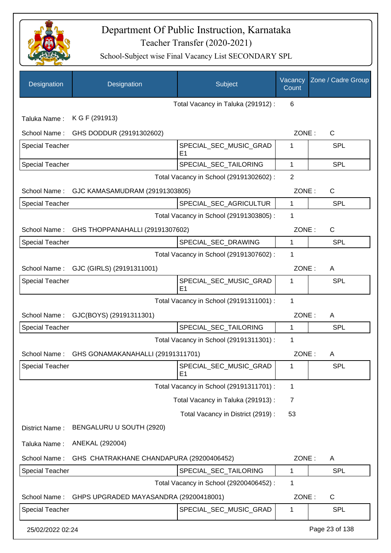

| Designation            | Designation                              | Subject                                  | Vacancy<br>Count | Zone / Cadre Group |
|------------------------|------------------------------------------|------------------------------------------|------------------|--------------------|
|                        |                                          | Total Vacancy in Taluka (291912) :       | 6                |                    |
| Taluka Name:           | K G F (291913)                           |                                          |                  |                    |
| School Name:           | GHS DODDUR (29191302602)                 |                                          | ZONE:            | C                  |
| <b>Special Teacher</b> |                                          | SPECIAL SEC MUSIC GRAD<br>E <sub>1</sub> | 1                | <b>SPL</b>         |
| <b>Special Teacher</b> |                                          | SPECIAL_SEC_TAILORING                    | $\mathbf{1}$     | <b>SPL</b>         |
|                        |                                          | Total Vacancy in School (29191302602) :  | 2                |                    |
| School Name:           | GJC KAMASAMUDRAM (29191303805)           |                                          | ZONE:            | C                  |
| <b>Special Teacher</b> |                                          | SPECIAL_SEC_AGRICULTUR                   | 1                | <b>SPL</b>         |
|                        |                                          | Total Vacancy in School (29191303805) :  | 1                |                    |
| School Name:           | GHS THOPPANAHALLI (29191307602)          |                                          | ZONE:            | C                  |
| <b>Special Teacher</b> |                                          | SPECIAL_SEC_DRAWING                      | 1                | <b>SPL</b>         |
|                        |                                          | Total Vacancy in School (29191307602) :  | 1                |                    |
| School Name:           | GJC (GIRLS) (29191311001)                |                                          | ZONE:            | A                  |
| <b>Special Teacher</b> |                                          | SPECIAL_SEC_MUSIC_GRAD<br>E1             | 1                | <b>SPL</b>         |
|                        |                                          | Total Vacancy in School (29191311001) :  | 1                |                    |
| School Name:           | GJC(BOYS) (29191311301)                  |                                          | ZONE:            | A                  |
| <b>Special Teacher</b> |                                          | SPECIAL SEC TAILORING                    | 1                | <b>SPL</b>         |
|                        |                                          | Total Vacancy in School (29191311301) :  | 1                |                    |
| School Name:           | GHS GONAMAKANAHALLI (29191311701)        |                                          | ZONE:            | A                  |
| <b>Special Teacher</b> |                                          | SPECIAL_SEC_MUSIC_GRAD<br>E1             | 1                | <b>SPL</b>         |
|                        |                                          | Total Vacancy in School (29191311701) :  | 1                |                    |
|                        |                                          | Total Vacancy in Taluka (291913) :       | 7                |                    |
|                        |                                          | Total Vacancy in District (2919) :       | 53               |                    |
| District Name:         | BENGALURU U SOUTH (2920)                 |                                          |                  |                    |
| Taluka Name:           | ANEKAL (292004)                          |                                          |                  |                    |
| School Name:           | GHS CHATRAKHANE CHANDAPURA (29200406452) |                                          | ZONE:            | A                  |
| <b>Special Teacher</b> |                                          | SPECIAL_SEC_TAILORING                    | 1                | <b>SPL</b>         |
|                        |                                          | Total Vacancy in School (29200406452) :  | 1                |                    |
| School Name:           | GHPS UPGRADED MAYASANDRA (29200418001)   |                                          | ZONE:            | C                  |
| <b>Special Teacher</b> |                                          | SPECIAL_SEC_MUSIC_GRAD                   | 1                | SPL                |
| 25/02/2022 02:24       |                                          |                                          |                  | Page 23 of 138     |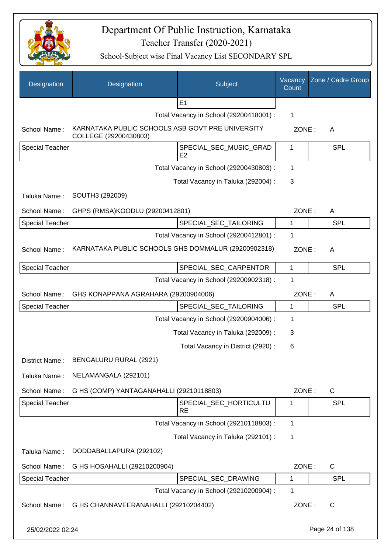

| Designation            | Designation                                                               | Subject                                 | Vacancy<br>Count | Zone / Cadre Group |
|------------------------|---------------------------------------------------------------------------|-----------------------------------------|------------------|--------------------|
|                        |                                                                           | E <sub>1</sub>                          |                  |                    |
|                        |                                                                           | Total Vacancy in School (29200418001) : | 1                |                    |
| School Name:           | KARNATAKA PUBLIC SCHOOLS ASB GOVT PRE UNIVERSITY<br>COLLEGE (29200430803) |                                         | ZONE:            | A                  |
| Special Teacher        |                                                                           | SPECIAL_SEC_MUSIC_GRAD<br>E2            | 1                | <b>SPL</b>         |
|                        |                                                                           | Total Vacancy in School (29200430803) : | 1                |                    |
|                        |                                                                           | Total Vacancy in Taluka (292004) :      | 3                |                    |
| Taluka Name:           | SOUTH3 (292009)                                                           |                                         |                  |                    |
| School Name:           | GHPS (RMSA)KOODLU (29200412801)                                           |                                         | ZONE:            | A                  |
| <b>Special Teacher</b> |                                                                           | SPECIAL SEC TAILORING                   | 1                | <b>SPL</b>         |
|                        |                                                                           | Total Vacancy in School (29200412801) : | 1                |                    |
| School Name:           | KARNATAKA PUBLIC SCHOOLS GHS DOMMALUR (29200902318)                       |                                         | ZONE:            | A                  |
| <b>Special Teacher</b> |                                                                           | SPECIAL_SEC_CARPENTOR                   | 1                | <b>SPL</b>         |
|                        |                                                                           | Total Vacancy in School (29200902318) : | 1                |                    |
| School Name:           | GHS KONAPPANA AGRAHARA (29200904006)                                      |                                         | ZONE:            | A                  |
| <b>Special Teacher</b> |                                                                           | SPECIAL_SEC_TAILORING                   | 1                | <b>SPL</b>         |
|                        |                                                                           | Total Vacancy in School (29200904006) : | 1                |                    |
|                        |                                                                           | Total Vacancy in Taluka (292009) :      | 3                |                    |
|                        |                                                                           | Total Vacancy in District (2920) :      | 6                |                    |
| District Name:         | BENGALURU RURAL (2921)                                                    |                                         |                  |                    |
| Taluka Name:           | NELAMANGALA (292101)                                                      |                                         |                  |                    |
| School Name:           | G HS (COMP) YANTAGANAHALLI (29210118803)                                  |                                         | ZONE:            | $\mathsf{C}$       |
| <b>Special Teacher</b> |                                                                           | SPECIAL_SEC_HORTICULTU<br><b>RE</b>     | 1                | <b>SPL</b>         |
|                        |                                                                           | Total Vacancy in School (29210118803) : | 1                |                    |
|                        |                                                                           | Total Vacancy in Taluka (292101) :      | 1                |                    |
| Taluka Name:           | DODDABALLAPURA (292102)                                                   |                                         |                  |                    |
| School Name:           | G HS HOSAHALLI (29210200904)                                              |                                         | ZONE:            | C                  |
| Special Teacher        |                                                                           | SPECIAL_SEC_DRAWING                     | 1                | <b>SPL</b>         |
|                        |                                                                           | Total Vacancy in School (29210200904) : | 1                |                    |
| School Name:           | G HS CHANNAVEERANAHALLI (29210204402)                                     |                                         | ZONE:            | $\mathsf{C}$       |
| 25/02/2022 02:24       |                                                                           |                                         |                  | Page 24 of 138     |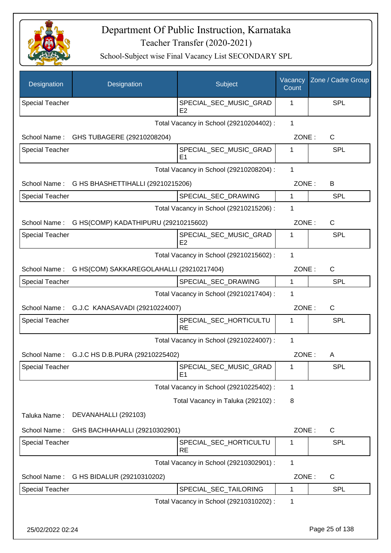

| Designation            | Designation                                  | Subject                                  | Vacancy<br>Count | Zone / Cadre Group |
|------------------------|----------------------------------------------|------------------------------------------|------------------|--------------------|
| <b>Special Teacher</b> |                                              | SPECIAL_SEC_MUSIC_GRAD<br>E <sub>2</sub> | 1                | <b>SPL</b>         |
|                        |                                              | Total Vacancy in School (29210204402) :  | 1                |                    |
|                        | School Name: GHS TUBAGERE (29210208204)      |                                          | ZONE:            | C                  |
| Special Teacher        |                                              | SPECIAL_SEC_MUSIC_GRAD<br>E <sub>1</sub> | 1                | <b>SPL</b>         |
|                        |                                              | Total Vacancy in School (29210208204) :  | 1                |                    |
| School Name:           | G HS BHASHETTIHALLI (29210215206)            |                                          | ZONE:            | B                  |
| <b>Special Teacher</b> |                                              | SPECIAL_SEC_DRAWING                      | 1                | <b>SPL</b>         |
|                        |                                              | Total Vacancy in School (29210215206) :  | 1                |                    |
| School Name:           | G HS(COMP) KADATHIPURU (29210215602)         |                                          | ZONE:            | C                  |
| Special Teacher        |                                              | SPECIAL SEC MUSIC GRAD<br>E2             | 1                | <b>SPL</b>         |
|                        |                                              | Total Vacancy in School (29210215602) :  | 1                |                    |
| School Name:           | G HS(COM) SAKKAREGOLAHALLI (29210217404)     |                                          | ZONE:            | C                  |
| <b>Special Teacher</b> |                                              | SPECIAL_SEC_DRAWING                      | $\mathbf{1}$     | <b>SPL</b>         |
|                        |                                              | Total Vacancy in School (29210217404) :  | 1                |                    |
|                        | School Name: G.J.C KANASAVADI (29210224007)  |                                          | ZONE:            | $\mathsf{C}$       |
| <b>Special Teacher</b> |                                              | SPECIAL_SEC_HORTICULTU<br><b>RE</b>      | 1                | <b>SPL</b>         |
|                        |                                              | Total Vacancy in School (29210224007) :  | 1                |                    |
|                        | School Name: G.J.C HS D.B.PURA (29210225402) |                                          | ZONE:            | A                  |
| <b>Special Teacher</b> |                                              | SPECIAL_SEC_MUSIC_GRAD<br>E <sub>1</sub> | 1                | <b>SPL</b>         |
|                        |                                              | Total Vacancy in School (29210225402) :  | 1                |                    |
|                        |                                              | Total Vacancy in Taluka (292102) :       | 8                |                    |
| Taluka Name:           | DEVANAHALLI (292103)                         |                                          |                  |                    |
| School Name:           | GHS BACHHAHALLI (29210302901)                |                                          | ZONE:            | C                  |
| <b>Special Teacher</b> |                                              | SPECIAL_SEC_HORTICULTU<br><b>RE</b>      | 1                | <b>SPL</b>         |
|                        |                                              | Total Vacancy in School (29210302901) :  | 1                |                    |
| School Name:           | G HS BIDALUR (29210310202)                   |                                          | ZONE:            | C                  |
| Special Teacher        |                                              | SPECIAL_SEC_TAILORING                    | 1                | SPL                |
|                        |                                              | Total Vacancy in School (29210310202) :  | 1                |                    |
| 25/02/2022 02:24       |                                              |                                          |                  | Page 25 of 138     |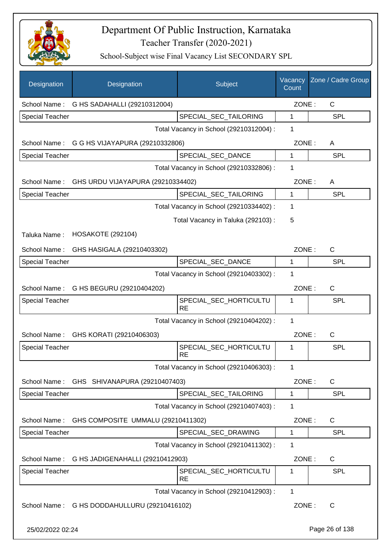

| Designation            | Designation                                    | Subject                                 | Vacancy<br>Count | Zone / Cadre Group |
|------------------------|------------------------------------------------|-----------------------------------------|------------------|--------------------|
|                        | School Name: G HS SADAHALLI (29210312004)      |                                         | ZONE:            | $\mathsf{C}$       |
| <b>Special Teacher</b> |                                                | SPECIAL_SEC_TAILORING                   | 1                | <b>SPL</b>         |
|                        |                                                | Total Vacancy in School (29210312004) : | 1                |                    |
|                        | School Name: G G HS VIJAYAPURA (29210332806)   |                                         | ZONE:            | A                  |
| <b>Special Teacher</b> |                                                | SPECIAL SEC DANCE                       | 1                | <b>SPL</b>         |
|                        |                                                | Total Vacancy in School (29210332806) : | 1                |                    |
|                        | School Name: GHS URDU VIJAYAPURA (29210334402) |                                         | ZONE:            | A                  |
| <b>Special Teacher</b> |                                                | SPECIAL_SEC_TAILORING                   | $\mathbf{1}$     | <b>SPL</b>         |
|                        |                                                | Total Vacancy in School (29210334402) : | 1                |                    |
|                        |                                                | Total Vacancy in Taluka (292103) :      | 5                |                    |
| Taluka Name:           | <b>HOSAKOTE (292104)</b>                       |                                         |                  |                    |
| School Name:           | GHS HASIGALA (29210403302)                     |                                         | ZONE:            | $\mathsf{C}$       |
| <b>Special Teacher</b> |                                                | SPECIAL_SEC_DANCE                       | 1                | <b>SPL</b>         |
|                        |                                                | Total Vacancy in School (29210403302) : | 1                |                    |
| School Name:           | G HS BEGURU (29210404202)                      |                                         | ZONE:            | $\mathsf{C}$       |
| <b>Special Teacher</b> |                                                | SPECIAL_SEC_HORTICULTU<br><b>RE</b>     | 1                | <b>SPL</b>         |
|                        |                                                | Total Vacancy in School (29210404202) : | 1                |                    |
| School Name:           | GHS KORATI (29210406303)                       |                                         | ZONE:            | C                  |
| <b>Special Teacher</b> |                                                | SPECIAL_SEC_HORTICULTU<br><b>RE</b>     | 1                | SPL                |
|                        |                                                | Total Vacancy in School (29210406303) : | 1                |                    |
| School Name:           | GHS SHIVANAPURA (29210407403)                  |                                         | ZONE:            | C                  |
| Special Teacher        |                                                | SPECIAL_SEC_TAILORING                   | 1                | <b>SPL</b>         |
|                        |                                                | Total Vacancy in School (29210407403) : | 1                |                    |
| School Name:           | GHS COMPOSITE UMMALU (29210411302)             |                                         | ZONE:            | C                  |
| <b>Special Teacher</b> |                                                | SPECIAL_SEC_DRAWING                     | 1                | <b>SPL</b>         |
|                        |                                                | Total Vacancy in School (29210411302) : | 1                |                    |
| School Name:           | G HS JADIGENAHALLI (29210412903)               |                                         | ZONE:            | C                  |
| <b>Special Teacher</b> |                                                | SPECIAL_SEC_HORTICULTU<br><b>RE</b>     | 1                | <b>SPL</b>         |
|                        |                                                | Total Vacancy in School (29210412903) : | 1                |                    |
|                        | School Name: G HS DODDAHULLURU (29210416102)   |                                         | ZONE:            | $\mathsf{C}$       |
| 25/02/2022 02:24       |                                                |                                         |                  | Page 26 of 138     |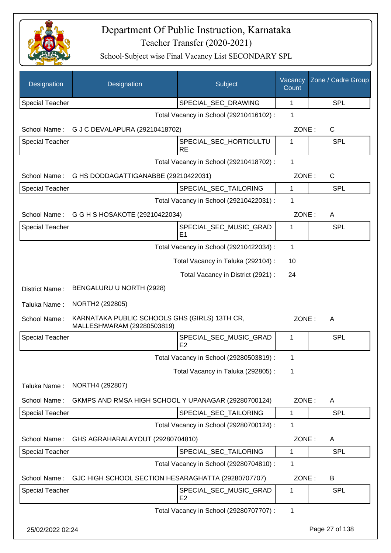

| Designation            | Designation                                                                 | Subject                                  | Vacancy<br>Count | Zone / Cadre Group |
|------------------------|-----------------------------------------------------------------------------|------------------------------------------|------------------|--------------------|
| <b>Special Teacher</b> |                                                                             | SPECIAL_SEC_DRAWING                      | 1                | <b>SPL</b>         |
|                        |                                                                             | Total Vacancy in School (29210416102) :  | 1                |                    |
| School Name:           | G J C DEVALAPURA (29210418702)                                              |                                          | ZONE:            | C                  |
| <b>Special Teacher</b> |                                                                             | SPECIAL_SEC_HORTICULTU<br><b>RE</b>      | 1                | SPL                |
|                        |                                                                             | Total Vacancy in School (29210418702) :  | $\mathbf{1}$     |                    |
| School Name:           | G HS DODDAGATTIGANABBE (29210422031)                                        |                                          | ZONE:            | C                  |
| <b>Special Teacher</b> |                                                                             | SPECIAL_SEC_TAILORING                    | $\mathbf{1}$     | <b>SPL</b>         |
|                        |                                                                             | Total Vacancy in School (29210422031) :  | 1                |                    |
| School Name:           | G G H S HOSAKOTE (29210422034)                                              |                                          | ZONE:            | A                  |
| <b>Special Teacher</b> |                                                                             | SPECIAL_SEC_MUSIC_GRAD<br>E <sub>1</sub> | 1                | SPL                |
|                        |                                                                             | Total Vacancy in School (29210422034) :  | $\mathbf 1$      |                    |
|                        |                                                                             | Total Vacancy in Taluka (292104) :       | 10               |                    |
|                        |                                                                             | Total Vacancy in District (2921) :       | 24               |                    |
| District Name:         | BENGALURU U NORTH (2928)                                                    |                                          |                  |                    |
| Taluka Name:           | NORTH2 (292805)                                                             |                                          |                  |                    |
| School Name:           | KARNATAKA PUBLIC SCHOOLS GHS (GIRLS) 13TH CR,<br>MALLESHWARAM (29280503819) |                                          | ZONE:            | A                  |
| <b>Special Teacher</b> |                                                                             | SPECIAL_SEC_MUSIC_GRAD<br>E2             | 1                | SPL                |
|                        |                                                                             | Total Vacancy in School (29280503819) :  | 1                |                    |
|                        |                                                                             | Total Vacancy in Taluka (292805):        | 1                |                    |
| Taluka Name:           | NORTH4 (292807)                                                             |                                          |                  |                    |
| School Name:           | GKMPS AND RMSA HIGH SCHOOL Y UPANAGAR (29280700124)                         |                                          | ZONE:            | A                  |
| <b>Special Teacher</b> |                                                                             | SPECIAL_SEC_TAILORING                    | $\mathbf{1}$     | <b>SPL</b>         |
|                        |                                                                             | Total Vacancy in School (29280700124) :  | 1                |                    |
| School Name:           | GHS AGRAHARALAYOUT (29280704810)                                            |                                          | ZONE:            | A                  |
| Special Teacher        |                                                                             | SPECIAL_SEC_TAILORING                    | 1                | <b>SPL</b>         |
|                        |                                                                             | Total Vacancy in School (29280704810) :  | 1                |                    |
| School Name:           | GJC HIGH SCHOOL SECTION HESARAGHATTA (29280707707)                          |                                          | ZONE:            | B                  |
| <b>Special Teacher</b> |                                                                             | SPECIAL_SEC_MUSIC_GRAD<br>E <sub>2</sub> | 1                | SPL                |
|                        |                                                                             | Total Vacancy in School (29280707707) :  | 1                |                    |
| 25/02/2022 02:24       |                                                                             |                                          |                  | Page 27 of 138     |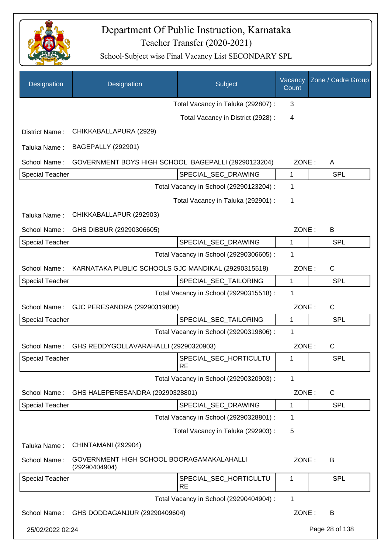

| Designation            | Designation                                                | Subject                                 | Vacancy<br>Count | Zone / Cadre Group |
|------------------------|------------------------------------------------------------|-----------------------------------------|------------------|--------------------|
|                        |                                                            | Total Vacancy in Taluka (292807) :      | 3                |                    |
|                        |                                                            | Total Vacancy in District (2928) :      | 4                |                    |
| District Name:         | CHIKKABALLAPURA (2929)                                     |                                         |                  |                    |
| Taluka Name:           | <b>BAGEPALLY (292901)</b>                                  |                                         |                  |                    |
| School Name:           | GOVERNMENT BOYS HIGH SCHOOL BAGEPALLI (29290123204)        |                                         | ZONE:            | A                  |
| <b>Special Teacher</b> |                                                            | SPECIAL_SEC_DRAWING                     | 1                | <b>SPL</b>         |
|                        |                                                            | Total Vacancy in School (29290123204) : | 1                |                    |
|                        |                                                            | Total Vacancy in Taluka (292901) :      | 1                |                    |
| Taluka Name:           | CHIKKABALLAPUR (292903)                                    |                                         |                  |                    |
| School Name:           | GHS DIBBUR (29290306605)                                   |                                         | ZONE:            | В                  |
| <b>Special Teacher</b> |                                                            | SPECIAL_SEC_DRAWING                     | $\mathbf{1}$     | <b>SPL</b>         |
|                        |                                                            | Total Vacancy in School (29290306605) : | 1                |                    |
| School Name:           | KARNATAKA PUBLIC SCHOOLS GJC MANDIKAL (29290315518)        |                                         | ZONE:            | C                  |
| <b>Special Teacher</b> |                                                            | SPECIAL_SEC_TAILORING                   | 1                | <b>SPL</b>         |
|                        |                                                            | Total Vacancy in School (29290315518) : | 1                |                    |
| School Name:           | GJC PERESANDRA (29290319806)                               |                                         | ZONE:            | $\mathsf C$        |
| <b>Special Teacher</b> |                                                            | SPECIAL_SEC_TAILORING                   | $\mathbf{1}$     | <b>SPL</b>         |
|                        |                                                            | Total Vacancy in School (29290319806) : | 1                |                    |
| School Name:           | GHS REDDYGOLLAVARAHALLI (29290320903)                      |                                         | ZONE:            | C                  |
| <b>Special Teacher</b> |                                                            | SPECIAL_SEC_HORTICULTU<br><b>RE</b>     | 1                | SPL                |
|                        |                                                            | Total Vacancy in School (29290320903) : | 1                |                    |
| School Name:           | GHS HALEPERESANDRA (29290328801)                           |                                         | ZONE:            | C                  |
| <b>Special Teacher</b> |                                                            | SPECIAL SEC DRAWING                     | 1                | <b>SPL</b>         |
|                        |                                                            | Total Vacancy in School (29290328801) : | 1                |                    |
|                        |                                                            | Total Vacancy in Taluka (292903) :      | 5                |                    |
| Taluka Name:           | CHINTAMANI (292904)                                        |                                         |                  |                    |
| School Name:           | GOVERNMENT HIGH SCHOOL BOORAGAMAKALAHALLI<br>(29290404904) |                                         | ZONE:            | В                  |
| <b>Special Teacher</b> |                                                            | SPECIAL_SEC_HORTICULTU<br><b>RE</b>     | 1                | SPL                |
|                        |                                                            | Total Vacancy in School (29290404904) : | 1                |                    |
| School Name:           | GHS DODDAGANJUR (29290409604)                              |                                         | ZONE:            | B                  |
| 25/02/2022 02:24       |                                                            |                                         |                  | Page 28 of 138     |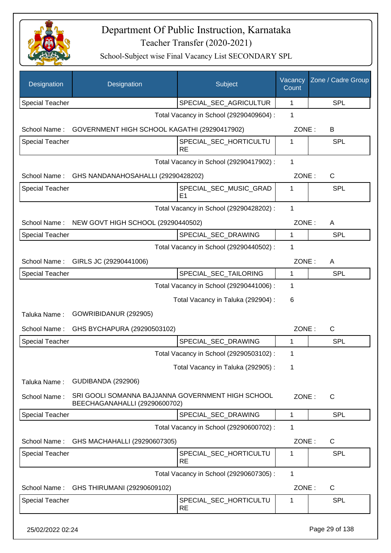

| Designation            | Designation                                                                        | Subject                                 | Vacancy<br>Count | Zone / Cadre Group |
|------------------------|------------------------------------------------------------------------------------|-----------------------------------------|------------------|--------------------|
| <b>Special Teacher</b> |                                                                                    | SPECIAL_SEC_AGRICULTUR                  | 1                | <b>SPL</b>         |
|                        |                                                                                    | Total Vacancy in School (29290409604) : | 1                |                    |
| School Name:           | GOVERNMENT HIGH SCHOOL KAGATHI (29290417902)                                       |                                         | ZONE:            | B                  |
| <b>Special Teacher</b> |                                                                                    | SPECIAL_SEC_HORTICULTU<br><b>RE</b>     | 1                | <b>SPL</b>         |
|                        |                                                                                    | Total Vacancy in School (29290417902) : | 1                |                    |
| School Name:           | GHS NANDANAHOSAHALLI (29290428202)                                                 |                                         | ZONE:            | C                  |
| <b>Special Teacher</b> |                                                                                    | SPECIAL_SEC_MUSIC_GRAD<br>E1            | 1                | <b>SPL</b>         |
|                        |                                                                                    | Total Vacancy in School (29290428202) : | 1                |                    |
| School Name:           | NEW GOVT HIGH SCHOOL (29290440502)                                                 |                                         | ZONE:            | A                  |
| <b>Special Teacher</b> |                                                                                    | SPECIAL_SEC_DRAWING                     | 1                | <b>SPL</b>         |
|                        |                                                                                    | Total Vacancy in School (29290440502) : | 1                |                    |
| School Name:           | GIRLS JC (29290441006)                                                             |                                         | ZONE:            | A                  |
| <b>Special Teacher</b> |                                                                                    | SPECIAL_SEC_TAILORING                   | 1                | <b>SPL</b>         |
|                        |                                                                                    | Total Vacancy in School (29290441006) : | 1                |                    |
|                        |                                                                                    | Total Vacancy in Taluka (292904) :      | 6                |                    |
| Taluka Name:           | GOWRIBIDANUR (292905)                                                              |                                         |                  |                    |
| School Name:           | GHS BYCHAPURA (29290503102)                                                        |                                         | ZONE:            | $\mathsf{C}$       |
| <b>Special Teacher</b> |                                                                                    | SPECIAL_SEC_DRAWING                     | 1                | <b>SPL</b>         |
|                        |                                                                                    | Total Vacancy in School (29290503102) : | 1                |                    |
|                        |                                                                                    | Total Vacancy in Taluka (292905) :      | 1                |                    |
| Taluka Name:           | <b>GUDIBANDA (292906)</b>                                                          |                                         |                  |                    |
| School Name:           | SRI GOOLI SOMANNA BAJJANNA GOVERNMENT HIGH SCHOOL<br>BEECHAGANAHALLI (29290600702) |                                         | ZONE:            | $\mathsf{C}$       |
| <b>Special Teacher</b> |                                                                                    | SPECIAL_SEC_DRAWING                     | 1                | <b>SPL</b>         |
|                        |                                                                                    | Total Vacancy in School (29290600702) : | 1                |                    |
| School Name:           | GHS MACHAHALLI (29290607305)                                                       |                                         | ZONE:            | C                  |
| <b>Special Teacher</b> |                                                                                    | SPECIAL_SEC_HORTICULTU<br><b>RE</b>     | 1                | <b>SPL</b>         |
|                        |                                                                                    | Total Vacancy in School (29290607305) : | $\mathbf{1}$     |                    |
| School Name:           | GHS THIRUMANI (29290609102)                                                        |                                         | ZONE:            | C                  |
| <b>Special Teacher</b> |                                                                                    | SPECIAL_SEC_HORTICULTU<br><b>RE</b>     | 1                | <b>SPL</b>         |
| 25/02/2022 02:24       |                                                                                    |                                         |                  | Page 29 of 138     |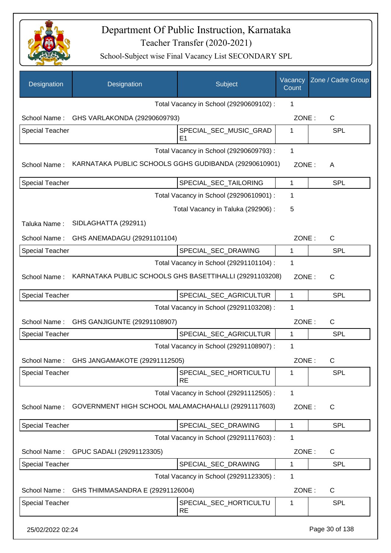

| Designation            | Designation                                             | Subject                                  | Vacancy<br>Count | Zone / Cadre Group |
|------------------------|---------------------------------------------------------|------------------------------------------|------------------|--------------------|
|                        |                                                         | Total Vacancy in School (29290609102) :  | 1                |                    |
| School Name:           | GHS VARLAKONDA (29290609793)                            |                                          | ZONE:            | $\mathsf{C}$       |
| <b>Special Teacher</b> |                                                         | SPECIAL_SEC_MUSIC_GRAD<br>E <sub>1</sub> | 1                | <b>SPL</b>         |
|                        |                                                         | Total Vacancy in School (29290609793) :  | 1                |                    |
| School Name:           | KARNATAKA PUBLIC SCHOOLS GGHS GUDIBANDA (29290610901)   |                                          | ZONE:            | A                  |
| Special Teacher        |                                                         | SPECIAL_SEC_TAILORING                    | 1                | <b>SPL</b>         |
|                        |                                                         | Total Vacancy in School (29290610901) :  | 1                |                    |
|                        |                                                         | Total Vacancy in Taluka (292906) :       | 5                |                    |
| Taluka Name:           | SIDLAGHATTA (292911)                                    |                                          |                  |                    |
| School Name:           | GHS ANEMADAGU (29291101104)                             |                                          | ZONE:            | $\mathsf{C}$       |
| <b>Special Teacher</b> |                                                         | SPECIAL_SEC_DRAWING                      | 1                | <b>SPL</b>         |
|                        |                                                         | Total Vacancy in School (29291101104) :  | 1                |                    |
| School Name:           | KARNATAKA PUBLIC SCHOOLS GHS BASETTIHALLI (29291103208) |                                          | ZONE:            | $\mathsf{C}$       |
| <b>Special Teacher</b> |                                                         | SPECIAL_SEC_AGRICULTUR                   | 1                | <b>SPL</b>         |
|                        |                                                         | Total Vacancy in School (29291103208) :  | 1                |                    |
| School Name:           | GHS GANJIGUNTE (29291108907)                            |                                          | ZONE:            | C                  |
| <b>Special Teacher</b> |                                                         | SPECIAL SEC AGRICULTUR                   | 1                | <b>SPL</b>         |
|                        |                                                         | Total Vacancy in School (29291108907) :  | 1                |                    |
|                        | School Name: GHS JANGAMAKOTE (29291112505)              |                                          | ZONE:            | C                  |
| <b>Special Teacher</b> |                                                         | SPECIAL_SEC_HORTICULTU<br><b>RE</b>      | 1                | <b>SPL</b>         |
|                        |                                                         | Total Vacancy in School (29291112505) :  | 1                |                    |
| School Name:           | GOVERNMENT HIGH SCHOOL MALAMACHAHALLI (29291117603)     |                                          | ZONE:            | C                  |
| Special Teacher        |                                                         | SPECIAL_SEC_DRAWING                      | 1                | <b>SPL</b>         |
|                        |                                                         | Total Vacancy in School (29291117603) :  | 1                |                    |
| School Name:           | GPUC SADALI (29291123305)                               |                                          | ZONE:            | C                  |
| <b>Special Teacher</b> |                                                         | SPECIAL_SEC_DRAWING                      | 1                | <b>SPL</b>         |
|                        |                                                         | Total Vacancy in School (29291123305) :  | 1                |                    |
| School Name:           | GHS THIMMASANDRA E (29291126004)                        |                                          | ZONE:            | C                  |
| <b>Special Teacher</b> |                                                         | SPECIAL_SEC_HORTICULTU<br>RE             | 1                | <b>SPL</b>         |
| 25/02/2022 02:24       |                                                         |                                          |                  | Page 30 of 138     |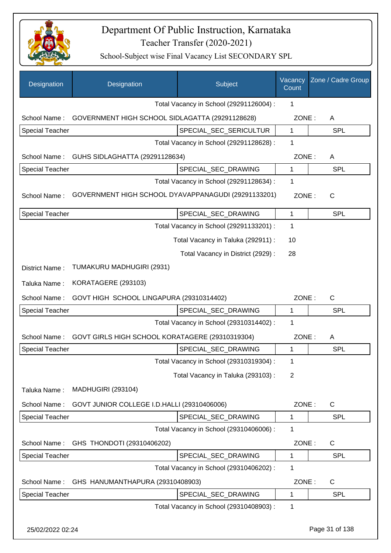

| Designation            | Designation                                         | Subject                                 | Vacancy<br>Count | Zone / Cadre Group |
|------------------------|-----------------------------------------------------|-----------------------------------------|------------------|--------------------|
|                        |                                                     | Total Vacancy in School (29291126004) : | 1                |                    |
| School Name:           | GOVERNMENT HIGH SCHOOL SIDLAGATTA (29291128628)     |                                         | ZONE:            | A                  |
| <b>Special Teacher</b> |                                                     | SPECIAL_SEC_SERICULTUR                  | $\mathbf{1}$     | <b>SPL</b>         |
|                        |                                                     | Total Vacancy in School (29291128628) : | 1                |                    |
| School Name:           | GUHS SIDLAGHATTA (29291128634)                      |                                         | ZONE:            | A                  |
| <b>Special Teacher</b> |                                                     | SPECIAL_SEC_DRAWING                     | 1                | <b>SPL</b>         |
|                        |                                                     | Total Vacancy in School (29291128634) : | 1                |                    |
| School Name:           | GOVERNMENT HIGH SCHOOL DYAVAPPANAGUDI (29291133201) |                                         | ZONE:            | $\mathsf{C}$       |
| Special Teacher        |                                                     | SPECIAL SEC DRAWING                     | 1                | <b>SPL</b>         |
|                        |                                                     | Total Vacancy in School (29291133201) : | 1                |                    |
|                        |                                                     | Total Vacancy in Taluka (292911) :      | 10               |                    |
|                        |                                                     | Total Vacancy in District (2929):       | 28               |                    |
| District Name:         | TUMAKURU MADHUGIRI (2931)                           |                                         |                  |                    |
| Taluka Name:           | KORATAGERE (293103)                                 |                                         |                  |                    |
| School Name:           | GOVT HIGH SCHOOL LINGAPURA (29310314402)            |                                         | ZONE:            | C                  |
| Special Teacher        |                                                     | SPECIAL_SEC_DRAWING                     | 1                | <b>SPL</b>         |
|                        |                                                     | Total Vacancy in School (29310314402) : | 1                |                    |
| School Name:           | GOVT GIRLS HIGH SCHOOL KORATAGERE (29310319304)     |                                         | ZONE:            | A                  |
| Special Teacher        |                                                     | SPECIAL_SEC_DRAWING                     | 1                | SPL                |
|                        |                                                     | Total Vacancy in School (29310319304) : | 1                |                    |
|                        |                                                     | Total Vacancy in Taluka (293103):       | 2                |                    |
| Taluka Name:           | <b>MADHUGIRI (293104)</b>                           |                                         |                  |                    |
| School Name:           | GOVT JUNIOR COLLEGE I.D.HALLI (29310406006)         |                                         | ZONE:            | C                  |
| <b>Special Teacher</b> |                                                     | SPECIAL_SEC_DRAWING                     | 1                | <b>SPL</b>         |
|                        |                                                     | Total Vacancy in School (29310406006) : | 1                |                    |
| School Name:           | GHS THONDOTI (29310406202)                          |                                         | ZONE:            | C                  |
| <b>Special Teacher</b> |                                                     | SPECIAL_SEC_DRAWING                     | 1                | SPL                |
|                        |                                                     | Total Vacancy in School (29310406202) : | 1                |                    |
| School Name:           | GHS HANUMANTHAPURA (29310408903)                    |                                         | ZONE:            | C                  |
| Special Teacher        |                                                     | SPECIAL_SEC_DRAWING                     | 1                | <b>SPL</b>         |
|                        |                                                     | Total Vacancy in School (29310408903) : | 1                |                    |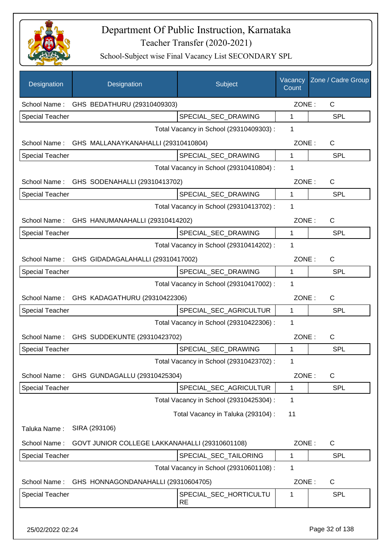

| Designation            | Designation                                    | Subject                                 | Vacancy<br>Count | Zone / Cadre Group |
|------------------------|------------------------------------------------|-----------------------------------------|------------------|--------------------|
| School Name:           | GHS BEDATHURU (29310409303)                    |                                         | ZONE:            | C                  |
| <b>Special Teacher</b> |                                                | SPECIAL_SEC_DRAWING                     | 1                | <b>SPL</b>         |
|                        |                                                | Total Vacancy in School (29310409303) : | 1                |                    |
| School Name:           | GHS MALLANAYKANAHALLI (29310410804)            |                                         | ZONE:            | $\mathsf C$        |
| <b>Special Teacher</b> |                                                | SPECIAL_SEC_DRAWING                     | 1                | <b>SPL</b>         |
|                        |                                                | Total Vacancy in School (29310410804) : | 1                |                    |
|                        | School Name: GHS SODENAHALLI (29310413702)     |                                         | ZONE:            | $\mathsf{C}$       |
| <b>Special Teacher</b> |                                                | SPECIAL_SEC_DRAWING                     | 1                | <b>SPL</b>         |
|                        |                                                | Total Vacancy in School (29310413702) : | 1                |                    |
|                        | School Name: GHS HANUMANAHALLI (29310414202)   |                                         | ZONE:            | $\mathsf{C}$       |
| <b>Special Teacher</b> |                                                | SPECIAL_SEC_DRAWING                     | 1                | <b>SPL</b>         |
|                        |                                                | Total Vacancy in School (29310414202) : | 1                |                    |
|                        | School Name: GHS GIDADAGALAHALLI (29310417002) |                                         | ZONE:            | $\mathsf{C}$       |
| <b>Special Teacher</b> |                                                | SPECIAL_SEC_DRAWING                     | $\mathbf{1}$     | SPL                |
|                        |                                                | Total Vacancy in School (29310417002) : | 1                |                    |
|                        | School Name: GHS KADAGATHURU (29310422306)     |                                         | ZONE:            | C                  |
| Special Teacher        |                                                | SPECIAL_SEC_AGRICULTUR                  | 1                | <b>SPL</b>         |
|                        |                                                | Total Vacancy in School (29310422306) : | 1                |                    |
|                        | School Name: GHS SUDDEKUNTE (29310423702)      |                                         | ZONE:            | C                  |
| Special Teacher        |                                                | SPECIAL_SEC_DRAWING                     | 1                | SPL                |
|                        |                                                | Total Vacancy in School (29310423702) : | 1                |                    |
| School Name:           | GHS GUNDAGALLU (29310425304)                   |                                         | ZONE:            | $\mathsf{C}$       |
| <b>Special Teacher</b> |                                                | SPECIAL SEC AGRICULTUR                  | 1                | <b>SPL</b>         |
|                        |                                                | Total Vacancy in School (29310425304) : | 1                |                    |
|                        |                                                | Total Vacancy in Taluka (293104) :      | 11               |                    |
| Taluka Name:           | SIRA (293106)                                  |                                         |                  |                    |
| School Name:           | GOVT JUNIOR COLLEGE LAKKANAHALLI (29310601108) |                                         | ZONE:            | $\mathsf C$        |
| Special Teacher        |                                                | SPECIAL_SEC_TAILORING                   | 1                | <b>SPL</b>         |
|                        |                                                | Total Vacancy in School (29310601108) : | 1                |                    |
| School Name:           | GHS HONNAGONDANAHALLI (29310604705)            |                                         | ZONE:            | C                  |
| <b>Special Teacher</b> |                                                | SPECIAL_SEC_HORTICULTU<br>RE            | 1                | SPL                |
|                        |                                                |                                         |                  |                    |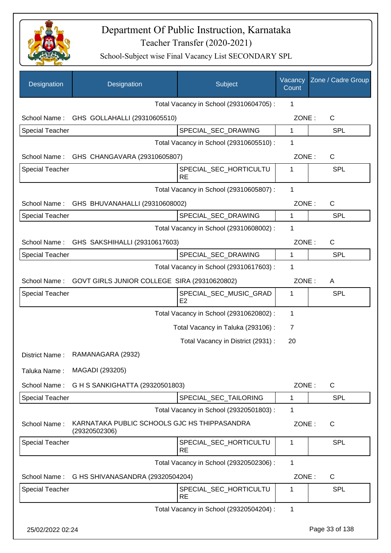

| Designation            | Designation                                                   | <b>Subject</b>                          | Vacancy<br>Count | Zone / Cadre Group |
|------------------------|---------------------------------------------------------------|-----------------------------------------|------------------|--------------------|
|                        |                                                               | Total Vacancy in School (29310604705) : | 1                |                    |
|                        | School Name: GHS GOLLAHALLI (29310605510)                     |                                         | ZONE:            | $\mathsf{C}$       |
| <b>Special Teacher</b> |                                                               | SPECIAL_SEC_DRAWING                     | $\mathbf{1}$     | <b>SPL</b>         |
|                        |                                                               | Total Vacancy in School (29310605510) : | 1                |                    |
|                        | School Name: GHS CHANGAVARA (29310605807)                     |                                         | ZONE:            | $\mathsf{C}$       |
| Special Teacher        |                                                               | SPECIAL_SEC_HORTICULTU<br><b>RE</b>     | $\mathbf{1}$     | <b>SPL</b>         |
|                        |                                                               | Total Vacancy in School (29310605807) : | 1                |                    |
|                        | School Name: GHS BHUVANAHALLI (29310608002)                   |                                         | ZONE:            | $\mathsf{C}$       |
| <b>Special Teacher</b> |                                                               | SPECIAL_SEC_DRAWING                     | 1                | <b>SPL</b>         |
|                        |                                                               | Total Vacancy in School (29310608002) : | 1                |                    |
| School Name:           | GHS SAKSHIHALLI (29310617603)                                 |                                         | ZONE:            | $\mathsf{C}$       |
| <b>Special Teacher</b> |                                                               | SPECIAL_SEC_DRAWING                     | 1                | <b>SPL</b>         |
|                        |                                                               | Total Vacancy in School (29310617603) : | 1                |                    |
| School Name:           | GOVT GIRLS JUNIOR COLLEGE SIRA (29310620802)                  |                                         | ZONE:            | A                  |
| Special Teacher        |                                                               | SPECIAL_SEC_MUSIC_GRAD<br>E2            | 1                | <b>SPL</b>         |
|                        |                                                               | Total Vacancy in School (29310620802) : | 1                |                    |
|                        |                                                               | Total Vacancy in Taluka (293106) :      | 7                |                    |
|                        |                                                               | Total Vacancy in District (2931) :      | 20               |                    |
| District Name:         | RAMANAGARA (2932)                                             |                                         |                  |                    |
| Taluka Name:           | MAGADI (293205)                                               |                                         |                  |                    |
| School Name:           | G H S SANKIGHATTA (29320501803)                               |                                         | ZONE:            | $\mathsf{C}$       |
| <b>Special Teacher</b> |                                                               | SPECIAL_SEC_TAILORING                   | 1                | <b>SPL</b>         |
|                        |                                                               | Total Vacancy in School (29320501803) : | 1                |                    |
| School Name:           | KARNATAKA PUBLIC SCHOOLS GJC HS THIPPASANDRA<br>(29320502306) |                                         | ZONE:            | $\mathsf{C}$       |
| <b>Special Teacher</b> |                                                               | SPECIAL SEC HORTICULTU<br><b>RE</b>     | 1                | <b>SPL</b>         |
|                        |                                                               | Total Vacancy in School (29320502306) : | 1                |                    |
| School Name:           | G HS SHIVANASANDRA (29320504204)                              |                                         | ZONE:            | $\mathsf C$        |
| <b>Special Teacher</b> |                                                               | SPECIAL_SEC_HORTICULTU<br><b>RE</b>     | 1                | <b>SPL</b>         |
|                        |                                                               | Total Vacancy in School (29320504204) : | 1                |                    |
| 25/02/2022 02:24       |                                                               |                                         |                  | Page 33 of 138     |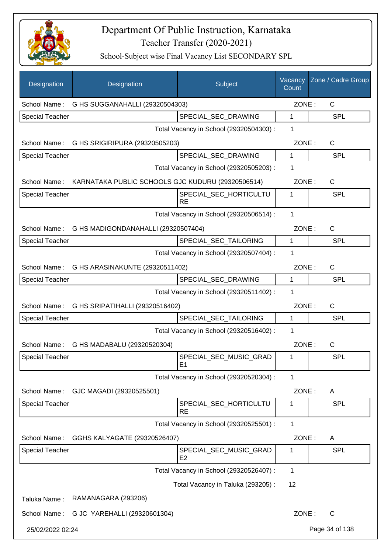

| Designation            | Designation                                                    | Subject                                  | Vacancy<br>Count | Zone / Cadre Group |
|------------------------|----------------------------------------------------------------|------------------------------------------|------------------|--------------------|
| School Name:           | G HS SUGGANAHALLI (29320504303)                                |                                          | ZONE:            | $\mathsf{C}$       |
| <b>Special Teacher</b> |                                                                | SPECIAL SEC DRAWING                      | 1                | <b>SPL</b>         |
|                        |                                                                | Total Vacancy in School (29320504303) :  | 1                |                    |
|                        | School Name: G HS SRIGIRIPURA (29320505203)                    |                                          | ZONE:            | $\mathsf{C}$       |
| <b>Special Teacher</b> |                                                                | SPECIAL_SEC_DRAWING                      | 1                | <b>SPL</b>         |
|                        |                                                                | Total Vacancy in School (29320505203) :  | 1                |                    |
|                        | School Name: KARNATAKA PUBLIC SCHOOLS GJC KUDURU (29320506514) |                                          | ZONE:            | $\mathsf{C}$       |
| <b>Special Teacher</b> |                                                                | SPECIAL_SEC_HORTICULTU<br><b>RE</b>      | 1                | <b>SPL</b>         |
|                        |                                                                | Total Vacancy in School (29320506514) :  | $\mathbf 1$      |                    |
|                        | School Name: G HS MADIGONDANAHALLI (29320507404)               |                                          | ZONE:            | C                  |
| Special Teacher        |                                                                | SPECIAL SEC TAILORING                    | 1                | <b>SPL</b>         |
|                        |                                                                | Total Vacancy in School (29320507404) :  | 1                |                    |
|                        | School Name: G HS ARASINAKUNTE (29320511402)                   |                                          | ZONE:            | C                  |
| Special Teacher        |                                                                | SPECIAL_SEC_DRAWING                      | 1                | SPL                |
|                        |                                                                | Total Vacancy in School (29320511402) :  | 1                |                    |
|                        | School Name: G HS SRIPATIHALLI (29320516402)                   |                                          | ZONE:            | C                  |
| Special Teacher        |                                                                | SPECIAL_SEC_TAILORING                    | 1                | <b>SPL</b>         |
|                        |                                                                | Total Vacancy in School (29320516402) :  | 1                |                    |
| School Name:           | G HS MADABALU (29320520304)                                    |                                          | ZONE:            | $\mathsf{C}$       |
| <b>Special Teacher</b> |                                                                | SPECIAL_SEC_MUSIC_GRAD<br>E1             | 1                | SPL                |
|                        |                                                                | Total Vacancy in School (29320520304) :  | 1                |                    |
| School Name:           | GJC MAGADI (29320525501)                                       |                                          | ZONE:            | A                  |
| <b>Special Teacher</b> |                                                                | SPECIAL_SEC_HORTICULTU<br><b>RE</b>      | 1                | SPL                |
|                        |                                                                | Total Vacancy in School (29320525501) :  | 1                |                    |
| School Name:           | GGHS KALYAGATE (29320526407)                                   |                                          | ZONE:            | A                  |
| <b>Special Teacher</b> |                                                                | SPECIAL_SEC_MUSIC_GRAD<br>E <sub>2</sub> | 1                | SPL                |
|                        |                                                                | Total Vacancy in School (29320526407) :  | 1                |                    |
|                        |                                                                | Total Vacancy in Taluka (293205):        | 12               |                    |
| Taluka Name:           | RAMANAGARA (293206)                                            |                                          |                  |                    |
|                        | School Name: G JC YAREHALLI (29320601304)                      |                                          | ZONE:            | C                  |
| 25/02/2022 02:24       |                                                                |                                          |                  | Page 34 of 138     |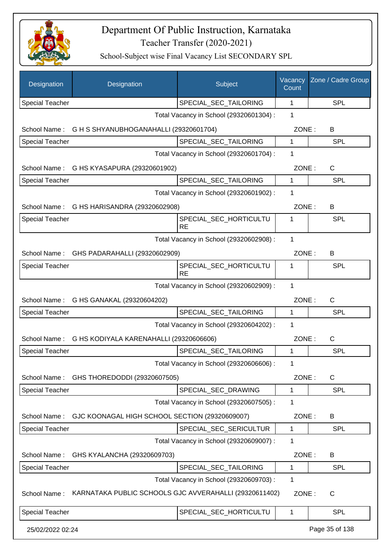

| Designation            | Designation                                            | Subject                                 | Vacancy<br>Count | Zone / Cadre Group |
|------------------------|--------------------------------------------------------|-----------------------------------------|------------------|--------------------|
| <b>Special Teacher</b> |                                                        | SPECIAL_SEC_TAILORING                   | 1                | <b>SPL</b>         |
|                        |                                                        | Total Vacancy in School (29320601304) : | 1                |                    |
| School Name:           | G H S SHYANUBHOGANAHALLI (29320601704)                 |                                         | ZONE:            | B                  |
| <b>Special Teacher</b> |                                                        | SPECIAL_SEC_TAILORING                   | 1                | <b>SPL</b>         |
|                        |                                                        | Total Vacancy in School (29320601704) : | 1                |                    |
| School Name:           | G HS KYASAPURA (29320601902)                           |                                         | ZONE:            | C                  |
| Special Teacher        |                                                        | SPECIAL_SEC_TAILORING                   | 1                | <b>SPL</b>         |
|                        |                                                        | Total Vacancy in School (29320601902) : | 1                |                    |
| School Name:           | G HS HARISANDRA (29320602908)                          |                                         | ZONE:            | B                  |
| <b>Special Teacher</b> |                                                        | SPECIAL_SEC_HORTICULTU<br><b>RE</b>     | 1                | <b>SPL</b>         |
|                        |                                                        | Total Vacancy in School (29320602908) : | 1                |                    |
| School Name:           | GHS PADARAHALLI (29320602909)                          |                                         | ZONE:            | B                  |
| <b>Special Teacher</b> |                                                        | SPECIAL_SEC_HORTICULTU<br><b>RE</b>     | 1                | <b>SPL</b>         |
|                        |                                                        | Total Vacancy in School (29320602909) : | 1                |                    |
|                        | School Name: G HS GANAKAL (29320604202)                |                                         | ZONE:            | C                  |
| <b>Special Teacher</b> |                                                        | SPECIAL_SEC_TAILORING                   | $\mathbf{1}$     | <b>SPL</b>         |
|                        |                                                        | Total Vacancy in School (29320604202) : | 1                |                    |
| School Name:           | G HS KODIYALA KARENAHALLI (29320606606)                |                                         | ZONE:            | C                  |
| <b>Special Teacher</b> |                                                        | SPECIAL_SEC_TAILORING                   | 1                | <b>SPL</b>         |
|                        |                                                        | Total Vacancy in School (29320606606) : | 1                |                    |
| School Name:           | GHS THOREDODDI (29320607505)                           |                                         | ZONE:            | C                  |
| <b>Special Teacher</b> |                                                        | SPECIAL_SEC_DRAWING                     | 1                | <b>SPL</b>         |
|                        |                                                        | Total Vacancy in School (29320607505) : | 1                |                    |
| School Name:           | GJC KOONAGAL HIGH SCHOOL SECTION (29320609007)         |                                         | ZONE:            | B                  |
| Special Teacher        |                                                        | SPECIAL SEC SERICULTUR                  | 1                | <b>SPL</b>         |
|                        |                                                        | Total Vacancy in School (29320609007) : | 1                |                    |
| School Name:           | GHS KYALANCHA (29320609703)                            |                                         | ZONE:            | B                  |
| <b>Special Teacher</b> |                                                        | SPECIAL SEC TAILORING                   | 1                | <b>SPL</b>         |
|                        |                                                        | Total Vacancy in School (29320609703) : | 1                |                    |
| School Name:           | KARNATAKA PUBLIC SCHOOLS GJC AVVERAHALLI (29320611402) |                                         | ZONE:            | C                  |
| Special Teacher        |                                                        | SPECIAL_SEC_HORTICULTU                  | 1                | <b>SPL</b>         |
| 25/02/2022 02:24       |                                                        |                                         |                  | Page 35 of 138     |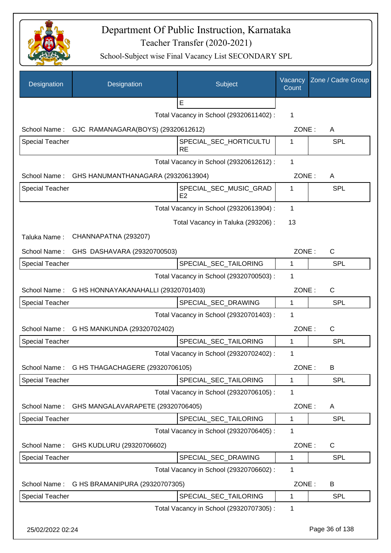

| Designation            | Designation                                      | Subject                                  | Vacancy<br>Count | Zone / Cadre Group |
|------------------------|--------------------------------------------------|------------------------------------------|------------------|--------------------|
|                        |                                                  | E                                        |                  |                    |
|                        |                                                  | Total Vacancy in School (29320611402) :  | 1                |                    |
| School Name:           | GJC RAMANAGARA(BOYS) (29320612612)               |                                          | ZONE:            | A                  |
| <b>Special Teacher</b> |                                                  | SPECIAL_SEC_HORTICULTU<br><b>RE</b>      | 1                | <b>SPL</b>         |
|                        |                                                  | Total Vacancy in School (29320612612) :  | $\mathbf{1}$     |                    |
|                        | School Name: GHS HANUMANTHANAGARA (29320613904)  |                                          | ZONE:            | A                  |
| <b>Special Teacher</b> |                                                  | SPECIAL_SEC_MUSIC_GRAD<br>E <sub>2</sub> | 1                | SPL                |
|                        |                                                  | Total Vacancy in School (29320613904) :  | 1                |                    |
|                        |                                                  | Total Vacancy in Taluka (293206) :       | 13               |                    |
| Taluka Name:           | CHANNAPATNA (293207)                             |                                          |                  |                    |
| School Name:           | GHS DASHAVARA (29320700503)                      |                                          | ZONE:            | $\mathsf{C}$       |
| <b>Special Teacher</b> |                                                  | SPECIAL_SEC_TAILORING                    | $\mathbf{1}$     | <b>SPL</b>         |
|                        |                                                  | Total Vacancy in School (29320700503) :  | 1                |                    |
|                        | School Name: G HS HONNAYAKANAHALLI (29320701403) |                                          | ZONE:            | $\mathsf{C}$       |
| <b>Special Teacher</b> |                                                  | SPECIAL_SEC_DRAWING                      | $\mathbf{1}$     | SPL                |
|                        |                                                  | Total Vacancy in School (29320701403) :  | 1                |                    |
|                        | School Name: G HS MANKUNDA (29320702402)         |                                          | ZONE:            | $\mathsf{C}$       |
| <b>Special Teacher</b> |                                                  | SPECIAL_SEC_TAILORING                    | 1                | SPL                |
|                        |                                                  | Total Vacancy in School (29320702402) :  | 1                |                    |
| School Name:           | G HS THAGACHAGERE (29320706105)                  |                                          | ZONE:            | B                  |
| Special Teacher        |                                                  | SPECIAL_SEC_TAILORING                    | 1                | <b>SPL</b>         |
|                        |                                                  | Total Vacancy in School (29320706105) :  | 1                |                    |
| School Name:           | GHS MANGALAVARAPETE (29320706405)                |                                          | ZONE:            | A                  |
| <b>Special Teacher</b> |                                                  | SPECIAL SEC TAILORING                    | 1                | SPL                |
|                        |                                                  | Total Vacancy in School (29320706405) :  | 1                |                    |
| School Name:           | GHS KUDLURU (29320706602)                        |                                          | ZONE:            | C                  |
| <b>Special Teacher</b> |                                                  | SPECIAL_SEC_DRAWING                      | 1                | <b>SPL</b>         |
|                        |                                                  | Total Vacancy in School (29320706602):   | 1                |                    |
| School Name:           | G HS BRAMANIPURA (29320707305)                   |                                          | ZONE:            | B                  |
| <b>Special Teacher</b> |                                                  | SPECIAL_SEC_TAILORING                    | 1                | <b>SPL</b>         |
|                        |                                                  | Total Vacancy in School (29320707305) :  | 1                |                    |
| 25/02/2022 02:24       |                                                  |                                          |                  | Page 36 of 138     |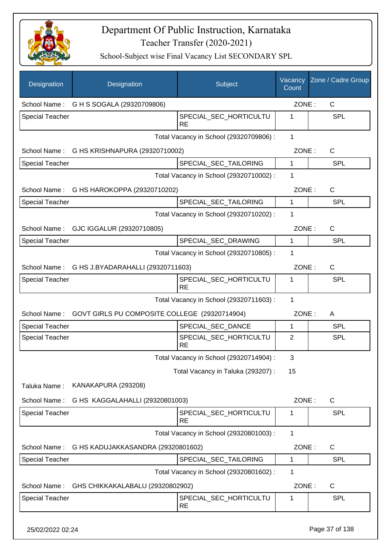

| Designation            | Designation                                    | Subject                                 | Vacancy<br>Count | Zone / Cadre Group |
|------------------------|------------------------------------------------|-----------------------------------------|------------------|--------------------|
|                        | School Name: G H S SOGALA (29320709806)        |                                         | ZONE:            | C                  |
| <b>Special Teacher</b> |                                                | SPECIAL_SEC_HORTICULTU<br><b>RE</b>     | 1                | <b>SPL</b>         |
|                        |                                                | Total Vacancy in School (29320709806) : | $\mathbf{1}$     |                    |
| School Name:           | G HS KRISHNAPURA (29320710002)                 |                                         | ZONE:            | $\mathsf{C}$       |
| <b>Special Teacher</b> |                                                | SPECIAL_SEC_TAILORING                   | 1                | <b>SPL</b>         |
|                        |                                                | Total Vacancy in School (29320710002) : | 1                |                    |
| School Name:           | G HS HAROKOPPA (29320710202)                   |                                         | ZONE:            | C                  |
| Special Teacher        |                                                | SPECIAL SEC TAILORING                   | 1                | <b>SPL</b>         |
|                        |                                                | Total Vacancy in School (29320710202) : | 1                |                    |
| School Name:           | GJC IGGALUR (29320710805)                      |                                         | ZONE:            | C                  |
| <b>Special Teacher</b> |                                                | SPECIAL_SEC_DRAWING                     | 1                | <b>SPL</b>         |
|                        |                                                | Total Vacancy in School (29320710805) : | 1                |                    |
|                        | School Name: G HS J.BYADARAHALLI (29320711603) |                                         | ZONE:            | $\mathsf{C}$       |
| <b>Special Teacher</b> |                                                | SPECIAL_SEC_HORTICULTU<br><b>RE</b>     | 1                | <b>SPL</b>         |
|                        |                                                | Total Vacancy in School (29320711603) : | 1                |                    |
| School Name:           | GOVT GIRLS PU COMPOSITE COLLEGE (29320714904)  |                                         | ZONE:            | A                  |
| <b>Special Teacher</b> |                                                | SPECIAL SEC DANCE                       | 1                | <b>SPL</b>         |
| <b>Special Teacher</b> |                                                | SPECIAL_SEC_HORTICULTU<br><b>RE</b>     | $\overline{2}$   | <b>SPL</b>         |
|                        |                                                | Total Vacancy in School (29320714904) : | 3                |                    |
|                        |                                                | Total Vacancy in Taluka (293207) :      | 15               |                    |
| Taluka Name:           | KANAKAPURA (293208)                            |                                         |                  |                    |
| School Name:           | G HS KAGGALAHALLI (29320801003)                |                                         | ZONE:            | $\mathsf{C}$       |
| <b>Special Teacher</b> |                                                | SPECIAL_SEC_HORTICULTU<br><b>RE</b>     | 1                | <b>SPL</b>         |
|                        |                                                | Total Vacancy in School (29320801003) : | $\mathbf{1}$     |                    |
| School Name:           | G HS KADUJAKKASANDRA (29320801602)             |                                         | ZONE:            | C                  |
| <b>Special Teacher</b> |                                                | SPECIAL_SEC_TAILORING                   | 1                | <b>SPL</b>         |
|                        |                                                | Total Vacancy in School (29320801602) : | 1                |                    |
| School Name:           | GHS CHIKKAKALABALU (29320802902)               |                                         | ZONE:            | C                  |
| <b>Special Teacher</b> |                                                | SPECIAL_SEC_HORTICULTU<br><b>RE</b>     | 1                | <b>SPL</b>         |
| 25/02/2022 02:24       |                                                |                                         |                  | Page 37 of 138     |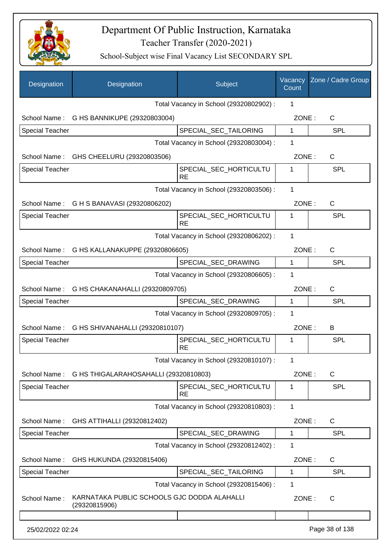

| Designation            | Designation                                                  | Subject                                 | Vacancy<br>Count | Zone / Cadre Group |
|------------------------|--------------------------------------------------------------|-----------------------------------------|------------------|--------------------|
|                        |                                                              | Total Vacancy in School (29320802902) : | 1                |                    |
|                        | School Name: G HS BANNIKUPE (29320803004)                    |                                         | ZONE:            | C                  |
| <b>Special Teacher</b> |                                                              | SPECIAL_SEC_TAILORING                   | 1                | <b>SPL</b>         |
|                        |                                                              | Total Vacancy in School (29320803004) : | 1                |                    |
|                        | School Name: GHS CHEELURU (29320803506)                      |                                         | ZONE:            | C                  |
| <b>Special Teacher</b> |                                                              | SPECIAL_SEC_HORTICULTU<br><b>RE</b>     | 1                | <b>SPL</b>         |
|                        |                                                              | Total Vacancy in School (29320803506) : | $\mathbf{1}$     |                    |
|                        | School Name: G H S BANAVASI (29320806202)                    |                                         | ZONE:            | $\mathsf{C}$       |
| <b>Special Teacher</b> |                                                              | SPECIAL_SEC_HORTICULTU<br><b>RE</b>     | 1                | SPL                |
|                        |                                                              | Total Vacancy in School (29320806202) : | $\mathbf{1}$     |                    |
|                        | School Name: G HS KALLANAKUPPE (29320806605)                 |                                         | ZONE:            | $\mathsf{C}$       |
| Special Teacher        |                                                              | SPECIAL_SEC_DRAWING                     | 1                | <b>SPL</b>         |
|                        |                                                              | Total Vacancy in School (29320806605) : | 1                |                    |
|                        | School Name: G HS CHAKANAHALLI (29320809705)                 |                                         | ZONE:            | $\mathsf{C}$       |
| Special Teacher        |                                                              | SPECIAL_SEC_DRAWING                     | 1                | <b>SPL</b>         |
|                        |                                                              | Total Vacancy in School (29320809705) : | 1                |                    |
|                        | School Name: G HS SHIVANAHALLI (29320810107)                 |                                         | ZONE:            | B                  |
| <b>Special Teacher</b> |                                                              | SPECIAL_SEC_HORTICULTU<br><b>RE</b>     | 1                | <b>SPL</b>         |
|                        |                                                              | Total Vacancy in School (29320810107) : | 1                |                    |
|                        | School Name: G HS THIGALARAHOSAHALLI (29320810803)           |                                         | ZONE:            | C                  |
| <b>Special Teacher</b> |                                                              | SPECIAL_SEC_HORTICULTU<br><b>RE</b>     | 1                | <b>SPL</b>         |
|                        |                                                              | Total Vacancy in School (29320810803) : | 1                |                    |
| School Name:           | GHS ATTIHALLI (29320812402)                                  |                                         | ZONE:            | C                  |
| <b>Special Teacher</b> |                                                              | SPECIAL_SEC_DRAWING                     | $\mathbf 1$      | <b>SPL</b>         |
|                        |                                                              | Total Vacancy in School (29320812402) : | 1                |                    |
| School Name:           | GHS HUKUNDA (29320815406)                                    |                                         | ZONE:            | C                  |
| <b>Special Teacher</b> |                                                              | SPECIAL_SEC_TAILORING                   | 1                | <b>SPL</b>         |
|                        |                                                              | Total Vacancy in School (29320815406) : | 1                |                    |
| School Name:           | KARNATAKA PUBLIC SCHOOLS GJC DODDA ALAHALLI<br>(29320815906) |                                         | ZONE:            | $\mathsf{C}$       |
|                        |                                                              |                                         |                  |                    |
| 25/02/2022 02:24       |                                                              |                                         |                  | Page 38 of 138     |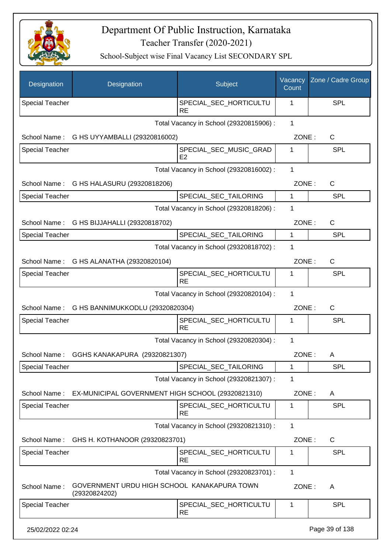

| Designation            | Designation                                                  | Subject                                 | Vacancy<br>Count | Zone / Cadre Group |
|------------------------|--------------------------------------------------------------|-----------------------------------------|------------------|--------------------|
| <b>Special Teacher</b> |                                                              | SPECIAL_SEC_HORTICULTU<br><b>RE</b>     | 1                | SPL                |
|                        |                                                              | Total Vacancy in School (29320815906) : | 1                |                    |
| School Name:           | G HS UYYAMBALLI (29320816002)                                |                                         | ZONE:            | C                  |
| <b>Special Teacher</b> |                                                              | SPECIAL SEC MUSIC GRAD<br>E2            | 1                | SPL                |
|                        |                                                              | Total Vacancy in School (29320816002) : | $\mathbf{1}$     |                    |
| School Name:           | G HS HALASURU (29320818206)                                  |                                         | ZONE:            | C                  |
| Special Teacher        |                                                              | SPECIAL_SEC_TAILORING                   | 1                | <b>SPL</b>         |
|                        |                                                              | Total Vacancy in School (29320818206) : | 1                |                    |
| School Name:           | G HS BIJJAHALLI (29320818702)                                |                                         | ZONE:            | C                  |
| <b>Special Teacher</b> |                                                              | SPECIAL_SEC_TAILORING                   | 1                | <b>SPL</b>         |
|                        |                                                              | Total Vacancy in School (29320818702) : | 1                |                    |
|                        | School Name: G HS ALANATHA (29320820104)                     |                                         | ZONE:            | $\mathsf{C}$       |
| <b>Special Teacher</b> |                                                              | SPECIAL_SEC_HORTICULTU<br><b>RE</b>     | 1                | SPL                |
|                        |                                                              | Total Vacancy in School (29320820104) : | 1                |                    |
|                        | School Name: G HS BANNIMUKKODLU (29320820304)                |                                         | ZONE:            | C                  |
| <b>Special Teacher</b> |                                                              | SPECIAL_SEC_HORTICULTU<br><b>RE</b>     | 1                | <b>SPL</b>         |
|                        |                                                              | Total Vacancy in School (29320820304) : | 1                |                    |
| School Name:           | GGHS KANAKAPURA (29320821307)                                |                                         | ZONE:            | A                  |
| <b>Special Teacher</b> |                                                              | SPECIAL_SEC_TAILORING                   | 1                | <b>SPL</b>         |
|                        |                                                              | Total Vacancy in School (29320821307) : | 1                |                    |
| School Name:           | EX-MUNICIPAL GOVERNMENT HIGH SCHOOL (29320821310)            |                                         | ZONE:            | A                  |
| <b>Special Teacher</b> |                                                              | SPECIAL_SEC_HORTICULTU<br><b>RE</b>     | 1                | SPL                |
|                        |                                                              | Total Vacancy in School (29320821310) : | $\mathbf{1}$     |                    |
| School Name:           | GHS H. KOTHANOOR (29320823701)                               |                                         | ZONE:            | C                  |
| <b>Special Teacher</b> |                                                              | SPECIAL_SEC_HORTICULTU<br><b>RE</b>     | 1                | <b>SPL</b>         |
|                        |                                                              | Total Vacancy in School (29320823701) : | 1                |                    |
| School Name:           | GOVERNMENT URDU HIGH SCHOOL KANAKAPURA TOWN<br>(29320824202) |                                         | ZONE:            | A                  |
| <b>Special Teacher</b> |                                                              | SPECIAL_SEC_HORTICULTU<br><b>RE</b>     | 1                | <b>SPL</b>         |
| 25/02/2022 02:24       |                                                              |                                         |                  | Page 39 of 138     |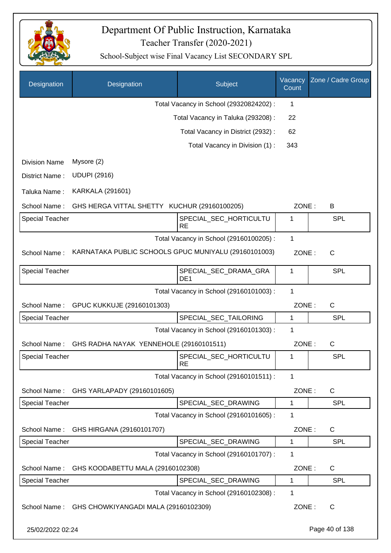

| Designation            | Designation                                          | Subject                                              | Vacancy<br>Count | Zone / Cadre Group |
|------------------------|------------------------------------------------------|------------------------------------------------------|------------------|--------------------|
|                        |                                                      | Total Vacancy in School (29320824202) :              | 1                |                    |
|                        |                                                      | Total Vacancy in Taluka (293208) :                   | 22               |                    |
|                        |                                                      | Total Vacancy in District (2932):                    | 62               |                    |
|                        |                                                      | Total Vacancy in Division (1):                       | 343              |                    |
| <b>Division Name</b>   | Mysore (2)                                           |                                                      |                  |                    |
| District Name:         | <b>UDUPI (2916)</b>                                  |                                                      |                  |                    |
| Taluka Name:           | <b>KARKALA (291601)</b>                              |                                                      |                  |                    |
| School Name:           | GHS HERGA VITTAL SHETTY KUCHUR (29160100205)         |                                                      | ZONE:            | B                  |
| <b>Special Teacher</b> |                                                      | SPECIAL SEC HORTICULTU                               | 1                | <b>SPL</b>         |
|                        |                                                      | <b>RE</b><br>Total Vacancy in School (29160100205) : | 1                |                    |
| School Name:           | KARNATAKA PUBLIC SCHOOLS GPUC MUNIYALU (29160101003) |                                                      | ZONE:            | $\mathsf{C}$       |
|                        |                                                      |                                                      |                  |                    |
| <b>Special Teacher</b> |                                                      | SPECIAL_SEC_DRAMA_GRA<br>DE <sub>1</sub>             | 1                | <b>SPL</b>         |
|                        |                                                      | Total Vacancy in School (29160101003) :              | 1                |                    |
| School Name:           | GPUC KUKKUJE (29160101303)                           |                                                      | ZONE:            | $\mathsf{C}$       |
| <b>Special Teacher</b> |                                                      | SPECIAL_SEC_TAILORING                                | 1                | <b>SPL</b>         |
|                        |                                                      | Total Vacancy in School (29160101303) :              | 1                |                    |
| School Name:           | GHS RADHA NAYAK YENNEHOLE (29160101511)              |                                                      | ZONE:            | $\mathsf{C}$       |
| <b>Special Teacher</b> |                                                      | SPECIAL_SEC_HORTICULTU<br><b>RE</b>                  | 1                | SPL                |
|                        |                                                      | Total Vacancy in School (29160101511) :              | 1                |                    |
| School Name:           | GHS YARLAPADY (29160101605)                          |                                                      | ZONE:            | C                  |
| Special Teacher        |                                                      | SPECIAL_SEC_DRAWING                                  | 1                | <b>SPL</b>         |
|                        |                                                      | Total Vacancy in School (29160101605) :              | $\mathbf 1$      |                    |
| School Name:           | GHS HIRGANA (29160101707)                            |                                                      | ZONE:            | C                  |
| <b>Special Teacher</b> |                                                      | SPECIAL_SEC_DRAWING                                  | 1                | <b>SPL</b>         |
|                        |                                                      | Total Vacancy in School (29160101707) :              | 1                |                    |
| School Name:           | GHS KOODABETTU MALA (29160102308)                    |                                                      | ZONE:            | C                  |
| Special Teacher        |                                                      | SPECIAL_SEC_DRAWING                                  | 1                | <b>SPL</b>         |
|                        |                                                      | Total Vacancy in School (29160102308) :              | 1                |                    |
| School Name:           | GHS CHOWKIYANGADI MALA (29160102309)                 |                                                      | ZONE:            | C                  |
| 25/02/2022 02:24       |                                                      |                                                      |                  | Page 40 of 138     |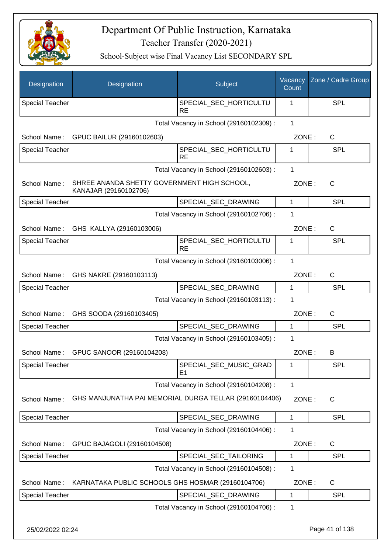

| Designation            | Designation                                                          | Subject                                  | Vacancy<br>Count | Zone / Cadre Group |
|------------------------|----------------------------------------------------------------------|------------------------------------------|------------------|--------------------|
| <b>Special Teacher</b> |                                                                      | SPECIAL_SEC_HORTICULTU<br><b>RE</b>      | 1                | SPL                |
|                        |                                                                      | Total Vacancy in School (29160102309) :  | 1                |                    |
| School Name:           | GPUC BAILUR (29160102603)                                            |                                          | ZONE:            | C                  |
| <b>Special Teacher</b> |                                                                      | SPECIAL_SEC_HORTICULTU<br><b>RE</b>      | 1                | SPL                |
|                        |                                                                      | Total Vacancy in School (29160102603) :  | $\mathbf{1}$     |                    |
| School Name:           | SHREE ANANDA SHETTY GOVERNMENT HIGH SCHOOL,<br>KANAJAR (29160102706) |                                          | ZONE:            | C                  |
| <b>Special Teacher</b> |                                                                      | SPECIAL_SEC_DRAWING                      | 1                | <b>SPL</b>         |
|                        |                                                                      | Total Vacancy in School (29160102706) :  | 1                |                    |
|                        | School Name: GHS KALLYA (29160103006)                                |                                          | ZONE:            | $\mathsf C$        |
| <b>Special Teacher</b> |                                                                      | SPECIAL_SEC_HORTICULTU<br><b>RE</b>      | 1                | SPL                |
|                        |                                                                      | Total Vacancy in School (29160103006) :  | 1                |                    |
|                        | School Name: GHS NAKRE (29160103113)                                 |                                          | ZONE:            | C                  |
| <b>Special Teacher</b> |                                                                      | SPECIAL_SEC_DRAWING                      | $\mathbf{1}$     | <b>SPL</b>         |
|                        |                                                                      | Total Vacancy in School (29160103113) :  | 1                |                    |
| School Name:           | GHS SOODA (29160103405)                                              |                                          | ZONE:            | C                  |
| Special Teacher        |                                                                      | SPECIAL_SEC_DRAWING                      | 1                | <b>SPL</b>         |
|                        |                                                                      | Total Vacancy in School (29160103405) :  | 1                |                    |
| School Name:           | GPUC SANOOR (29160104208)                                            |                                          | ZONE:            | B                  |
| <b>Special Teacher</b> |                                                                      | SPECIAL_SEC_MUSIC_GRAD<br>E <sub>1</sub> | 1                | <b>SPL</b>         |
|                        |                                                                      | Total Vacancy in School (29160104208) :  | 1                |                    |
| School Name:           | GHS MANJUNATHA PAI MEMORIAL DURGA TELLAR (29160104406)               |                                          | ZONE:            | C                  |
| <b>Special Teacher</b> |                                                                      | SPECIAL_SEC_DRAWING                      | 1                | <b>SPL</b>         |
|                        |                                                                      | Total Vacancy in School (29160104406) :  | 1                |                    |
| School Name:           | GPUC BAJAGOLI (29160104508)                                          |                                          | ZONE:            | C                  |
| <b>Special Teacher</b> |                                                                      | SPECIAL_SEC_TAILORING                    | 1                | <b>SPL</b>         |
|                        |                                                                      | Total Vacancy in School (29160104508) :  | 1                |                    |
| School Name:           | KARNATAKA PUBLIC SCHOOLS GHS HOSMAR (29160104706)                    |                                          | ZONE:            | C                  |
| Special Teacher        |                                                                      | SPECIAL_SEC_DRAWING                      | 1                | <b>SPL</b>         |
|                        |                                                                      | Total Vacancy in School (29160104706) :  | 1                |                    |
| 25/02/2022 02:24       |                                                                      |                                          |                  | Page 41 of 138     |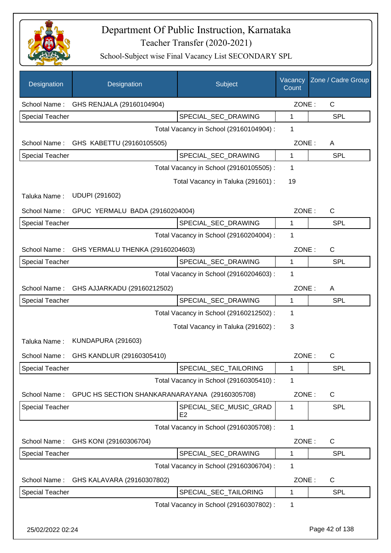

| Designation            | Designation                                    | Subject                                  | Vacancy<br>Count | Zone / Cadre Group |
|------------------------|------------------------------------------------|------------------------------------------|------------------|--------------------|
| School Name:           | GHS RENJALA (29160104904)                      |                                          | ZONE:            | $\mathsf{C}$       |
| <b>Special Teacher</b> |                                                | SPECIAL_SEC_DRAWING                      | 1                | <b>SPL</b>         |
|                        |                                                | Total Vacancy in School (29160104904) :  | 1                |                    |
|                        | School Name: GHS KABETTU (29160105505)         |                                          | ZONE:            | A                  |
| <b>Special Teacher</b> |                                                | SPECIAL SEC DRAWING                      | 1                | <b>SPL</b>         |
|                        |                                                | Total Vacancy in School (29160105505) :  | $\mathbf 1$      |                    |
|                        |                                                | Total Vacancy in Taluka (291601) :       | 19               |                    |
| Taluka Name:           | <b>UDUPI (291602)</b>                          |                                          |                  |                    |
| School Name:           | GPUC YERMALU BADA (29160204004)                |                                          | ZONE:            | C                  |
| <b>Special Teacher</b> |                                                | SPECIAL_SEC_DRAWING                      | 1                | <b>SPL</b>         |
|                        |                                                | Total Vacancy in School (29160204004) :  | 1                |                    |
| School Name:           | GHS YERMALU THENKA (29160204603)               |                                          | ZONE:            | $\mathsf{C}$       |
| <b>Special Teacher</b> |                                                | SPECIAL_SEC_DRAWING                      | 1                | <b>SPL</b>         |
|                        |                                                | Total Vacancy in School (29160204603) :  | 1                |                    |
| School Name:           | GHS AJJARKADU (29160212502)                    |                                          | ZONE:            | A                  |
| <b>Special Teacher</b> |                                                | SPECIAL_SEC_DRAWING                      | 1                | <b>SPL</b>         |
|                        |                                                | Total Vacancy in School (29160212502) :  | 1                |                    |
|                        |                                                | Total Vacancy in Taluka (291602):        | 3                |                    |
| Taluka Name:           | <b>KUNDAPURA (291603)</b>                      |                                          |                  |                    |
| School Name:           | GHS KANDLUR (29160305410)                      |                                          | ZONE:            | $\mathsf{C}$       |
| <b>Special Teacher</b> |                                                | SPECIAL_SEC_TAILORING                    | 1                | <b>SPL</b>         |
|                        |                                                | Total Vacancy in School (29160305410) :  | 1                |                    |
| School Name:           | GPUC HS SECTION SHANKARANARAYANA (29160305708) |                                          | ZONE:            | $\mathsf{C}$       |
| <b>Special Teacher</b> |                                                | SPECIAL_SEC_MUSIC_GRAD<br>E <sub>2</sub> | 1                | <b>SPL</b>         |
|                        |                                                | Total Vacancy in School (29160305708) :  | $\mathbf{1}$     |                    |
| School Name:           | GHS KONI (29160306704)                         |                                          | ZONE:            | $\mathsf{C}$       |
| <b>Special Teacher</b> |                                                | SPECIAL_SEC_DRAWING                      | 1                | <b>SPL</b>         |
|                        |                                                | Total Vacancy in School (29160306704) :  | 1                |                    |
| School Name:           | GHS KALAVARA (29160307802)                     |                                          | ZONE:            | $\mathsf{C}$       |
| <b>Special Teacher</b> |                                                | SPECIAL_SEC_TAILORING                    | 1                | <b>SPL</b>         |
|                        |                                                | Total Vacancy in School (29160307802) :  | 1                |                    |
| 25/02/2022 02:24       |                                                |                                          |                  | Page 42 of 138     |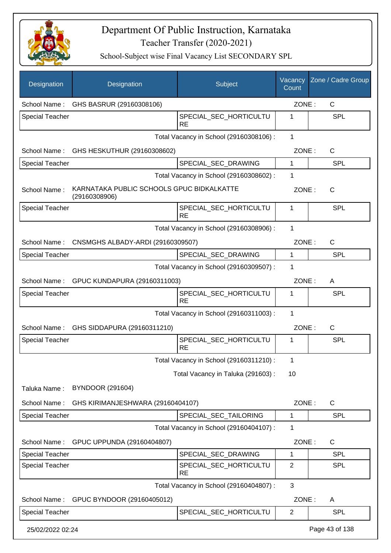

| Designation            | Designation                                                | Subject                                 | Vacancy<br>Count | Zone / Cadre Group |
|------------------------|------------------------------------------------------------|-----------------------------------------|------------------|--------------------|
| School Name:           | GHS BASRUR (29160308106)                                   |                                         | ZONE:            | $\mathsf{C}$       |
| <b>Special Teacher</b> |                                                            | SPECIAL_SEC_HORTICULTU<br><b>RE</b>     | 1                | <b>SPL</b>         |
|                        |                                                            | Total Vacancy in School (29160308106) : | $\mathbf{1}$     |                    |
| School Name:           | GHS HESKUTHUR (29160308602)                                |                                         | ZONE:            | $\mathsf{C}$       |
| Special Teacher        |                                                            | SPECIAL_SEC_DRAWING                     | 1                | <b>SPL</b>         |
|                        |                                                            | Total Vacancy in School (29160308602) : | 1                |                    |
| School Name:           | KARNATAKA PUBLIC SCHOOLS GPUC BIDKALKATTE<br>(29160308906) |                                         | ZONE:            | $\mathsf{C}$       |
| <b>Special Teacher</b> |                                                            | SPECIAL SEC HORTICULTU<br><b>RE</b>     | 1                | <b>SPL</b>         |
|                        |                                                            | Total Vacancy in School (29160308906) : | $\mathbf{1}$     |                    |
|                        | School Name: CNSMGHS ALBADY-ARDI (29160309507)             |                                         | ZONE:            | $\mathsf{C}$       |
| Special Teacher        |                                                            | SPECIAL_SEC_DRAWING                     | $\mathbf{1}$     | SPL                |
|                        |                                                            | Total Vacancy in School (29160309507) : | 1                |                    |
| School Name:           | GPUC KUNDAPURA (29160311003)                               |                                         | ZONE:            | A                  |
| <b>Special Teacher</b> |                                                            | SPECIAL_SEC_HORTICULTU<br><b>RE</b>     | 1                | <b>SPL</b>         |
|                        |                                                            | Total Vacancy in School (29160311003) : | 1                |                    |
| School Name:           | GHS SIDDAPURA (29160311210)                                |                                         | ZONE:            | C                  |
| <b>Special Teacher</b> |                                                            | SPECIAL_SEC_HORTICULTU<br><b>RE</b>     | 1                | SPL                |
|                        |                                                            | Total Vacancy in School (29160311210) : | 1                |                    |
|                        |                                                            | Total Vacancy in Taluka (291603):       | 10               |                    |
| Taluka Name:           | <b>BYNDOOR (291604)</b>                                    |                                         |                  |                    |
| School Name:           | GHS KIRIMANJESHWARA (29160404107)                          |                                         | ZONE:            | $\mathsf C$        |
| Special Teacher        |                                                            | SPECIAL_SEC_TAILORING                   | 1                | <b>SPL</b>         |
|                        |                                                            | Total Vacancy in School (29160404107) : | 1                |                    |
| School Name:           | GPUC UPPUNDA (29160404807)                                 |                                         | ZONE:            | C                  |
| <b>Special Teacher</b> |                                                            | SPECIAL_SEC_DRAWING                     | 1                | <b>SPL</b>         |
| <b>Special Teacher</b> |                                                            | SPECIAL_SEC_HORTICULTU<br><b>RE</b>     | $\overline{2}$   | <b>SPL</b>         |
|                        |                                                            | Total Vacancy in School (29160404807) : | 3                |                    |
| School Name:           | GPUC BYNDOOR (29160405012)                                 |                                         | ZONE:            | A                  |
| <b>Special Teacher</b> |                                                            | SPECIAL_SEC_HORTICULTU                  | $\overline{2}$   | <b>SPL</b>         |
| 25/02/2022 02:24       |                                                            |                                         |                  | Page 43 of 138     |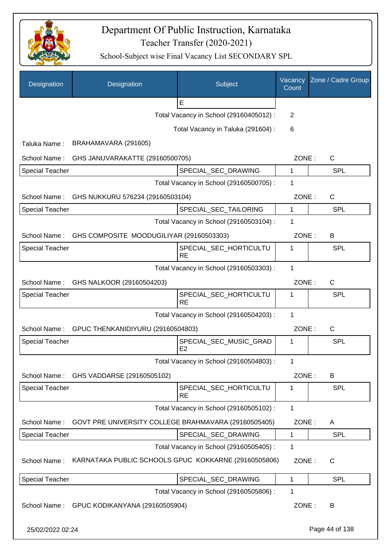

| Designation            | Designation                                          | Subject                                              | Vacancy<br>Count | Zone / Cadre Group |
|------------------------|------------------------------------------------------|------------------------------------------------------|------------------|--------------------|
|                        |                                                      | E                                                    |                  |                    |
|                        |                                                      | Total Vacancy in School (29160405012) :              | 2                |                    |
|                        |                                                      | Total Vacancy in Taluka (291604) :                   | 6                |                    |
| Taluka Name:           | BRAHAMAVARA (291605)                                 |                                                      |                  |                    |
| School Name:           | GHS JANUVARAKATTE (29160500705)                      |                                                      | ZONE:            | C                  |
| <b>Special Teacher</b> |                                                      | SPECIAL_SEC_DRAWING                                  | 1                | <b>SPL</b>         |
|                        |                                                      | Total Vacancy in School (29160500705) :              | 1                |                    |
|                        | School Name: GHS NUKKURU 576234 (29160503104)        |                                                      | ZONE:            | C                  |
| <b>Special Teacher</b> |                                                      | SPECIAL_SEC_TAILORING                                | $\mathbf{1}$     | <b>SPL</b>         |
|                        |                                                      | Total Vacancy in School (29160503104) :              | 1                |                    |
| School Name:           | GHS COMPOSITE MOODUGILIYAR (29160503303)             |                                                      | ZONE:            | B                  |
| <b>Special Teacher</b> |                                                      | SPECIAL SEC HORTICULTU<br><b>RE</b>                  | 1                | <b>SPL</b>         |
|                        |                                                      | Total Vacancy in School (29160503303) :              | 1                |                    |
| School Name:           | GHS NALKOOR (29160504203)                            |                                                      | ZONE:            | C                  |
| Special Teacher        |                                                      | SPECIAL_SEC_HORTICULTU                               | 1                | SPL                |
|                        |                                                      | <b>RE</b><br>Total Vacancy in School (29160504203) : | $\mathbf{1}$     |                    |
|                        |                                                      |                                                      |                  |                    |
|                        | School Name: GPUC THENKANIDIYURU (29160504803)       |                                                      | ZONE:            | C                  |
| <b>Special Teacher</b> |                                                      | SPECIAL_SEC_MUSIC_GRAD<br>E2                         | 1                | SPL                |
|                        |                                                      | Total Vacancy in School (29160504803) :              | 1                |                    |
| School Name:           | GHS VADDARSE (29160505102)                           |                                                      | ZONE:            | B                  |
| <b>Special Teacher</b> |                                                      | SPECIAL_SEC_HORTICULTU<br><b>RE</b>                  | 1                | SPL                |
|                        |                                                      | Total Vacancy in School (29160505102) :              | 1                |                    |
| School Name:           | GOVT PRE UNIVERSITY COLLEGE BRAHMAVARA (29160505405) |                                                      | ZONE:            | A                  |
| <b>Special Teacher</b> |                                                      | SPECIAL SEC DRAWING                                  | 1                | <b>SPL</b>         |
|                        |                                                      | Total Vacancy in School (29160505405) :              | 1                |                    |
| School Name:           | KARNATAKA PUBLIC SCHOOLS GPUC KOKKARNE (29160505806) |                                                      | ZONE:            | $\mathsf C$        |
| <b>Special Teacher</b> |                                                      | SPECIAL_SEC_DRAWING                                  | 1                | SPL                |
|                        |                                                      | Total Vacancy in School (29160505806) :              | 1                |                    |
| School Name:           | GPUC KODIKANYANA (29160505904)                       |                                                      | ZONE:            | B                  |
| 25/02/2022 02:24       |                                                      |                                                      |                  | Page 44 of 138     |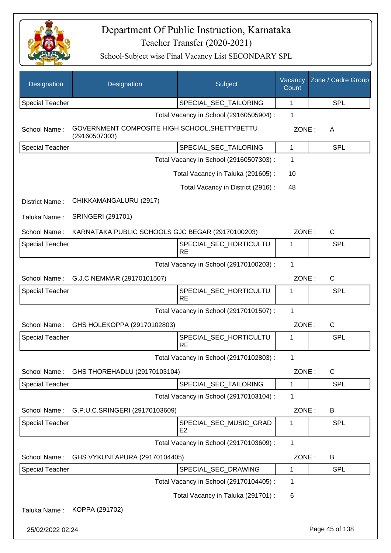

| Designation            | Designation                                                    | Subject                                  | Vacancy<br>Count | Zone / Cadre Group |
|------------------------|----------------------------------------------------------------|------------------------------------------|------------------|--------------------|
| <b>Special Teacher</b> |                                                                | SPECIAL_SEC_TAILORING                    | 1                | SPL                |
|                        |                                                                | Total Vacancy in School (29160505904) :  | 1                |                    |
| School Name:           | GOVERNMENT COMPOSITE HIGH SCHOOL, SHETTYBETTU<br>(29160507303) |                                          | ZONE:            | A                  |
| Special Teacher        |                                                                | SPECIAL_SEC_TAILORING                    | 1                | SPL                |
|                        |                                                                | Total Vacancy in School (29160507303) :  | 1                |                    |
|                        |                                                                | Total Vacancy in Taluka (291605):        | 10               |                    |
|                        |                                                                | Total Vacancy in District (2916) :       | 48               |                    |
| District Name:         | CHIKKAMANGALURU (2917)                                         |                                          |                  |                    |
| Taluka Name:           | <b>SRINGERI (291701)</b>                                       |                                          |                  |                    |
| School Name:           | KARNATAKA PUBLIC SCHOOLS GJC BEGAR (29170100203)               |                                          | ZONE:            | C                  |
| Special Teacher        |                                                                | SPECIAL_SEC_HORTICULTU<br><b>RE</b>      | 1                | SPL                |
|                        |                                                                | Total Vacancy in School (29170100203) :  | 1                |                    |
| School Name:           | G.J.C NEMMAR (29170101507)                                     |                                          | ZONE:            | C                  |
| Special Teacher        |                                                                | SPECIAL_SEC_HORTICULTU<br><b>RE</b>      | 1                | SPL                |
|                        |                                                                | Total Vacancy in School (29170101507) :  | 1                |                    |
| School Name:           | GHS HOLEKOPPA (29170102803)                                    |                                          | ZONE:            | C                  |
| <b>Special Teacher</b> |                                                                | SPECIAL_SEC_HORTICULTU<br><b>RE</b>      | 1                | SPL                |
|                        |                                                                | Total Vacancy in School (29170102803) :  | 1                |                    |
| School Name:           | GHS THOREHADLU (29170103104)                                   |                                          | ZONE:            | C                  |
| Special Teacher        |                                                                | SPECIAL_SEC_TAILORING                    | 1                | <b>SPL</b>         |
|                        |                                                                | Total Vacancy in School (29170103104) :  | 1                |                    |
| School Name:           | G.P.U.C.SRINGERI (29170103609)                                 |                                          | ZONE:            | B                  |
| Special Teacher        |                                                                | SPECIAL_SEC_MUSIC_GRAD<br>E <sub>2</sub> | 1                | <b>SPL</b>         |
|                        |                                                                | Total Vacancy in School (29170103609) :  | $\mathbf{1}$     |                    |
| School Name:           | GHS VYKUNTAPURA (29170104405)                                  |                                          | ZONE:            | B                  |
| <b>Special Teacher</b> |                                                                | SPECIAL_SEC_DRAWING                      | 1                | <b>SPL</b>         |
|                        |                                                                | Total Vacancy in School (29170104405) :  | 1                |                    |
|                        |                                                                | Total Vacancy in Taluka (291701) :       | 6                |                    |
| Taluka Name:           | KOPPA (291702)                                                 |                                          |                  |                    |
| 25/02/2022 02:24       |                                                                |                                          |                  | Page 45 of 138     |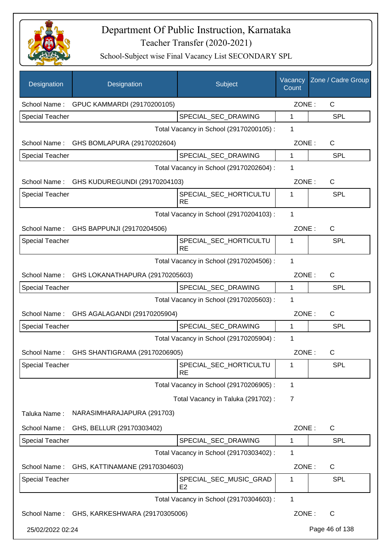

| Designation            | Designation                                  | Subject                                  | Vacancy<br>Count | Zone / Cadre Group |
|------------------------|----------------------------------------------|------------------------------------------|------------------|--------------------|
| School Name:           | GPUC KAMMARDI (29170200105)                  |                                          | ZONE:            | C                  |
| <b>Special Teacher</b> |                                              | SPECIAL_SEC_DRAWING                      | 1                | <b>SPL</b>         |
|                        |                                              | Total Vacancy in School (29170200105) :  | 1                |                    |
| School Name:           | GHS BOMLAPURA (29170202604)                  |                                          | ZONE:            | C                  |
| Special Teacher        |                                              | SPECIAL_SEC_DRAWING                      | 1                | <b>SPL</b>         |
|                        |                                              | Total Vacancy in School (29170202604) :  | 1                |                    |
| School Name:           | GHS KUDUREGUNDI (29170204103)                |                                          | ZONE:            | $\mathsf{C}$       |
| <b>Special Teacher</b> |                                              | SPECIAL_SEC_HORTICULTU<br><b>RE</b>      | 1                | <b>SPL</b>         |
|                        |                                              | Total Vacancy in School (29170204103) :  | 1                |                    |
|                        | School Name: GHS BAPPUNJI (29170204506)      |                                          | ZONE:            | $\mathsf{C}$       |
| <b>Special Teacher</b> |                                              | SPECIAL_SEC_HORTICULTU<br><b>RE</b>      | 1                | <b>SPL</b>         |
|                        |                                              | Total Vacancy in School (29170204506) :  | 1                |                    |
|                        | School Name: GHS LOKANATHAPURA (29170205603) |                                          | ZONE:            | $\mathsf{C}$       |
| <b>Special Teacher</b> |                                              | SPECIAL_SEC_DRAWING                      | 1                | <b>SPL</b>         |
|                        |                                              | Total Vacancy in School (29170205603) :  | 1                |                    |
| School Name:           | GHS AGALAGANDI (29170205904)                 |                                          | ZONE:            | $\mathsf{C}$       |
| <b>Special Teacher</b> |                                              | SPECIAL SEC DRAWING                      | 1                | <b>SPL</b>         |
|                        |                                              | Total Vacancy in School (29170205904) :  | 1                |                    |
| School Name:           | GHS SHANTIGRAMA (29170206905)                |                                          | ZONE:            | С                  |
| <b>Special Teacher</b> |                                              | SPECIAL_SEC_HORTICULTU<br><b>RE</b>      | 1                | <b>SPL</b>         |
|                        |                                              | Total Vacancy in School (29170206905) :  | 1                |                    |
|                        |                                              | Total Vacancy in Taluka (291702):        | 7                |                    |
| Taluka Name:           | NARASIMHARAJAPURA (291703)                   |                                          |                  |                    |
| School Name:           | GHS, BELLUR (29170303402)                    |                                          | ZONE:            | C                  |
| Special Teacher        |                                              | SPECIAL_SEC_DRAWING                      | 1                | <b>SPL</b>         |
|                        |                                              | Total Vacancy in School (29170303402) :  | 1                |                    |
| School Name:           | GHS, KATTINAMANE (29170304603)               |                                          | ZONE:            | C                  |
| <b>Special Teacher</b> |                                              | SPECIAL_SEC_MUSIC_GRAD<br>E <sub>2</sub> | 1                | <b>SPL</b>         |
|                        |                                              | Total Vacancy in School (29170304603) :  | 1                |                    |
| School Name:           | GHS, KARKESHWARA (29170305006)               |                                          | ZONE:            | $\mathsf{C}$       |
| 25/02/2022 02:24       |                                              |                                          |                  | Page 46 of 138     |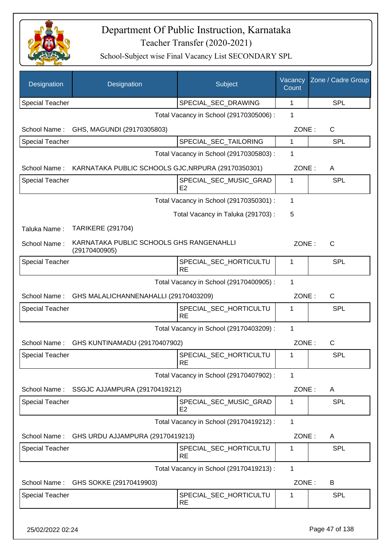

| Designation            | Designation                                               | Subject                                  | Vacancy<br>Count | Zone / Cadre Group |
|------------------------|-----------------------------------------------------------|------------------------------------------|------------------|--------------------|
| <b>Special Teacher</b> |                                                           | SPECIAL_SEC_DRAWING                      | 1                | <b>SPL</b>         |
|                        |                                                           | Total Vacancy in School (29170305006) :  | 1                |                    |
| School Name:           | GHS, MAGUNDI (29170305803)                                |                                          | ZONE:            | C                  |
| <b>Special Teacher</b> |                                                           | SPECIAL_SEC_TAILORING                    | $\mathbf{1}$     | <b>SPL</b>         |
|                        |                                                           | Total Vacancy in School (29170305803) :  | 1                |                    |
| School Name:           | KARNATAKA PUBLIC SCHOOLS GJC, NRPURA (29170350301)        |                                          | ZONE:            | A                  |
| <b>Special Teacher</b> |                                                           | SPECIAL_SEC_MUSIC_GRAD<br>E2             | 1                | <b>SPL</b>         |
|                        |                                                           | Total Vacancy in School (29170350301) :  | $\mathbf 1$      |                    |
|                        |                                                           | Total Vacancy in Taluka (291703):        | 5                |                    |
| Taluka Name:           | <b>TARIKERE (291704)</b>                                  |                                          |                  |                    |
| School Name:           | KARNATAKA PUBLIC SCHOOLS GHS RANGENAHLLI<br>(29170400905) |                                          | ZONE:            | $\mathsf{C}$       |
| <b>Special Teacher</b> |                                                           | SPECIAL_SEC_HORTICULTU<br><b>RE</b>      | 1                | <b>SPL</b>         |
|                        |                                                           | Total Vacancy in School (29170400905) :  | 1                |                    |
| School Name:           | GHS MALALICHANNENAHALLI (29170403209)                     |                                          | ZONE:            | $\mathsf{C}$       |
| <b>Special Teacher</b> |                                                           | SPECIAL_SEC_HORTICULTU<br><b>RE</b>      | 1                | <b>SPL</b>         |
|                        |                                                           | Total Vacancy in School (29170403209) :  | 1                |                    |
| School Name:           | GHS KUNTINAMADU (29170407902)                             |                                          | ZONE:            | $\mathsf{C}$       |
| <b>Special Teacher</b> |                                                           | SPECIAL_SEC_HORTICULTU<br><b>RE</b>      | 1                | <b>SPL</b>         |
|                        |                                                           | Total Vacancy in School (29170407902) :  | 1                |                    |
| School Name:           | SSGJC AJJAMPURA (29170419212)                             |                                          | ZONE:            | A                  |
| <b>Special Teacher</b> |                                                           | SPECIAL_SEC_MUSIC_GRAD<br>E <sub>2</sub> | 1                | SPL                |
|                        |                                                           | Total Vacancy in School (29170419212) :  | $\mathbf{1}$     |                    |
| School Name:           | GHS URDU AJJAMPURA (29170419213)                          |                                          | ZONE:            | A                  |
| <b>Special Teacher</b> |                                                           | SPECIAL_SEC_HORTICULTU<br><b>RE</b>      | 1                | <b>SPL</b>         |
|                        |                                                           | Total Vacancy in School (29170419213) :  | 1                |                    |
| School Name:           | GHS SOKKE (29170419903)                                   |                                          | ZONE:            | B                  |
| <b>Special Teacher</b> |                                                           | SPECIAL_SEC_HORTICULTU<br><b>RE</b>      | 1                | <b>SPL</b>         |
|                        |                                                           |                                          |                  |                    |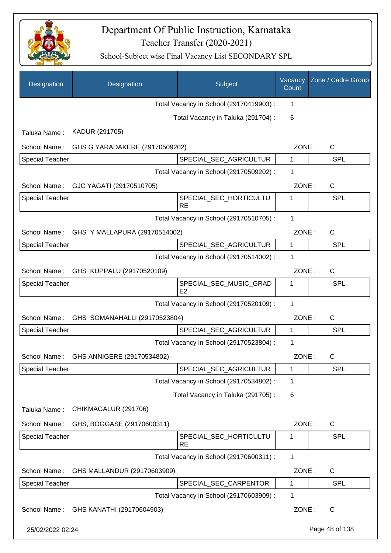

| Designation            | Designation                                | Subject                                 | Vacancy<br>Count | Zone / Cadre Group |
|------------------------|--------------------------------------------|-----------------------------------------|------------------|--------------------|
|                        |                                            | Total Vacancy in School (29170419903) : | 1                |                    |
|                        |                                            | Total Vacancy in Taluka (291704) :      | 6                |                    |
| Taluka Name:           | KADUR (291705)                             |                                         |                  |                    |
| School Name:           | GHS G YARADAKERE (29170509202)             |                                         | ZONE:            | C                  |
| <b>Special Teacher</b> |                                            | SPECIAL_SEC_AGRICULTUR                  | 1                | <b>SPL</b>         |
|                        |                                            | Total Vacancy in School (29170509202) : | 1                |                    |
| School Name:           | GJC YAGATI (29170510705)                   |                                         | ZONE:            | $\mathsf{C}$       |
| <b>Special Teacher</b> |                                            | SPECIAL_SEC_HORTICULTU<br><b>RE</b>     | $\mathbf{1}$     | SPL                |
|                        |                                            | Total Vacancy in School (29170510705) : | $\mathbf{1}$     |                    |
| School Name:           | GHS Y MALLAPURA (29170514002)              |                                         | ZONE:            | $\mathsf{C}$       |
| <b>Special Teacher</b> |                                            | SPECIAL_SEC_AGRICULTUR                  | $\mathbf{1}$     | <b>SPL</b>         |
|                        |                                            | Total Vacancy in School (29170514002) : | 1                |                    |
| School Name:           | GHS KUPPALU (29170520109)                  |                                         | ZONE:            | C                  |
| <b>Special Teacher</b> |                                            | SPECIAL_SEC_MUSIC_GRAD<br>E2            | 1                | <b>SPL</b>         |
|                        |                                            | Total Vacancy in School (29170520109) : | $\mathbf{1}$     |                    |
|                        | School Name: GHS SOMANAHALLI (29170523804) |                                         | ZONE:            | C                  |
| <b>Special Teacher</b> |                                            | SPECIAL_SEC_AGRICULTUR                  | 1                | SPL                |
|                        |                                            | Total Vacancy in School (29170523804) : | 1                |                    |
| School Name:           | GHS ANNIGERE (29170534802)                 |                                         | ZONE:            | C                  |
| <b>Special Teacher</b> |                                            | SPECIAL_SEC_AGRICULTUR                  | $\mathbf 1$      | SPL                |
|                        |                                            | Total Vacancy in School (29170534802) : | 1                |                    |
|                        |                                            | Total Vacancy in Taluka (291705):       | 6                |                    |
| Taluka Name:           | CHIKMAGALUR (291706)                       |                                         |                  |                    |
| School Name:           | GHS, BOGGASE (29170600311)                 |                                         | ZONE:            | C                  |
| <b>Special Teacher</b> |                                            | SPECIAL SEC HORTICULTU<br><b>RE</b>     | 1                | <b>SPL</b>         |
|                        |                                            | Total Vacancy in School (29170600311) : | 1                |                    |
| School Name:           | GHS MALLANDUR (29170603909)                |                                         | ZONE:            | C                  |
| Special Teacher        |                                            | SPECIAL_SEC_CARPENTOR                   | 1                | <b>SPL</b>         |
|                        |                                            | Total Vacancy in School (29170603909) : | 1                |                    |
| School Name:           | GHS KANATHI (29170604903)                  |                                         | ZONE:            | C                  |
| 25/02/2022 02:24       |                                            |                                         |                  | Page 48 of 138     |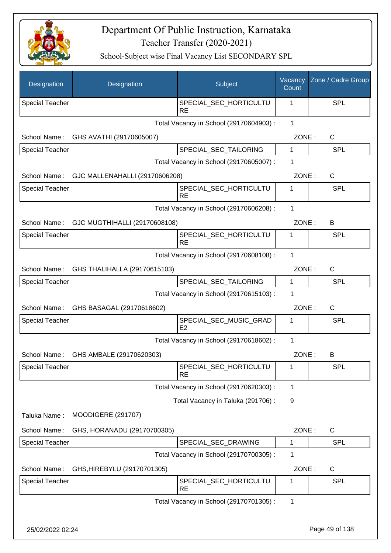

| Designation            | Designation                                | Subject                                  | Vacancy<br>Count | Zone / Cadre Group |
|------------------------|--------------------------------------------|------------------------------------------|------------------|--------------------|
| <b>Special Teacher</b> |                                            | SPECIAL_SEC_HORTICULTU<br><b>RE</b>      | 1                | SPL                |
|                        |                                            | Total Vacancy in School (29170604903) :  | $\mathbf{1}$     |                    |
| School Name:           | GHS AVATHI (29170605007)                   |                                          | ZONE:            | C                  |
| <b>Special Teacher</b> |                                            | SPECIAL_SEC_TAILORING                    | 1                | <b>SPL</b>         |
|                        |                                            | Total Vacancy in School (29170605007) :  | 1                |                    |
| School Name:           | GJC MALLENAHALLI (29170606208)             |                                          | ZONE:            | $\mathsf{C}$       |
| <b>Special Teacher</b> |                                            | SPECIAL_SEC_HORTICULTU<br><b>RE</b>      | 1                | <b>SPL</b>         |
|                        |                                            | Total Vacancy in School (29170606208) :  | 1                |                    |
|                        | School Name: GJC MUGTHIHALLI (29170608108) |                                          | ZONE:            | В                  |
| <b>Special Teacher</b> |                                            | SPECIAL_SEC_HORTICULTU<br><b>RE</b>      | 1                | <b>SPL</b>         |
|                        |                                            | Total Vacancy in School (29170608108) :  | 1                |                    |
| School Name:           | GHS THALIHALLA (29170615103)               |                                          | ZONE:            | $\mathsf{C}$       |
| <b>Special Teacher</b> |                                            | SPECIAL_SEC_TAILORING                    | $\mathbf{1}$     | SPL                |
|                        |                                            | Total Vacancy in School (29170615103) :  | 1                |                    |
|                        | School Name: GHS BASAGAL (29170618602)     |                                          | ZONE:            | $\mathsf{C}$       |
| <b>Special Teacher</b> |                                            | SPECIAL_SEC_MUSIC_GRAD<br>E <sub>2</sub> | 1                | SPL                |
|                        |                                            | Total Vacancy in School (29170618602):   | 1                |                    |
| School Name:           | GHS AMBALE (29170620303)                   |                                          | ZONE:            | В                  |
| <b>Special Teacher</b> |                                            | SPECIAL_SEC_HORTICULTU<br><b>RE</b>      | 1                | <b>SPL</b>         |
|                        |                                            | Total Vacancy in School (29170620303) :  | 1                |                    |
|                        |                                            | Total Vacancy in Taluka (291706):        | 9                |                    |
| Taluka Name:           | <b>MOODIGERE (291707)</b>                  |                                          |                  |                    |
| School Name:           | GHS, HORANADU (29170700305)                |                                          | ZONE:            | C                  |
| <b>Special Teacher</b> |                                            | SPECIAL_SEC_DRAWING                      | 1                | <b>SPL</b>         |
|                        |                                            | Total Vacancy in School (29170700305) :  | 1                |                    |
| School Name:           | GHS, HIREBYLU (29170701305)                |                                          | ZONE:            | C                  |
| <b>Special Teacher</b> |                                            | SPECIAL_SEC_HORTICULTU<br><b>RE</b>      | $\mathbf 1$      | <b>SPL</b>         |
|                        |                                            | Total Vacancy in School (29170701305) :  | 1                |                    |
| 25/02/2022 02:24       |                                            |                                          |                  | Page 49 of 138     |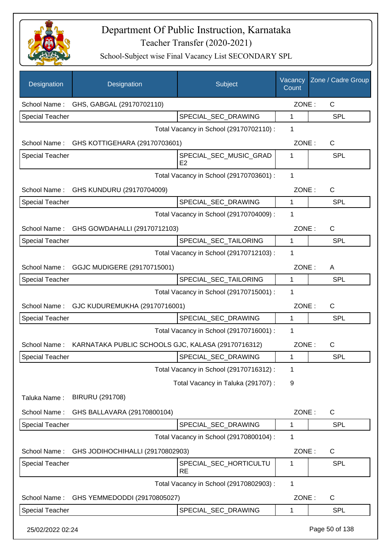

| Designation            | Designation                                        | Subject                                  | Vacancy<br>Count | Zone / Cadre Group |
|------------------------|----------------------------------------------------|------------------------------------------|------------------|--------------------|
| School Name:           | GHS, GABGAL (29170702110)                          |                                          | ZONE:            | C                  |
| Special Teacher        |                                                    | SPECIAL_SEC_DRAWING                      | 1                | <b>SPL</b>         |
|                        |                                                    | Total Vacancy in School (29170702110) :  | 1                |                    |
| School Name:           | GHS KOTTIGEHARA (29170703601)                      |                                          | ZONE:            | C                  |
| Special Teacher        |                                                    | SPECIAL_SEC_MUSIC_GRAD<br>E <sub>2</sub> | 1                | <b>SPL</b>         |
|                        |                                                    | Total Vacancy in School (29170703601) :  | 1                |                    |
| School Name:           | GHS KUNDURU (29170704009)                          |                                          | ZONE:            | C                  |
| <b>Special Teacher</b> |                                                    | SPECIAL SEC DRAWING                      | 1                | <b>SPL</b>         |
|                        |                                                    | Total Vacancy in School (29170704009) :  | 1                |                    |
| School Name:           | GHS GOWDAHALLI (29170712103)                       |                                          | ZONE:            | $\mathsf{C}$       |
| <b>Special Teacher</b> |                                                    | SPECIAL SEC TAILORING                    | 1                | <b>SPL</b>         |
|                        |                                                    | Total Vacancy in School (29170712103) :  | 1                |                    |
| School Name:           | GGJC MUDIGERE (29170715001)                        |                                          | ZONE:            | A                  |
| <b>Special Teacher</b> |                                                    | SPECIAL_SEC_TAILORING                    | $\mathbf{1}$     | <b>SPL</b>         |
|                        |                                                    | Total Vacancy in School (29170715001) :  | 1                |                    |
| School Name:           | GJC KUDUREMUKHA (29170716001)                      |                                          | ZONE:            | $\mathsf{C}$       |
| <b>Special Teacher</b> |                                                    | SPECIAL_SEC_DRAWING                      | 1                | <b>SPL</b>         |
|                        |                                                    | Total Vacancy in School (29170716001) :  | 1                |                    |
| School Name:           | KARNATAKA PUBLIC SCHOOLS GJC, KALASA (29170716312) |                                          | ZONE:            | C                  |
| Special Teacher        |                                                    | SPECIAL SEC DRAWING                      | 1                | <b>SPL</b>         |
|                        |                                                    | Total Vacancy in School (29170716312) :  | 1                |                    |
|                        |                                                    | Total Vacancy in Taluka (291707) :       | 9                |                    |
| Taluka Name:           | <b>BIRURU (291708)</b>                             |                                          |                  |                    |
| School Name:           | GHS BALLAVARA (29170800104)                        |                                          | ZONE:            | C                  |
| Special Teacher        |                                                    | SPECIAL_SEC_DRAWING                      | 1                | SPL                |
|                        |                                                    | Total Vacancy in School (29170800104) :  | 1                |                    |
| School Name:           | GHS JODIHOCHIHALLI (29170802903)                   |                                          | ZONE:            | $\mathsf{C}$       |
| Special Teacher        |                                                    | SPECIAL_SEC_HORTICULTU<br><b>RE</b>      | 1                | <b>SPL</b>         |
|                        |                                                    | Total Vacancy in School (29170802903) :  | 1                |                    |
| School Name:           | GHS YEMMEDODDI (29170805027)                       |                                          | ZONE:            | C                  |
| Special Teacher        |                                                    | SPECIAL_SEC_DRAWING                      | 1                | <b>SPL</b>         |
| 25/02/2022 02:24       |                                                    |                                          |                  | Page 50 of 138     |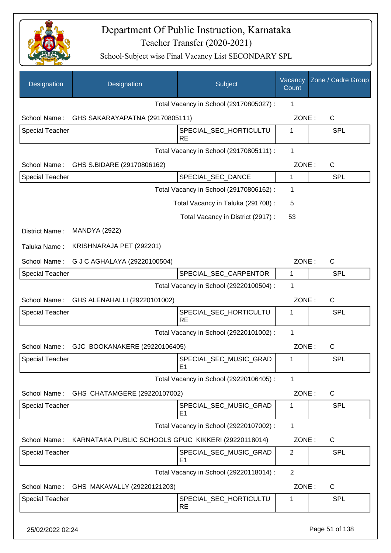

| Designation            | Designation                                         | Subject                                  | Vacancy<br>Count | Zone / Cadre Group |
|------------------------|-----------------------------------------------------|------------------------------------------|------------------|--------------------|
|                        |                                                     | Total Vacancy in School (29170805027) :  | 1                |                    |
| School Name:           | GHS SAKARAYAPATNA (29170805111)                     |                                          | ZONE:            | $\mathsf{C}$       |
| <b>Special Teacher</b> |                                                     | SPECIAL_SEC_HORTICULTU<br><b>RE</b>      | 1                | SPL                |
|                        |                                                     | Total Vacancy in School (29170805111) :  | 1                |                    |
| School Name:           | GHS S.BIDARE (29170806162)                          |                                          | ZONE:            | $\mathsf C$        |
| <b>Special Teacher</b> |                                                     | SPECIAL_SEC_DANCE                        | 1                | SPL                |
|                        |                                                     | Total Vacancy in School (29170806162) :  | 1                |                    |
|                        |                                                     | Total Vacancy in Taluka (291708):        | 5                |                    |
|                        |                                                     | Total Vacancy in District (2917) :       | 53               |                    |
| District Name:         | <b>MANDYA (2922)</b>                                |                                          |                  |                    |
| Taluka Name:           | KRISHNARAJA PET (292201)                            |                                          |                  |                    |
| School Name:           | G J C AGHALAYA (29220100504)                        |                                          | ZONE:            | C                  |
| <b>Special Teacher</b> |                                                     | SPECIAL_SEC_CARPENTOR                    | 1                | <b>SPL</b>         |
|                        |                                                     | Total Vacancy in School (29220100504) :  | 1                |                    |
| School Name:           | GHS ALENAHALLI (29220101002)                        |                                          | ZONE:            | $\mathsf C$        |
| <b>Special Teacher</b> |                                                     | SPECIAL_SEC_HORTICULTU<br><b>RE</b>      | 1                | SPL                |
|                        |                                                     | Total Vacancy in School (29220101002) :  | 1                |                    |
| School Name:           | GJC BOOKANAKERE (29220106405)                       |                                          | ZONE:            | C                  |
| Special Teacher        |                                                     | SPECIAL_SEC_MUSIC_GRAD<br>E1             |                  | <b>SPL</b>         |
|                        |                                                     | Total Vacancy in School (29220106405) :  | $\mathbf{1}$     |                    |
| School Name:           | GHS CHATAMGERE (29220107002)                        |                                          | ZONE:            | $\mathsf{C}$       |
| <b>Special Teacher</b> |                                                     | SPECIAL_SEC_MUSIC_GRAD<br>E1             | 1                | SPL                |
|                        |                                                     | Total Vacancy in School (29220107002) :  | $\mathbf 1$      |                    |
| School Name:           | KARNATAKA PUBLIC SCHOOLS GPUC KIKKERI (29220118014) |                                          | ZONE:            | C                  |
| <b>Special Teacher</b> |                                                     | SPECIAL_SEC_MUSIC_GRAD<br>E <sub>1</sub> | $\overline{2}$   | <b>SPL</b>         |
|                        |                                                     | Total Vacancy in School (29220118014) :  | $\overline{2}$   |                    |
| School Name:           | GHS MAKAVALLY (29220121203)                         |                                          | ZONE:            | C                  |
| <b>Special Teacher</b> |                                                     | SPECIAL_SEC_HORTICULTU<br><b>RE</b>      | 1                | SPL                |
| 25/02/2022 02:24       |                                                     |                                          |                  | Page 51 of 138     |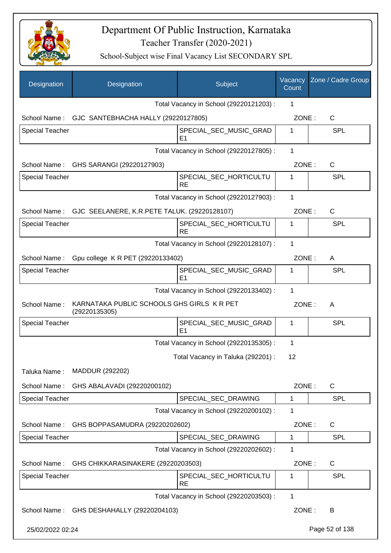

| Designation            | Designation                                                 | Subject                                  | Vacancy<br>Count | Zone / Cadre Group |
|------------------------|-------------------------------------------------------------|------------------------------------------|------------------|--------------------|
|                        |                                                             | Total Vacancy in School (29220121203) :  | 1                |                    |
|                        | School Name: GJC SANTEBHACHA HALLY (29220127805)            |                                          | ZONE:            | C                  |
| <b>Special Teacher</b> |                                                             | SPECIAL_SEC_MUSIC_GRAD<br>E1             | 1                | <b>SPL</b>         |
|                        |                                                             | Total Vacancy in School (29220127805) :  | 1                |                    |
|                        | School Name: GHS SARANGI (29220127903)                      |                                          | ZONE:            | $\mathsf{C}$       |
| <b>Special Teacher</b> |                                                             | SPECIAL_SEC_HORTICULTU<br><b>RE</b>      | 1                | <b>SPL</b>         |
|                        |                                                             | Total Vacancy in School (29220127903) :  | 1                |                    |
|                        | School Name: GJC SEELANERE, K.R.PETE TALUK. (29220128107)   |                                          | ZONE:            | $\mathsf{C}$       |
| Special Teacher        |                                                             | SPECIAL_SEC_HORTICULTU<br><b>RE</b>      | 1                | <b>SPL</b>         |
|                        |                                                             | Total Vacancy in School (29220128107) :  | 1                |                    |
| School Name:           | Gpu college K R PET (29220133402)                           |                                          | ZONE:            | A                  |
| <b>Special Teacher</b> |                                                             | SPECIAL_SEC_MUSIC_GRAD<br>E <sub>1</sub> | 1                | <b>SPL</b>         |
|                        |                                                             | Total Vacancy in School (29220133402) :  | 1                |                    |
| School Name:           | KARNATAKA PUBLIC SCHOOLS GHS GIRLS K R PET<br>(29220135305) |                                          | ZONE:            | A                  |
| <b>Special Teacher</b> |                                                             | SPECIAL_SEC_MUSIC_GRAD<br>E <sub>1</sub> | 1                | <b>SPL</b>         |
|                        |                                                             | Total Vacancy in School (29220135305) :  | 1                |                    |
|                        |                                                             | Total Vacancy in Taluka (292201) :       | 12               |                    |
| Taluka Name:           | MADDUR (292202)                                             |                                          |                  |                    |
| School Name:           | GHS ABALAVADI (29220200102)                                 |                                          | ZONE:            | $\mathsf{C}$       |
| <b>Special Teacher</b> |                                                             | SPECIAL_SEC_DRAWING                      | $\mathbf 1$      | <b>SPL</b>         |
|                        |                                                             | Total Vacancy in School (29220200102) :  | 1                |                    |
| School Name:           | GHS BOPPASAMUDRA (29220202602)                              |                                          | ZONE:            | $\mathsf{C}$       |
| <b>Special Teacher</b> |                                                             | SPECIAL_SEC_DRAWING                      | 1                | <b>SPL</b>         |
|                        |                                                             | Total Vacancy in School (29220202602) :  | 1                |                    |
| School Name:           | GHS CHIKKARASINAKERE (29220203503)                          |                                          | ZONE:            | $\mathsf{C}$       |
| <b>Special Teacher</b> |                                                             | SPECIAL_SEC_HORTICULTU<br><b>RE</b>      | 1                | <b>SPL</b>         |
|                        |                                                             | Total Vacancy in School (29220203503) :  | $\mathbf{1}$     |                    |
| School Name:           | GHS DESHAHALLY (29220204103)                                |                                          | ZONE:            | B                  |
| 25/02/2022 02:24       |                                                             |                                          |                  | Page 52 of 138     |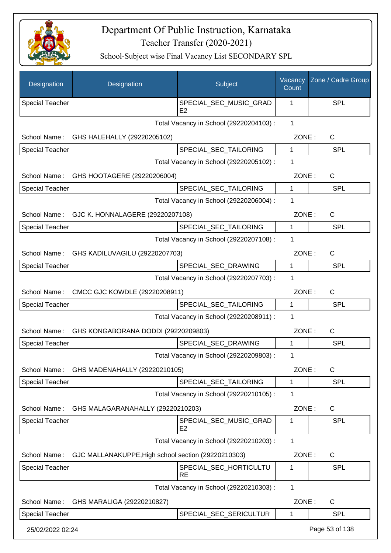

| Designation            | Designation                                         | Subject                                  | Vacancy<br>Count | Zone / Cadre Group |
|------------------------|-----------------------------------------------------|------------------------------------------|------------------|--------------------|
| <b>Special Teacher</b> |                                                     | SPECIAL_SEC_MUSIC_GRAD<br>E <sub>2</sub> | 1                | <b>SPL</b>         |
|                        |                                                     | Total Vacancy in School (29220204103) :  | $\mathbf{1}$     |                    |
|                        | School Name: GHS HALEHALLY (29220205102)            |                                          | ZONE:            | C                  |
| <b>Special Teacher</b> |                                                     | SPECIAL_SEC_TAILORING                    | 1                | SPL                |
|                        |                                                     | Total Vacancy in School (29220205102) :  | 1                |                    |
| School Name:           | GHS HOOTAGERE (29220206004)                         |                                          | ZONE:            | C                  |
| <b>Special Teacher</b> |                                                     | SPECIAL_SEC_TAILORING                    | 1                | <b>SPL</b>         |
|                        |                                                     | Total Vacancy in School (29220206004) :  | 1                |                    |
| School Name:           | GJC K. HONNALAGERE (29220207108)                    |                                          | ZONE:            | $\mathsf{C}$       |
| <b>Special Teacher</b> |                                                     | SPECIAL SEC TAILORING                    | 1                | <b>SPL</b>         |
|                        |                                                     | Total Vacancy in School (29220207108) :  | 1                |                    |
| School Name:           | GHS KADILUVAGILU (29220207703)                      |                                          | ZONE:            | $\mathsf{C}$       |
| <b>Special Teacher</b> |                                                     | SPECIAL_SEC_DRAWING                      | 1                | <b>SPL</b>         |
|                        |                                                     | Total Vacancy in School (29220207703) :  | 1                |                    |
| School Name:           | CMCC GJC KOWDLE (29220208911)                       |                                          | ZONE:            | $\mathsf{C}$       |
| <b>Special Teacher</b> |                                                     | SPECIAL_SEC_TAILORING                    | 1                | <b>SPL</b>         |
|                        |                                                     | Total Vacancy in School (29220208911) :  | 1                |                    |
| School Name:           | GHS KONGABORANA DODDI (29220209803)                 |                                          | ZONE:            | $\mathsf{C}$       |
| <b>Special Teacher</b> |                                                     | SPECIAL_SEC_DRAWING                      | 1                | <b>SPL</b>         |
|                        |                                                     | Total Vacancy in School (29220209803) :  | 1                |                    |
| School Name:           | GHS MADENAHALLY (29220210105)                       |                                          | ZONE:            | $\mathsf{C}$       |
| <b>Special Teacher</b> |                                                     | SPECIAL_SEC_TAILORING                    | 1                | <b>SPL</b>         |
|                        |                                                     | Total Vacancy in School (29220210105) :  | 1                |                    |
| School Name:           | GHS MALAGARANAHALLY (29220210203)                   |                                          | ZONE:            | $\mathsf{C}$       |
| <b>Special Teacher</b> |                                                     | SPECIAL_SEC_MUSIC_GRAD<br>E <sub>2</sub> | 1                | <b>SPL</b>         |
|                        |                                                     | Total Vacancy in School (29220210203) :  | 1                |                    |
| School Name:           | GJC MALLANAKUPPE, High school section (29220210303) |                                          | ZONE:            | $\mathsf{C}$       |
| <b>Special Teacher</b> |                                                     | SPECIAL_SEC_HORTICULTU<br><b>RE</b>      | 1                | <b>SPL</b>         |
|                        |                                                     | Total Vacancy in School (29220210303) :  | 1                |                    |
| School Name:           | GHS MARALIGA (29220210827)                          |                                          | ZONE:            | $\mathsf{C}$       |
| <b>Special Teacher</b> |                                                     | SPECIAL_SEC_SERICULTUR                   | 1                | <b>SPL</b>         |
| 25/02/2022 02:24       |                                                     |                                          |                  | Page 53 of 138     |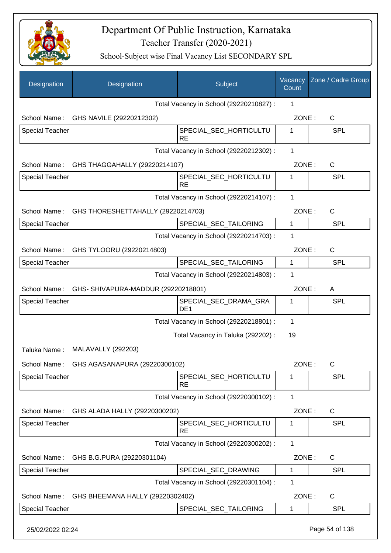

| Designation            | Designation                                     | Subject                                  | Vacancy<br>Count | Zone / Cadre Group |
|------------------------|-------------------------------------------------|------------------------------------------|------------------|--------------------|
|                        |                                                 | Total Vacancy in School (29220210827) :  | 1                |                    |
| School Name:           | GHS NAVILE (29220212302)                        |                                          | ZONE:            | C                  |
| <b>Special Teacher</b> |                                                 | SPECIAL_SEC_HORTICULTU<br><b>RE</b>      | 1                | <b>SPL</b>         |
|                        |                                                 | Total Vacancy in School (29220212302) :  | 1                |                    |
|                        | School Name: GHS THAGGAHALLY (29220214107)      |                                          | ZONE:            | $\mathsf{C}$       |
| <b>Special Teacher</b> |                                                 | SPECIAL_SEC_HORTICULTU<br><b>RE</b>      | 1                | <b>SPL</b>         |
|                        |                                                 | Total Vacancy in School (29220214107) :  | 1                |                    |
| School Name:           | GHS THORESHETTAHALLY (29220214703)              |                                          | ZONE:            | C                  |
| <b>Special Teacher</b> |                                                 | SPECIAL_SEC_TAILORING                    | 1                | <b>SPL</b>         |
|                        |                                                 | Total Vacancy in School (29220214703) :  | 1                |                    |
|                        | School Name: GHS TYLOORU (29220214803)          |                                          | ZONE:            | C                  |
| <b>Special Teacher</b> |                                                 | SPECIAL_SEC_TAILORING                    | $\mathbf{1}$     | <b>SPL</b>         |
|                        |                                                 | Total Vacancy in School (29220214803) :  | 1                |                    |
|                        | School Name: GHS-SHIVAPURA-MADDUR (29220218801) |                                          | ZONE:            | A                  |
| <b>Special Teacher</b> |                                                 | SPECIAL_SEC_DRAMA_GRA<br>DE <sub>1</sub> | 1                | <b>SPL</b>         |
|                        |                                                 | Total Vacancy in School (29220218801) :  | 1                |                    |
|                        |                                                 | Total Vacancy in Taluka (292202) :       | 19               |                    |
| Taluka Name:           | <b>MALAVALLY (292203)</b>                       |                                          |                  |                    |
| School Name:           | GHS AGASANAPURA (29220300102)                   |                                          | ZONE:            | $\mathsf C$        |
| <b>Special Teacher</b> |                                                 | SPECIAL_SEC_HORTICULTU<br><b>RE</b>      | 1                | SPL                |
|                        |                                                 | Total Vacancy in School (29220300102) :  | 1                |                    |
| School Name:           | GHS ALADA HALLY (29220300202)                   |                                          | ZONE:            | C                  |
| <b>Special Teacher</b> |                                                 | SPECIAL_SEC_HORTICULTU<br><b>RE</b>      | 1                | <b>SPL</b>         |
|                        |                                                 | Total Vacancy in School (29220300202) :  | 1                |                    |
| School Name:           | GHS B.G.PURA (29220301104)                      |                                          | ZONE:            | C                  |
| Special Teacher        |                                                 | SPECIAL_SEC_DRAWING                      | 1                | SPL                |
|                        |                                                 | Total Vacancy in School (29220301104) :  | 1                |                    |
| School Name:           | GHS BHEEMANA HALLY (29220302402)                |                                          | ZONE:            | $\mathsf C$        |
| Special Teacher        |                                                 | SPECIAL_SEC_TAILORING                    | 1                | <b>SPL</b>         |
| 25/02/2022 02:24       |                                                 |                                          |                  | Page 54 of 138     |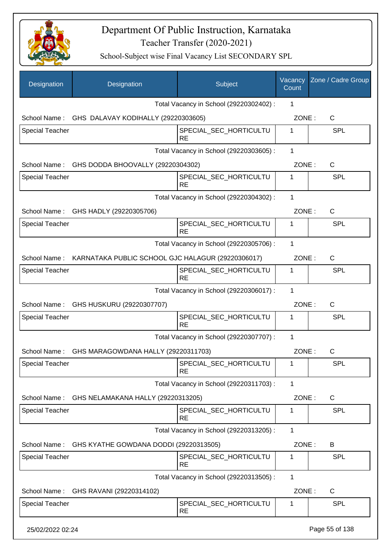

| Designation            | Designation                                                    | Subject                                 | Vacancy<br>Count | Zone / Cadre Group |
|------------------------|----------------------------------------------------------------|-----------------------------------------|------------------|--------------------|
|                        |                                                                | Total Vacancy in School (29220302402) : | 1                |                    |
|                        | School Name: GHS DALAVAY KODIHALLY (29220303605)               |                                         | ZONE:            | $\mathsf{C}$       |
| Special Teacher        |                                                                | SPECIAL_SEC_HORTICULTU<br><b>RE</b>     | $\mathbf{1}$     | <b>SPL</b>         |
|                        |                                                                | Total Vacancy in School (29220303605) : | 1                |                    |
|                        | School Name: GHS DODDA BHOOVALLY (29220304302)                 |                                         | ZONE:            | C                  |
| <b>Special Teacher</b> |                                                                | SPECIAL_SEC_HORTICULTU<br><b>RE</b>     | 1                | <b>SPL</b>         |
|                        |                                                                | Total Vacancy in School (29220304302) : | 1                |                    |
|                        | School Name: GHS HADLY (29220305706)                           |                                         | ZONE:            | $\mathsf{C}$       |
| <b>Special Teacher</b> |                                                                | SPECIAL_SEC_HORTICULTU<br><b>RE</b>     | 1                | <b>SPL</b>         |
|                        |                                                                | Total Vacancy in School (29220305706) : | 1                |                    |
|                        | School Name: KARNATAKA PUBLIC SCHOOL GJC HALAGUR (29220306017) |                                         | ZONE:            | C                  |
| Special Teacher        |                                                                | SPECIAL_SEC_HORTICULTU<br><b>RE</b>     | 1                | <b>SPL</b>         |
|                        |                                                                | Total Vacancy in School (29220306017) : | 1                |                    |
|                        | School Name: GHS HUSKURU (29220307707)                         |                                         | ZONE:            | $\mathsf{C}$       |
| Special Teacher        |                                                                | SPECIAL_SEC_HORTICULTU<br><b>RE</b>     | 1                | <b>SPL</b>         |
|                        |                                                                | Total Vacancy in School (29220307707) : | 1                |                    |
| School Name:           | GHS MARAGOWDANA HALLY (29220311703)                            |                                         | ZONE:            | C                  |
| <b>Special Teacher</b> |                                                                | SPECIAL_SEC_HORTICULTU<br><b>RE</b>     | 1                | SPL                |
|                        |                                                                | Total Vacancy in School (29220311703) : | 1                |                    |
| School Name:           | GHS NELAMAKANA HALLY (29220313205)                             |                                         | ZONE:            | C                  |
| <b>Special Teacher</b> |                                                                | SPECIAL_SEC_HORTICULTU<br><b>RE</b>     | 1                | <b>SPL</b>         |
|                        |                                                                | Total Vacancy in School (29220313205) : | 1                |                    |
| School Name:           | GHS KYATHE GOWDANA DODDI (29220313505)                         |                                         | ZONE:            | B                  |
| <b>Special Teacher</b> |                                                                | SPECIAL_SEC_HORTICULTU<br><b>RE</b>     | 1                | <b>SPL</b>         |
|                        |                                                                | Total Vacancy in School (29220313505) : | 1                |                    |
| School Name:           | GHS RAVANI (29220314102)                                       |                                         | ZONE:            | C                  |
| <b>Special Teacher</b> |                                                                | SPECIAL_SEC_HORTICULTU<br><b>RE</b>     | 1                | <b>SPL</b>         |
| 25/02/2022 02:24       |                                                                |                                         |                  | Page 55 of 138     |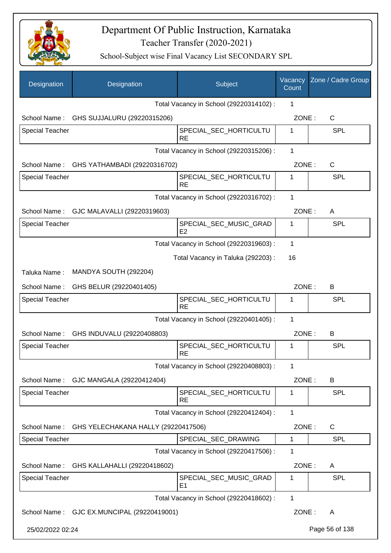

| Designation            | Designation                               | Subject                                  | Vacancy<br>Count | Zone / Cadre Group |
|------------------------|-------------------------------------------|------------------------------------------|------------------|--------------------|
|                        |                                           | Total Vacancy in School (29220314102) :  | 1                |                    |
|                        | School Name: GHS SUJJALURU (29220315206)  |                                          | ZONE:            | $\mathsf{C}$       |
| <b>Special Teacher</b> |                                           | SPECIAL_SEC_HORTICULTU<br><b>RE</b>      | 1                | <b>SPL</b>         |
|                        |                                           | Total Vacancy in School (29220315206) :  | 1                |                    |
|                        | School Name: GHS YATHAMBADI (29220316702) |                                          | ZONE:            | C                  |
| <b>Special Teacher</b> |                                           | SPECIAL_SEC_HORTICULTU<br><b>RE</b>      | 1                | <b>SPL</b>         |
|                        |                                           | Total Vacancy in School (29220316702) :  | 1                |                    |
|                        | School Name: GJC MALAVALLI (29220319603)  |                                          | ZONE:            | A                  |
| Special Teacher        |                                           | SPECIAL SEC MUSIC GRAD<br>E <sub>2</sub> | 1                | <b>SPL</b>         |
|                        |                                           | Total Vacancy in School (29220319603) :  | 1                |                    |
|                        |                                           | Total Vacancy in Taluka (292203) :       | 16               |                    |
| Taluka Name:           | MANDYA SOUTH (292204)                     |                                          |                  |                    |
| School Name:           | GHS BELUR (29220401405)                   |                                          | ZONE:            | B                  |
| <b>Special Teacher</b> |                                           | SPECIAL_SEC_HORTICULTU<br><b>RE</b>      | 1                | <b>SPL</b>         |
|                        |                                           | Total Vacancy in School (29220401405) :  | 1                |                    |
| School Name:           | GHS INDUVALU (29220408803)                |                                          | ZONE:            | B                  |
| <b>Special Teacher</b> |                                           | SPECIAL_SEC_HORTICULTU<br><b>RE</b>      | 1                | SPL                |
|                        |                                           | Total Vacancy in School (29220408803) :  | 1                |                    |
| School Name:           | GJC MANGALA (29220412404)                 |                                          | ZONE:            | B                  |
| <b>Special Teacher</b> |                                           | SPECIAL_SEC_HORTICULTU<br><b>RE</b>      | 1                | <b>SPL</b>         |
|                        |                                           | Total Vacancy in School (29220412404) :  | 1                |                    |
| School Name:           | GHS YELECHAKANA HALLY (29220417506)       |                                          | ZONE:            | C                  |
| Special Teacher        |                                           | SPECIAL_SEC_DRAWING                      | 1                | <b>SPL</b>         |
|                        |                                           | Total Vacancy in School (29220417506) :  | 1                |                    |
| School Name:           | GHS KALLAHALLI (29220418602)              |                                          | ZONE:            | A                  |
| <b>Special Teacher</b> |                                           | SPECIAL_SEC_MUSIC_GRAD<br>E <sub>1</sub> | 1                | <b>SPL</b>         |
|                        |                                           | Total Vacancy in School (29220418602) :  | 1                |                    |
| School Name:           | GJC EX.MUNCIPAL (29220419001)             |                                          | ZONE:            | A                  |
| 25/02/2022 02:24       |                                           |                                          |                  | Page 56 of 138     |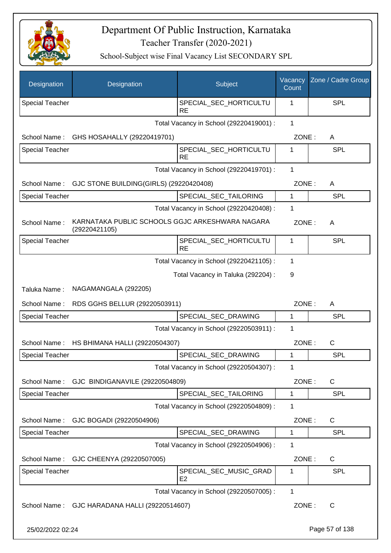

| Designation            | Designation                                                      | Subject                                  | Vacancy<br>Count | Zone / Cadre Group |
|------------------------|------------------------------------------------------------------|------------------------------------------|------------------|--------------------|
| <b>Special Teacher</b> |                                                                  | SPECIAL_SEC_HORTICULTU<br><b>RE</b>      | 1                | <b>SPL</b>         |
|                        |                                                                  | Total Vacancy in School (29220419001) :  | $\mathbf{1}$     |                    |
| School Name:           | GHS HOSAHALLY (29220419701)                                      |                                          | ZONE:            | A                  |
| <b>Special Teacher</b> |                                                                  | SPECIAL_SEC_HORTICULTU<br><b>RE</b>      | 1                | SPL                |
|                        |                                                                  | Total Vacancy in School (29220419701) :  | 1                |                    |
| School Name:           | GJC STONE BUILDING(GIRLS) (29220420408)                          |                                          | ZONE:            | A                  |
| <b>Special Teacher</b> |                                                                  | SPECIAL_SEC_TAILORING                    | 1                | <b>SPL</b>         |
|                        |                                                                  | Total Vacancy in School (29220420408) :  | 1                |                    |
| School Name:           | KARNATAKA PUBLIC SCHOOLS GGJC ARKESHWARA NAGARA<br>(29220421105) |                                          | ZONE:            | A                  |
| Special Teacher        |                                                                  | SPECIAL_SEC_HORTICULTU<br><b>RE</b>      | 1                | SPL                |
|                        |                                                                  | Total Vacancy in School (29220421105) :  | $\mathbf 1$      |                    |
|                        |                                                                  | Total Vacancy in Taluka (292204) :       | 9                |                    |
| Taluka Name:           | NAGAMANGALA (292205)                                             |                                          |                  |                    |
| School Name:           | RDS GGHS BELLUR (29220503911)                                    |                                          | ZONE:            | A                  |
| <b>Special Teacher</b> |                                                                  | SPECIAL_SEC_DRAWING                      | 1                | <b>SPL</b>         |
|                        |                                                                  | Total Vacancy in School (29220503911) :  | 1                |                    |
| School Name:           | HS BHIMANA HALLI (29220504307)                                   |                                          | ZONE:            | C                  |
| <b>Special Teacher</b> |                                                                  | SPECIAL_SEC_DRAWING                      | 1                | <b>SPL</b>         |
|                        |                                                                  | Total Vacancy in School (29220504307) :  | 1                |                    |
| School Name:           | GJC BINDIGANAVILE (29220504809)                                  |                                          | ZONE:            | C                  |
| <b>Special Teacher</b> |                                                                  | SPECIAL_SEC_TAILORING                    | 1                | <b>SPL</b>         |
|                        |                                                                  | Total Vacancy in School (29220504809) :  | 1                |                    |
| School Name:           | GJC BOGADI (29220504906)                                         |                                          | ZONE:            | C                  |
| Special Teacher        |                                                                  | SPECIAL_SEC_DRAWING                      | 1                | SPL                |
|                        |                                                                  | Total Vacancy in School (29220504906) :  | 1                |                    |
| School Name:           | GJC CHEENYA (29220507005)                                        |                                          | ZONE:            | C                  |
| <b>Special Teacher</b> |                                                                  | SPECIAL_SEC_MUSIC_GRAD<br>E <sub>2</sub> | 1                | <b>SPL</b>         |
|                        |                                                                  | Total Vacancy in School (29220507005) :  | 1                |                    |
|                        | School Name: GJC HARADANA HALLI (29220514607)                    |                                          | ZONE:            | $\mathsf{C}$       |
| 25/02/2022 02:24       |                                                                  |                                          |                  | Page 57 of 138     |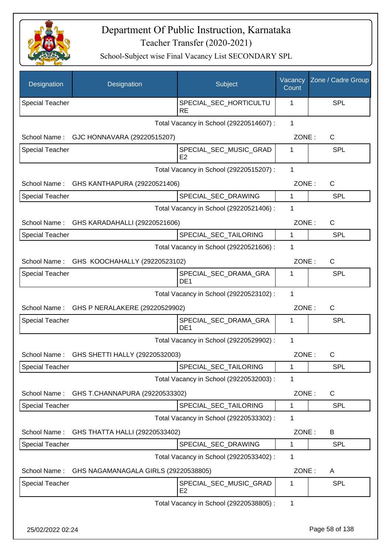

| Designation            | Designation                                 | Subject                                  | Vacancy<br>Count | Zone / Cadre Group |
|------------------------|---------------------------------------------|------------------------------------------|------------------|--------------------|
| <b>Special Teacher</b> |                                             | SPECIAL_SEC_HORTICULTU<br><b>RE</b>      | 1                | <b>SPL</b>         |
|                        |                                             | Total Vacancy in School (29220514607) :  | $\mathbf 1$      |                    |
| School Name:           | GJC HONNAVARA (29220515207)                 |                                          | ZONE:            | C                  |
| <b>Special Teacher</b> |                                             | SPECIAL_SEC_MUSIC_GRAD<br>E <sub>2</sub> | 1                | SPL                |
|                        |                                             | Total Vacancy in School (29220515207) :  | 1                |                    |
| School Name:           | GHS KANTHAPURA (29220521406)                |                                          | ZONE:            | C                  |
| Special Teacher        |                                             | SPECIAL_SEC_DRAWING                      | 1                | <b>SPL</b>         |
|                        |                                             | Total Vacancy in School (29220521406) :  | 1                |                    |
| School Name:           | GHS KARADAHALLI (29220521606)               |                                          | ZONE:            | $\mathsf{C}$       |
| <b>Special Teacher</b> |                                             | SPECIAL_SEC_TAILORING                    | $\mathbf{1}$     | <b>SPL</b>         |
|                        |                                             | Total Vacancy in School (29220521606) :  | 1                |                    |
|                        | School Name: GHS KOOCHAHALLY (29220523102)  |                                          | ZONE:            | $\mathsf{C}$       |
| <b>Special Teacher</b> |                                             | SPECIAL_SEC_DRAMA_GRA<br>DE <sub>1</sub> | 1                | <b>SPL</b>         |
|                        |                                             | Total Vacancy in School (29220523102) :  | 1                |                    |
|                        | School Name: GHS P NERALAKERE (29220529902) |                                          | ZONE:            | $\mathsf{C}$       |
| <b>Special Teacher</b> |                                             | SPECIAL_SEC_DRAMA_GRA<br>DE <sub>1</sub> | 1                | <b>SPL</b>         |
|                        |                                             | Total Vacancy in School (29220529902) :  | 1                |                    |
| School Name:           | GHS SHETTI HALLY (29220532003)              |                                          | ZONE:            | $\mathsf{C}$       |
| <b>Special Teacher</b> |                                             | SPECIAL_SEC_TAILORING                    | 1                | <b>SPL</b>         |
|                        |                                             | Total Vacancy in School (29220532003) :  | 1                |                    |
| School Name:           | GHS T.CHANNAPURA (29220533302)              |                                          | ZONE:            | C                  |
| <b>Special Teacher</b> |                                             | SPECIAL SEC TAILORING                    | 1                | <b>SPL</b>         |
|                        |                                             | Total Vacancy in School (29220533302) :  | 1                |                    |
| School Name:           | GHS THATTA HALLI (29220533402)              |                                          | ZONE:            | B                  |
| Special Teacher        |                                             | SPECIAL_SEC_DRAWING                      | 1                | <b>SPL</b>         |
|                        |                                             | Total Vacancy in School (29220533402) :  | 1                |                    |
| School Name:           | GHS NAGAMANAGALA GIRLS (29220538805)        |                                          | ZONE:            | A                  |
| Special Teacher        |                                             | SPECIAL_SEC_MUSIC_GRAD<br>E <sub>2</sub> | 1                | <b>SPL</b>         |
|                        |                                             | Total Vacancy in School (29220538805) :  | 1                |                    |
| 25/02/2022 02:24       |                                             |                                          |                  | Page 58 of 138     |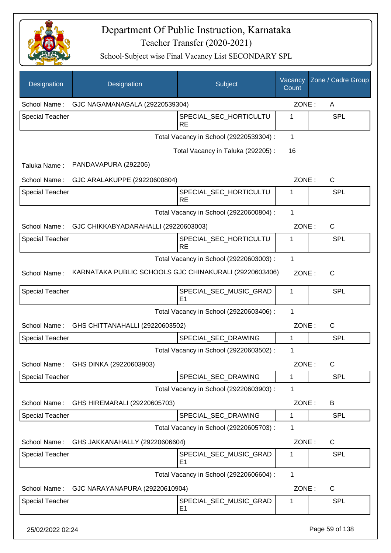

| Designation            | Designation                                            | Subject                                  | Vacancy<br>Count | Zone / Cadre Group |
|------------------------|--------------------------------------------------------|------------------------------------------|------------------|--------------------|
| School Name:           | GJC NAGAMANAGALA (29220539304)                         |                                          | ZONE:            | A                  |
| <b>Special Teacher</b> |                                                        | SPECIAL_SEC_HORTICULTU<br><b>RE</b>      | 1                | <b>SPL</b>         |
|                        |                                                        | Total Vacancy in School (29220539304) :  | 1                |                    |
|                        |                                                        | Total Vacancy in Taluka (292205):        | 16               |                    |
| Taluka Name:           | PANDAVAPURA (292206)                                   |                                          |                  |                    |
| School Name:           | GJC ARALAKUPPE (29220600804)                           |                                          | ZONE:            | $\mathsf{C}$       |
| <b>Special Teacher</b> |                                                        | SPECIAL_SEC_HORTICULTU<br><b>RE</b>      | 1                | <b>SPL</b>         |
|                        |                                                        | Total Vacancy in School (29220600804) :  | 1                |                    |
| School Name:           | GJC CHIKKABYADARAHALLI (29220603003)                   |                                          | ZONE:            | $\mathsf{C}$       |
| <b>Special Teacher</b> |                                                        | SPECIAL_SEC_HORTICULTU<br><b>RE</b>      | 1                | <b>SPL</b>         |
|                        |                                                        | Total Vacancy in School (29220603003) :  | 1                |                    |
| School Name:           | KARNATAKA PUBLIC SCHOOLS GJC CHINAKURALI (29220603406) |                                          | ZONE:            | $\mathsf{C}$       |
| <b>Special Teacher</b> |                                                        | SPECIAL_SEC_MUSIC_GRAD<br>E <sub>1</sub> | 1                | SPL                |
|                        |                                                        | Total Vacancy in School (29220603406) :  | 1                |                    |
| School Name:           | GHS CHITTANAHALLI (29220603502)                        |                                          | ZONE:            | C                  |
| <b>Special Teacher</b> |                                                        | SPECIAL_SEC_DRAWING                      | 1                | <b>SPL</b>         |
|                        |                                                        | Total Vacancy in School (29220603502) :  | 1                |                    |
| School Name:           | GHS DINKA (29220603903)                                |                                          | ZONE :           | С                  |
| <b>Special Teacher</b> |                                                        | SPECIAL_SEC_DRAWING                      | 1                | <b>SPL</b>         |
|                        |                                                        | Total Vacancy in School (29220603903) :  | 1                |                    |
| School Name:           | GHS HIREMARALI (29220605703)                           |                                          | ZONE:            | B                  |
| Special Teacher        |                                                        | SPECIAL_SEC_DRAWING                      | 1                | <b>SPL</b>         |
|                        |                                                        | Total Vacancy in School (29220605703) :  | 1                |                    |
| School Name:           | GHS JAKKANAHALLY (29220606604)                         |                                          | ZONE:            | $\mathsf{C}$       |
| <b>Special Teacher</b> |                                                        | SPECIAL_SEC_MUSIC_GRAD<br>E <sub>1</sub> | 1                | <b>SPL</b>         |
|                        |                                                        | Total Vacancy in School (29220606604) :  | 1                |                    |
| School Name:           | GJC NARAYANAPURA (29220610904)                         |                                          | ZONE:            | $\mathsf{C}$       |
| <b>Special Teacher</b> |                                                        | SPECIAL_SEC_MUSIC_GRAD<br>E <sub>1</sub> | 1                | <b>SPL</b>         |
| 25/02/2022 02:24       |                                                        |                                          |                  | Page 59 of 138     |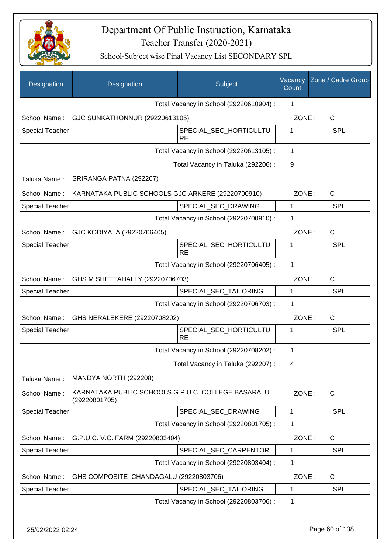

| Designation            | Designation                                                         | Subject                                 | Vacancy<br>Count | Zone / Cadre Group |
|------------------------|---------------------------------------------------------------------|-----------------------------------------|------------------|--------------------|
|                        |                                                                     | Total Vacancy in School (29220610904) : | 1                |                    |
|                        | School Name: GJC SUNKATHONNUR (29220613105)                         |                                         | ZONE:            | C                  |
| <b>Special Teacher</b> |                                                                     | SPECIAL_SEC_HORTICULTU<br><b>RE</b>     | 1                | <b>SPL</b>         |
|                        |                                                                     | Total Vacancy in School (29220613105) : | 1                |                    |
|                        |                                                                     | Total Vacancy in Taluka (292206):       | 9                |                    |
| Taluka Name:           | SRIRANGA PATNA (292207)                                             |                                         |                  |                    |
| School Name:           | KARNATAKA PUBLIC SCHOOLS GJC ARKERE (29220700910)                   |                                         | ZONE:            | $\mathsf{C}$       |
| <b>Special Teacher</b> |                                                                     | SPECIAL_SEC_DRAWING                     | 1                | <b>SPL</b>         |
|                        |                                                                     | Total Vacancy in School (29220700910) : | 1                |                    |
| School Name:           | GJC KODIYALA (29220706405)                                          |                                         | ZONE:            | $\mathsf{C}$       |
| <b>Special Teacher</b> |                                                                     | SPECIAL SEC HORTICULTU<br><b>RE</b>     | 1                | SPL                |
|                        |                                                                     | Total Vacancy in School (29220706405) : | 1                |                    |
| School Name:           | GHS M.SHETTAHALLY (29220706703)                                     |                                         | ZONE:            | $\mathsf{C}$       |
| <b>Special Teacher</b> |                                                                     | SPECIAL_SEC_TAILORING                   | 1                | <b>SPL</b>         |
|                        |                                                                     | Total Vacancy in School (29220706703) : | 1                |                    |
| School Name:           | GHS NERALEKERE (29220708202)                                        |                                         | ZONE:            | $\mathsf{C}$       |
| <b>Special Teacher</b> |                                                                     | SPECIAL_SEC_HORTICULTU<br><b>RE</b>     | 1                | SPL                |
|                        |                                                                     | Total Vacancy in School (29220708202) : | $\mathbf{1}$     |                    |
|                        |                                                                     | Total Vacancy in Taluka (292207) :      | 4                |                    |
| Taluka Name:           | MANDYA NORTH (292208)                                               |                                         |                  |                    |
| School Name:           | KARNATAKA PUBLIC SCHOOLS G.P.U.C. COLLEGE BASARALU<br>(29220801705) |                                         | ZONE:            | $\mathsf{C}$       |
| Special Teacher        |                                                                     | SPECIAL_SEC_DRAWING                     | 1                | <b>SPL</b>         |
|                        |                                                                     | Total Vacancy in School (29220801705) : | 1                |                    |
| School Name:           | G.P.U.C. V.C. FARM (29220803404)                                    |                                         | ZONE:            | C                  |
| Special Teacher        |                                                                     | SPECIAL_SEC_CARPENTOR                   | 1                | <b>SPL</b>         |
|                        |                                                                     | Total Vacancy in School (29220803404) : | 1                |                    |
| School Name:           | GHS COMPOSITE CHANDAGALU (29220803706)                              |                                         | ZONE:            | C                  |
| Special Teacher        |                                                                     | SPECIAL_SEC_TAILORING                   | 1                | <b>SPL</b>         |
|                        |                                                                     | Total Vacancy in School (29220803706) : | 1                |                    |
| 25/02/2022 02:24       |                                                                     |                                         |                  | Page 60 of 138     |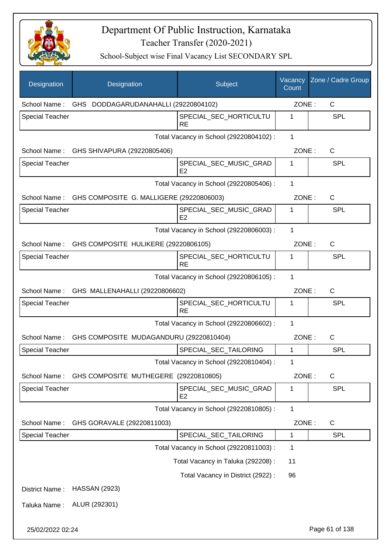

| <b>Designation</b>     | Designation                                       | Subject                                  | Vacancy<br>Count | Zone / Cadre Group |
|------------------------|---------------------------------------------------|------------------------------------------|------------------|--------------------|
| School Name:           | GHS DODDAGARUDANAHALLI (29220804102)              |                                          | ZONE:            | $\mathsf{C}$       |
| Special Teacher        |                                                   | SPECIAL_SEC_HORTICULTU<br><b>RE</b>      | 1                | <b>SPL</b>         |
|                        |                                                   | Total Vacancy in School (29220804102) :  | $\mathbf{1}$     |                    |
| School Name:           | GHS SHIVAPURA (29220805406)                       |                                          | ZONE:            | C                  |
| <b>Special Teacher</b> |                                                   | SPECIAL SEC MUSIC GRAD<br>E <sub>2</sub> | 1                | <b>SPL</b>         |
|                        |                                                   | Total Vacancy in School (29220805406) :  | 1                |                    |
| School Name:           | GHS COMPOSITE G. MALLIGERE (29220806003)          |                                          | ZONE:            | C                  |
| <b>Special Teacher</b> |                                                   | SPECIAL_SEC_MUSIC_GRAD<br>E2             | 1                | <b>SPL</b>         |
|                        |                                                   | Total Vacancy in School (29220806003) :  | $\mathbf{1}$     |                    |
|                        | School Name: GHS COMPOSITE HULIKERE (29220806105) |                                          | ZONE:            | $\mathsf{C}$       |
| <b>Special Teacher</b> |                                                   | SPECIAL_SEC_HORTICULTU<br>RE             | 1                | <b>SPL</b>         |
|                        |                                                   | Total Vacancy in School (29220806105) :  | 1                |                    |
|                        | School Name: GHS MALLENAHALLI (29220806602)       |                                          | ZONE:            | $\mathsf{C}$       |
| <b>Special Teacher</b> |                                                   | SPECIAL_SEC_HORTICULTU<br><b>RE</b>      | 1                | <b>SPL</b>         |
|                        |                                                   | Total Vacancy in School (29220806602) :  | 1                |                    |
| School Name:           | GHS COMPOSITE MUDAGANDURU (29220810404)           |                                          | ZONE:            | $\mathsf{C}$       |
| <b>Special Teacher</b> |                                                   | SPECIAL_SEC_TAILORING                    | 1                | <b>SPL</b>         |
|                        |                                                   | Total Vacancy in School (29220810404) :  | 1                |                    |
| School Name:           | GHS COMPOSITE MUTHEGERE (29220810805)             |                                          | ZONE:            | C                  |
| <b>Special Teacher</b> |                                                   | SPECIAL_SEC_MUSIC_GRAD<br>E <sub>2</sub> | 1                | <b>SPL</b>         |
|                        |                                                   | Total Vacancy in School (29220810805) :  | $\mathbf{1}$     |                    |
| School Name:           | GHS GORAVALE (29220811003)                        |                                          | ZONE:            | C                  |
| Special Teacher        |                                                   | SPECIAL_SEC_TAILORING                    | 1                | <b>SPL</b>         |
|                        |                                                   | Total Vacancy in School (29220811003) :  | 1                |                    |
|                        |                                                   | Total Vacancy in Taluka (292208) :       | 11               |                    |
|                        |                                                   | Total Vacancy in District (2922) :       | 96               |                    |
| District Name:         | <b>HASSAN (2923)</b>                              |                                          |                  |                    |
| Taluka Name:           | ALUR (292301)                                     |                                          |                  |                    |
| 25/02/2022 02:24       |                                                   |                                          |                  | Page 61 of 138     |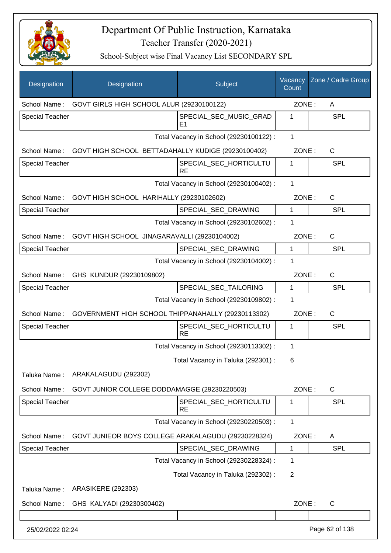

| Designation            | Designation                                           | Subject                                 | Vacancy<br>Count | Zone / Cadre Group |
|------------------------|-------------------------------------------------------|-----------------------------------------|------------------|--------------------|
| School Name:           | GOVT GIRLS HIGH SCHOOL ALUR (29230100122)             |                                         | ZONE:            | A                  |
| <b>Special Teacher</b> |                                                       | SPECIAL_SEC_MUSIC_GRAD<br>E1            | 1                | <b>SPL</b>         |
|                        |                                                       | Total Vacancy in School (29230100122) : | 1                |                    |
| School Name:           | GOVT HIGH SCHOOL BETTADAHALLY KUDIGE (29230100402)    |                                         | ZONE:            | C                  |
| <b>Special Teacher</b> |                                                       | SPECIAL SEC HORTICULTU<br><b>RE</b>     | 1                | <b>SPL</b>         |
|                        |                                                       | Total Vacancy in School (29230100402) : | 1                |                    |
|                        | School Name: GOVT HIGH SCHOOL HARIHALLY (29230102602) |                                         | ZONE:            | $\mathsf{C}$       |
| <b>Special Teacher</b> |                                                       | SPECIAL_SEC_DRAWING                     | $\mathbf{1}$     | <b>SPL</b>         |
|                        |                                                       | Total Vacancy in School (29230102602) : | 1                |                    |
| School Name:           | GOVT HIGH SCHOOL JINAGARAVALLI (29230104002)          |                                         | ZONE:            | $\mathsf{C}$       |
| <b>Special Teacher</b> |                                                       | SPECIAL SEC DRAWING                     | $\mathbf{1}$     | <b>SPL</b>         |
|                        |                                                       | Total Vacancy in School (29230104002) : | 1                |                    |
| School Name:           | GHS KUNDUR (29230109802)                              |                                         | ZONE:            | C                  |
| <b>Special Teacher</b> |                                                       | SPECIAL_SEC_TAILORING                   | 1                | <b>SPL</b>         |
|                        |                                                       | Total Vacancy in School (29230109802) : | 1                |                    |
| School Name:           | GOVERNMENT HIGH SCHOOL THIPPANAHALLY (29230113302)    |                                         | ZONE:            | $\mathsf{C}$       |
| <b>Special Teacher</b> |                                                       | SPECIAL SEC HORTICULTU<br><b>RE</b>     | 1                | <b>SPL</b>         |
|                        |                                                       | Total Vacancy in School (29230113302) : | 1                |                    |
|                        |                                                       | Total Vacancy in Taluka (292301) :      | 6                |                    |
| Taluka Name:           | ARAKALAGUDU (292302)                                  |                                         |                  |                    |
| School Name:           | GOVT JUNIOR COLLEGE DODDAMAGGE (29230220503)          |                                         | ZONE:            | C                  |
| Special Teacher        |                                                       | SPECIAL SEC HORTICULTU<br><b>RE</b>     | 1                | <b>SPL</b>         |
|                        |                                                       | Total Vacancy in School (29230220503) : | 1                |                    |
| School Name:           | GOVT JUNIEOR BOYS COLLEGE ARAKALAGUDU (29230228324)   |                                         | ZONE:            | A                  |
| <b>Special Teacher</b> |                                                       | SPECIAL_SEC_DRAWING                     | 1                | <b>SPL</b>         |
|                        |                                                       | Total Vacancy in School (29230228324) : | 1                |                    |
|                        |                                                       | Total Vacancy in Taluka (292302) :      | 2                |                    |
| Taluka Name:           | <b>ARASIKERE (292303)</b>                             |                                         |                  |                    |
| School Name:           | GHS KALYADI (29230300402)                             |                                         | ZONE:            | $\mathsf{C}$       |
|                        |                                                       |                                         |                  |                    |
| 25/02/2022 02:24       |                                                       |                                         |                  | Page 62 of 138     |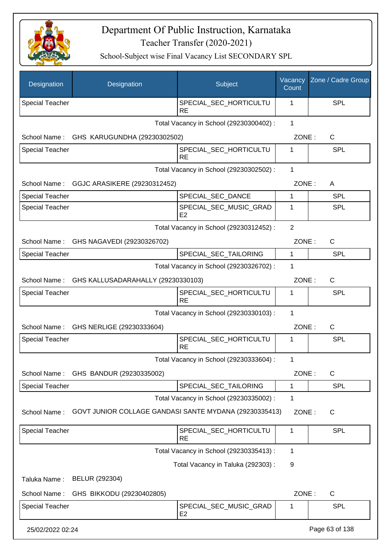

| Designation            | Designation                                            | Subject                                  | Vacancy<br>Count | Zone / Cadre Group |
|------------------------|--------------------------------------------------------|------------------------------------------|------------------|--------------------|
| <b>Special Teacher</b> |                                                        | SPECIAL_SEC_HORTICULTU<br><b>RE</b>      | 1                | SPL                |
|                        |                                                        | Total Vacancy in School (29230300402) :  | $\mathbf{1}$     |                    |
| School Name:           | GHS KARUGUNDHA (29230302502)                           |                                          | ZONE:            | $\mathsf{C}$       |
| <b>Special Teacher</b> |                                                        | SPECIAL_SEC_HORTICULTU<br><b>RE</b>      | 1                | <b>SPL</b>         |
|                        |                                                        | Total Vacancy in School (29230302502) :  | 1                |                    |
| School Name:           | GGJC ARASIKERE (29230312452)                           |                                          | ZONE:            | A                  |
| <b>Special Teacher</b> |                                                        | SPECIAL_SEC_DANCE                        | 1                | <b>SPL</b>         |
| <b>Special Teacher</b> |                                                        | SPECIAL_SEC_MUSIC_GRAD<br>E <sub>2</sub> | 1                | <b>SPL</b>         |
|                        |                                                        | Total Vacancy in School (29230312452) :  | $\overline{2}$   |                    |
| School Name:           | GHS NAGAVEDI (29230326702)                             |                                          | ZONE:            | $\mathsf{C}$       |
| <b>Special Teacher</b> |                                                        | SPECIAL_SEC_TAILORING                    | 1                | <b>SPL</b>         |
|                        |                                                        | Total Vacancy in School (29230326702) :  | 1                |                    |
| School Name:           | GHS KALLUSADARAHALLY (29230330103)                     |                                          | ZONE:            | $\mathsf{C}$       |
| <b>Special Teacher</b> |                                                        | SPECIAL_SEC_HORTICULTU<br><b>RE</b>      | 1                | <b>SPL</b>         |
|                        |                                                        | Total Vacancy in School (29230330103) :  | $\mathbf{1}$     |                    |
|                        | School Name: GHS NERLIGE (29230333604)                 |                                          | ZONE:            | C                  |
| <b>Special Teacher</b> |                                                        | SPECIAL SEC HORTICULTU<br><b>RE</b>      | 1                | SPL                |
|                        |                                                        | Total Vacancy in School (29230333604) :  | 1                |                    |
| School Name:           | GHS BANDUR (29230335002)                               |                                          | ZONE:            | $\mathsf{C}$       |
| <b>Special Teacher</b> |                                                        | SPECIAL_SEC_TAILORING                    | 1                | <b>SPL</b>         |
|                        |                                                        | Total Vacancy in School (29230335002) :  | 1                |                    |
| School Name:           | GOVT JUNIOR COLLAGE GANDASI SANTE MYDANA (29230335413) |                                          | ZONE:            | C                  |
| Special Teacher        |                                                        | SPECIAL_SEC_HORTICULTU<br><b>RE</b>      | 1                | <b>SPL</b>         |
|                        |                                                        | Total Vacancy in School (29230335413) :  | 1                |                    |
|                        |                                                        | Total Vacancy in Taluka (292303) :       | 9                |                    |
| Taluka Name:           | BELUR (292304)                                         |                                          |                  |                    |
| School Name:           | GHS BIKKODU (29230402805)                              |                                          | ZONE:            | $\mathsf{C}$       |
| Special Teacher        |                                                        | SPECIAL_SEC_MUSIC_GRAD<br>E <sub>2</sub> | 1                | <b>SPL</b>         |
| 25/02/2022 02:24       |                                                        |                                          |                  | Page 63 of 138     |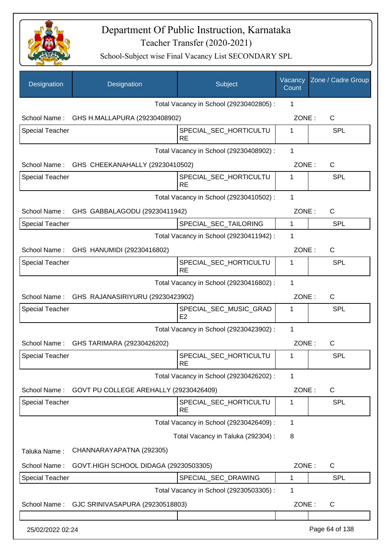

| Designation            | Designation                                   | Subject                                  | Vacancy<br>Count | Zone / Cadre Group |
|------------------------|-----------------------------------------------|------------------------------------------|------------------|--------------------|
|                        |                                               | Total Vacancy in School (29230402805) :  | 1                |                    |
| School Name:           | GHS H.MALLAPURA (29230408902)                 |                                          | ZONE:            | C                  |
| <b>Special Teacher</b> |                                               | SPECIAL_SEC_HORTICULTU<br><b>RE</b>      | 1                | <b>SPL</b>         |
|                        |                                               | Total Vacancy in School (29230408902) :  | 1                |                    |
|                        | School Name: GHS CHEEKANAHALLY (29230410502)  |                                          | ZONE:            | $\mathsf{C}$       |
| <b>Special Teacher</b> |                                               | SPECIAL_SEC_HORTICULTU<br><b>RE</b>      | 1                | <b>SPL</b>         |
|                        |                                               | Total Vacancy in School (29230410502) :  | 1                |                    |
|                        | School Name: GHS GABBALAGODU (29230411942)    |                                          | ZONE:            | C                  |
| <b>Special Teacher</b> |                                               | SPECIAL_SEC_TAILORING                    | 1                | <b>SPL</b>         |
|                        |                                               | Total Vacancy in School (29230411942) :  | 1                |                    |
|                        | School Name: GHS HANUMIDI (29230416802)       |                                          | ZONE:            | C                  |
| <b>Special Teacher</b> |                                               | SPECIAL_SEC_HORTICULTU<br><b>RE</b>      | 1                | <b>SPL</b>         |
|                        |                                               | Total Vacancy in School (29230416802) :  | 1                |                    |
|                        | School Name: GHS RAJANASIRIYURU (29230423902) |                                          | ZONE:            | C                  |
| Special Teacher        |                                               | SPECIAL_SEC_MUSIC_GRAD<br>E <sub>2</sub> | 1                | <b>SPL</b>         |
|                        |                                               | Total Vacancy in School (29230423902) :  | 1                |                    |
| School Name:           | GHS TARIMARA (29230426202)                    |                                          | ZONE:            | C                  |
| <b>Special Teacher</b> |                                               | SPECIAL_SEC_HORTICULTU<br><b>RE</b>      | 1                | <b>SPL</b>         |
|                        |                                               | Total Vacancy in School (29230426202) :  | 1                |                    |
| School Name:           | GOVT PU COLLEGE AREHALLY (29230426409)        |                                          | ZONE:            | $\mathsf C$        |
| <b>Special Teacher</b> |                                               | SPECIAL SEC HORTICULTU<br><b>RE</b>      | 1                | <b>SPL</b>         |
|                        |                                               | Total Vacancy in School (29230426409) :  | 1                |                    |
|                        |                                               | Total Vacancy in Taluka (292304) :       | 8                |                    |
| Taluka Name:           | CHANNARAYAPATNA (292305)                      |                                          |                  |                    |
| School Name:           | GOVT.HIGH SCHOOL DIDAGA (29230503305)         |                                          | ZONE:            | C                  |
| <b>Special Teacher</b> |                                               | SPECIAL_SEC_DRAWING                      | 1                | <b>SPL</b>         |
|                        |                                               | Total Vacancy in School (29230503305) :  | 1                |                    |
| School Name:           | GJC SRINIVASAPURA (29230518803)               |                                          | ZONE:            | $\mathsf C$        |
| 25/02/2022 02:24       |                                               |                                          |                  | Page 64 of 138     |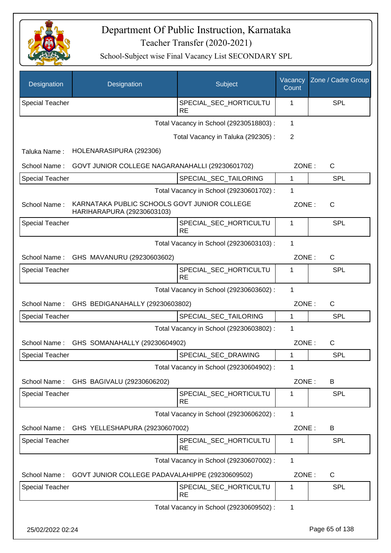

| Designation            | Designation                                                                | Subject                                 | Vacancy<br>Count | Zone / Cadre Group |
|------------------------|----------------------------------------------------------------------------|-----------------------------------------|------------------|--------------------|
| <b>Special Teacher</b> |                                                                            | SPECIAL_SEC_HORTICULTU<br><b>RE</b>     | 1                | <b>SPL</b>         |
|                        |                                                                            | Total Vacancy in School (29230518803) : | 1                |                    |
|                        |                                                                            | Total Vacancy in Taluka (292305):       | 2                |                    |
| Taluka Name:           | HOLENARASIPURA (292306)                                                    |                                         |                  |                    |
| School Name:           | GOVT JUNIOR COLLEGE NAGARANAHALLI (29230601702)                            |                                         | ZONE:            | C                  |
| Special Teacher        |                                                                            | SPECIAL_SEC_TAILORING                   | 1                | <b>SPL</b>         |
|                        |                                                                            | Total Vacancy in School (29230601702) : | 1                |                    |
| School Name:           | KARNATAKA PUBLIC SCHOOLS GOVT JUNIOR COLLEGE<br>HARIHARAPURA (29230603103) |                                         | ZONE:            | $\mathsf{C}$       |
| Special Teacher        |                                                                            | SPECIAL_SEC_HORTICULTU<br><b>RE</b>     | 1                | <b>SPL</b>         |
|                        |                                                                            | Total Vacancy in School (29230603103) : | 1                |                    |
| School Name:           | GHS MAVANURU (29230603602)                                                 |                                         | ZONE:            | $\mathsf{C}$       |
| <b>Special Teacher</b> |                                                                            | SPECIAL_SEC_HORTICULTU<br><b>RE</b>     | 1                | <b>SPL</b>         |
|                        |                                                                            | Total Vacancy in School (29230603602) : | 1                |                    |
| School Name:           | GHS BEDIGANAHALLY (29230603802)                                            |                                         | ZONE:            | C                  |
| <b>Special Teacher</b> |                                                                            | SPECIAL_SEC_TAILORING                   | $\mathbf 1$      | <b>SPL</b>         |
|                        |                                                                            | Total Vacancy in School (29230603802) : | 1                |                    |
| School Name:           | GHS SOMANAHALLY (29230604902)                                              |                                         | ZONE:            | $\mathsf{C}$       |
| <b>Special Teacher</b> |                                                                            | SPECIAL_SEC_DRAWING                     | 1                | <b>SPL</b>         |
|                        |                                                                            | Total Vacancy in School (29230604902) : | 1                |                    |
| School Name:           | GHS BAGIVALU (29230606202)                                                 |                                         | ZONE:            | B                  |
| Special Teacher        |                                                                            | SPECIAL_SEC_HORTICULTU<br><b>RE</b>     | 1                | <b>SPL</b>         |
|                        |                                                                            | Total Vacancy in School (29230606202) : | 1                |                    |
| School Name:           | GHS YELLESHAPURA (29230607002)                                             |                                         | ZONE:            | B                  |
| Special Teacher        |                                                                            | SPECIAL_SEC_HORTICULTU<br><b>RE</b>     | 1                | <b>SPL</b>         |
|                        |                                                                            | Total Vacancy in School (29230607002) : | 1                |                    |
| School Name:           | GOVT JUNIOR COLLEGE PADAVALAHIPPE (29230609502)                            |                                         | ZONE:            | $\mathsf C$        |
| Special Teacher        |                                                                            | SPECIAL_SEC_HORTICULTU                  | 1                | <b>SPL</b>         |
|                        |                                                                            | <b>RE</b>                               |                  |                    |
|                        |                                                                            | Total Vacancy in School (29230609502):  | 1                |                    |
| 25/02/2022 02:24       |                                                                            |                                         |                  | Page 65 of 138     |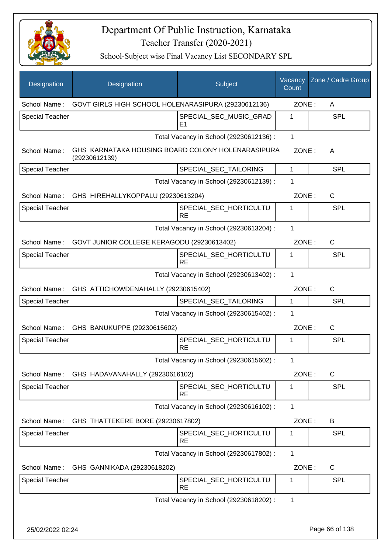

| Designation            | Designation                                                        | Subject                                  | Vacancy<br>Count | Zone / Cadre Group |
|------------------------|--------------------------------------------------------------------|------------------------------------------|------------------|--------------------|
| School Name:           | GOVT GIRLS HIGH SCHOOL HOLENARASIPURA (29230612136)                |                                          | ZONE:            | A                  |
| <b>Special Teacher</b> |                                                                    | SPECIAL SEC MUSIC GRAD<br>E <sub>1</sub> | 1                | <b>SPL</b>         |
|                        |                                                                    | Total Vacancy in School (29230612136) :  | $\mathbf 1$      |                    |
| School Name:           | GHS KARNATAKA HOUSING BOARD COLONY HOLENARASIPURA<br>(29230612139) |                                          | ZONE:            | A                  |
| <b>Special Teacher</b> |                                                                    | SPECIAL_SEC_TAILORING                    | 1                | <b>SPL</b>         |
|                        |                                                                    | Total Vacancy in School (29230612139) :  | 1                |                    |
|                        | School Name: GHS HIREHALLYKOPPALU (29230613204)                    |                                          | ZONE:            | C                  |
| <b>Special Teacher</b> |                                                                    | SPECIAL_SEC_HORTICULTU<br><b>RE</b>      | 1                | <b>SPL</b>         |
|                        |                                                                    | Total Vacancy in School (29230613204) :  | 1                |                    |
| School Name:           | GOVT JUNIOR COLLEGE KERAGODU (29230613402)                         |                                          | ZONE:            | C                  |
| <b>Special Teacher</b> |                                                                    | SPECIAL SEC HORTICULTU<br><b>RE</b>      | 1                | <b>SPL</b>         |
|                        |                                                                    | Total Vacancy in School (29230613402) :  | 1                |                    |
| School Name:           | GHS ATTICHOWDENAHALLY (29230615402)                                |                                          | ZONE:            | $\mathsf{C}$       |
| <b>Special Teacher</b> |                                                                    | SPECIAL_SEC_TAILORING                    | 1                | <b>SPL</b>         |
|                        |                                                                    | Total Vacancy in School (29230615402) :  | 1                |                    |
| School Name:           | GHS BANUKUPPE (29230615602)                                        |                                          | ZONE:            | $\mathsf{C}$       |
| <b>Special Teacher</b> |                                                                    | SPECIAL_SEC_HORTICULTU<br><b>RE</b>      | 1                | SPL                |
|                        |                                                                    | Total Vacancy in School (29230615602) :  | 1                |                    |
|                        | School Name: GHS HADAVANAHALLY (29230616102)                       |                                          | ZONE:            | $\mathsf{C}$       |
| <b>Special Teacher</b> |                                                                    | SPECIAL_SEC_HORTICULTU<br><b>RE</b>      | 1                | <b>SPL</b>         |
|                        |                                                                    | Total Vacancy in School (29230616102) :  | 1                |                    |
|                        | School Name: GHS THATTEKERE BORE (29230617802)                     |                                          | ZONE:            | B                  |
| Special Teacher        |                                                                    | SPECIAL SEC HORTICULTU<br><b>RE</b>      | 1                | <b>SPL</b>         |
|                        |                                                                    | Total Vacancy in School (29230617802) :  | 1                |                    |
| School Name:           | GHS GANNIKADA (29230618202)                                        |                                          | ZONE:            | C                  |
| <b>Special Teacher</b> |                                                                    | SPECIAL_SEC_HORTICULTU<br><b>RE</b>      | 1                | <b>SPL</b>         |
|                        |                                                                    | Total Vacancy in School (29230618202) :  | 1                |                    |
| 25/02/2022 02:24       |                                                                    |                                          |                  | Page 66 of 138     |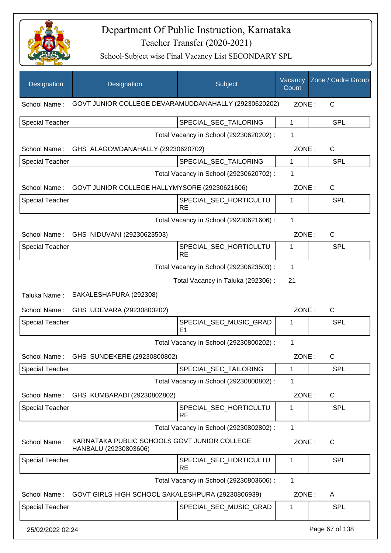

| Designation            | Designation                                                           | Subject                                 | Vacancy<br>Count | Zone / Cadre Group |
|------------------------|-----------------------------------------------------------------------|-----------------------------------------|------------------|--------------------|
| School Name:           | GOVT JUNIOR COLLEGE DEVARAMUDDANAHALLY (29230620202)                  |                                         | ZONE:            | C                  |
| <b>Special Teacher</b> |                                                                       | SPECIAL_SEC_TAILORING                   | 1                | <b>SPL</b>         |
|                        |                                                                       | Total Vacancy in School (29230620202) : | 1                |                    |
|                        | School Name: GHS ALAGOWDANAHALLY (29230620702)                        |                                         | ZONE:            | C                  |
| <b>Special Teacher</b> |                                                                       | SPECIAL_SEC_TAILORING                   | $\mathbf 1$      | <b>SPL</b>         |
|                        |                                                                       | Total Vacancy in School (29230620702) : | 1                |                    |
|                        | School Name: GOVT JUNIOR COLLEGE HALLYMYSORE (29230621606)            |                                         | ZONE:            | $\mathsf{C}$       |
| <b>Special Teacher</b> |                                                                       | SPECIAL SEC HORTICULTU<br><b>RE</b>     | 1                | <b>SPL</b>         |
|                        |                                                                       | Total Vacancy in School (29230621606) : | 1                |                    |
| School Name:           | GHS NIDUVANI (29230623503)                                            |                                         | ZONE:            | $\mathsf{C}$       |
| <b>Special Teacher</b> |                                                                       | SPECIAL_SEC_HORTICULTU<br><b>RE</b>     | 1                | <b>SPL</b>         |
|                        |                                                                       | Total Vacancy in School (29230623503) : | 1                |                    |
|                        |                                                                       | Total Vacancy in Taluka (292306) :      | 21               |                    |
| Taluka Name:           | SAKALESHAPURA (292308)                                                |                                         |                  |                    |
| School Name:           | GHS UDEVARA (29230800202)                                             |                                         | ZONE:            | C                  |
| <b>Special Teacher</b> |                                                                       | SPECIAL_SEC_MUSIC_GRAD<br>E1            | 1                | <b>SPL</b>         |
|                        |                                                                       | Total Vacancy in School (29230800202) : | 1                |                    |
| School Name:           | GHS SUNDEKERE (29230800802)                                           |                                         | ZONE:            | С                  |
| <b>Special Teacher</b> |                                                                       | SPECIAL_SEC_TAILORING                   | 1                | <b>SPL</b>         |
|                        |                                                                       | Total Vacancy in School (29230800802) : | 1                |                    |
| School Name:           | GHS KUMBARADI (29230802802)                                           |                                         | ZONE:            | C                  |
| <b>Special Teacher</b> |                                                                       | SPECIAL_SEC_HORTICULTU<br><b>RE</b>     | 1                | <b>SPL</b>         |
|                        |                                                                       | Total Vacancy in School (29230802802) : | 1                |                    |
| School Name:           | KARNATAKA PUBLIC SCHOOLS GOVT JUNIOR COLLEGE<br>HANBALU (29230803606) |                                         | ZONE:            | $\mathsf{C}$       |
| <b>Special Teacher</b> |                                                                       | SPECIAL_SEC_HORTICULTU<br><b>RE</b>     | 1                | <b>SPL</b>         |
|                        |                                                                       | Total Vacancy in School (29230803606) : | 1                |                    |
| School Name:           | GOVT GIRLS HIGH SCHOOL SAKALESHPURA (29230806939)                     |                                         | ZONE:            | A                  |
| <b>Special Teacher</b> |                                                                       | SPECIAL_SEC_MUSIC_GRAD                  | 1                | <b>SPL</b>         |
| 25/02/2022 02:24       |                                                                       |                                         |                  | Page 67 of 138     |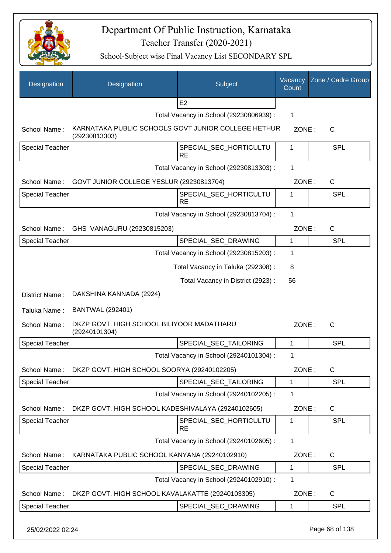

School-Subject wise Final Vacancy List SECONDARY SPL

| Designation            | Designation                                                          | Subject                                 | Vacancy<br>Count | Zone / Cadre Group |
|------------------------|----------------------------------------------------------------------|-----------------------------------------|------------------|--------------------|
|                        |                                                                      | E2                                      |                  |                    |
|                        |                                                                      | Total Vacancy in School (29230806939) : | 1                |                    |
| School Name:           | KARNATAKA PUBLIC SCHOOLS GOVT JUNIOR COLLEGE HETHUR<br>(29230813303) |                                         | ZONE:            | $\mathsf{C}$       |
| <b>Special Teacher</b> |                                                                      | SPECIAL_SEC_HORTICULTU<br><b>RE</b>     | 1                | <b>SPL</b>         |
|                        |                                                                      | Total Vacancy in School (29230813303) : | 1                |                    |
| School Name:           | GOVT JUNIOR COLLEGE YESLUR (29230813704)                             |                                         | ZONE:            | $\mathsf{C}$       |
| <b>Special Teacher</b> |                                                                      | SPECIAL_SEC_HORTICULTU<br><b>RE</b>     | 1                | <b>SPL</b>         |
|                        |                                                                      | Total Vacancy in School (29230813704) : | 1                |                    |
| School Name:           | GHS VANAGURU (29230815203)                                           |                                         | ZONE:            | $\mathsf{C}$       |
| Special Teacher        |                                                                      | SPECIAL_SEC_DRAWING                     | $\mathbf{1}$     | <b>SPL</b>         |
|                        |                                                                      | Total Vacancy in School (29230815203) : | 1                |                    |
|                        |                                                                      | Total Vacancy in Taluka (292308) :      | 8                |                    |
|                        |                                                                      | Total Vacancy in District (2923) :      | 56               |                    |
| District Name:         | DAKSHINA KANNADA (2924)                                              |                                         |                  |                    |
| Taluka Name:           | <b>BANTWAL (292401)</b>                                              |                                         |                  |                    |
| School Name:           | DKZP GOVT. HIGH SCHOOL BILIYOOR MADATHARU<br>(29240101304)           |                                         | ZONE:            | $\mathsf{C}$       |
| <b>Special Teacher</b> |                                                                      | SPECIAL SEC TAILORING                   | 1                | <b>SPL</b>         |
|                        |                                                                      | Total Vacancy in School (29240101304) : | 1                |                    |
| School Name:           | DKZP GOVT. HIGH SCHOOL SOORYA (29240102205)                          |                                         | ZONE:            | C                  |
| <b>Special Teacher</b> |                                                                      | SPECIAL_SEC_TAILORING                   | 1                | <b>SPL</b>         |
|                        |                                                                      | Total Vacancy in School (29240102205) : | $\mathbf 1$      |                    |
| School Name:           | DKZP GOVT. HIGH SCHOOL KADESHIVALAYA (29240102605)                   |                                         | ZONE:            | C                  |
| <b>Special Teacher</b> |                                                                      | SPECIAL_SEC_HORTICULTU<br><b>RE</b>     | 1                | <b>SPL</b>         |
|                        |                                                                      | Total Vacancy in School (29240102605) : | 1                |                    |
| School Name:           | KARNATAKA PUBLIC SCHOOL KANYANA (29240102910)                        |                                         | ZONE:            | C                  |
| <b>Special Teacher</b> |                                                                      | SPECIAL_SEC_DRAWING                     | 1                | <b>SPL</b>         |
|                        |                                                                      | Total Vacancy in School (29240102910) : | 1                |                    |
| School Name:           | DKZP GOVT. HIGH SCHOOL KAVALAKATTE (29240103305)                     |                                         | ZONE:            | C                  |
| Special Teacher        |                                                                      | SPECIAL_SEC_DRAWING                     | 1                | <b>SPL</b>         |

25/02/2022 02:24 Page 68 of 138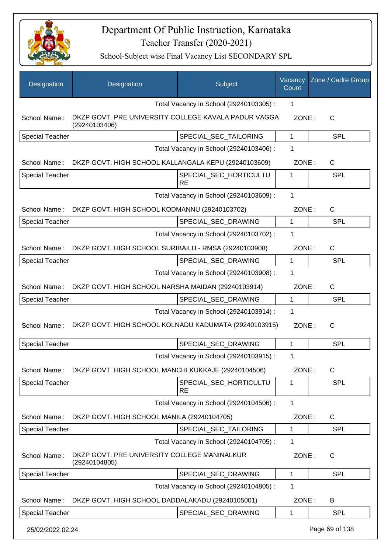

| Designation            | Designation                                                           | Subject                                 | Vacancy<br>Count | Zone / Cadre Group |
|------------------------|-----------------------------------------------------------------------|-----------------------------------------|------------------|--------------------|
|                        |                                                                       | Total Vacancy in School (29240103305) : | 1                |                    |
| School Name:           | DKZP GOVT. PRE UNIVERSITY COLLEGE KAVALA PADUR VAGGA<br>(29240103406) |                                         | ZONE:            | $\mathsf{C}$       |
| <b>Special Teacher</b> |                                                                       | SPECIAL_SEC_TAILORING                   | $\mathbf{1}$     | <b>SPL</b>         |
|                        |                                                                       | Total Vacancy in School (29240103406) : | 1                |                    |
| School Name:           | DKZP GOVT. HIGH SCHOOL KALLANGALA KEPU (29240103609)                  |                                         | ZONE:            | $\mathsf{C}$       |
| <b>Special Teacher</b> |                                                                       | SPECIAL_SEC_HORTICULTU<br><b>RE</b>     | 1                | <b>SPL</b>         |
|                        |                                                                       | Total Vacancy in School (29240103609) : | 1                |                    |
| School Name:           | DKZP GOVT. HIGH SCHOOL KODMANNU (29240103702)                         |                                         | ZONE:            | $\mathsf{C}$       |
| <b>Special Teacher</b> |                                                                       | SPECIAL_SEC_DRAWING                     | 1                | <b>SPL</b>         |
|                        |                                                                       | Total Vacancy in School (29240103702) : | 1                |                    |
| School Name:           | DKZP GOVT. HIGH SCHOOL SURIBAILU - RMSA (29240103908)                 |                                         | ZONE:            | $\mathsf{C}$       |
| <b>Special Teacher</b> |                                                                       | SPECIAL_SEC_DRAWING                     | $\mathbf 1$      | <b>SPL</b>         |
|                        |                                                                       | Total Vacancy in School (29240103908) : | 1                |                    |
| School Name:           | DKZP GOVT. HIGH SCHOOL NARSHA MAIDAN (29240103914)                    |                                         | ZONE:            | C                  |
| <b>Special Teacher</b> |                                                                       | SPECIAL_SEC_DRAWING                     | $\mathbf 1$      | <b>SPL</b>         |
|                        |                                                                       | Total Vacancy in School (29240103914) : | 1                |                    |
| School Name:           | DKZP GOVT. HIGH SCHOOL KOLNADU KADUMATA (29240103915)                 |                                         | ZONE:            | $\mathsf{C}$       |
| <b>Special Teacher</b> |                                                                       | SPECIAL_SEC_DRAWING                     | 1                | <b>SPL</b>         |
|                        |                                                                       | Total Vacancy in School (29240103915) : | 1                |                    |
| School Name:           | DKZP GOVT. HIGH SCHOOL MANCHI KUKKAJE (29240104506)                   |                                         | ZONE:            | $\mathsf{C}$       |
| Special Teacher        |                                                                       | SPECIAL_SEC_HORTICULTU<br><b>RE</b>     | 1                | <b>SPL</b>         |
|                        |                                                                       | Total Vacancy in School (29240104506) : | $\mathbf{1}$     |                    |
| School Name:           | DKZP GOVT. HIGH SCHOOL MANILA (29240104705)                           |                                         | ZONE:            | C                  |
| <b>Special Teacher</b> |                                                                       | SPECIAL_SEC_TAILORING                   | 1                | <b>SPL</b>         |
|                        |                                                                       | Total Vacancy in School (29240104705) : | 1                |                    |
| School Name:           | DKZP GOVT. PRE UNIVERSITY COLLEGE MANINALKUR<br>(29240104805)         |                                         | ZONE:            | C                  |
| <b>Special Teacher</b> |                                                                       | SPECIAL_SEC_DRAWING                     | 1                | <b>SPL</b>         |
|                        |                                                                       | Total Vacancy in School (29240104805) : | 1                |                    |
| School Name:           | DKZP GOVT. HIGH SCHOOL DADDALAKADU (29240105001)                      |                                         | ZONE:            | B                  |
| <b>Special Teacher</b> |                                                                       | SPECIAL_SEC_DRAWING                     | $\mathbf 1$      | <b>SPL</b>         |
| 25/02/2022 02:24       |                                                                       |                                         |                  | Page 69 of 138     |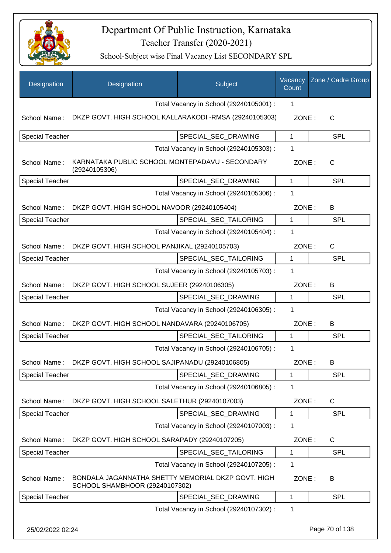

| Designation            | Designation                                                                          | Subject                                 | Vacancy<br>Count | Zone / Cadre Group |
|------------------------|--------------------------------------------------------------------------------------|-----------------------------------------|------------------|--------------------|
|                        |                                                                                      | Total Vacancy in School (29240105001) : | 1                |                    |
| School Name:           | DKZP GOVT. HIGH SCHOOL KALLARAKODI -RMSA (29240105303)                               |                                         | ZONE:            | $\mathsf{C}$       |
| <b>Special Teacher</b> |                                                                                      | SPECIAL_SEC_DRAWING                     | $\mathbf{1}$     | <b>SPL</b>         |
|                        |                                                                                      | Total Vacancy in School (29240105303) : | 1                |                    |
| School Name:           | KARNATAKA PUBLIC SCHOOL MONTEPADAVU - SECONDARY<br>(29240105306)                     |                                         | ZONE:            | $\mathsf{C}$       |
| <b>Special Teacher</b> |                                                                                      | SPECIAL_SEC_DRAWING                     | 1                | <b>SPL</b>         |
|                        |                                                                                      | Total Vacancy in School (29240105306) : | 1                |                    |
| School Name:           | DKZP GOVT. HIGH SCHOOL NAVOOR (29240105404)                                          |                                         | ZONE:            | B                  |
| <b>Special Teacher</b> |                                                                                      | SPECIAL_SEC_TAILORING                   | $\mathbf{1}$     | <b>SPL</b>         |
|                        |                                                                                      | Total Vacancy in School (29240105404) : | $\mathbf 1$      |                    |
| School Name:           | DKZP GOVT. HIGH SCHOOL PANJIKAL (29240105703)                                        |                                         | ZONE:            | C                  |
| <b>Special Teacher</b> |                                                                                      | SPECIAL_SEC_TAILORING                   | $\mathbf{1}$     | <b>SPL</b>         |
|                        |                                                                                      | Total Vacancy in School (29240105703) : | 1                |                    |
|                        | School Name: DKZP GOVT. HIGH SCHOOL SUJEER (29240106305)                             |                                         | ZONE:            | B                  |
| <b>Special Teacher</b> |                                                                                      | SPECIAL_SEC_DRAWING                     | 1                | SPL                |
|                        |                                                                                      | Total Vacancy in School (29240106305) : | 1                |                    |
| School Name:           | DKZP GOVT. HIGH SCHOOL NANDAVARA (29240106705)                                       |                                         | ZONE:            | B                  |
| <b>Special Teacher</b> |                                                                                      | SPECIAL_SEC_TAILORING                   | $\mathbf{1}$     | SPL                |
|                        |                                                                                      | Total Vacancy in School (29240106705) : | $\mathbf 1$      |                    |
| School Name:           | DKZP GOVT. HIGH SCHOOL SAJIPANADU (29240106805)                                      |                                         | ZONE:            | В                  |
| <b>Special Teacher</b> |                                                                                      | SPECIAL SEC DRAWING                     | 1                | <b>SPL</b>         |
|                        |                                                                                      | Total Vacancy in School (29240106805) : | $\mathbf 1$      |                    |
| School Name:           | DKZP GOVT. HIGH SCHOOL SALETHUR (29240107003)                                        |                                         | ZONE:            | C                  |
| <b>Special Teacher</b> |                                                                                      | SPECIAL_SEC_DRAWING                     | 1                | <b>SPL</b>         |
|                        |                                                                                      | Total Vacancy in School (29240107003) : | 1                |                    |
| School Name:           | DKZP GOVT. HIGH SCHOOL SARAPADY (29240107205)                                        |                                         | ZONE:            | C                  |
| <b>Special Teacher</b> |                                                                                      | SPECIAL_SEC_TAILORING                   | $\mathbf{1}$     | <b>SPL</b>         |
|                        |                                                                                      | Total Vacancy in School (29240107205) : | $\mathbf 1$      |                    |
| School Name:           | BONDALA JAGANNATHA SHETTY MEMORIAL DKZP GOVT. HIGH<br>SCHOOL SHAMBHOOR (29240107302) |                                         | ZONE:            | B                  |
| <b>Special Teacher</b> |                                                                                      | SPECIAL_SEC_DRAWING                     | 1                | <b>SPL</b>         |
|                        |                                                                                      | Total Vacancy in School (29240107302) : | 1                |                    |
| 25/02/2022 02:24       |                                                                                      |                                         |                  | Page 70 of 138     |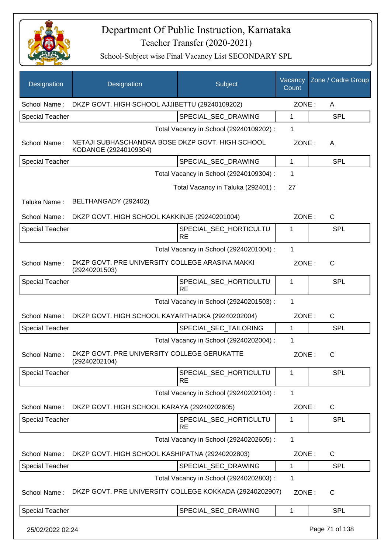

| Designation            | Designation                                                               | Subject                                 | Vacancy<br>Count | Zone / Cadre Group |
|------------------------|---------------------------------------------------------------------------|-----------------------------------------|------------------|--------------------|
| School Name:           | DKZP GOVT. HIGH SCHOOL AJJIBETTU (29240109202)                            |                                         | ZONE:            | A                  |
| Special Teacher        |                                                                           | SPECIAL SEC DRAWING                     | 1                | <b>SPL</b>         |
|                        |                                                                           | Total Vacancy in School (29240109202) : | 1                |                    |
| School Name:           | NETAJI SUBHASCHANDRA BOSE DKZP GOVT. HIGH SCHOOL<br>KODANGE (29240109304) |                                         | ZONE:            | A                  |
| <b>Special Teacher</b> |                                                                           | SPECIAL_SEC_DRAWING                     | 1                | <b>SPL</b>         |
|                        |                                                                           | Total Vacancy in School (29240109304) : | 1                |                    |
|                        |                                                                           | Total Vacancy in Taluka (292401) :      | 27               |                    |
| Taluka Name:           | BELTHANGADY (292402)                                                      |                                         |                  |                    |
| School Name:           | DKZP GOVT. HIGH SCHOOL KAKKINJE (29240201004)                             |                                         | ZONE:            | $\mathsf{C}$       |
| <b>Special Teacher</b> |                                                                           | SPECIAL SEC HORTICULTU<br><b>RE</b>     | 1                | <b>SPL</b>         |
|                        |                                                                           | Total Vacancy in School (29240201004) : | 1                |                    |
| School Name:           | DKZP GOVT. PRE UNIVERSITY COLLEGE ARASINA MAKKI<br>(29240201503)          |                                         | ZONE:            | $\mathsf{C}$       |
| Special Teacher        |                                                                           | SPECIAL_SEC_HORTICULTU<br><b>RE</b>     | 1                | <b>SPL</b>         |
|                        |                                                                           | Total Vacancy in School (29240201503) : | 1                |                    |
| School Name:           | DKZP GOVT. HIGH SCHOOL KAYARTHADKA (29240202004)                          |                                         | ZONE:            | $\mathsf{C}$       |
| Special Teacher        |                                                                           | SPECIAL_SEC_TAILORING                   | 1                | <b>SPL</b>         |
|                        |                                                                           | Total Vacancy in School (29240202004) : | 1                |                    |
| School Name:           | DKZP GOVT. PRE UNIVERSITY COLLEGE GERUKATTE<br>(29240202104)              |                                         | ZONE:            | $\mathsf{C}$       |
| <b>Special Teacher</b> |                                                                           | SPECIAL_SEC_HORTICULTU<br><b>RE</b>     | 1                | <b>SPL</b>         |
|                        |                                                                           | Total Vacancy in School (29240202104) : | 1                |                    |
| School Name:           | DKZP GOVT. HIGH SCHOOL KARAYA (29240202605)                               |                                         | ZONE:            | C                  |
| <b>Special Teacher</b> |                                                                           | SPECIAL_SEC_HORTICULTU<br><b>RE</b>     | 1                | <b>SPL</b>         |
|                        |                                                                           | Total Vacancy in School (29240202605) : | $\mathbf{1}$     |                    |
| School Name:           | DKZP GOVT. HIGH SCHOOL KASHIPATNA (29240202803)                           |                                         | ZONE:            | C                  |
| Special Teacher        |                                                                           | SPECIAL_SEC_DRAWING                     | 1                | <b>SPL</b>         |
|                        |                                                                           | Total Vacancy in School (29240202803) : | 1                |                    |
| School Name:           | DKZP GOVT. PRE UNIVERSITY COLLEGE KOKKADA (29240202907)                   |                                         | ZONE:            | $\mathsf{C}$       |
| <b>Special Teacher</b> |                                                                           | SPECIAL_SEC_DRAWING                     | 1                | <b>SPL</b>         |
| 25/02/2022 02:24       |                                                                           |                                         |                  | Page 71 of 138     |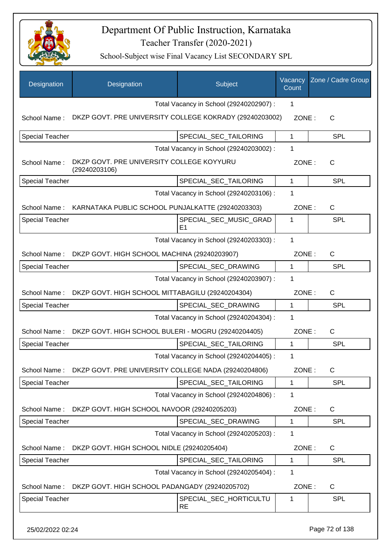

| Designation            | Designation                                                | Subject                                 | Vacancy<br>Count | Zone / Cadre Group |
|------------------------|------------------------------------------------------------|-----------------------------------------|------------------|--------------------|
|                        |                                                            | Total Vacancy in School (29240202907) : | 1                |                    |
| School Name:           | DKZP GOVT. PRE UNIVERSITY COLLEGE KOKRADY (29240203002)    |                                         | ZONE:            | $\mathsf{C}$       |
| <b>Special Teacher</b> |                                                            | SPECIAL_SEC_TAILORING                   | 1                | <b>SPL</b>         |
|                        |                                                            | Total Vacancy in School (29240203002) : | 1                |                    |
| School Name:           | DKZP GOVT. PRE UNIVERSITY COLLEGE KOYYURU<br>(29240203106) |                                         | ZONE:            | $\mathsf{C}$       |
| <b>Special Teacher</b> |                                                            | SPECIAL_SEC_TAILORING                   | $\mathbf{1}$     | <b>SPL</b>         |
|                        |                                                            | Total Vacancy in School (29240203106) : | 1                |                    |
| School Name:           | KARNATAKA PUBLIC SCHOOL PUNJALKATTE (29240203303)          |                                         | ZONE:            | C                  |
| <b>Special Teacher</b> |                                                            | SPECIAL SEC MUSIC GRAD<br>E1            | 1                | SPL                |
|                        |                                                            | Total Vacancy in School (29240203303) : | $\mathbf{1}$     |                    |
| School Name:           | DKZP GOVT. HIGH SCHOOL MACHINA (29240203907)               |                                         | ZONE:            | C                  |
| <b>Special Teacher</b> |                                                            | SPECIAL_SEC_DRAWING                     | 1                | <b>SPL</b>         |
|                        |                                                            | Total Vacancy in School (29240203907) : | 1                |                    |
| School Name:           | DKZP GOVT. HIGH SCHOOL MITTABAGILU (29240204304)           |                                         | ZONE:            | C                  |
| <b>Special Teacher</b> |                                                            | SPECIAL_SEC_DRAWING                     | 1                | <b>SPL</b>         |
|                        |                                                            | Total Vacancy in School (29240204304) : | 1                |                    |
| School Name:           | DKZP GOVT. HIGH SCHOOL BULERI - MOGRU (29240204405)        |                                         | ZONE:            | C                  |
| <b>Special Teacher</b> |                                                            | SPECIAL_SEC_TAILORING                   | 1                | <b>SPL</b>         |
|                        |                                                            | Total Vacancy in School (29240204405) : | 1                |                    |
| School Name:           | DKZP GOVT. PRE UNIVERSITY COLLEGE NADA (29240204806)       |                                         | ZONE:            | C                  |
| Special Teacher        |                                                            | SPECIAL_SEC_TAILORING                   | $\mathbf{1}$     | <b>SPL</b>         |
|                        |                                                            | Total Vacancy in School (29240204806) : | 1                |                    |
| School Name:           | DKZP GOVT. HIGH SCHOOL NAVOOR (29240205203)                |                                         | ZONE:            | $\mathsf C$        |
| <b>Special Teacher</b> |                                                            | SPECIAL_SEC_DRAWING                     | $\mathbf{1}$     | <b>SPL</b>         |
|                        |                                                            | Total Vacancy in School (29240205203) : | 1                |                    |
| School Name:           | DKZP GOVT. HIGH SCHOOL NIDLE (29240205404)                 |                                         | ZONE:            | C                  |
| <b>Special Teacher</b> |                                                            | SPECIAL_SEC_TAILORING                   | $\mathbf{1}$     | <b>SPL</b>         |
|                        |                                                            | Total Vacancy in School (29240205404) : | 1                |                    |
| School Name:           | DKZP GOVT. HIGH SCHOOL PADANGADY (29240205702)             |                                         | ZONE:            | C                  |
|                        |                                                            |                                         |                  |                    |
| <b>Special Teacher</b> |                                                            | SPECIAL_SEC_HORTICULTU<br><b>RE</b>     | 1                | SPL                |
| 25/02/2022 02:24       |                                                            |                                         |                  | Page 72 of 138     |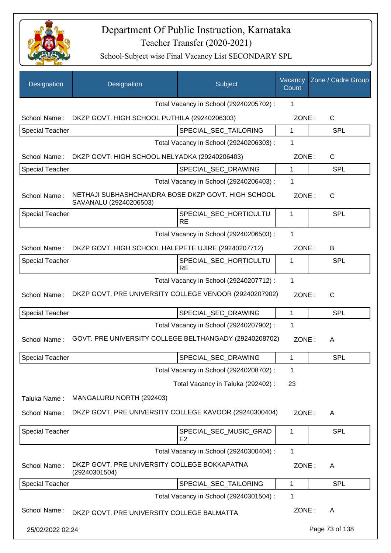

| Designation            | Designation                                                                  | Subject                                  | Vacancy<br>Count | Zone / Cadre Group |
|------------------------|------------------------------------------------------------------------------|------------------------------------------|------------------|--------------------|
|                        |                                                                              | Total Vacancy in School (29240205702) :  | 1                |                    |
| School Name:           | DKZP GOVT. HIGH SCHOOL PUTHILA (29240206303)                                 |                                          | ZONE:            | $\mathsf{C}$       |
| <b>Special Teacher</b> |                                                                              | SPECIAL_SEC_TAILORING                    | 1                | <b>SPL</b>         |
|                        |                                                                              | Total Vacancy in School (29240206303) :  | 1                |                    |
| School Name:           | DKZP GOVT. HIGH SCHOOL NELYADKA (29240206403)                                |                                          | ZONE:            | $\mathsf{C}$       |
| <b>Special Teacher</b> |                                                                              | SPECIAL_SEC_DRAWING                      | 1                | <b>SPL</b>         |
|                        |                                                                              | Total Vacancy in School (29240206403) :  | 1                |                    |
| School Name:           | NETHAJI SUBHASHCHANDRA BOSE DKZP GOVT. HIGH SCHOOL<br>SAVANALU (29240206503) |                                          | ZONE:            | $\mathsf{C}$       |
| <b>Special Teacher</b> |                                                                              | SPECIAL_SEC_HORTICULTU<br><b>RE</b>      | 1                | <b>SPL</b>         |
|                        |                                                                              | Total Vacancy in School (29240206503) :  | 1                |                    |
| School Name:           | DKZP GOVT. HIGH SCHOOL HALEPETE UJIRE (29240207712)                          |                                          | ZONE:            | B                  |
| <b>Special Teacher</b> |                                                                              | SPECIAL_SEC_HORTICULTU<br><b>RE</b>      | 1                | <b>SPL</b>         |
|                        |                                                                              | Total Vacancy in School (29240207712) :  | 1                |                    |
| School Name:           | DKZP GOVT. PRE UNIVERSITY COLLEGE VENOOR (29240207902)                       |                                          | ZONE:            | $\mathsf{C}$       |
| <b>Special Teacher</b> |                                                                              | SPECIAL_SEC_DRAWING                      | 1                | <b>SPL</b>         |
|                        |                                                                              | Total Vacancy in School (29240207902) :  | 1                |                    |
| School Name:           | GOVT. PRE UNIVERSITY COLLEGE BELTHANGADY (29240208702)                       |                                          | ZONE:            | A                  |
| <b>Special Teacher</b> |                                                                              | SPECIAL SEC DRAWING                      | $\mathbf 1$      | SPL                |
|                        |                                                                              | Total Vacancy in School (29240208702) :  | 1                |                    |
|                        |                                                                              | Total Vacancy in Taluka (292402):        | 23               |                    |
| Taluka Name:           | MANGALURU NORTH (292403)                                                     |                                          |                  |                    |
| School Name:           | DKZP GOVT. PRE UNIVERSITY COLLEGE KAVOOR (29240300404)                       |                                          | ZONE:            | A                  |
| <b>Special Teacher</b> |                                                                              | SPECIAL_SEC_MUSIC_GRAD<br>E <sub>2</sub> | 1                | <b>SPL</b>         |
|                        |                                                                              | Total Vacancy in School (29240300404) :  | 1                |                    |
| School Name:           | DKZP GOVT. PRE UNIVERSITY COLLEGE BOKKAPATNA<br>(29240301504)                |                                          | ZONE:            | A                  |
| <b>Special Teacher</b> |                                                                              | SPECIAL_SEC_TAILORING                    | 1                | <b>SPL</b>         |
|                        |                                                                              | Total Vacancy in School (29240301504) :  | 1                |                    |
| School Name:           | DKZP GOVT. PRE UNIVERSITY COLLEGE BALMATTA                                   |                                          | ZONE:            | A                  |
| 25/02/2022 02:24       |                                                                              |                                          |                  | Page 73 of 138     |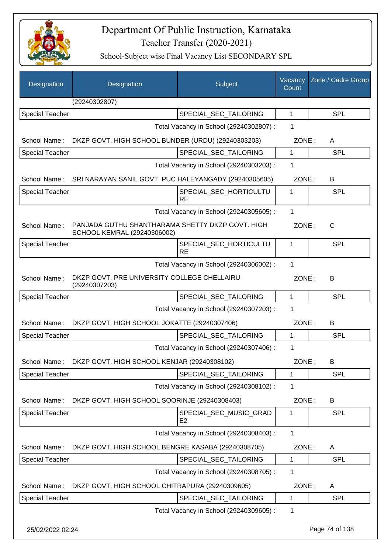

| Designation            | Designation                                                                     | Subject                                  | Vacancy<br>Count | Zone / Cadre Group |
|------------------------|---------------------------------------------------------------------------------|------------------------------------------|------------------|--------------------|
|                        | (29240302807)                                                                   |                                          |                  |                    |
| <b>Special Teacher</b> |                                                                                 | SPECIAL_SEC_TAILORING                    | $\mathbf{1}$     | <b>SPL</b>         |
|                        |                                                                                 | Total Vacancy in School (29240302807) :  | 1                |                    |
| School Name:           | DKZP GOVT. HIGH SCHOOL BUNDER (URDU) (29240303203)                              |                                          | ZONE:            | A                  |
| Special Teacher        |                                                                                 | SPECIAL SEC TAILORING                    | 1                | <b>SPL</b>         |
|                        |                                                                                 | Total Vacancy in School (29240303203) :  | 1                |                    |
| School Name:           | SRI NARAYAN SANIL GOVT. PUC HALEYANGADY (29240305605)                           |                                          | ZONE:            | B                  |
| <b>Special Teacher</b> |                                                                                 | SPECIAL_SEC_HORTICULTU<br><b>RE</b>      | 1                | <b>SPL</b>         |
|                        |                                                                                 | Total Vacancy in School (29240305605) :  | $\mathbf{1}$     |                    |
| School Name:           | PANJADA GUTHU SHANTHARAMA SHETTY DKZP GOVT. HIGH<br>SCHOOL KEMRAL (29240306002) |                                          | ZONE:            | $\mathsf{C}$       |
| <b>Special Teacher</b> |                                                                                 | SPECIAL SEC HORTICULTU<br><b>RE</b>      | 1                | <b>SPL</b>         |
|                        |                                                                                 | Total Vacancy in School (29240306002) :  | 1                |                    |
| School Name:           | DKZP GOVT. PRE UNIVERSITY COLLEGE CHELLAIRU<br>(29240307203)                    |                                          | ZONE:            | B                  |
| <b>Special Teacher</b> |                                                                                 | SPECIAL_SEC_TAILORING                    | $\mathbf{1}$     | <b>SPL</b>         |
|                        |                                                                                 | Total Vacancy in School (29240307203) :  | 1                |                    |
|                        | School Name: DKZP GOVT. HIGH SCHOOL JOKATTE (29240307406)                       |                                          | ZONE:            | B                  |
| <b>Special Teacher</b> |                                                                                 | SPECIAL_SEC_TAILORING                    | 1                | <b>SPL</b>         |
|                        |                                                                                 | Total Vacancy in School (29240307406) :  | 1                |                    |
| School Name:           | DKZP GOVT. HIGH SCHOOL KENJAR (29240308102)                                     |                                          | ZONE:            | B.                 |
| Special Teacher        |                                                                                 | SPECIAL SEC TAILORING                    | 1                | <b>SPL</b>         |
|                        |                                                                                 | Total Vacancy in School (29240308102) :  | 1                |                    |
| School Name:           | DKZP GOVT. HIGH SCHOOL SOORINJE (29240308403)                                   |                                          | ZONE:            | B                  |
| <b>Special Teacher</b> |                                                                                 | SPECIAL_SEC_MUSIC_GRAD<br>E <sub>2</sub> | 1                | <b>SPL</b>         |
|                        |                                                                                 | Total Vacancy in School (29240308403) :  | 1                |                    |
| School Name:           | DKZP GOVT. HIGH SCHOOL BENGRE KASABA (29240308705)                              |                                          | ZONE:            | A                  |
| <b>Special Teacher</b> |                                                                                 | SPECIAL_SEC_TAILORING                    | 1                | <b>SPL</b>         |
|                        |                                                                                 | Total Vacancy in School (29240308705) :  | 1                |                    |
| School Name:           | DKZP GOVT. HIGH SCHOOL CHITRAPURA (29240309605)                                 |                                          | ZONE:            | A                  |
| <b>Special Teacher</b> |                                                                                 | SPECIAL_SEC_TAILORING                    | 1                | <b>SPL</b>         |
|                        |                                                                                 | Total Vacancy in School (29240309605) :  | 1                |                    |
| 25/02/2022 02:24       |                                                                                 |                                          |                  | Page 74 of 138     |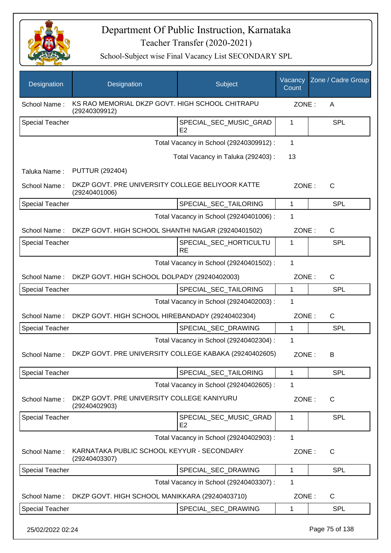

| Designation            | Designation                                                       | Subject                                  | Vacancy<br>Count | Zone / Cadre Group |
|------------------------|-------------------------------------------------------------------|------------------------------------------|------------------|--------------------|
| School Name:           | KS RAO MEMORIAL DKZP GOVT, HIGH SCHOOL CHITRAPU<br>(29240309912)  |                                          | ZONE:            | Α                  |
| <b>Special Teacher</b> |                                                                   | SPECIAL_SEC_MUSIC_GRAD<br>E <sub>2</sub> | 1                | <b>SPL</b>         |
|                        |                                                                   | Total Vacancy in School (29240309912) :  | 1                |                    |
|                        |                                                                   | Total Vacancy in Taluka (292403) :       | 13               |                    |
| Taluka Name:           | <b>PUTTUR (292404)</b>                                            |                                          |                  |                    |
| School Name:           | DKZP GOVT. PRE UNIVERSITY COLLEGE BELIYOOR KATTE<br>(29240401006) |                                          | ZONE:            | C                  |
| <b>Special Teacher</b> |                                                                   | SPECIAL_SEC_TAILORING                    | 1                | <b>SPL</b>         |
|                        |                                                                   | Total Vacancy in School (29240401006) :  | 1                |                    |
| School Name:           | DKZP GOVT. HIGH SCHOOL SHANTHI NAGAR (29240401502)                |                                          | ZONE:            | C                  |
| <b>Special Teacher</b> |                                                                   | SPECIAL_SEC_HORTICULTU<br><b>RE</b>      | 1                | SPL                |
|                        |                                                                   | Total Vacancy in School (29240401502) :  | $\mathbf 1$      |                    |
| School Name:           | DKZP GOVT. HIGH SCHOOL DOLPADY (29240402003)                      |                                          | ZONE:            | $\mathsf{C}$       |
| <b>Special Teacher</b> |                                                                   | SPECIAL_SEC_TAILORING                    | $\mathbf{1}$     | SPL                |
|                        |                                                                   | Total Vacancy in School (29240402003) :  | 1                |                    |
| School Name:           | DKZP GOVT. HIGH SCHOOL HIREBANDADY (29240402304)                  |                                          | ZONE:            | C                  |
| <b>Special Teacher</b> |                                                                   | SPECIAL_SEC_DRAWING                      | 1                | SPL                |
|                        |                                                                   | Total Vacancy in School (29240402304) :  | 1                |                    |
| School Name:           | DKZP GOVT. PRE UNIVERSITY COLLEGE KABAKA (29240402605)            |                                          | ZONE:            | B                  |
| <b>Special Teacher</b> |                                                                   | SPECIAL_SEC_TAILORING                    | 1                | <b>SPL</b>         |
|                        |                                                                   | Total Vacancy in School (29240402605) :  | 1                |                    |
| School Name:           | DKZP GOVT. PRE UNIVERSITY COLLEGE KANIYURU<br>(29240402903)       |                                          | ZONE:            | C                  |
| <b>Special Teacher</b> |                                                                   | SPECIAL_SEC_MUSIC_GRAD<br>E <sub>2</sub> | 1                | <b>SPL</b>         |
|                        |                                                                   | Total Vacancy in School (29240402903) :  | 1                |                    |
| School Name:           | KARNATAKA PUBLIC SCHOOL KEYYUR - SECONDARY<br>(29240403307)       |                                          | ZONE:            | $\mathsf{C}$       |
| <b>Special Teacher</b> |                                                                   | SPECIAL_SEC_DRAWING                      | 1                | <b>SPL</b>         |
|                        |                                                                   | Total Vacancy in School (29240403307) :  | 1                |                    |
| School Name:           | DKZP GOVT. HIGH SCHOOL MANIKKARA (29240403710)                    |                                          | ZONE:            | C                  |
| <b>Special Teacher</b> |                                                                   | SPECIAL_SEC_DRAWING                      | 1                | <b>SPL</b>         |
| 25/02/2022 02:24       |                                                                   |                                          |                  | Page 75 of 138     |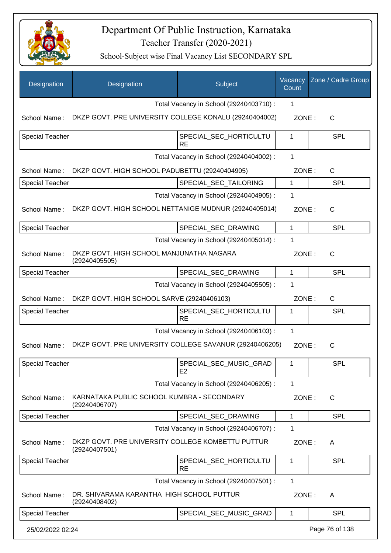

| Designation            | Designation                                                        | Subject                                  | Vacancy<br>Count | Zone / Cadre Group |
|------------------------|--------------------------------------------------------------------|------------------------------------------|------------------|--------------------|
|                        |                                                                    | Total Vacancy in School (29240403710) :  | 1                |                    |
| School Name:           | DKZP GOVT. PRE UNIVERSITY COLLEGE KONALU (29240404002)             |                                          | ZONE:            | $\mathsf{C}$       |
| <b>Special Teacher</b> |                                                                    | SPECIAL SEC HORTICULTU<br><b>RE</b>      | 1                | <b>SPL</b>         |
|                        |                                                                    | Total Vacancy in School (29240404002) :  | 1                |                    |
| School Name:           | DKZP GOVT. HIGH SCHOOL PADUBETTU (29240404905)                     |                                          | ZONE:            | $\mathsf{C}$       |
| <b>Special Teacher</b> |                                                                    | SPECIAL_SEC_TAILORING                    | $\mathbf 1$      | <b>SPL</b>         |
|                        |                                                                    | Total Vacancy in School (29240404905) :  | 1                |                    |
| School Name:           | DKZP GOVT. HIGH SCHOOL NETTANIGE MUDNUR (29240405014)              |                                          | ZONE:            | $\mathsf{C}$       |
| <b>Special Teacher</b> |                                                                    | SPECIAL_SEC_DRAWING                      | 1                | <b>SPL</b>         |
|                        |                                                                    | Total Vacancy in School (29240405014) :  | 1                |                    |
| School Name:           | DKZP GOVT. HIGH SCHOOL MANJUNATHA NAGARA<br>(29240405505)          |                                          | ZONE:            | $\mathsf{C}$       |
| <b>Special Teacher</b> |                                                                    | SPECIAL_SEC_DRAWING                      | $\mathbf{1}$     | <b>SPL</b>         |
|                        |                                                                    | Total Vacancy in School (29240405505) :  | 1                |                    |
| School Name:           | DKZP GOVT. HIGH SCHOOL SARVE (29240406103)                         |                                          | ZONE:            | $\mathsf{C}$       |
| Special Teacher        |                                                                    | SPECIAL_SEC_HORTICULTU<br><b>RE</b>      | 1                | <b>SPL</b>         |
|                        |                                                                    | Total Vacancy in School (29240406103) :  | 1                |                    |
| School Name:           | DKZP GOVT. PRE UNIVERSITY COLLEGE SAVANUR (29240406205)            |                                          | ZONE:            | $\mathsf{C}$       |
| <b>Special Teacher</b> |                                                                    | SPECIAL_SEC_MUSIC_GRAD<br>E <sub>2</sub> | 1                | <b>SPL</b>         |
|                        |                                                                    | Total Vacancy in School (29240406205) :  | $\mathbf 1$      |                    |
| School Name:           | KARNATAKA PUBLIC SCHOOL KUMBRA - SECONDARY<br>(29240406707)        |                                          | ZONE:            | $\mathsf{C}$       |
| Special Teacher        |                                                                    | SPECIAL_SEC_DRAWING                      | 1                | <b>SPL</b>         |
|                        |                                                                    | Total Vacancy in School (29240406707) :  | 1                |                    |
| School Name:           | DKZP GOVT. PRE UNIVERSITY COLLEGE KOMBETTU PUTTUR<br>(29240407501) |                                          | ZONE:            | A                  |
| Special Teacher        |                                                                    | SPECIAL_SEC_HORTICULTU<br><b>RE</b>      | 1                | <b>SPL</b>         |
|                        |                                                                    | Total Vacancy in School (29240407501) :  | $\mathbf{1}$     |                    |
| School Name:           | DR. SHIVARAMA KARANTHA HIGH SCHOOL PUTTUR<br>(29240408402)         |                                          | ZONE:            | A                  |
| <b>Special Teacher</b> |                                                                    | SPECIAL_SEC_MUSIC_GRAD                   | 1                | <b>SPL</b>         |
| 25/02/2022 02:24       |                                                                    |                                          |                  | Page 76 of 138     |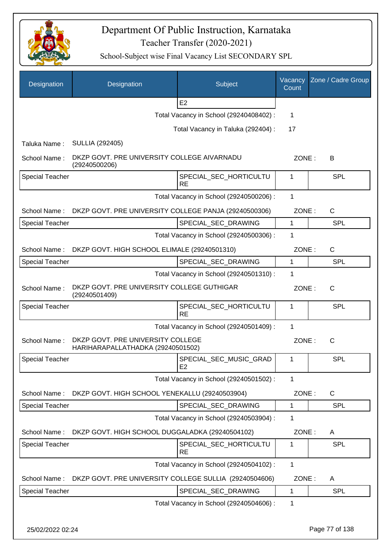

| Designation            | Designation                                                            | Subject                                  | Vacancy<br>Count | Zone / Cadre Group |
|------------------------|------------------------------------------------------------------------|------------------------------------------|------------------|--------------------|
|                        |                                                                        | E <sub>2</sub>                           |                  |                    |
|                        |                                                                        | Total Vacancy in School (29240408402) :  | $\mathbf 1$      |                    |
|                        |                                                                        | Total Vacancy in Taluka (292404) :       | 17               |                    |
| Taluka Name:           | <b>SULLIA (292405)</b>                                                 |                                          |                  |                    |
| School Name:           | DKZP GOVT. PRE UNIVERSITY COLLEGE AIVARNADU<br>(29240500206)           |                                          | ZONE:            | B                  |
| Special Teacher        |                                                                        | SPECIAL_SEC_HORTICULTU<br><b>RE</b>      | 1                | SPL                |
|                        |                                                                        | Total Vacancy in School (29240500206) :  | $\mathbf{1}$     |                    |
| School Name:           | DKZP GOVT. PRE UNIVERSITY COLLEGE PANJA (29240500306)                  |                                          | ZONE:            | C                  |
| <b>Special Teacher</b> |                                                                        | SPECIAL_SEC_DRAWING                      | $\mathbf{1}$     | <b>SPL</b>         |
|                        |                                                                        | Total Vacancy in School (29240500306) :  | 1                |                    |
| School Name:           | DKZP GOVT. HIGH SCHOOL ELIMALE (29240501310)                           |                                          | ZONE:            | $\mathsf{C}$       |
| Special Teacher        |                                                                        | SPECIAL_SEC_DRAWING                      | 1                | <b>SPL</b>         |
|                        |                                                                        | Total Vacancy in School (29240501310) :  | 1                |                    |
| School Name:           | DKZP GOVT. PRE UNIVERSITY COLLEGE GUTHIGAR<br>(29240501409)            |                                          | ZONE:            | $\mathsf{C}$       |
| <b>Special Teacher</b> |                                                                        | SPECIAL_SEC_HORTICULTU<br><b>RE</b>      | 1                | SPL                |
|                        |                                                                        | Total Vacancy in School (29240501409) :  | $\mathbf{1}$     |                    |
| School Name:           | DKZP GOVT. PRE UNIVERSITY COLLEGE<br>HARIHARAPALLATHADKA (29240501502) |                                          | ZONE:            | $\mathsf{C}$       |
| <b>Special Teacher</b> |                                                                        | SPECIAL SEC MUSIC GRAD<br>E <sub>2</sub> | 1                | <b>SPL</b>         |
|                        |                                                                        | Total Vacancy in School (29240501502) :  | 1                |                    |
| School Name:           | DKZP GOVT. HIGH SCHOOL YENEKALLU (29240503904)                         |                                          | ZONE:            | $\mathsf{C}$       |
| Special Teacher        |                                                                        | SPECIAL_SEC_DRAWING                      | $\mathbf 1$      | <b>SPL</b>         |
|                        |                                                                        | Total Vacancy in School (29240503904) :  | 1                |                    |
| School Name:           | DKZP GOVT. HIGH SCHOOL DUGGALADKA (29240504102)                        |                                          | ZONE:            | A                  |
| Special Teacher        |                                                                        | SPECIAL_SEC_HORTICULTU<br><b>RE</b>      | 1                | <b>SPL</b>         |
|                        |                                                                        | Total Vacancy in School (29240504102) :  | $\mathbf{1}$     |                    |
| School Name:           | DKZP GOVT. PRE UNIVERSITY COLLEGE SULLIA (29240504606)                 |                                          | ZONE:            | A                  |
| <b>Special Teacher</b> |                                                                        | SPECIAL_SEC_DRAWING                      | 1                | <b>SPL</b>         |
|                        |                                                                        | Total Vacancy in School (29240504606) :  | 1                |                    |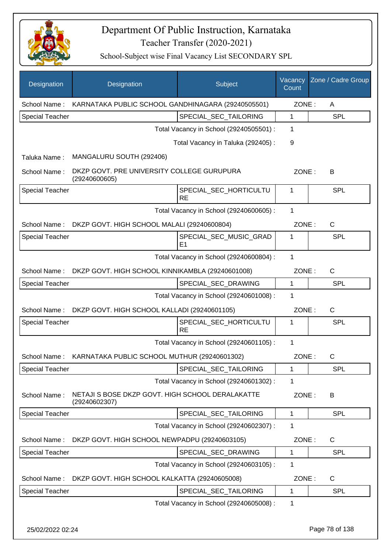

School-Subject wise Final Vacancy List SECONDARY SPL

| Designation            | Designation                                                       | Subject                                 | Vacancy<br>Count | Zone / Cadre Group |
|------------------------|-------------------------------------------------------------------|-----------------------------------------|------------------|--------------------|
| School Name:           | KARNATAKA PUBLIC SCHOOL GANDHINAGARA (29240505501)                |                                         | ZONE:            | A                  |
| <b>Special Teacher</b> |                                                                   | SPECIAL_SEC_TAILORING                   | $\mathbf{1}$     | <b>SPL</b>         |
|                        |                                                                   | Total Vacancy in School (29240505501) : | 1                |                    |
|                        |                                                                   | Total Vacancy in Taluka (292405):       | 9                |                    |
| Taluka Name:           | MANGALURU SOUTH (292406)                                          |                                         |                  |                    |
| School Name:           | DKZP GOVT. PRE UNIVERSITY COLLEGE GURUPURA<br>(29240600605)       |                                         | ZONE:            | В                  |
| <b>Special Teacher</b> |                                                                   | SPECIAL_SEC_HORTICULTU<br><b>RE</b>     | 1                | <b>SPL</b>         |
|                        |                                                                   | Total Vacancy in School (29240600605) : | 1                |                    |
| School Name:           | DKZP GOVT. HIGH SCHOOL MALALI (29240600804)                       |                                         | ZONE:            | $\mathsf{C}$       |
| <b>Special Teacher</b> |                                                                   | SPECIAL_SEC_MUSIC_GRAD<br>E1            | 1                | <b>SPL</b>         |
|                        |                                                                   | Total Vacancy in School (29240600804) : | 1                |                    |
| School Name:           | DKZP GOVT. HIGH SCHOOL KINNIKAMBLA (29240601008)                  |                                         | ZONE:            | C                  |
| <b>Special Teacher</b> |                                                                   | SPECIAL_SEC_DRAWING                     | $\mathbf 1$      | <b>SPL</b>         |
|                        |                                                                   | Total Vacancy in School (29240601008) : | 1                |                    |
| School Name:           | DKZP GOVT. HIGH SCHOOL KALLADI (29240601105)                      |                                         | ZONE:            | $\mathsf{C}$       |
| <b>Special Teacher</b> |                                                                   | SPECIAL_SEC_HORTICULTU<br><b>RE</b>     | 1                | SPL                |
|                        |                                                                   | Total Vacancy in School (29240601105) : | 1                |                    |
| School Name:           | KARNATAKA PUBLIC SCHOOL MUTHUR (29240601302)                      |                                         | ZONE:            | С                  |
| <b>Special Teacher</b> |                                                                   | SPECIAL_SEC_TAILORING                   | 1                | <b>SPL</b>         |
|                        |                                                                   | Total Vacancy in School (29240601302) : | 1                |                    |
| School Name:           | NETAJI S BOSE DKZP GOVT. HIGH SCHOOL DERALAKATTE<br>(29240602307) |                                         | ZONE:            | B                  |
| <b>Special Teacher</b> |                                                                   | SPECIAL_SEC_TAILORING                   | $\mathbf 1$      | <b>SPL</b>         |
|                        |                                                                   | Total Vacancy in School (29240602307) : | 1                |                    |
| School Name:           | DKZP GOVT. HIGH SCHOOL NEWPADPU (29240603105)                     |                                         | ZONE:            | C                  |
| Special Teacher        |                                                                   | SPECIAL_SEC_DRAWING                     | $\mathbf 1$      | SPL                |
|                        |                                                                   | Total Vacancy in School (29240603105) : | 1                |                    |
| School Name:           | DKZP GOVT. HIGH SCHOOL KALKATTA (29240605008)                     |                                         | ZONE:            | C                  |
| Special Teacher        |                                                                   | SPECIAL_SEC_TAILORING                   | 1                | <b>SPL</b>         |
|                        |                                                                   | Total Vacancy in School (29240605008) : | 1                |                    |

25/02/2022 02:24 Page 78 of 138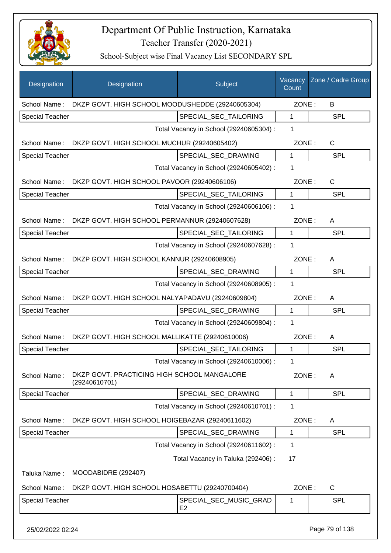

| Designation            | Designation                                                  | Subject                                  | Vacancy<br>Count | Zone / Cadre Group |
|------------------------|--------------------------------------------------------------|------------------------------------------|------------------|--------------------|
| School Name:           | DKZP GOVT. HIGH SCHOOL MOODUSHEDDE (29240605304)             |                                          | ZONE:            | B                  |
| <b>Special Teacher</b> |                                                              | SPECIAL_SEC_TAILORING                    | 1                | <b>SPL</b>         |
|                        |                                                              | Total Vacancy in School (29240605304) :  | 1                |                    |
| School Name:           | DKZP GOVT. HIGH SCHOOL MUCHUR (29240605402)                  |                                          | ZONE:            | $\mathsf{C}$       |
| <b>Special Teacher</b> |                                                              | SPECIAL_SEC_DRAWING                      | 1                | <b>SPL</b>         |
|                        |                                                              | Total Vacancy in School (29240605402) :  | 1                |                    |
|                        | School Name: DKZP GOVT. HIGH SCHOOL PAVOOR (29240606106)     |                                          | ZONE:            | C                  |
| <b>Special Teacher</b> |                                                              | SPECIAL_SEC_TAILORING                    | $\mathbf{1}$     | <b>SPL</b>         |
|                        |                                                              | Total Vacancy in School (29240606106) :  | 1                |                    |
| School Name:           | DKZP GOVT. HIGH SCHOOL PERMANNUR (29240607628)               |                                          | ZONE:            | A                  |
| <b>Special Teacher</b> |                                                              | SPECIAL_SEC_TAILORING                    | $\mathbf{1}$     | <b>SPL</b>         |
|                        |                                                              | Total Vacancy in School (29240607628) :  | 1                |                    |
|                        | School Name: DKZP GOVT. HIGH SCHOOL KANNUR (29240608905)     |                                          | ZONE:            | A                  |
| Special Teacher        |                                                              | SPECIAL_SEC_DRAWING                      | 1                | <b>SPL</b>         |
|                        |                                                              | Total Vacancy in School (29240608905) :  | 1                |                    |
| School Name:           | DKZP GOVT. HIGH SCHOOL NALYAPADAVU (29240609804)             |                                          | ZONE:            | A                  |
| <b>Special Teacher</b> |                                                              | SPECIAL_SEC_DRAWING                      | 1                | <b>SPL</b>         |
|                        |                                                              | Total Vacancy in School (29240609804) :  | 1                |                    |
| School Name:           | DKZP GOVT. HIGH SCHOOL MALLIKATTE (29240610006)              |                                          | ZONE:            | A                  |
| <b>Special Teacher</b> |                                                              | SPECIAL_SEC_TAILORING                    | 1                | <b>SPL</b>         |
|                        |                                                              | Total Vacancy in School (29240610006) :  | 1                |                    |
| School Name:           | DKZP GOVT. PRACTICING HIGH SCHOOL MANGALORE<br>(29240610701) |                                          | ZONE:            | A                  |
| Special Teacher        |                                                              | SPECIAL_SEC_DRAWING                      | 1                | <b>SPL</b>         |
|                        |                                                              | Total Vacancy in School (29240610701) :  | 1                |                    |
| School Name:           | DKZP GOVT. HIGH SCHOOL HOIGEBAZAR (29240611602)              |                                          | ZONE:            | A                  |
| Special Teacher        |                                                              | SPECIAL_SEC_DRAWING                      | 1                | <b>SPL</b>         |
|                        |                                                              | Total Vacancy in School (29240611602):   | 1                |                    |
|                        |                                                              | Total Vacancy in Taluka (292406) :       | 17               |                    |
| Taluka Name:           | MOODABIDRE (292407)                                          |                                          |                  |                    |
| School Name:           | DKZP GOVT. HIGH SCHOOL HOSABETTU (29240700404)               |                                          | ZONE:            | C                  |
| Special Teacher        |                                                              | SPECIAL_SEC_MUSIC_GRAD<br>E <sub>2</sub> | 1                | <b>SPL</b>         |
| 25/02/2022 02:24       |                                                              |                                          |                  | Page 79 of 138     |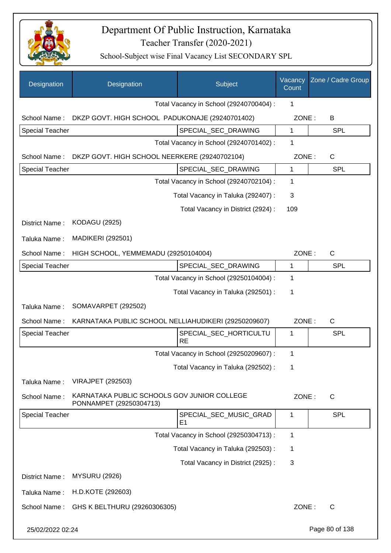

| Designation            | Designation                                                            | Subject                                  | Vacancy<br>Count | Zone / Cadre Group |
|------------------------|------------------------------------------------------------------------|------------------------------------------|------------------|--------------------|
|                        |                                                                        | Total Vacancy in School (29240700404) :  | 1                |                    |
| School Name:           | DKZP GOVT. HIGH SCHOOL PADUKONAJE (29240701402)                        |                                          | ZONE:            | B                  |
| <b>Special Teacher</b> |                                                                        | SPECIAL_SEC_DRAWING                      | 1                | <b>SPL</b>         |
|                        |                                                                        | Total Vacancy in School (29240701402) :  | 1                |                    |
| School Name:           | DKZP GOVT. HIGH SCHOOL NEERKERE (29240702104)                          |                                          | ZONE:            | $\mathsf{C}$       |
| <b>Special Teacher</b> |                                                                        | SPECIAL_SEC_DRAWING                      | $\mathbf{1}$     | <b>SPL</b>         |
|                        |                                                                        | Total Vacancy in School (29240702104) :  | 1                |                    |
|                        |                                                                        | Total Vacancy in Taluka (292407) :       | 3                |                    |
|                        |                                                                        | Total Vacancy in District (2924) :       | 109              |                    |
| District Name:         | <b>KODAGU (2925)</b>                                                   |                                          |                  |                    |
| Taluka Name:           | <b>MADIKERI (292501)</b>                                               |                                          |                  |                    |
| School Name:           | HIGH SCHOOL, YEMMEMADU (29250104004)                                   |                                          | ZONE:            | $\mathsf{C}$       |
| Special Teacher        |                                                                        | SPECIAL_SEC_DRAWING                      | 1                | <b>SPL</b>         |
|                        |                                                                        | Total Vacancy in School (29250104004) :  | 1                |                    |
|                        |                                                                        | Total Vacancy in Taluka (292501) :       | 1                |                    |
| Taluka Name:           | SOMAVARPET (292502)                                                    |                                          |                  |                    |
| School Name:           | KARNATAKA PUBLIC SCHOOL NELLIAHUDIKERI (29250209607)                   |                                          | ZONE:            | C                  |
| Special Teacher        |                                                                        | SPECIAL_SEC_HORTICULTU<br><b>RE</b>      | 1                | SPL                |
|                        |                                                                        | Total Vacancy in School (29250209607) :  | 1                |                    |
|                        |                                                                        | Total Vacancy in Taluka (292502) :       | 1                |                    |
| Taluka Name:           | <b>VIRAJPET (292503)</b>                                               |                                          |                  |                    |
| School Name:           | KARNATAKA PUBLIC SCHOOLS GOV JUNIOR COLLEGE<br>PONNAMPET (29250304713) |                                          | ZONE:            | $\mathsf{C}$       |
| Special Teacher        |                                                                        | SPECIAL_SEC_MUSIC_GRAD<br>E <sub>1</sub> | 1                | <b>SPL</b>         |
|                        |                                                                        | Total Vacancy in School (29250304713) :  | 1                |                    |
|                        |                                                                        | Total Vacancy in Taluka (292503) :       | 1                |                    |
|                        |                                                                        | Total Vacancy in District (2925):        | 3                |                    |
| District Name:         | <b>MYSURU (2926)</b>                                                   |                                          |                  |                    |
| Taluka Name:           | H.D.KOTE (292603)                                                      |                                          |                  |                    |
| School Name:           | GHS K BELTHURU (29260306305)                                           |                                          | ZONE:            | C                  |
| 25/02/2022 02:24       |                                                                        |                                          |                  | Page 80 of 138     |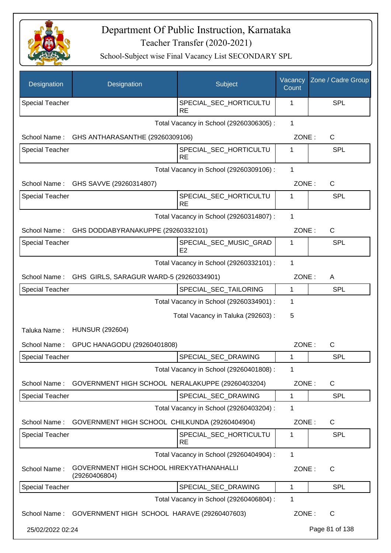

| Designation            | Designation                                               | Subject                                  | Vacancy<br>Count | Zone / Cadre Group |
|------------------------|-----------------------------------------------------------|------------------------------------------|------------------|--------------------|
| <b>Special Teacher</b> |                                                           | SPECIAL_SEC_HORTICULTU<br>RE             | 1                | <b>SPL</b>         |
|                        | Total Vacancy in School (29260306305) :                   |                                          |                  |                    |
| School Name:           | GHS ANTHARASANTHE (29260309106)                           |                                          | ZONE:            | C                  |
| <b>Special Teacher</b> |                                                           | SPECIAL_SEC_HORTICULTU<br><b>RE</b>      | 1                | <b>SPL</b>         |
|                        |                                                           | Total Vacancy in School (29260309106) :  | $\mathbf{1}$     |                    |
| School Name:           | GHS SAVVE (29260314807)                                   |                                          | ZONE:            | C                  |
| <b>Special Teacher</b> |                                                           | SPECIAL_SEC_HORTICULTU<br><b>RE</b>      | 1                | <b>SPL</b>         |
|                        |                                                           | Total Vacancy in School (29260314807) :  | 1                |                    |
| School Name:           | GHS DODDABYRANAKUPPE (29260332101)                        |                                          | ZONE:            | $\mathsf{C}$       |
| <b>Special Teacher</b> |                                                           | SPECIAL_SEC_MUSIC_GRAD<br>E <sub>2</sub> | 1                | <b>SPL</b>         |
|                        |                                                           | Total Vacancy in School (29260332101) :  | $\mathbf 1$      |                    |
| School Name:           | GHS GIRLS, SARAGUR WARD-5 (29260334901)                   |                                          | ZONE:            | A                  |
| Special Teacher        |                                                           | SPECIAL_SEC_TAILORING                    | $\mathbf{1}$     | <b>SPL</b>         |
|                        |                                                           | Total Vacancy in School (29260334901) :  | 1                |                    |
|                        |                                                           | Total Vacancy in Taluka (292603) :       | 5                |                    |
| Taluka Name:           | <b>HUNSUR (292604)</b>                                    |                                          |                  |                    |
| School Name:           | GPUC HANAGODU (29260401808)                               |                                          | ZONE:            | $\mathsf{C}$       |
| <b>Special Teacher</b> |                                                           | SPECIAL_SEC_DRAWING                      | 1                | <b>SPL</b>         |
|                        |                                                           | Total Vacancy in School (29260401808) :  | 1                |                    |
| School Name:           | GOVERNMENT HIGH SCHOOL NERALAKUPPE (29260403204)          |                                          | ZONE:            | C                  |
| <b>Special Teacher</b> |                                                           | SPECIAL_SEC_DRAWING                      | 1                | <b>SPL</b>         |
|                        |                                                           | Total Vacancy in School (29260403204) :  | 1                |                    |
| School Name:           | GOVERNMENT HIGH SCHOOL CHILKUNDA (29260404904)            |                                          | ZONE:            | C                  |
| <b>Special Teacher</b> |                                                           | SPECIAL SEC HORTICULTU<br><b>RE</b>      | 1                | <b>SPL</b>         |
|                        |                                                           | Total Vacancy in School (29260404904) :  | 1                |                    |
| School Name:           | GOVERNMENT HIGH SCHOOL HIREKYATHANAHALLI<br>(29260406804) |                                          | ZONE:            | $\mathsf{C}$       |
| <b>Special Teacher</b> |                                                           | SPECIAL_SEC_DRAWING                      | 1                | <b>SPL</b>         |
|                        |                                                           | Total Vacancy in School (29260406804) :  | 1                |                    |
|                        | School Name: GOVERNMENT HIGH SCHOOL HARAVE (29260407603)  |                                          | ZONE:            | C                  |
| 25/02/2022 02:24       |                                                           |                                          |                  | Page 81 of 138     |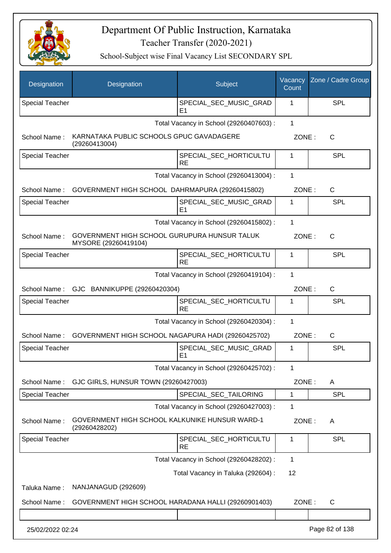

| Designation            | Designation                                                          | Subject                                  | Vacancy<br>Count | Zone / Cadre Group |
|------------------------|----------------------------------------------------------------------|------------------------------------------|------------------|--------------------|
| <b>Special Teacher</b> |                                                                      | SPECIAL_SEC_MUSIC_GRAD<br>E <sub>1</sub> | 1                | <b>SPL</b>         |
|                        |                                                                      | Total Vacancy in School (29260407603) :  | $\mathbf{1}$     |                    |
| School Name:           | KARNATAKA PUBLIC SCHOOLS GPUC GAVADAGERE<br>(29260413004)            |                                          | ZONE:            | C                  |
| <b>Special Teacher</b> |                                                                      | SPECIAL_SEC_HORTICULTU<br><b>RE</b>      | 1                | <b>SPL</b>         |
|                        |                                                                      | Total Vacancy in School (29260413004) :  | $\mathbf{1}$     |                    |
| School Name:           | GOVERNMENT HIGH SCHOOL DAHRMAPURA (29260415802)                      |                                          | ZONE:            | $\mathsf{C}$       |
| <b>Special Teacher</b> |                                                                      | SPECIAL_SEC_MUSIC_GRAD<br>E1             | 1                | <b>SPL</b>         |
|                        |                                                                      | Total Vacancy in School (29260415802) :  | 1                |                    |
| School Name:           | GOVERNMENT HIGH SCHOOL GURUPURA HUNSUR TALUK<br>MYSORE (29260419104) |                                          | ZONE:            | C                  |
| <b>Special Teacher</b> |                                                                      | SPECIAL SEC HORTICULTU<br><b>RE</b>      | 1                | <b>SPL</b>         |
|                        |                                                                      | Total Vacancy in School (29260419104) :  | 1                |                    |
|                        | School Name: GJC BANNIKUPPE (29260420304)                            |                                          | ZONE:            | C                  |
| <b>Special Teacher</b> |                                                                      | SPECIAL_SEC_HORTICULTU<br><b>RE</b>      | 1                | <b>SPL</b>         |
|                        |                                                                      | Total Vacancy in School (29260420304) :  | $\mathbf{1}$     |                    |
| School Name:           | GOVERNMENT HIGH SCHOOL NAGAPURA HADI (29260425702)                   |                                          | ZONE:            | $\mathsf{C}$       |
| <b>Special Teacher</b> |                                                                      | SPECIAL_SEC_MUSIC_GRAD<br>E <sub>1</sub> | 1                | <b>SPL</b>         |
|                        |                                                                      | Total Vacancy in School (29260425702) :  | 1                |                    |
| School Name:           | GJC GIRLS, HUNSUR TOWN (29260427003)                                 |                                          | ZONE:            | A                  |
| <b>Special Teacher</b> |                                                                      | SPECIAL_SEC_TAILORING                    | 1                | <b>SPL</b>         |
|                        |                                                                      | Total Vacancy in School (29260427003) :  | $\mathbf 1$      |                    |
| School Name:           | GOVERNMENT HIGH SCHOOL KALKUNIKE HUNSUR WARD-1<br>(29260428202)      |                                          | ZONE:            | A                  |
| <b>Special Teacher</b> |                                                                      | SPECIAL_SEC_HORTICULTU<br><b>RE</b>      | 1                | <b>SPL</b>         |
|                        |                                                                      | Total Vacancy in School (29260428202) :  | $\mathbf 1$      |                    |
|                        |                                                                      | Total Vacancy in Taluka (292604) :       | 12               |                    |
| Taluka Name:           | NANJANAGUD (292609)                                                  |                                          |                  |                    |
| School Name:           | GOVERNMENT HIGH SCHOOL HARADANA HALLI (29260901403)                  |                                          | ZONE:            | $\mathsf{C}$       |
|                        |                                                                      |                                          |                  |                    |
| 25/02/2022 02:24       |                                                                      |                                          |                  | Page 82 of 138     |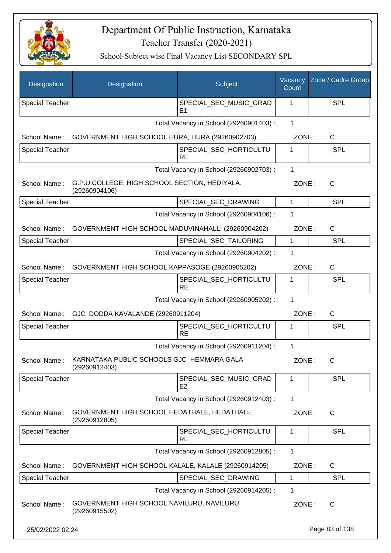

| Designation            | Designation                                                    | Subject                                  | Vacancy<br>Count | Zone / Cadre Group |
|------------------------|----------------------------------------------------------------|------------------------------------------|------------------|--------------------|
| <b>Special Teacher</b> |                                                                | SPECIAL_SEC_MUSIC_GRAD<br>E <sub>1</sub> | 1                | SPL                |
|                        |                                                                | Total Vacancy in School (29260901403) :  | 1                |                    |
| School Name:           | GOVERNMENT HIGH SCHOOL HURA, HURA (29260902703)                |                                          | ZONE:            | C                  |
| Special Teacher        |                                                                | SPECIAL_SEC_HORTICULTU<br><b>RE</b>      | 1                | SPL                |
|                        |                                                                | Total Vacancy in School (29260902703) :  | 1                |                    |
| School Name:           | G.P.U.COLLEGE, HIGH SCHOOL SECTION, HEDIYALA.<br>(29260904106) |                                          | ZONE:            | C                  |
| <b>Special Teacher</b> |                                                                | SPECIAL_SEC_DRAWING                      | $\mathbf{1}$     | SPL                |
|                        |                                                                | Total Vacancy in School (29260904106) :  | 1                |                    |
| School Name:           | GOVERNMENT HIGH SCHOOL MADUVINAHALLI (29260904202)             |                                          | ZONE:            | C                  |
| <b>Special Teacher</b> |                                                                | SPECIAL_SEC_TAILORING                    | $\mathbf{1}$     | SPL                |
|                        |                                                                | Total Vacancy in School (29260904202) :  | 1                |                    |
| School Name:           | GOVERNMENT HIGH SCHOOL KAPPASOGE (29260905202)                 |                                          | ZONE:            | C                  |
| <b>Special Teacher</b> |                                                                | SPECIAL_SEC_HORTICULTU<br><b>RE</b>      | 1                | SPL                |
|                        |                                                                | Total Vacancy in School (29260905202) :  | 1                |                    |
| School Name:           | GJC DODDA KAVALANDE (29260911204)                              |                                          | ZONE:            | C                  |
| <b>Special Teacher</b> |                                                                | SPECIAL_SEC_HORTICULTU<br><b>RE</b>      | 1                | <b>SPL</b>         |
|                        |                                                                | Total Vacancy in School (29260911204) :  | 1                |                    |
| School Name:           | KARNATAKA PUBLIC SCHOOLS GJC HEMMARA GALA<br>(29260912403)     |                                          | ZONE:            | С                  |
| <b>Special Teacher</b> |                                                                | SPECIAL SEC MUSIC GRAD<br>E <sub>2</sub> | 1                | <b>SPL</b>         |
|                        |                                                                | Total Vacancy in School (29260912403) :  | $\mathbf{1}$     |                    |
| School Name:           | GOVERNMENT HIGH SCHOOL HEDATHALE, HEDATHALE<br>(29260912805)   |                                          | ZONE:            | C                  |
| <b>Special Teacher</b> |                                                                | SPECIAL SEC HORTICULTU<br><b>RE</b>      | 1                | <b>SPL</b>         |
|                        |                                                                | Total Vacancy in School (29260912805) :  | 1                |                    |
| School Name:           | GOVERNMENT HIGH SCHOOL KALALE, KALALE (29260914205)            |                                          | ZONE:            | $\mathsf{C}$       |
| <b>Special Teacher</b> |                                                                | SPECIAL_SEC_DRAWING                      | 1                | <b>SPL</b>         |
|                        |                                                                | Total Vacancy in School (29260914205) :  | 1                |                    |
| School Name:           | GOVERNMENT HIGH SCHOOL NAVILURU, NAVILURU<br>(29260915502)     |                                          | ZONE:            | $\mathsf{C}$       |
| 25/02/2022 02:24       |                                                                |                                          |                  | Page 83 of 138     |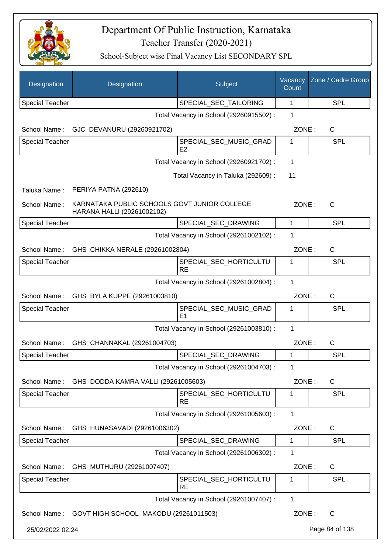

| Designation            | Designation                                                                | Subject                                  | Vacancy<br>Count | Zone / Cadre Group |
|------------------------|----------------------------------------------------------------------------|------------------------------------------|------------------|--------------------|
| <b>Special Teacher</b> |                                                                            | SPECIAL_SEC_TAILORING                    | 1                | <b>SPL</b>         |
|                        |                                                                            | Total Vacancy in School (29260915502) :  | 1                |                    |
|                        | School Name: GJC DEVANURU (29260921702)                                    |                                          | ZONE:            | C                  |
| <b>Special Teacher</b> |                                                                            | SPECIAL_SEC_MUSIC_GRAD<br>E2             | 1                | <b>SPL</b>         |
|                        |                                                                            | Total Vacancy in School (29260921702) :  | 1                |                    |
|                        |                                                                            | Total Vacancy in Taluka (292609):        | 11               |                    |
| Taluka Name:           | PERIYA PATNA (292610)                                                      |                                          |                  |                    |
| School Name:           | KARNATAKA PUBLIC SCHOOLS GOVT JUNIOR COLLEGE<br>HARANA HALLI (29261002102) |                                          | ZONE:            | C                  |
| <b>Special Teacher</b> |                                                                            | SPECIAL_SEC_DRAWING                      | 1                | <b>SPL</b>         |
|                        |                                                                            | Total Vacancy in School (29261002102) :  | 1                |                    |
| School Name:           | GHS CHIKKA NERALE (29261002804)                                            |                                          | ZONE:            | $\mathsf{C}$       |
| <b>Special Teacher</b> |                                                                            | SPECIAL_SEC_HORTICULTU<br><b>RE</b>      | 1                | <b>SPL</b>         |
|                        |                                                                            | Total Vacancy in School (29261002804) :  | 1                |                    |
| School Name:           | GHS BYLA KUPPE (29261003810)                                               |                                          | ZONE:            | $\mathsf{C}$       |
| <b>Special Teacher</b> |                                                                            | SPECIAL_SEC_MUSIC_GRAD<br>E <sub>1</sub> | 1                | <b>SPL</b>         |
|                        |                                                                            | Total Vacancy in School (29261003810) :  | $\mathbf 1$      |                    |
|                        | School Name: GHS CHANNAKAL (29261004703)                                   |                                          | ZONE:            | $\mathsf{C}$       |
| <b>Special Teacher</b> |                                                                            | SPECIAL_SEC_DRAWING                      | 1                | <b>SPL</b>         |
|                        |                                                                            | Total Vacancy in School (29261004703) :  | 1                |                    |
| School Name:           | GHS DODDA KAMRA VALLI (29261005603)                                        |                                          | ZONE:            | C                  |
| <b>Special Teacher</b> |                                                                            | SPECIAL_SEC_HORTICULTU<br><b>RE</b>      | 1                | <b>SPL</b>         |
|                        |                                                                            | Total Vacancy in School (29261005603) :  | $\mathbf{1}$     |                    |
| School Name:           | GHS HUNASAVADI (29261006302)                                               |                                          | ZONE:            | C                  |
| <b>Special Teacher</b> |                                                                            | SPECIAL_SEC_DRAWING                      | 1                | <b>SPL</b>         |
|                        |                                                                            | Total Vacancy in School (29261006302) :  | 1                |                    |
| School Name:           | GHS MUTHURU (29261007407)                                                  |                                          | ZONE:            | C                  |
| <b>Special Teacher</b> |                                                                            | SPECIAL_SEC_HORTICULTU<br><b>RE</b>      | 1                | <b>SPL</b>         |
|                        |                                                                            | Total Vacancy in School (29261007407) :  | 1                |                    |
|                        | School Name: GOVT HIGH SCHOOL MAKODU (29261011503)                         |                                          | ZONE:            | C                  |
| 25/02/2022 02:24       |                                                                            |                                          |                  | Page 84 of 138     |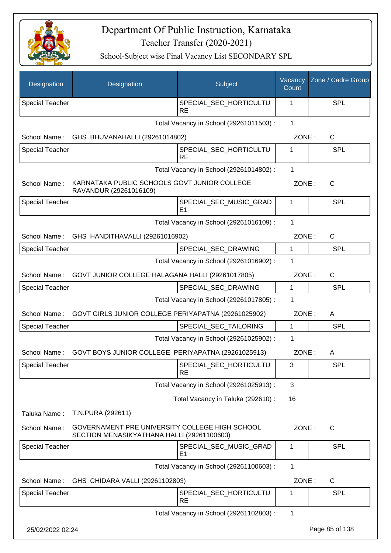

| Designation            | Designation                                                                                  | Subject                                  | Vacancy<br>Count | Zone / Cadre Group |
|------------------------|----------------------------------------------------------------------------------------------|------------------------------------------|------------------|--------------------|
| <b>Special Teacher</b> |                                                                                              | SPECIAL_SEC_HORTICULTU<br><b>RE</b>      | 1                | <b>SPL</b>         |
|                        |                                                                                              | Total Vacancy in School (29261011503) :  | 1                |                    |
| School Name:           | GHS BHUVANAHALLI (29261014802)                                                               |                                          | ZONE:            | $\mathsf{C}$       |
| Special Teacher        |                                                                                              | SPECIAL_SEC_HORTICULTU<br><b>RE</b>      | 1                | <b>SPL</b>         |
|                        |                                                                                              | Total Vacancy in School (29261014802) :  | 1                |                    |
| School Name:           | KARNATAKA PUBLIC SCHOOLS GOVT JUNIOR COLLEGE<br>RAVANDUR (29261016109)                       |                                          | ZONE:            | C                  |
| <b>Special Teacher</b> |                                                                                              | SPECIAL_SEC_MUSIC_GRAD<br>E <sub>1</sub> | 1                | <b>SPL</b>         |
|                        |                                                                                              | Total Vacancy in School (29261016109) :  | 1                |                    |
| School Name:           | GHS HANDITHAVALLI (29261016902)                                                              |                                          | ZONE:            | $\mathsf{C}$       |
| <b>Special Teacher</b> |                                                                                              | SPECIAL_SEC_DRAWING                      | 1                | <b>SPL</b>         |
|                        |                                                                                              | Total Vacancy in School (29261016902) :  | 1                |                    |
| School Name:           | GOVT JUNIOR COLLEGE HALAGANA HALLI (29261017805)                                             |                                          | ZONE:            | $\mathsf{C}$       |
| Special Teacher        |                                                                                              | SPECIAL_SEC_DRAWING                      | 1                | <b>SPL</b>         |
|                        |                                                                                              | Total Vacancy in School (29261017805) :  | 1                |                    |
| School Name:           | GOVT GIRLS JUNIOR COLLEGE PERIYAPATNA (29261025902)                                          |                                          | ZONE:            | A                  |
| <b>Special Teacher</b> |                                                                                              | SPECIAL_SEC_TAILORING                    | $\mathbf{1}$     | <b>SPL</b>         |
|                        |                                                                                              | Total Vacancy in School (29261025902) :  | 1                |                    |
| School Name:           | GOVT BOYS JUNIOR COLLEGE PERIYAPATNA (29261025913)                                           |                                          | ZONE:            | Α                  |
| <b>Special Teacher</b> |                                                                                              | SPECIAL_SEC_HORTICULTU<br><b>RE</b>      | 3                | <b>SPL</b>         |
|                        |                                                                                              | Total Vacancy in School (29261025913) :  | 3                |                    |
|                        |                                                                                              | Total Vacancy in Taluka (292610) :       | 16               |                    |
| Taluka Name:           | T.N.PURA (292611)                                                                            |                                          |                  |                    |
| School Name:           | GOVERNAMENT PRE UNIVERSITY COLLEGE HIGH SCHOOL<br>SECTION MENASIKYATHANA HALLI (29261100603) |                                          | ZONE:            | C                  |
| Special Teacher        |                                                                                              | SPECIAL SEC MUSIC GRAD<br>E1             | 1                | <b>SPL</b>         |
|                        |                                                                                              | Total Vacancy in School (29261100603) :  | 1                |                    |
| School Name:           | GHS CHIDARA VALLI (29261102803)                                                              |                                          | ZONE:            | C                  |
| <b>Special Teacher</b> |                                                                                              | SPECIAL_SEC_HORTICULTU<br><b>RE</b>      | 1                | <b>SPL</b>         |
|                        |                                                                                              | Total Vacancy in School (29261102803) :  | 1                |                    |
| 25/02/2022 02:24       |                                                                                              |                                          |                  | Page 85 of 138     |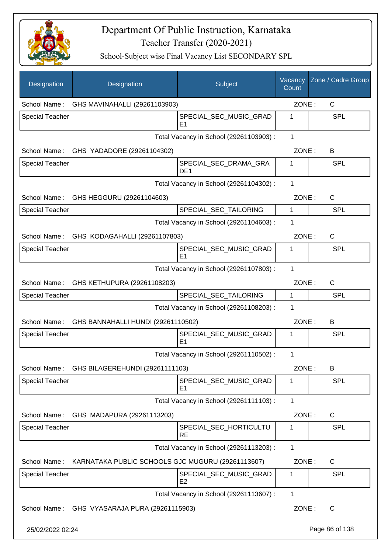

| Designation            | Designation                                       | Subject                                  | Vacancy<br>Count | Zone / Cadre Group |
|------------------------|---------------------------------------------------|------------------------------------------|------------------|--------------------|
| School Name:           | GHS MAVINAHALLI (29261103903)                     |                                          | ZONE:            | C                  |
| <b>Special Teacher</b> |                                                   | SPECIAL_SEC_MUSIC_GRAD<br>E1             | 1                | <b>SPL</b>         |
|                        |                                                   | Total Vacancy in School (29261103903) :  | 1                |                    |
|                        | School Name: GHS YADADORE (29261104302)           |                                          | ZONE:            | B                  |
| Special Teacher        |                                                   | SPECIAL_SEC_DRAMA_GRA<br>DE <sub>1</sub> | 1                | SPL                |
|                        |                                                   | Total Vacancy in School (29261104302) :  | 1                |                    |
|                        | School Name: GHS HEGGURU (29261104603)            |                                          | ZONE:            | $\mathsf{C}$       |
| <b>Special Teacher</b> |                                                   | SPECIAL_SEC_TAILORING                    | 1                | SPL                |
|                        |                                                   | Total Vacancy in School (29261104603) :  | 1                |                    |
|                        | School Name: GHS KODAGAHALLI (29261107803)        |                                          | ZONE:            | $\mathsf{C}$       |
| <b>Special Teacher</b> |                                                   | SPECIAL_SEC_MUSIC_GRAD<br>E <sub>1</sub> | 1                | SPL                |
|                        |                                                   | Total Vacancy in School (29261107803) :  | 1                |                    |
|                        | School Name: GHS KETHUPURA (29261108203)          |                                          | ZONE:            | C                  |
| Special Teacher        |                                                   | SPECIAL_SEC_TAILORING                    | 1                | SPL                |
|                        |                                                   | Total Vacancy in School (29261108203) :  | 1                |                    |
|                        | School Name: GHS BANNAHALLI HUNDI (29261110502)   |                                          | ZONE:            | B                  |
| <b>Special Teacher</b> |                                                   | SPECIAL_SEC_MUSIC_GRAD<br>E <sub>1</sub> | 1                | SPL                |
|                        |                                                   | Total Vacancy in School (29261110502) :  | 1                |                    |
| School Name:           | GHS BILAGEREHUNDI (29261111103)                   |                                          | ZONE:            | B                  |
| <b>Special Teacher</b> |                                                   | SPECIAL_SEC_MUSIC_GRAD<br>E <sub>1</sub> | 1                | SPL                |
|                        |                                                   | Total Vacancy in School (29261111103) :  | 1                |                    |
| School Name:           | GHS MADAPURA (29261113203)                        |                                          | ZONE:            | C                  |
| Special Teacher        |                                                   | SPECIAL SEC HORTICULTU<br><b>RE</b>      | 1                | SPL                |
|                        |                                                   | Total Vacancy in School (29261113203) :  | 1                |                    |
| School Name:           | KARNATAKA PUBLIC SCHOOLS GJC MUGURU (29261113607) |                                          | ZONE:            | $\mathsf{C}$       |
| Special Teacher        |                                                   | SPECIAL_SEC_MUSIC_GRAD<br>E <sub>2</sub> | 1                | SPL                |
|                        |                                                   | Total Vacancy in School (29261113607) :  | $\mathbf{1}$     |                    |
|                        | School Name: GHS VYASARAJA PURA (29261115903)     |                                          | ZONE:            | $\mathsf{C}$       |
| 25/02/2022 02:24       |                                                   |                                          |                  | Page 86 of 138     |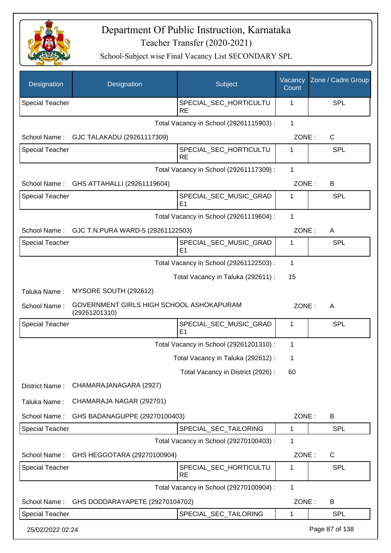

| Designation            | Designation                                               | Subject                                  | Vacancy<br>Count | Zone / Cadre Group |
|------------------------|-----------------------------------------------------------|------------------------------------------|------------------|--------------------|
| <b>Special Teacher</b> |                                                           | SPECIAL_SEC_HORTICULTU<br><b>RE</b>      | 1                | <b>SPL</b>         |
|                        |                                                           | Total Vacancy in School (29261115903) :  | $\mathbf{1}$     |                    |
| School Name:           | GJC TALAKADU (29261117309)                                |                                          | ZONE:            | C                  |
| <b>Special Teacher</b> |                                                           | SPECIAL_SEC_HORTICULTU<br><b>RE</b>      | 1                | <b>SPL</b>         |
|                        |                                                           | Total Vacancy in School (29261117309) :  | $\mathbf{1}$     |                    |
| School Name:           | GHS ATTAHALLI (29261119604)                               |                                          | ZONE:            | B                  |
| Special Teacher        |                                                           | SPECIAL_SEC_MUSIC_GRAD<br>E <sub>1</sub> | 1                | <b>SPL</b>         |
|                        |                                                           | Total Vacancy in School (29261119604) :  | 1                |                    |
| School Name:           | GJC T.N.PURA WARD-5 (29261122503)                         |                                          | ZONE:            | A                  |
| <b>Special Teacher</b> |                                                           | SPECIAL_SEC_MUSIC_GRAD<br>E <sub>1</sub> | 1                | <b>SPL</b>         |
|                        |                                                           | Total Vacancy in School (29261122503) :  | $\mathbf 1$      |                    |
|                        |                                                           | Total Vacancy in Taluka (292611) :       | 15               |                    |
| Taluka Name:           | MYSORE SOUTH (292612)                                     |                                          |                  |                    |
| School Name:           | GOVERNMENT GIRLS HIGH SCHOOL ASHOKAPURAM<br>(29261201310) |                                          | ZONE:            | A                  |
| <b>Special Teacher</b> |                                                           | SPECIAL_SEC_MUSIC_GRAD<br>E <sub>1</sub> | 1                | <b>SPL</b>         |
|                        |                                                           | Total Vacancy in School (29261201310) :  | 1                |                    |
|                        |                                                           | Total Vacancy in Taluka (292612) :       | 1                |                    |
|                        |                                                           | Total Vacancy in District (2926):        | 60               |                    |
| District Name:         | CHAMARAJANAGARA (2927)                                    |                                          |                  |                    |
| Taluka Name:           | CHAMARAJA NAGAR (292701)                                  |                                          |                  |                    |
| School Name:           | GHS BADANAGUPPE (29270100403)                             |                                          | ZONE:            | B                  |
| <b>Special Teacher</b> |                                                           | SPECIAL_SEC_TAILORING                    | 1                | <b>SPL</b>         |
|                        |                                                           | Total Vacancy in School (29270100403) :  | 1                |                    |
| School Name:           | GHS HEGGOTARA (29270100904)                               |                                          | ZONE:            | $\mathsf{C}$       |
| <b>Special Teacher</b> |                                                           | SPECIAL_SEC_HORTICULTU<br><b>RE</b>      | 1                | <b>SPL</b>         |
|                        |                                                           | Total Vacancy in School (29270100904) :  | 1                |                    |
| School Name:           | GHS DODDARAYAPETE (29270104702)                           |                                          | ZONE:            | B                  |
| <b>Special Teacher</b> |                                                           | SPECIAL_SEC_TAILORING                    | 1                | <b>SPL</b>         |
| 25/02/2022 02:24       |                                                           |                                          |                  | Page 87 of 138     |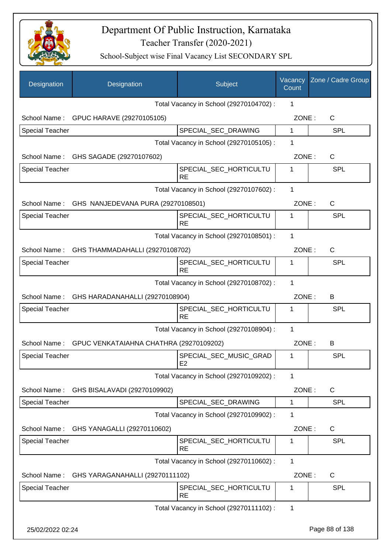

| Designation            | Designation                                     | Subject                                  | Vacancy<br>Count | Zone / Cadre Group |
|------------------------|-------------------------------------------------|------------------------------------------|------------------|--------------------|
|                        |                                                 | Total Vacancy in School (29270104702) :  | 1                |                    |
|                        | School Name: GPUC HARAVE (29270105105)          |                                          | ZONE:            | $\mathsf{C}$       |
| <b>Special Teacher</b> |                                                 | SPECIAL_SEC_DRAWING                      | $\mathbf{1}$     | <b>SPL</b>         |
|                        |                                                 | Total Vacancy in School (29270105105) :  | 1                |                    |
|                        | School Name: GHS SAGADE (29270107602)           |                                          | ZONE:            | $\mathsf C$        |
| <b>Special Teacher</b> |                                                 | SPECIAL_SEC_HORTICULTU<br><b>RE</b>      | 1                | <b>SPL</b>         |
|                        |                                                 | Total Vacancy in School (29270107602) :  | 1                |                    |
|                        | School Name: GHS NANJEDEVANA PURA (29270108501) |                                          | ZONE:            | $\mathsf{C}$       |
| <b>Special Teacher</b> |                                                 | SPECIAL_SEC_HORTICULTU<br><b>RE</b>      | 1                | <b>SPL</b>         |
|                        |                                                 | Total Vacancy in School (29270108501) :  | 1                |                    |
|                        | School Name: GHS THAMMADAHALLI (29270108702)    |                                          | ZONE:            | $\mathsf{C}$       |
| <b>Special Teacher</b> |                                                 | SPECIAL_SEC_HORTICULTU<br><b>RE</b>      | 1                | <b>SPL</b>         |
|                        |                                                 | Total Vacancy in School (29270108702) :  | 1                |                    |
| School Name:           | GHS HARADANAHALLI (29270108904)                 |                                          | ZONE:            | B                  |
| <b>Special Teacher</b> |                                                 | SPECIAL_SEC_HORTICULTU<br><b>RE</b>      | 1                | <b>SPL</b>         |
|                        |                                                 | Total Vacancy in School (29270108904) :  | 1                |                    |
| School Name:           | GPUC VENKATAIAHNA CHATHRA (29270109202)         |                                          | ZONE:            | B                  |
| <b>Special Teacher</b> |                                                 | SPECIAL_SEC_MUSIC_GRAD<br>E <sub>2</sub> | 1                | <b>SPL</b>         |
|                        |                                                 | Total Vacancy in School (29270109202) :  | 1                |                    |
| School Name:           | GHS BISALAVADI (29270109902)                    |                                          | ZONE:            | C                  |
| <b>Special Teacher</b> |                                                 | SPECIAL_SEC_DRAWING                      | $\mathbf{1}$     | <b>SPL</b>         |
|                        |                                                 | Total Vacancy in School (29270109902) :  | 1                |                    |
| School Name:           | GHS YANAGALLI (29270110602)                     |                                          | ZONE:            | C                  |
| <b>Special Teacher</b> |                                                 | SPECIAL_SEC_HORTICULTU<br><b>RE</b>      | 1                | <b>SPL</b>         |
|                        |                                                 | Total Vacancy in School (29270110602) :  | 1                |                    |
| School Name:           | GHS YARAGANAHALLI (29270111102)                 |                                          | ZONE:            | C                  |
| <b>Special Teacher</b> |                                                 | SPECIAL_SEC_HORTICULTU<br><b>RE</b>      | 1                | <b>SPL</b>         |
|                        |                                                 | Total Vacancy in School (29270111102) :  | 1                |                    |
| 25/02/2022 02:24       |                                                 |                                          |                  | Page 88 of 138     |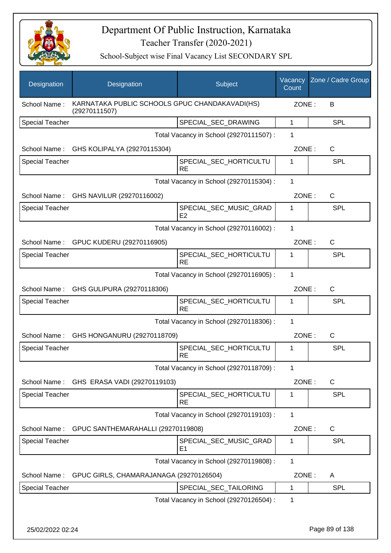

| Designation            | Designation                                                     | Subject                                  | Vacancy<br>Count | Zone / Cadre Group |
|------------------------|-----------------------------------------------------------------|------------------------------------------|------------------|--------------------|
| School Name:           | KARNATAKA PUBLIC SCHOOLS GPUC CHANDAKAVADI(HS)<br>(29270111507) |                                          |                  | ZONE:<br>B         |
| <b>Special Teacher</b> |                                                                 | SPECIAL_SEC_DRAWING                      | 1                | <b>SPL</b>         |
|                        |                                                                 | Total Vacancy in School (29270111507) :  | 1                |                    |
|                        | School Name: GHS KOLIPALYA (29270115304)                        |                                          | ZONE:            | C                  |
| <b>Special Teacher</b> |                                                                 | SPECIAL_SEC_HORTICULTU<br><b>RE</b>      | 1                | SPL                |
|                        |                                                                 | Total Vacancy in School (29270115304) :  | 1                |                    |
|                        | School Name: GHS NAVILUR (29270116002)                          |                                          | ZONE:            | C                  |
| <b>Special Teacher</b> |                                                                 | SPECIAL_SEC_MUSIC_GRAD<br>E <sub>2</sub> | 1                | <b>SPL</b>         |
|                        |                                                                 | Total Vacancy in School (29270116002) :  | 1                |                    |
|                        | School Name: GPUC KUDERU (29270116905)                          |                                          | ZONE:            | $\mathsf{C}$       |
| <b>Special Teacher</b> |                                                                 | SPECIAL_SEC_HORTICULTU<br><b>RE</b>      | 1                | <b>SPL</b>         |
|                        |                                                                 | Total Vacancy in School (29270116905) :  | 1                |                    |
|                        | School Name: GHS GULIPURA (29270118306)                         |                                          | ZONE:            | C                  |
| <b>Special Teacher</b> |                                                                 | SPECIAL_SEC_HORTICULTU<br><b>RE</b>      | 1                | <b>SPL</b>         |
|                        |                                                                 | Total Vacancy in School (29270118306) :  | 1                |                    |
| School Name:           | GHS HONGANURU (29270118709)                                     |                                          | ZONE:            | $\mathsf{C}$       |
| <b>Special Teacher</b> |                                                                 | SPECIAL_SEC_HORTICULTU<br><b>RE</b>      | 1                | SPL                |
|                        |                                                                 | Total Vacancy in School (29270118709) :  | 1                |                    |
| School Name:           | GHS ERASA VADI (29270119103)                                    |                                          | ZONE:            | $\mathsf{C}$       |
| <b>Special Teacher</b> |                                                                 | SPECIAL_SEC_HORTICULTU<br><b>RE</b>      | 1                | <b>SPL</b>         |
|                        |                                                                 | Total Vacancy in School (29270119103) :  | $\mathbf{1}$     |                    |
| School Name:           | GPUC SANTHEMARAHALLI (29270119808)                              |                                          | ZONE:            | C                  |
| <b>Special Teacher</b> |                                                                 | SPECIAL SEC MUSIC GRAD<br>E1             | 1                | <b>SPL</b>         |
|                        |                                                                 | Total Vacancy in School (29270119808) :  | $\mathbf{1}$     |                    |
| School Name:           | GPUC GIRLS, CHAMARAJANAGA (29270126504)                         |                                          | ZONE:            | A                  |
| Special Teacher        |                                                                 | SPECIAL_SEC_TAILORING                    | 1                | <b>SPL</b>         |
|                        |                                                                 | Total Vacancy in School (29270126504) :  | 1                |                    |
| 25/02/2022 02:24       |                                                                 |                                          |                  | Page 89 of 138     |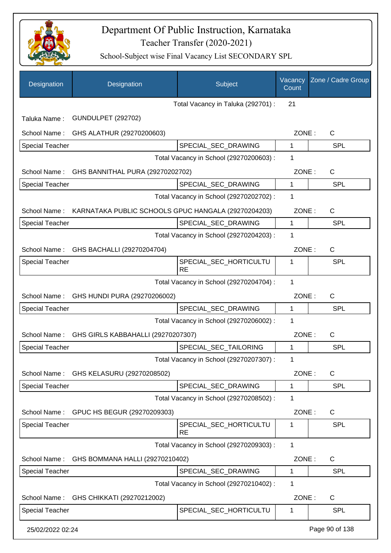

| Designation            | Designation                                                      | Subject                                 | Vacancy<br>Count | Zone / Cadre Group |
|------------------------|------------------------------------------------------------------|-----------------------------------------|------------------|--------------------|
|                        |                                                                  | Total Vacancy in Taluka (292701) :      | 21               |                    |
| Taluka Name:           | <b>GUNDULPET (292702)</b>                                        |                                         |                  |                    |
| School Name:           | GHS ALATHUR (29270200603)                                        |                                         | ZONE:            | $\mathsf{C}$       |
| <b>Special Teacher</b> |                                                                  | SPECIAL_SEC_DRAWING                     | 1                | SPL                |
|                        |                                                                  | Total Vacancy in School (29270200603) : | 1                |                    |
|                        | School Name: GHS BANNITHAL PURA (29270202702)                    |                                         | ZONE:            | $\mathsf{C}$       |
| <b>Special Teacher</b> |                                                                  | SPECIAL_SEC_DRAWING                     | 1                | SPL                |
|                        |                                                                  | Total Vacancy in School (29270202702) : | 1                |                    |
|                        | School Name: KARNATAKA PUBLIC SCHOOLS GPUC HANGALA (29270204203) |                                         | ZONE:            | $\mathsf{C}$       |
| <b>Special Teacher</b> |                                                                  | SPECIAL_SEC_DRAWING                     | $\mathbf{1}$     | SPL                |
|                        |                                                                  | Total Vacancy in School (29270204203) : | 1                |                    |
| School Name:           | GHS BACHALLI (29270204704)                                       |                                         | ZONE:            | $\mathsf{C}$       |
| <b>Special Teacher</b> |                                                                  | SPECIAL_SEC_HORTICULTU<br><b>RE</b>     | 1                | <b>SPL</b>         |
|                        |                                                                  | Total Vacancy in School (29270204704) : | 1                |                    |
| School Name:           | GHS HUNDI PURA (29270206002)                                     |                                         | ZONE:            | $\mathsf{C}$       |
| <b>Special Teacher</b> |                                                                  | SPECIAL_SEC_DRAWING                     | 1                | SPL                |
|                        |                                                                  | Total Vacancy in School (29270206002) : | 1                |                    |
| School Name:           | GHS GIRLS KABBAHALLI (29270207307)                               |                                         | ZONE:            | C                  |
| <b>Special Teacher</b> |                                                                  | SPECIAL_SEC_TAILORING                   | 1                | SPL                |
|                        |                                                                  | Total Vacancy in School (29270207307) : | 1                |                    |
| School Name:           | GHS KELASURU (29270208502)                                       |                                         | ZONE:            | C                  |
| <b>Special Teacher</b> |                                                                  | SPECIAL_SEC_DRAWING                     | 1                | <b>SPL</b>         |
|                        |                                                                  | Total Vacancy in School (29270208502) : | 1                |                    |
| School Name:           | GPUC HS BEGUR (29270209303)                                      |                                         | ZONE:            | C                  |
| <b>Special Teacher</b> |                                                                  | SPECIAL_SEC_HORTICULTU<br><b>RE</b>     | 1                | SPL                |
|                        |                                                                  | Total Vacancy in School (29270209303) : | 1                |                    |
| School Name:           | GHS BOMMANA HALLI (29270210402)                                  |                                         | ZONE:            | C                  |
| <b>Special Teacher</b> |                                                                  | SPECIAL_SEC_DRAWING                     | 1                | SPL                |
|                        |                                                                  | Total Vacancy in School (29270210402) : | 1                |                    |
| School Name:           | GHS CHIKKATI (29270212002)                                       |                                         | ZONE:            | C                  |
| <b>Special Teacher</b> |                                                                  | SPECIAL_SEC_HORTICULTU                  | 1                | <b>SPL</b>         |
| 25/02/2022 02:24       |                                                                  |                                         |                  | Page 90 of 138     |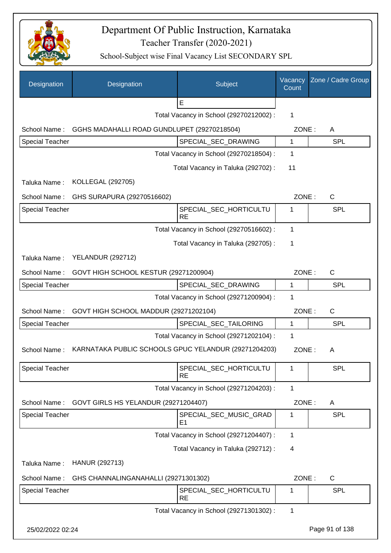

| Designation            | Designation                                          | Subject                                 | Vacancy<br>Count | Zone / Cadre Group |
|------------------------|------------------------------------------------------|-----------------------------------------|------------------|--------------------|
|                        |                                                      | E                                       |                  |                    |
|                        |                                                      | Total Vacancy in School (29270212002) : | 1                |                    |
| School Name:           | GGHS MADAHALLI ROAD GUNDLUPET (29270218504)          |                                         | ZONE:            | A                  |
| <b>Special Teacher</b> |                                                      | SPECIAL_SEC_DRAWING                     | 1                | <b>SPL</b>         |
|                        |                                                      | Total Vacancy in School (29270218504) : | $\mathbf 1$      |                    |
|                        |                                                      | Total Vacancy in Taluka (292702) :      | 11               |                    |
| Taluka Name:           | <b>KOLLEGAL (292705)</b>                             |                                         |                  |                    |
| School Name:           | GHS SURAPURA (29270516602)                           |                                         | ZONE:            | $\mathsf{C}$       |
| <b>Special Teacher</b> |                                                      | SPECIAL_SEC_HORTICULTU<br><b>RE</b>     | 1                | SPL                |
|                        |                                                      | Total Vacancy in School (29270516602) : | 1                |                    |
|                        |                                                      | Total Vacancy in Taluka (292705):       | 1                |                    |
| Taluka Name:           | <b>YELANDUR (292712)</b>                             |                                         |                  |                    |
| School Name:           | GOVT HIGH SCHOOL KESTUR (29271200904)                |                                         | ZONE:            | $\mathsf{C}$       |
| <b>Special Teacher</b> |                                                      | SPECIAL_SEC_DRAWING                     | $\mathbf 1$      | <b>SPL</b>         |
|                        |                                                      | Total Vacancy in School (29271200904) : | 1                |                    |
| School Name:           | GOVT HIGH SCHOOL MADDUR (29271202104)                |                                         | ZONE:            | $\mathsf{C}$       |
| <b>Special Teacher</b> |                                                      | SPECIAL_SEC_TAILORING                   | $\mathbf{1}$     | SPL                |
|                        |                                                      | Total Vacancy in School (29271202104) : | 1                |                    |
| School Name:           | KARNATAKA PUBLIC SCHOOLS GPUC YELANDUR (29271204203) |                                         | ZONE:            | A                  |
| <b>Special Teacher</b> |                                                      | SPECIAL_SEC_HORTICULTU<br><b>RE</b>     | 1                | SPL                |
|                        |                                                      | Total Vacancy in School (29271204203) : | 1                |                    |
| School Name:           | GOVT GIRLS HS YELANDUR (29271204407)                 |                                         | ZONE:            | A                  |
| <b>Special Teacher</b> |                                                      | SPECIAL_SEC_MUSIC_GRAD<br>E1            | 1                | <b>SPL</b>         |
|                        |                                                      | Total Vacancy in School (29271204407) : | 1                |                    |
|                        |                                                      | Total Vacancy in Taluka (292712) :      | 4                |                    |
| Taluka Name:           | HANUR (292713)                                       |                                         |                  |                    |
| School Name:           | GHS CHANNALINGANAHALLI (29271301302)                 |                                         | ZONE:            | $\mathsf C$        |
| <b>Special Teacher</b> |                                                      | SPECIAL_SEC_HORTICULTU<br><b>RE</b>     | 1                | <b>SPL</b>         |
|                        |                                                      | Total Vacancy in School (29271301302) : | 1                |                    |
| 25/02/2022 02:24       |                                                      |                                         |                  | Page 91 of 138     |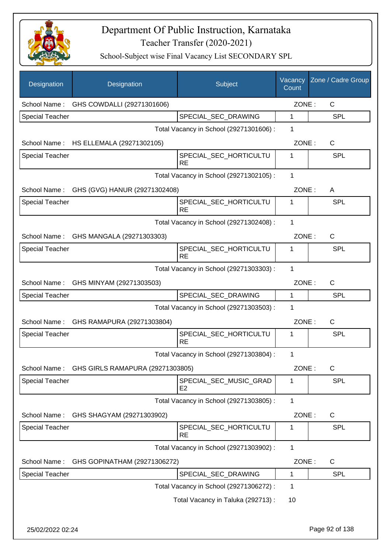

| Designation            | Designation                                | Subject                                  | Vacancy<br>Count | Zone / Cadre Group |
|------------------------|--------------------------------------------|------------------------------------------|------------------|--------------------|
|                        | School Name: GHS COWDALLI (29271301606)    |                                          | ZONE:            | C                  |
| <b>Special Teacher</b> |                                            | SPECIAL_SEC_DRAWING                      | 1                | <b>SPL</b>         |
|                        |                                            | Total Vacancy in School (29271301606) :  | 1                |                    |
|                        | School Name: HS ELLEMALA (29271302105)     |                                          | ZONE:            | C                  |
| <b>Special Teacher</b> |                                            | SPECIAL_SEC_HORTICULTU<br><b>RE</b>      | 1                | <b>SPL</b>         |
|                        |                                            | Total Vacancy in School (29271302105) :  | 1                |                    |
|                        | School Name: GHS (GVG) HANUR (29271302408) |                                          | ZONE:            | A                  |
| <b>Special Teacher</b> |                                            | SPECIAL_SEC_HORTICULTU<br><b>RE</b>      | 1                | <b>SPL</b>         |
|                        |                                            | Total Vacancy in School (29271302408) :  | 1                |                    |
|                        | School Name: GHS MANGALA (29271303303)     |                                          | ZONE:            | $\mathsf{C}$       |
| <b>Special Teacher</b> |                                            | SPECIAL_SEC_HORTICULTU<br><b>RE</b>      | 1                | <b>SPL</b>         |
|                        |                                            | Total Vacancy in School (29271303303) :  | 1                |                    |
|                        | School Name: GHS MINYAM (29271303503)      |                                          | ZONE:            | C                  |
| <b>Special Teacher</b> |                                            | SPECIAL_SEC_DRAWING                      | 1                | <b>SPL</b>         |
|                        |                                            | Total Vacancy in School (29271303503) :  | 1                |                    |
|                        | School Name: GHS RAMAPURA (29271303804)    |                                          | ZONE:            | C                  |
| <b>Special Teacher</b> |                                            | SPECIAL_SEC_HORTICULTU<br><b>RE</b>      | 1                | SPL                |
|                        |                                            | Total Vacancy in School (29271303804) :  | 1                |                    |
| School Name:           | GHS GIRLS RAMAPURA (29271303805)           |                                          | ZONE:            | $\mathsf C$        |
| <b>Special Teacher</b> |                                            | SPECIAL_SEC_MUSIC_GRAD<br>E <sub>2</sub> | 1                | <b>SPL</b>         |
|                        |                                            | Total Vacancy in School (29271303805) :  | 1                |                    |
| School Name:           | GHS SHAGYAM (29271303902)                  |                                          | ZONE:            | C                  |
| <b>Special Teacher</b> |                                            | SPECIAL_SEC_HORTICULTU<br><b>RE</b>      | 1                | <b>SPL</b>         |
|                        |                                            | Total Vacancy in School (29271303902) :  | 1                |                    |
| School Name:           | GHS GOPINATHAM (29271306272)               |                                          | ZONE:            | C                  |
| <b>Special Teacher</b> |                                            | SPECIAL_SEC_DRAWING                      | 1                | <b>SPL</b>         |
|                        |                                            | Total Vacancy in School (29271306272) :  | 1                |                    |
|                        |                                            | Total Vacancy in Taluka (292713) :       | 10               |                    |
| 25/02/2022 02:24       |                                            |                                          |                  | Page 92 of 138     |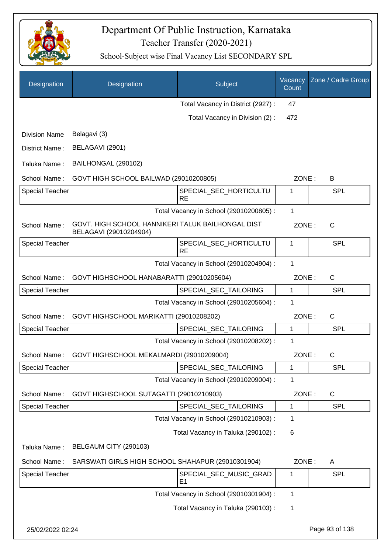

| Designation            | Designation                                                                 | Subject                                  | Vacancy<br>Count | Zone / Cadre Group |
|------------------------|-----------------------------------------------------------------------------|------------------------------------------|------------------|--------------------|
|                        |                                                                             | Total Vacancy in District (2927) :       | 47               |                    |
|                        |                                                                             | Total Vacancy in Division (2):           | 472              |                    |
| <b>Division Name</b>   | Belagavi (3)                                                                |                                          |                  |                    |
| District Name:         | BELAGAVI (2901)                                                             |                                          |                  |                    |
| Taluka Name:           | BAILHONGAL (290102)                                                         |                                          |                  |                    |
| School Name:           | GOVT HIGH SCHOOL BAILWAD (29010200805)                                      |                                          | ZONE:            | B                  |
| <b>Special Teacher</b> |                                                                             | SPECIAL_SEC_HORTICULTU<br><b>RE</b>      | 1                | <b>SPL</b>         |
|                        |                                                                             | Total Vacancy in School (29010200805) :  | 1                |                    |
| School Name:           | GOVT. HIGH SCHOOL HANNIKERI TALUK BAILHONGAL DIST<br>BELAGAVI (29010204904) |                                          | ZONE:            | $\mathsf{C}$       |
| <b>Special Teacher</b> |                                                                             | SPECIAL_SEC_HORTICULTU<br><b>RE</b>      | 1                | SPL                |
|                        |                                                                             | Total Vacancy in School (29010204904) :  | 1                |                    |
| School Name:           | GOVT HIGHSCHOOL HANABARATTI (29010205604)                                   |                                          | ZONE:            | C                  |
| <b>Special Teacher</b> |                                                                             | SPECIAL_SEC_TAILORING                    | 1                | <b>SPL</b>         |
|                        |                                                                             | Total Vacancy in School (29010205604) :  | 1                |                    |
| School Name:           | GOVT HIGHSCHOOL MARIKATTI (29010208202)                                     |                                          | ZONE:            | $\mathsf{C}$       |
| <b>Special Teacher</b> |                                                                             | SPECIAL_SEC_TAILORING                    | 1                | <b>SPL</b>         |
|                        |                                                                             | Total Vacancy in School (29010208202) :  | 1                |                    |
| School Name:           | GOVT HIGHSCHOOL MEKALMARDI (29010209004)                                    |                                          | ZONE:            | $\mathsf{C}$       |
| <b>Special Teacher</b> |                                                                             | SPECIAL_SEC_TAILORING                    | 1                | <b>SPL</b>         |
|                        |                                                                             | Total Vacancy in School (29010209004) :  | 1                |                    |
| School Name:           | GOVT HIGHSCHOOL SUTAGATTI (29010210903)                                     |                                          | ZONE:            | C                  |
| <b>Special Teacher</b> |                                                                             | SPECIAL_SEC_TAILORING                    | 1                | <b>SPL</b>         |
|                        |                                                                             | Total Vacancy in School (29010210903) :  | 1                |                    |
|                        |                                                                             | Total Vacancy in Taluka (290102) :       | 6                |                    |
| Taluka Name:           | BELGAUM CITY (290103)                                                       |                                          |                  |                    |
| School Name:           | SARSWATI GIRLS HIGH SCHOOL SHAHAPUR (29010301904)                           |                                          | ZONE:            | A                  |
| <b>Special Teacher</b> |                                                                             | SPECIAL_SEC_MUSIC_GRAD<br>E <sub>1</sub> | 1                | <b>SPL</b>         |
|                        |                                                                             | Total Vacancy in School (29010301904) :  | 1                |                    |
|                        |                                                                             | Total Vacancy in Taluka (290103):        | 1                |                    |
| 25/02/2022 02:24       |                                                                             |                                          |                  | Page 93 of 138     |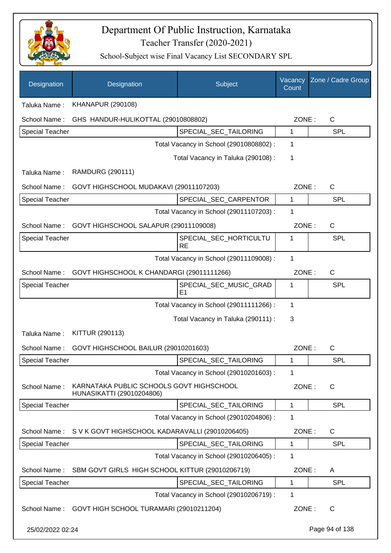

| Designation            | Designation                                                           | Subject                                  | Vacancy<br>Count | Zone / Cadre Group |
|------------------------|-----------------------------------------------------------------------|------------------------------------------|------------------|--------------------|
| Taluka Name:           | <b>KHANAPUR (290108)</b>                                              |                                          |                  |                    |
| School Name:           | GHS HANDUR-HULIKOTTAL (29010808802)                                   |                                          | ZONE:            | C                  |
| <b>Special Teacher</b> |                                                                       | SPECIAL_SEC_TAILORING                    | 1                | <b>SPL</b>         |
|                        |                                                                       | Total Vacancy in School (29010808802) :  | 1                |                    |
|                        |                                                                       | Total Vacancy in Taluka (290108) :       | 1                |                    |
| Taluka Name:           | <b>RAMDURG (290111)</b>                                               |                                          |                  |                    |
| School Name:           | GOVT HIGHSCHOOL MUDAKAVI (29011107203)                                |                                          | ZONE:            | C                  |
| Special Teacher        |                                                                       | SPECIAL_SEC_CARPENTOR                    | 1                | <b>SPL</b>         |
|                        |                                                                       | Total Vacancy in School (29011107203) :  | 1                |                    |
| School Name:           | GOVT HIGHSCHOOL SALAPUR (29011109008)                                 |                                          | ZONE:            | C                  |
| <b>Special Teacher</b> |                                                                       | SPECIAL_SEC_HORTICULTU<br><b>RE</b>      | 1                | <b>SPL</b>         |
|                        |                                                                       | Total Vacancy in School (29011109008) :  | 1                |                    |
| School Name:           | GOVT HIGHSCHOOL K CHANDARGI (29011111266)                             |                                          | ZONE:            | $\mathsf{C}$       |
| <b>Special Teacher</b> |                                                                       | SPECIAL_SEC_MUSIC_GRAD<br>E <sub>1</sub> | 1                | SPL                |
|                        |                                                                       | Total Vacancy in School (29011111266) :  | 1                |                    |
|                        |                                                                       | Total Vacancy in Taluka (290111) :       | 3                |                    |
| Taluka Name:           | KITTUR (290113)                                                       |                                          |                  |                    |
| School Name:           | GOVT HIGHSCHOOL BAILUR (29010201603)                                  |                                          | ZONE:            | C                  |
| Special Teacher        |                                                                       | SPECIAL_SEC_TAILORING                    | 1                | <b>SPL</b>         |
|                        |                                                                       | Total Vacancy in School (29010201603) :  | 1                |                    |
| School Name:           | KARNATAKA PUBLIC SCHOOLS GOVT HIGHSCHOOL<br>HUNASIKATTI (29010204806) |                                          | ZONE:            | $\mathsf{C}$       |
| <b>Special Teacher</b> |                                                                       | SPECIAL_SEC_TAILORING                    | $\mathbf{1}$     | <b>SPL</b>         |
|                        |                                                                       | Total Vacancy in School (29010204806) :  | 1                |                    |
| School Name:           | S V K GOVT HIGHSCHOOL KADARAVALLI (29010206405)                       |                                          | ZONE:            | C                  |
| Special Teacher        |                                                                       | SPECIAL SEC TAILORING                    | 1                | <b>SPL</b>         |
|                        |                                                                       | Total Vacancy in School (29010206405) :  | 1                |                    |
| School Name:           | SBM GOVT GIRLS HIGH SCHOOL KITTUR (29010206719)                       |                                          | ZONE:            | A                  |
| Special Teacher        |                                                                       | SPECIAL_SEC_TAILORING                    | 1                | <b>SPL</b>         |
|                        |                                                                       | Total Vacancy in School (29010206719) :  | 1                |                    |
|                        | School Name: GOVT HIGH SCHOOL TURAMARI (29010211204)                  |                                          | ZONE:            | C                  |
| 25/02/2022 02:24       |                                                                       |                                          |                  | Page 94 of 138     |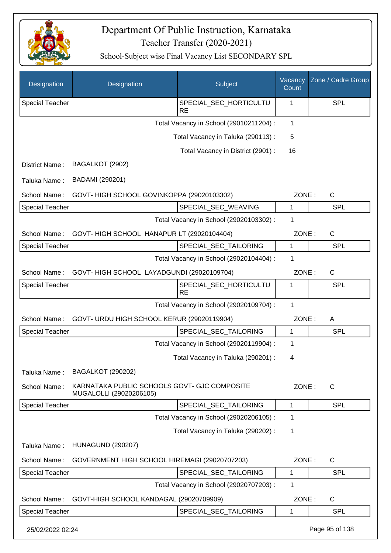

| Designation            | Designation                                                             | Subject                                 | Vacancy<br>Count | Zone / Cadre Group |
|------------------------|-------------------------------------------------------------------------|-----------------------------------------|------------------|--------------------|
| <b>Special Teacher</b> |                                                                         | SPECIAL_SEC_HORTICULTU<br><b>RE</b>     | 1                | <b>SPL</b>         |
|                        |                                                                         | Total Vacancy in School (29010211204) : | $\mathbf{1}$     |                    |
|                        |                                                                         | Total Vacancy in Taluka (290113):       | 5                |                    |
|                        |                                                                         | Total Vacancy in District (2901) :      | 16               |                    |
| District Name:         | BAGALKOT (2902)                                                         |                                         |                  |                    |
| Taluka Name:           | BADAMI (290201)                                                         |                                         |                  |                    |
| School Name:           | GOVT-HIGH SCHOOL GOVINKOPPA (29020103302)                               |                                         | ZONE:            | $\mathsf{C}$       |
| <b>Special Teacher</b> |                                                                         | SPECIAL_SEC_WEAVING                     | 1                | <b>SPL</b>         |
|                        |                                                                         | Total Vacancy in School (29020103302) : | 1                |                    |
| School Name:           | GOVT-HIGH SCHOOL HANAPUR LT (29020104404)                               |                                         | ZONE:            | $\mathsf{C}$       |
| <b>Special Teacher</b> |                                                                         | SPECIAL_SEC_TAILORING                   | 1                | <b>SPL</b>         |
|                        |                                                                         | Total Vacancy in School (29020104404) : | 1                |                    |
| School Name:           | GOVT-HIGH SCHOOL LAYADGUNDI (29020109704)                               |                                         | ZONE:            | $\mathsf{C}$       |
| <b>Special Teacher</b> |                                                                         | SPECIAL_SEC_HORTICULTU<br><b>RE</b>     | 1                | <b>SPL</b>         |
|                        |                                                                         | Total Vacancy in School (29020109704) : | $\mathbf{1}$     |                    |
| School Name:           | GOVT- URDU HIGH SCHOOL KERUR (29020119904)                              |                                         | ZONE:            | A                  |
| <b>Special Teacher</b> |                                                                         | SPECIAL_SEC_TAILORING                   | 1                | <b>SPL</b>         |
|                        |                                                                         | Total Vacancy in School (29020119904) : | 1                |                    |
|                        |                                                                         | Total Vacancy in Taluka (290201) :      | 4                |                    |
| Taluka Name:           | <b>BAGALKOT (290202)</b>                                                |                                         |                  |                    |
| School Name:           | KARNATAKA PUBLIC SCHOOLS GOVT- GJC COMPOSITE<br>MUGALOLLI (29020206105) |                                         | ZONE:            | $\mathsf{C}$       |
| <b>Special Teacher</b> |                                                                         | SPECIAL SEC TAILORING                   | 1                | <b>SPL</b>         |
|                        |                                                                         | Total Vacancy in School (29020206105) : | 1                |                    |
|                        |                                                                         | Total Vacancy in Taluka (290202):       | 1                |                    |
| Taluka Name:           | <b>HUNAGUND (290207)</b>                                                |                                         |                  |                    |
| School Name:           | GOVERNMENT HIGH SCHOOL HIREMAGI (29020707203)                           |                                         | ZONE:            | $\mathsf{C}$       |
| <b>Special Teacher</b> |                                                                         | SPECIAL_SEC_TAILORING                   | 1                | <b>SPL</b>         |
|                        |                                                                         | Total Vacancy in School (29020707203) : | 1                |                    |
| School Name:           | GOVT-HIGH SCHOOL KANDAGAL (29020709909)                                 |                                         | ZONE:            | $\mathsf{C}$       |
| <b>Special Teacher</b> |                                                                         | SPECIAL_SEC_TAILORING                   | 1                | <b>SPL</b>         |
| 25/02/2022 02:24       |                                                                         |                                         |                  | Page 95 of 138     |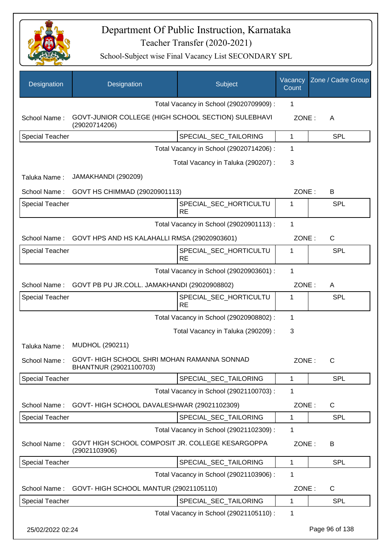

| Designation            | Designation                                                                        | Subject                                 | Vacancy<br>Count | Zone / Cadre Group |
|------------------------|------------------------------------------------------------------------------------|-----------------------------------------|------------------|--------------------|
|                        |                                                                                    | Total Vacancy in School (29020709909) : | 1                |                    |
| School Name:           | GOVT-JUNIOR COLLEGE (HIGH SCHOOL SECTION) SULEBHAVI<br>(29020714206)               |                                         | ZONE:            | A                  |
| <b>Special Teacher</b> |                                                                                    | SPECIAL_SEC_TAILORING                   | $\mathbf{1}$     | <b>SPL</b>         |
|                        |                                                                                    | Total Vacancy in School (29020714206) : | $\mathbf 1$      |                    |
|                        |                                                                                    | Total Vacancy in Taluka (290207) :      | 3                |                    |
| Taluka Name:           | JAMAKHANDI (290209)                                                                |                                         |                  |                    |
| School Name:           | GOVT HS CHIMMAD (29020901113)                                                      |                                         | ZONE:            | B                  |
| <b>Special Teacher</b> |                                                                                    | SPECIAL SEC HORTICULTU<br><b>RE</b>     | 1                | <b>SPL</b>         |
|                        |                                                                                    | Total Vacancy in School (29020901113) : | $\mathbf{1}$     |                    |
| School Name:           | GOVT HPS AND HS KALAHALLI RMSA (29020903601)                                       |                                         | ZONE:            | C                  |
| <b>Special Teacher</b> |                                                                                    | SPECIAL_SEC_HORTICULTU<br><b>RE</b>     | 1                | SPL                |
|                        |                                                                                    | Total Vacancy in School (29020903601) : | $\mathbf{1}$     |                    |
| School Name:           | GOVT PB PU JR.COLL. JAMAKHANDI (29020908802)                                       |                                         | ZONE:            | A                  |
| <b>Special Teacher</b> |                                                                                    | SPECIAL_SEC_HORTICULTU<br><b>RE</b>     | 1                | <b>SPL</b>         |
|                        |                                                                                    | Total Vacancy in School (29020908802) : | $\mathbf 1$      |                    |
|                        |                                                                                    | Total Vacancy in Taluka (290209) :      | $\mathbf{3}$     |                    |
| Taluka Name:           | MUDHOL (290211)                                                                    |                                         |                  |                    |
|                        | School Name: GOVT- HIGH SCHOOL SHRI MOHAN RAMANNA SONNAD<br>BHANTNUR (29021100703) |                                         | ZONE:            | C.                 |
| <b>Special Teacher</b> |                                                                                    | SPECIAL_SEC_TAILORING                   | 1                | <b>SPL</b>         |
|                        |                                                                                    | Total Vacancy in School (29021100703) : | 1                |                    |
| School Name:           | GOVT-HIGH SCHOOL DAVALESHWAR (29021102309)                                         |                                         | ZONE:            | $\mathsf{C}$       |
| <b>Special Teacher</b> |                                                                                    | SPECIAL_SEC_TAILORING                   | 1                | <b>SPL</b>         |
|                        |                                                                                    | Total Vacancy in School (29021102309) : | 1                |                    |
| School Name:           | GOVT HIGH SCHOOL COMPOSIT JR. COLLEGE KESARGOPPA<br>(29021103906)                  |                                         | ZONE:            | B                  |
| <b>Special Teacher</b> |                                                                                    | SPECIAL_SEC_TAILORING                   | 1                | <b>SPL</b>         |
|                        |                                                                                    | Total Vacancy in School (29021103906) : | $\mathbf 1$      |                    |
| School Name:           | GOVT- HIGH SCHOOL MANTUR (29021105110)                                             |                                         | ZONE:            | $\mathsf{C}$       |
| <b>Special Teacher</b> |                                                                                    | SPECIAL_SEC_TAILORING                   | 1                | <b>SPL</b>         |
|                        |                                                                                    | Total Vacancy in School (29021105110) : | 1                |                    |
| 25/02/2022 02:24       |                                                                                    |                                         |                  | Page 96 of 138     |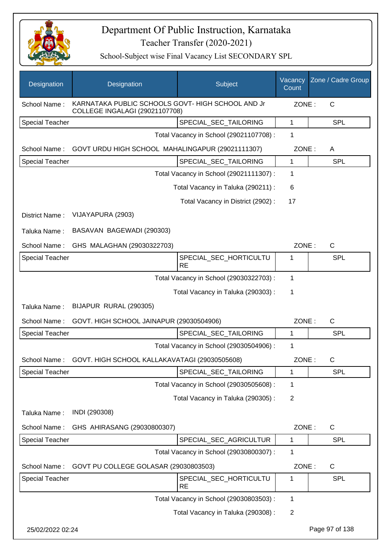

| Designation            | Designation                                                                                | Subject                                 | Vacancy<br>Count | Zone / Cadre Group |
|------------------------|--------------------------------------------------------------------------------------------|-----------------------------------------|------------------|--------------------|
| School Name:           | KARNATAKA PUBLIC SCHOOLS GOVT- HIGH SCHOOL AND Jr<br><b>COLLEGE INGALAGI (29021107708)</b> |                                         | ZONE:            | $\mathsf{C}$       |
| <b>Special Teacher</b> |                                                                                            | SPECIAL_SEC_TAILORING                   | $\mathbf{1}$     | <b>SPL</b>         |
|                        |                                                                                            | Total Vacancy in School (29021107708) : | 1                |                    |
| School Name:           | GOVT URDU HIGH SCHOOL MAHALINGAPUR (29021111307)                                           |                                         | ZONE:            | A                  |
| <b>Special Teacher</b> |                                                                                            | SPECIAL_SEC_TAILORING                   | 1                | <b>SPL</b>         |
|                        |                                                                                            | Total Vacancy in School (29021111307) : | 1                |                    |
|                        |                                                                                            | Total Vacancy in Taluka (290211) :      | 6                |                    |
|                        |                                                                                            | Total Vacancy in District (2902):       | 17               |                    |
| District Name:         | VIJAYAPURA (2903)                                                                          |                                         |                  |                    |
| Taluka Name:           | BASAVAN BAGEWADI (290303)                                                                  |                                         |                  |                    |
| School Name:           | GHS MALAGHAN (29030322703)                                                                 |                                         | ZONE:            | C                  |
| <b>Special Teacher</b> |                                                                                            | SPECIAL_SEC_HORTICULTU<br><b>RE</b>     | 1                | SPL                |
|                        |                                                                                            | Total Vacancy in School (29030322703) : | $\mathbf{1}$     |                    |
|                        |                                                                                            | Total Vacancy in Taluka (290303):       | 1                |                    |
| Taluka Name:           | BIJAPUR RURAL (290305)                                                                     |                                         |                  |                    |
| School Name:           | GOVT. HIGH SCHOOL JAINAPUR (29030504906)                                                   |                                         | ZONE:            | $\mathsf C$        |
| Special Teacher        |                                                                                            | SPECIAL_SEC_TAILORING                   | 1                | <b>SPL</b>         |
|                        |                                                                                            | Total Vacancy in School (29030504906) : | 1                |                    |
| School Name:           | GOVT. HIGH SCHOOL KALLAKAVATAGI (29030505608)                                              |                                         | ZONE:            | C                  |
| <b>Special Teacher</b> |                                                                                            | SPECIAL_SEC_TAILORING                   | 1                | <b>SPL</b>         |
|                        |                                                                                            | Total Vacancy in School (29030505608) : | 1                |                    |
|                        |                                                                                            | Total Vacancy in Taluka (290305):       | $\overline{2}$   |                    |
| Taluka Name:           | INDI (290308)                                                                              |                                         |                  |                    |
| School Name:           | GHS AHIRASANG (29030800307)                                                                |                                         | ZONE:            | C                  |
| Special Teacher        |                                                                                            | SPECIAL_SEC_AGRICULTUR                  | 1                | <b>SPL</b>         |
|                        |                                                                                            | Total Vacancy in School (29030800307) : | 1                |                    |
| School Name:           | GOVT PU COLLEGE GOLASAR (29030803503)                                                      |                                         | ZONE:            | C                  |
| Special Teacher        |                                                                                            | SPECIAL_SEC_HORTICULTU<br><b>RE</b>     | 1                | <b>SPL</b>         |
|                        |                                                                                            | Total Vacancy in School (29030803503) : | 1                |                    |
|                        |                                                                                            | Total Vacancy in Taluka (290308) :      | $\overline{2}$   |                    |
| 25/02/2022 02:24       |                                                                                            |                                         |                  | Page 97 of 138     |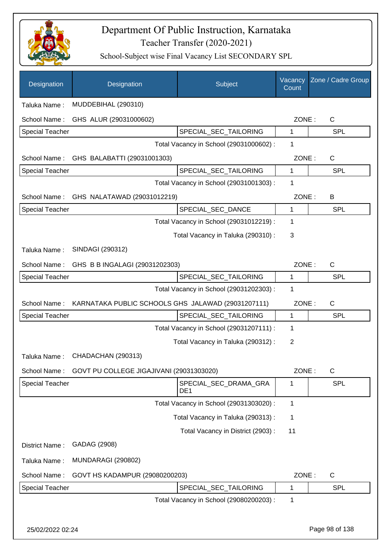

| Designation            | Designation                                        | Subject                                  | Vacancy<br>Count | Zone / Cadre Group |
|------------------------|----------------------------------------------------|------------------------------------------|------------------|--------------------|
| Taluka Name:           | MUDDEBIHAL (290310)                                |                                          |                  |                    |
| School Name:           | GHS ALUR (29031000602)                             |                                          | ZONE:            | C                  |
| Special Teacher        |                                                    | SPECIAL_SEC_TAILORING                    | 1                | <b>SPL</b>         |
|                        |                                                    | Total Vacancy in School (29031000602) :  | 1                |                    |
| School Name:           | GHS BALABATTI (29031001303)                        |                                          | ZONE:            | C                  |
| <b>Special Teacher</b> |                                                    | SPECIAL_SEC_TAILORING                    | 1                | <b>SPL</b>         |
|                        |                                                    | Total Vacancy in School (29031001303) :  | 1                |                    |
|                        | School Name: GHS NALATAWAD (29031012219)           |                                          | ZONE:            | B                  |
| <b>Special Teacher</b> |                                                    | SPECIAL_SEC_DANCE                        | 1                | <b>SPL</b>         |
|                        |                                                    | Total Vacancy in School (29031012219) :  | 1                |                    |
|                        |                                                    | Total Vacancy in Taluka (290310) :       | 3                |                    |
| Taluka Name:           | SINDAGI (290312)                                   |                                          |                  |                    |
| School Name:           | GHS B B INGALAGI (29031202303)                     |                                          | ZONE:            | $\mathsf{C}$       |
| <b>Special Teacher</b> |                                                    | SPECIAL_SEC_TAILORING                    | 1                | <b>SPL</b>         |
|                        |                                                    | Total Vacancy in School (29031202303) :  | 1                |                    |
| School Name:           | KARNATAKA PUBLIC SCHOOLS GHS JALAWAD (29031207111) |                                          | ZONE:            | $\mathsf{C}$       |
| <b>Special Teacher</b> |                                                    | SPECIAL_SEC_TAILORING                    | 1                | <b>SPL</b>         |
|                        |                                                    | Total Vacancy in School (29031207111) :  | 1                |                    |
|                        |                                                    | Total Vacancy in Taluka (290312) :       | $\overline{2}$   |                    |
| Taluka Name:           | CHADACHAN (290313)                                 |                                          |                  |                    |
| School Name:           | GOVT PU COLLEGE JIGAJIVANI (29031303020)           |                                          | ZONE:            | $\mathsf{C}$       |
| <b>Special Teacher</b> |                                                    | SPECIAL_SEC_DRAMA_GRA<br>DE <sub>1</sub> | 1                | <b>SPL</b>         |
|                        |                                                    | Total Vacancy in School (29031303020) :  | 1                |                    |
|                        |                                                    | Total Vacancy in Taluka (290313) :       | 1                |                    |
|                        |                                                    | Total Vacancy in District (2903):        | 11               |                    |
| District Name:         | GADAG (2908)                                       |                                          |                  |                    |
| Taluka Name:           | <b>MUNDARAGI (290802)</b>                          |                                          |                  |                    |
| School Name:           | GOVT HS KADAMPUR (29080200203)                     |                                          | ZONE:            | C                  |
| <b>Special Teacher</b> |                                                    | SPECIAL_SEC_TAILORING                    | 1                | SPL                |
|                        |                                                    | Total Vacancy in School (29080200203) :  | 1                |                    |
|                        |                                                    |                                          |                  |                    |
| 25/02/2022 02:24       |                                                    |                                          |                  | Page 98 of 138     |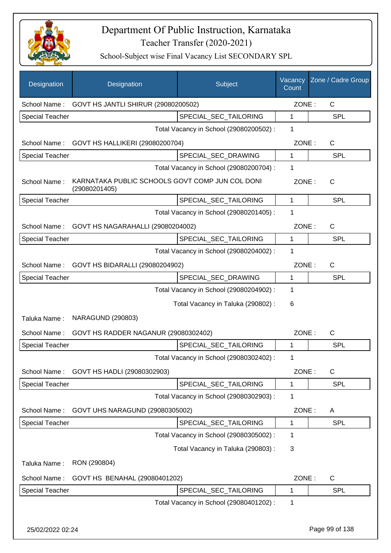

| Designation            | Designation                                                      | Subject                                 | Vacancy<br>Count | Zone / Cadre Group |
|------------------------|------------------------------------------------------------------|-----------------------------------------|------------------|--------------------|
| School Name:           | GOVT HS JANTLI SHIRUR (29080200502)                              |                                         | ZONE:            | $\mathsf{C}$       |
| Special Teacher        |                                                                  | SPECIAL_SEC_TAILORING                   | 1                | <b>SPL</b>         |
|                        |                                                                  | Total Vacancy in School (29080200502) : | 1                |                    |
| School Name:           | GOVT HS HALLIKERI (29080200704)                                  |                                         | ZONE:            | $\mathsf{C}$       |
| <b>Special Teacher</b> |                                                                  | SPECIAL_SEC_DRAWING                     | 1                | <b>SPL</b>         |
|                        |                                                                  | Total Vacancy in School (29080200704) : | 1                |                    |
| School Name:           | KARNATAKA PUBLIC SCHOOLS GOVT COMP JUN COL DONI<br>(29080201405) |                                         | ZONE:            | $\mathsf{C}$       |
| <b>Special Teacher</b> |                                                                  | SPECIAL SEC TAILORING                   | 1                | SPL                |
|                        |                                                                  | Total Vacancy in School (29080201405) : | 1                |                    |
| School Name:           | GOVT HS NAGARAHALLI (29080204002)                                |                                         | ZONE:            | $\mathsf{C}$       |
| <b>Special Teacher</b> |                                                                  | SPECIAL_SEC_TAILORING                   | 1                | <b>SPL</b>         |
|                        |                                                                  | Total Vacancy in School (29080204002) : | 1                |                    |
| School Name:           | GOVT HS BIDARALLI (29080204902)                                  |                                         | ZONE:            | $\mathsf{C}$       |
| <b>Special Teacher</b> |                                                                  | SPECIAL_SEC_DRAWING                     | 1                | <b>SPL</b>         |
|                        |                                                                  | Total Vacancy in School (29080204902) : | 1                |                    |
|                        |                                                                  | Total Vacancy in Taluka (290802) :      | 6                |                    |
| Taluka Name:           | <b>NARAGUND (290803)</b>                                         |                                         |                  |                    |
| School Name:           | GOVT HS RADDER NAGANUR (29080302402)                             |                                         | ZONE:            | $\mathsf{C}$       |
| <b>Special Teacher</b> |                                                                  | SPECIAL SEC TAILORING                   | 1                | <b>SPL</b>         |
|                        |                                                                  | Total Vacancy in School (29080302402) : | 1                |                    |
| School Name:           | GOVT HS HADLI (29080302903)                                      |                                         | ZONE:            | $\mathsf{C}$       |
| Special Teacher        |                                                                  | SPECIAL_SEC_TAILORING                   | 1                | <b>SPL</b>         |
|                        |                                                                  | Total Vacancy in School (29080302903) : | 1                |                    |
| School Name:           | GOVT UHS NARAGUND (29080305002)                                  |                                         | ZONE:            | A                  |
| <b>Special Teacher</b> |                                                                  | SPECIAL_SEC_TAILORING                   | 1                | <b>SPL</b>         |
|                        |                                                                  | Total Vacancy in School (29080305002) : | 1                |                    |
|                        |                                                                  | Total Vacancy in Taluka (290803) :      | 3                |                    |
| Taluka Name:           | RON (290804)                                                     |                                         |                  |                    |
| School Name:           | GOVT HS BENAHAL (29080401202)                                    |                                         | ZONE:            | $\mathsf C$        |
| Special Teacher        |                                                                  | SPECIAL_SEC_TAILORING                   | 1                | <b>SPL</b>         |
|                        |                                                                  | Total Vacancy in School (29080401202) : | 1                |                    |
| 25/02/2022 02:24       |                                                                  |                                         |                  | Page 99 of 138     |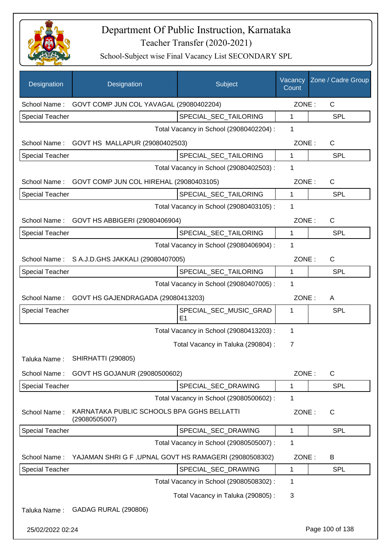

| Designation            | Designation                                                 | Subject                                 | Vacancy<br>Count | Zone / Cadre Group |
|------------------------|-------------------------------------------------------------|-----------------------------------------|------------------|--------------------|
| School Name:           | GOVT COMP JUN COL YAVAGAL (29080402204)                     |                                         | ZONE:            | $\mathsf{C}$       |
| <b>Special Teacher</b> |                                                             | SPECIAL_SEC_TAILORING                   | 1                | <b>SPL</b>         |
|                        |                                                             | Total Vacancy in School (29080402204) : | 1                |                    |
| School Name:           | GOVT HS MALLAPUR (29080402503)                              |                                         | ZONE:            | $\mathsf{C}$       |
| <b>Special Teacher</b> |                                                             | SPECIAL_SEC_TAILORING                   | 1                | <b>SPL</b>         |
|                        |                                                             | Total Vacancy in School (29080402503) : | 1                |                    |
| School Name:           | GOVT COMP JUN COL HIREHAL (29080403105)                     |                                         | ZONE:            | $\mathsf{C}$       |
| <b>Special Teacher</b> |                                                             | SPECIAL_SEC_TAILORING                   | 1                | <b>SPL</b>         |
|                        |                                                             | Total Vacancy in School (29080403105) : | 1                |                    |
| School Name:           | GOVT HS ABBIGERI (29080406904)                              |                                         | ZONE:            | $\mathsf{C}$       |
| <b>Special Teacher</b> |                                                             | SPECIAL_SEC_TAILORING                   | 1                | <b>SPL</b>         |
|                        |                                                             | Total Vacancy in School (29080406904) : | 1                |                    |
|                        | School Name: S A.J.D.GHS JAKKALI (29080407005)              |                                         | ZONE:            | $\mathsf{C}$       |
| <b>Special Teacher</b> |                                                             | SPECIAL_SEC_TAILORING                   | 1                | <b>SPL</b>         |
|                        |                                                             | Total Vacancy in School (29080407005) : | 1                |                    |
|                        | School Name: GOVT HS GAJENDRAGADA (29080413203)             |                                         | ZONE:            | A                  |
| <b>Special Teacher</b> |                                                             | SPECIAL_SEC_MUSIC_GRAD<br>E1            | 1                | <b>SPL</b>         |
|                        |                                                             | Total Vacancy in School (29080413203) : | 1                |                    |
|                        |                                                             | Total Vacancy in Taluka (290804) :      | 7                |                    |
| Taluka Name:           | <b>SHIRHATTI (290805)</b>                                   |                                         |                  |                    |
| School Name:           | GOVT HS GOJANUR (29080500602)                               |                                         | ZONE:            | C                  |
| <b>Special Teacher</b> |                                                             | SPECIAL_SEC_DRAWING                     | 1                | <b>SPL</b>         |
|                        |                                                             | Total Vacancy in School (29080500602) : | 1                |                    |
| School Name:           | KARNATAKA PUBLIC SCHOOLS BPA GGHS BELLATTI<br>(29080505007) |                                         | ZONE:            | $\mathsf{C}$       |
| <b>Special Teacher</b> |                                                             | SPECIAL_SEC_DRAWING                     | 1                | <b>SPL</b>         |
|                        |                                                             | Total Vacancy in School (29080505007) : | 1                |                    |
| School Name:           | YAJAMAN SHRIG F, UPNAL GOVT HS RAMAGERI (29080508302)       |                                         | ZONE:            | B                  |
| <b>Special Teacher</b> |                                                             | SPECIAL_SEC_DRAWING                     | 1                | <b>SPL</b>         |
|                        |                                                             | Total Vacancy in School (29080508302) : | 1                |                    |
|                        |                                                             | Total Vacancy in Taluka (290805):       | 3                |                    |
| Taluka Name:           | GADAG RURAL (290806)                                        |                                         |                  |                    |
| 25/02/2022 02:24       |                                                             |                                         |                  | Page 100 of 138    |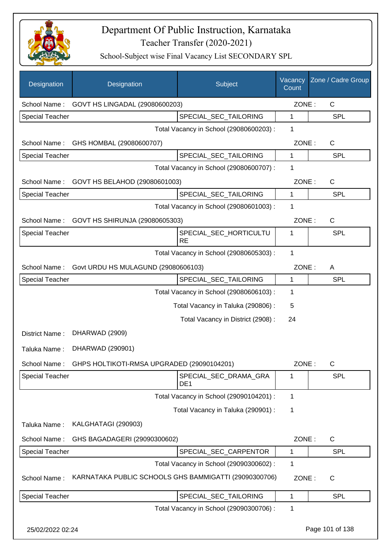

| Designation            | Designation                                             | Subject                                  | Vacancy<br>Count | Zone / Cadre Group |
|------------------------|---------------------------------------------------------|------------------------------------------|------------------|--------------------|
| School Name:           | GOVT HS LINGADAL (29080600203)                          |                                          | ZONE:            | $\mathsf{C}$       |
| <b>Special Teacher</b> |                                                         | SPECIAL_SEC_TAILORING                    | 1                | <b>SPL</b>         |
|                        |                                                         | Total Vacancy in School (29080600203) :  | 1                |                    |
| School Name:           | GHS HOMBAL (29080600707)                                |                                          | ZONE:            | C                  |
| <b>Special Teacher</b> |                                                         | SPECIAL_SEC_TAILORING                    | 1                | <b>SPL</b>         |
|                        |                                                         | Total Vacancy in School (29080600707) :  | 1                |                    |
| School Name:           | GOVT HS BELAHOD (29080601003)                           |                                          | ZONE:            | C                  |
| <b>Special Teacher</b> |                                                         | SPECIAL_SEC_TAILORING                    | 1                | <b>SPL</b>         |
|                        |                                                         | Total Vacancy in School (29080601003) :  | 1                |                    |
| School Name:           | GOVT HS SHIRUNJA (29080605303)                          |                                          | ZONE:            | C                  |
| Special Teacher        |                                                         | SPECIAL_SEC_HORTICULTU<br><b>RE</b>      | 1                | <b>SPL</b>         |
|                        |                                                         | Total Vacancy in School (29080605303) :  | 1                |                    |
| School Name:           | Govt URDU HS MULAGUND (29080606103)                     |                                          | ZONE:            | A                  |
| <b>Special Teacher</b> |                                                         | SPECIAL_SEC_TAILORING                    | 1                | <b>SPL</b>         |
|                        |                                                         | Total Vacancy in School (29080606103) :  | 1                |                    |
|                        |                                                         | Total Vacancy in Taluka (290806) :       | 5                |                    |
|                        |                                                         | Total Vacancy in District (2908):        | 24               |                    |
| District Name:         | DHARWAD (2909)                                          |                                          |                  |                    |
| Taluka Name:           | DHARWAD (290901)                                        |                                          |                  |                    |
|                        | School Name: GHPS HOLTIKOTI-RMSA UPGRADED (29090104201) |                                          | ZONE:            | C                  |
| <b>Special Teacher</b> |                                                         | SPECIAL SEC DRAMA GRA<br>DE <sub>1</sub> | 1                | <b>SPL</b>         |
|                        |                                                         | Total Vacancy in School (29090104201) :  | 1                |                    |
|                        |                                                         | Total Vacancy in Taluka (290901) :       | 1                |                    |
| Taluka Name:           | KALGHATAGI (290903)                                     |                                          |                  |                    |
| School Name:           | GHS BAGADAGERI (29090300602)                            |                                          | ZONE:            | C                  |
| Special Teacher        |                                                         | SPECIAL_SEC_CARPENTOR                    | 1                | <b>SPL</b>         |
|                        |                                                         | Total Vacancy in School (29090300602) :  | 1                |                    |
| School Name:           | KARNATAKA PUBLIC SCHOOLS GHS BAMMIGATTI (29090300706)   |                                          | ZONE:            | C                  |
| <b>Special Teacher</b> |                                                         | SPECIAL_SEC_TAILORING                    | 1                | <b>SPL</b>         |
|                        |                                                         | Total Vacancy in School (29090300706) :  | 1                |                    |
| 25/02/2022 02:24       |                                                         |                                          |                  | Page 101 of 138    |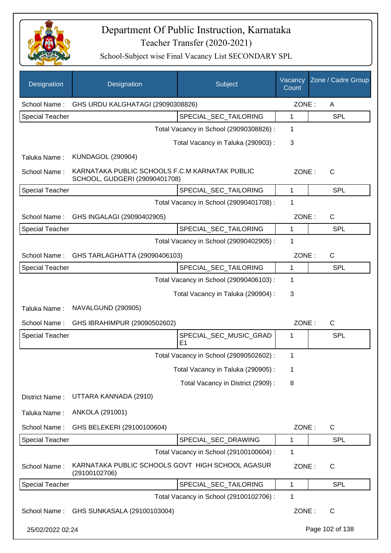

| Designation            | Designation                                                                     | Subject                                  | Vacancy<br>Count | Zone / Cadre Group |
|------------------------|---------------------------------------------------------------------------------|------------------------------------------|------------------|--------------------|
| School Name:           | GHS URDU KALGHATAGI (29090308826)                                               |                                          | ZONE:            | A                  |
| <b>Special Teacher</b> |                                                                                 | SPECIAL_SEC_TAILORING                    | 1                | <b>SPL</b>         |
|                        |                                                                                 | Total Vacancy in School (29090308826) :  | 1                |                    |
|                        |                                                                                 | Total Vacancy in Taluka (290903):        | 3                |                    |
| Taluka Name:           | <b>KUNDAGOL (290904)</b>                                                        |                                          |                  |                    |
| School Name:           | KARNATAKA PUBLIC SCHOOLS F.C.M KARNATAK PUBLIC<br>SCHOOL, GUDGERI (29090401708) |                                          | ZONE:            | $\mathsf{C}$       |
| <b>Special Teacher</b> |                                                                                 | SPECIAL_SEC_TAILORING                    | 1                | SPL                |
|                        |                                                                                 | Total Vacancy in School (29090401708) :  | 1                |                    |
| School Name:           | GHS INGALAGI (29090402905)                                                      |                                          | ZONE:            | $\mathsf{C}$       |
| <b>Special Teacher</b> |                                                                                 | SPECIAL_SEC_TAILORING                    | 1                | <b>SPL</b>         |
|                        |                                                                                 | Total Vacancy in School (29090402905) :  | 1                |                    |
| School Name:           | GHS TARLAGHATTA (29090406103)                                                   |                                          | ZONE:            | $\mathsf{C}$       |
| <b>Special Teacher</b> |                                                                                 | SPECIAL_SEC_TAILORING                    | 1                | <b>SPL</b>         |
|                        |                                                                                 | Total Vacancy in School (29090406103) :  | 1                |                    |
|                        |                                                                                 | Total Vacancy in Taluka (290904) :       | 3                |                    |
| Taluka Name:           | NAVALGUND (290905)                                                              |                                          |                  |                    |
| School Name:           | GHS IBRAHIMPUR (29090502602)                                                    |                                          | ZONE:            | $\mathsf{C}$       |
| <b>Special Teacher</b> |                                                                                 | SPECIAL_SEC_MUSIC_GRAD<br>E <sub>1</sub> | 1                | <b>SPL</b>         |
|                        |                                                                                 | Total Vacancy in School (29090502602) :  | 1                |                    |
|                        |                                                                                 | Total Vacancy in Taluka (290905):        | 1                |                    |
|                        |                                                                                 | Total Vacancy in District (2909):        | 8                |                    |
| District Name:         | UTTARA KANNADA (2910)                                                           |                                          |                  |                    |
| Taluka Name:           | ANKOLA (291001)                                                                 |                                          |                  |                    |
| School Name:           | GHS BELEKERI (29100100604)                                                      |                                          | ZONE:            | $\mathsf{C}$       |
| <b>Special Teacher</b> |                                                                                 | SPECIAL_SEC_DRAWING                      | 1                | <b>SPL</b>         |
|                        |                                                                                 | Total Vacancy in School (29100100604) :  | 1                |                    |
| School Name:           | KARNATAKA PUBLIC SCHOOLS GOVT HIGH SCHOOL AGASUR<br>(29100102706)               |                                          | ZONE:            | $\mathsf{C}$       |
| <b>Special Teacher</b> |                                                                                 | SPECIAL_SEC_TAILORING                    | $\mathbf 1$      | <b>SPL</b>         |
|                        |                                                                                 | Total Vacancy in School (29100102706) :  | 1                |                    |
| School Name:           | GHS SUNKASALA (29100103004)                                                     |                                          | ZONE:            | C                  |
| 25/02/2022 02:24       |                                                                                 |                                          |                  | Page 102 of 138    |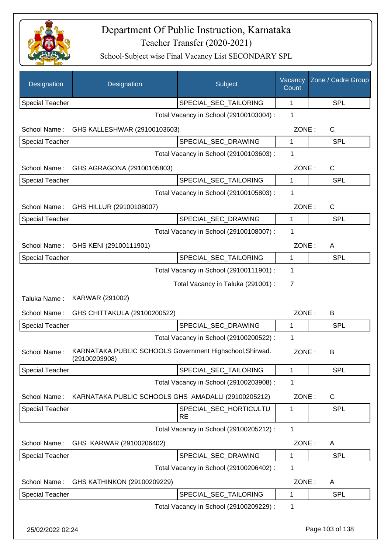

| Designation            | Designation                                                               | Subject                                 | Vacancy<br>Count | Zone / Cadre Group |
|------------------------|---------------------------------------------------------------------------|-----------------------------------------|------------------|--------------------|
| <b>Special Teacher</b> |                                                                           | SPECIAL_SEC_TAILORING                   | 1                | <b>SPL</b>         |
|                        |                                                                           | Total Vacancy in School (29100103004) : | 1                |                    |
| School Name:           | GHS KALLESHWAR (29100103603)                                              |                                         | ZONE:            | C                  |
| <b>Special Teacher</b> |                                                                           | SPECIAL_SEC_DRAWING                     | 1                | <b>SPL</b>         |
|                        |                                                                           | Total Vacancy in School (29100103603) : | 1                |                    |
| School Name:           | GHS AGRAGONA (29100105803)                                                |                                         | ZONE:            | C                  |
| <b>Special Teacher</b> |                                                                           | SPECIAL_SEC_TAILORING                   | 1                | <b>SPL</b>         |
|                        |                                                                           | Total Vacancy in School (29100105803) : | $\mathbf 1$      |                    |
| School Name:           | GHS HILLUR (29100108007)                                                  |                                         | ZONE:            | $\mathsf{C}$       |
| <b>Special Teacher</b> |                                                                           | SPECIAL_SEC_DRAWING                     | 1                | <b>SPL</b>         |
|                        |                                                                           | Total Vacancy in School (29100108007) : | 1                |                    |
| School Name:           | GHS KENI (29100111901)                                                    |                                         | ZONE:            | A                  |
| <b>Special Teacher</b> |                                                                           | SPECIAL_SEC_TAILORING                   | $\mathbf{1}$     | <b>SPL</b>         |
|                        |                                                                           | Total Vacancy in School (29100111901) : | 1                |                    |
|                        |                                                                           | Total Vacancy in Taluka (291001) :      | 7                |                    |
| Taluka Name:           | KARWAR (291002)                                                           |                                         |                  |                    |
| School Name:           | GHS CHITTAKULA (29100200522)                                              |                                         | ZONE:            | B                  |
| <b>Special Teacher</b> |                                                                           | SPECIAL_SEC_DRAWING                     | 1                | <b>SPL</b>         |
|                        |                                                                           | Total Vacancy in School (29100200522) : | $\mathbf 1$      |                    |
| School Name:           | KARNATAKA PUBLIC SCHOOLS Government Highschool, Shirwad.<br>(29100203908) |                                         | ZONE:            | В                  |
| <b>Special Teacher</b> |                                                                           | SPECIAL_SEC_TAILORING                   | 1                | <b>SPL</b>         |
|                        |                                                                           | Total Vacancy in School (29100203908) : | 1                |                    |
| School Name:           | KARNATAKA PUBLIC SCHOOLS GHS AMADALLI (29100205212)                       |                                         | ZONE:            | C                  |
| <b>Special Teacher</b> |                                                                           | SPECIAL_SEC_HORTICULTU<br><b>RE</b>     | 1                | SPL                |
|                        |                                                                           | Total Vacancy in School (29100205212) : | $\mathbf 1$      |                    |
| School Name:           | GHS KARWAR (29100206402)                                                  |                                         | ZONE:            | A                  |
| <b>Special Teacher</b> |                                                                           | SPECIAL_SEC_DRAWING                     | 1                | <b>SPL</b>         |
|                        |                                                                           | Total Vacancy in School (29100206402) : | $\mathbf 1$      |                    |
| School Name:           | GHS KATHINKON (29100209229)                                               |                                         | ZONE:            | A                  |
| <b>Special Teacher</b> |                                                                           | SPECIAL_SEC_TAILORING                   | 1                | <b>SPL</b>         |
|                        |                                                                           | Total Vacancy in School (29100209229) : | $\mathbf 1$      |                    |
| 25/02/2022 02:24       |                                                                           |                                         |                  | Page 103 of 138    |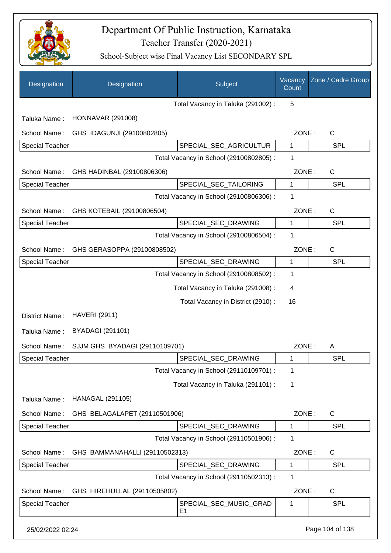

| Designation            | Designation                    | Subject                                  | Vacancy<br>Count | Zone / Cadre Group |
|------------------------|--------------------------------|------------------------------------------|------------------|--------------------|
|                        |                                | Total Vacancy in Taluka (291002):        | 5                |                    |
| Taluka Name:           | <b>HONNAVAR (291008)</b>       |                                          |                  |                    |
| School Name:           | GHS IDAGUNJI (29100802805)     |                                          | ZONE:            | $\mathsf{C}$       |
| <b>Special Teacher</b> |                                | SPECIAL_SEC_AGRICULTUR                   | 1                | <b>SPL</b>         |
|                        |                                | Total Vacancy in School (29100802805) :  | 1                |                    |
| School Name:           | GHS HADINBAL (29100806306)     |                                          | ZONE:            | $\mathsf{C}$       |
| <b>Special Teacher</b> |                                | SPECIAL_SEC_TAILORING                    | 1                | <b>SPL</b>         |
|                        |                                | Total Vacancy in School (29100806306) :  | 1                |                    |
| School Name:           | GHS KOTEBAIL (29100806504)     |                                          | ZONE:            | $\mathsf{C}$       |
| <b>Special Teacher</b> |                                | SPECIAL_SEC_DRAWING                      | 1                | SPL                |
|                        |                                | Total Vacancy in School (29100806504) :  | 1                |                    |
| School Name:           | GHS GERASOPPA (29100808502)    |                                          | ZONE:            | $\mathsf{C}$       |
| <b>Special Teacher</b> |                                | SPECIAL_SEC_DRAWING                      | 1                | <b>SPL</b>         |
|                        |                                | Total Vacancy in School (29100808502) :  | 1                |                    |
|                        |                                | Total Vacancy in Taluka (291008) :       | 4                |                    |
|                        |                                | Total Vacancy in District (2910) :       | 16               |                    |
| District Name:         | <b>HAVERI (2911)</b>           |                                          |                  |                    |
| Taluka Name:           | <b>BYADAGI (291101)</b>        |                                          |                  |                    |
| School Name:           | SJJM GHS BYADAGI (29110109701) |                                          | ZONE:            | A                  |
| <b>Special Teacher</b> |                                | SPECIAL SEC DRAWING                      | 1                | <b>SPL</b>         |
|                        |                                | Total Vacancy in School (29110109701) :  | 1                |                    |
|                        |                                | Total Vacancy in Taluka (291101) :       | 1                |                    |
| Taluka Name:           | <b>HANAGAL (291105)</b>        |                                          |                  |                    |
| School Name:           | GHS BELAGALAPET (29110501906)  |                                          | ZONE:            | $\mathsf{C}$       |
| <b>Special Teacher</b> |                                | SPECIAL_SEC_DRAWING                      | 1                | <b>SPL</b>         |
|                        |                                | Total Vacancy in School (29110501906) :  | 1                |                    |
| School Name:           | GHS BAMMANAHALLI (29110502313) |                                          | ZONE:            | $\mathsf{C}$       |
| <b>Special Teacher</b> |                                | SPECIAL_SEC_DRAWING                      | 1                | <b>SPL</b>         |
|                        |                                | Total Vacancy in School (29110502313) :  | 1                |                    |
| School Name:           | GHS HIREHULLAL (29110505802)   |                                          | ZONE:            | $\mathsf{C}$       |
| <b>Special Teacher</b> |                                | SPECIAL_SEC_MUSIC_GRAD<br>E <sub>1</sub> | 1                | <b>SPL</b>         |
| 25/02/2022 02:24       |                                |                                          |                  | Page 104 of 138    |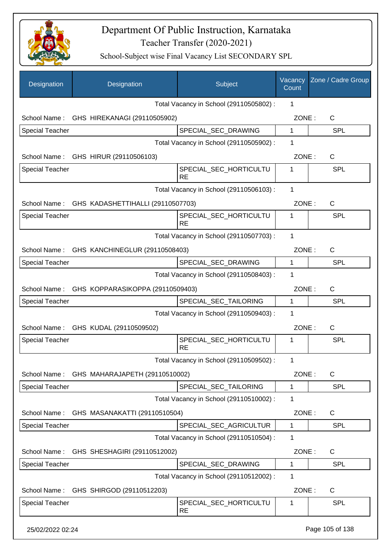

| Designation            | Designation                                    | Subject                                 | Vacancy<br>Count | Zone / Cadre Group |
|------------------------|------------------------------------------------|-----------------------------------------|------------------|--------------------|
|                        |                                                | Total Vacancy in School (29110505802) : | 1                |                    |
|                        | School Name: GHS HIREKANAGI (29110505902)      |                                         | ZONE:            | C                  |
| <b>Special Teacher</b> |                                                | SPECIAL_SEC_DRAWING                     | $\mathbf{1}$     | <b>SPL</b>         |
|                        |                                                | Total Vacancy in School (29110505902) : | 1                |                    |
|                        | School Name: GHS HIRUR (29110506103)           |                                         | ZONE:            | C                  |
| <b>Special Teacher</b> |                                                | SPECIAL_SEC_HORTICULTU<br><b>RE</b>     | 1                | <b>SPL</b>         |
|                        |                                                | Total Vacancy in School (29110506103) : | 1                |                    |
|                        | School Name: GHS KADASHETTIHALLI (29110507703) |                                         | ZONE:            | $\mathsf{C}$       |
| Special Teacher        |                                                | SPECIAL SEC HORTICULTU<br><b>RE</b>     | 1                | <b>SPL</b>         |
|                        |                                                | Total Vacancy in School (29110507703) : | 1                |                    |
|                        | School Name: GHS KANCHINEGLUR (29110508403)    |                                         | ZONE:            | C                  |
| Special Teacher        |                                                | SPECIAL_SEC_DRAWING                     | 1                | <b>SPL</b>         |
|                        |                                                | Total Vacancy in School (29110508403) : | 1                |                    |
| School Name:           | GHS KOPPARASIKOPPA (29110509403)               |                                         | ZONE:            | C                  |
| <b>Special Teacher</b> |                                                | SPECIAL_SEC_TAILORING                   | $\mathbf{1}$     | <b>SPL</b>         |
|                        |                                                | Total Vacancy in School (29110509403) : | 1                |                    |
|                        | School Name: GHS KUDAL (29110509502)           |                                         | ZONE:            | C                  |
| <b>Special Teacher</b> |                                                | SPECIAL_SEC_HORTICULTU<br><b>RE</b>     | 1                | <b>SPL</b>         |
|                        |                                                | Total Vacancy in School (29110509502) : | 1                |                    |
|                        | School Name: GHS MAHARAJAPETH (29110510002)    |                                         | ZONE:            | C                  |
| <b>Special Teacher</b> |                                                | SPECIAL_SEC_TAILORING                   | 1                | <b>SPL</b>         |
|                        |                                                | Total Vacancy in School (29110510002) : | 1                |                    |
| School Name:           | GHS MASANAKATTI (29110510504)                  |                                         | ZONE:            | C                  |
| Special Teacher        |                                                | SPECIAL_SEC_AGRICULTUR                  | $\mathbf 1$      | <b>SPL</b>         |
|                        |                                                | Total Vacancy in School (29110510504) : | 1                |                    |
| School Name:           | GHS SHESHAGIRI (29110512002)                   |                                         | ZONE:            | C                  |
| <b>Special Teacher</b> |                                                | SPECIAL_SEC_DRAWING                     | 1                | <b>SPL</b>         |
|                        |                                                | Total Vacancy in School (29110512002) : | 1                |                    |
| School Name:           | GHS SHIRGOD (29110512203)                      |                                         | ZONE:            | C                  |
| <b>Special Teacher</b> |                                                | SPECIAL_SEC_HORTICULTU<br><b>RE</b>     | 1                | <b>SPL</b>         |
| 25/02/2022 02:24       |                                                |                                         |                  | Page 105 of 138    |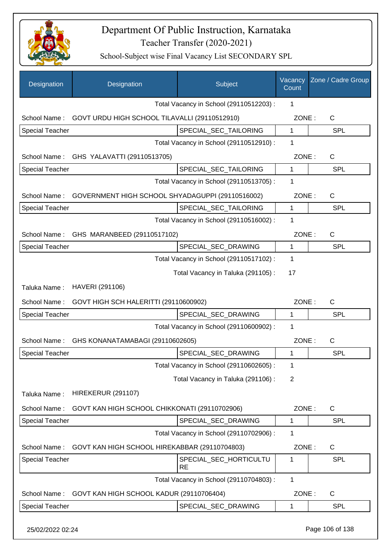

School-Subject wise Final Vacancy List SECONDARY SPL

| Designation            | Designation                                      | Subject                                 | Vacancy<br>Count | Zone / Cadre Group |
|------------------------|--------------------------------------------------|-----------------------------------------|------------------|--------------------|
|                        |                                                  | Total Vacancy in School (29110512203):  | 1                |                    |
| School Name:           | GOVT URDU HIGH SCHOOL TILAVALLI (29110512910)    |                                         | ZONE:            | C                  |
| <b>Special Teacher</b> |                                                  | SPECIAL_SEC_TAILORING                   | 1                | <b>SPL</b>         |
|                        |                                                  | Total Vacancy in School (29110512910) : | 1                |                    |
|                        | School Name: GHS YALAVATTI (29110513705)         |                                         | ZONE:            | $\mathsf{C}$       |
| <b>Special Teacher</b> |                                                  | SPECIAL_SEC_TAILORING                   | 1                | <b>SPL</b>         |
|                        |                                                  | Total Vacancy in School (29110513705) : | 1                |                    |
| School Name:           | GOVERNMENT HIGH SCHOOL SHYADAGUPPI (29110516002) |                                         | ZONE:            | $\mathsf{C}$       |
| <b>Special Teacher</b> |                                                  | SPECIAL SEC TAILORING                   | $\mathbf{1}$     | <b>SPL</b>         |
|                        |                                                  | Total Vacancy in School (29110516002) : | 1                |                    |
|                        | School Name: GHS MARANBEED (29110517102)         |                                         | ZONE:            | $\mathsf{C}$       |
| <b>Special Teacher</b> |                                                  | SPECIAL_SEC_DRAWING                     | $\mathbf{1}$     | <b>SPL</b>         |
|                        |                                                  | Total Vacancy in School (29110517102) : | 1                |                    |
|                        |                                                  | Total Vacancy in Taluka (291105):       | 17               |                    |
| Taluka Name:           | HAVERI (291106)                                  |                                         |                  |                    |
| School Name:           | GOVT HIGH SCH HALERITTI (29110600902)            |                                         | ZONE:            | $\mathsf{C}$       |
| <b>Special Teacher</b> |                                                  | SPECIAL_SEC_DRAWING                     | $\mathbf 1$      | <b>SPL</b>         |
|                        |                                                  | Total Vacancy in School (29110600902) : | 1                |                    |
| School Name:           | GHS KONANATAMABAGI (29110602605)                 |                                         | ZONE:            | C                  |
| <b>Special Teacher</b> |                                                  | SPECIAL_SEC_DRAWING                     | 1                | <b>SPL</b>         |
|                        |                                                  | Total Vacancy in School (29110602605) : | 1                |                    |
|                        |                                                  | Total Vacancy in Taluka (291106):       | 2                |                    |
| Taluka Name:           | <b>HIREKERUR (291107)</b>                        |                                         |                  |                    |
| School Name:           | GOVT KAN HIGH SCHOOL CHIKKONATI (29110702906)    |                                         | ZONE:            | C                  |
| <b>Special Teacher</b> |                                                  | SPECIAL_SEC_DRAWING                     | 1                | <b>SPL</b>         |
|                        |                                                  | Total Vacancy in School (29110702906) : | 1                |                    |
| School Name:           | GOVT KAN HIGH SCHOOL HIREKABBAR (29110704803)    |                                         | ZONE:            | C                  |
| <b>Special Teacher</b> |                                                  | SPECIAL_SEC_HORTICULTU<br><b>RE</b>     | 1                | <b>SPL</b>         |
|                        |                                                  | Total Vacancy in School (29110704803) : | 1                |                    |
| School Name:           | GOVT KAN HIGH SCHOOL KADUR (29110706404)         |                                         | ZONE:            | C                  |
| <b>Special Teacher</b> |                                                  | SPECIAL_SEC_DRAWING                     | 1                | <b>SPL</b>         |
|                        |                                                  |                                         |                  |                    |

25/02/2022 02:24 Page 106 of 138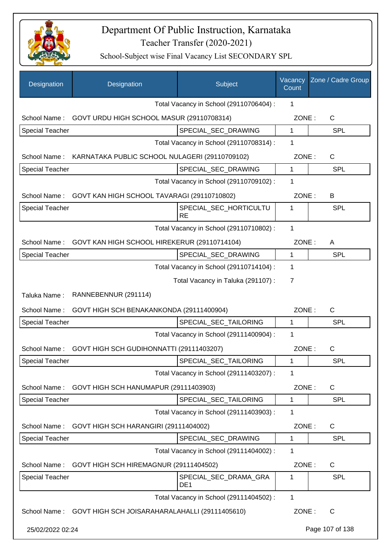

| Designation            | Designation                                                 | Subject                                  | Vacancy<br>Count | Zone / Cadre Group |
|------------------------|-------------------------------------------------------------|------------------------------------------|------------------|--------------------|
|                        |                                                             | Total Vacancy in School (29110706404) :  | 1                |                    |
| School Name:           | GOVT URDU HIGH SCHOOL MASUR (29110708314)                   |                                          | ZONE:            | $\mathsf{C}$       |
| <b>Special Teacher</b> |                                                             | SPECIAL_SEC_DRAWING                      | 1                | SPL                |
|                        |                                                             | Total Vacancy in School (29110708314) :  | 1                |                    |
| School Name:           | KARNATAKA PUBLIC SCHOOL NULAGERI (29110709102)              |                                          | ZONE:            | C                  |
| <b>Special Teacher</b> |                                                             | SPECIAL_SEC_DRAWING                      | $\mathbf 1$      | <b>SPL</b>         |
|                        |                                                             | Total Vacancy in School (29110709102) :  | 1                |                    |
| School Name:           | GOVT KAN HIGH SCHOOL TAVARAGI (29110710802)                 |                                          | ZONE:            | B                  |
| <b>Special Teacher</b> |                                                             | SPECIAL_SEC_HORTICULTU<br><b>RE</b>      | 1                | <b>SPL</b>         |
|                        |                                                             | Total Vacancy in School (29110710802) :  | 1                |                    |
| School Name:           | GOVT KAN HIGH SCHOOL HIREKERUR (29110714104)                |                                          | ZONE:            | A                  |
| <b>Special Teacher</b> |                                                             | SPECIAL_SEC_DRAWING                      | 1                | <b>SPL</b>         |
|                        |                                                             | Total Vacancy in School (29110714104) :  | $\mathbf 1$      |                    |
|                        |                                                             | Total Vacancy in Taluka (291107) :       | $\overline{7}$   |                    |
| Taluka Name:           | RANNEBENNUR (291114)                                        |                                          |                  |                    |
| School Name:           | GOVT HIGH SCH BENAKANKONDA (29111400904)                    |                                          | ZONE:            | $\mathsf{C}$       |
| <b>Special Teacher</b> |                                                             | SPECIAL_SEC_TAILORING                    | 1                | SPL                |
|                        |                                                             | Total Vacancy in School (29111400904) :  | $\mathbf 1$      |                    |
| School Name:           | GOVT HIGH SCH GUDIHONNATTI (29111403207)                    |                                          | ZONE:            | $\mathsf C$        |
| Special Teacher        |                                                             | SPECIAL_SEC_TAILORING                    | 1                | SPI                |
|                        |                                                             | Total Vacancy in School (29111403207) :  | $\mathbf 1$      |                    |
| School Name:           | GOVT HIGH SCH HANUMAPUR (29111403903)                       |                                          | ZONE:            | $\mathsf{C}$       |
| <b>Special Teacher</b> |                                                             | SPECIAL_SEC_TAILORING                    | $\mathbf{1}$     | <b>SPL</b>         |
|                        |                                                             | Total Vacancy in School (29111403903) :  | $\mathbf 1$      |                    |
| School Name:           | GOVT HIGH SCH HARANGIRI (29111404002)                       |                                          | ZONE:            | $\mathsf{C}$       |
| <b>Special Teacher</b> |                                                             | SPECIAL_SEC_DRAWING                      | $\mathbf{1}$     | <b>SPL</b>         |
|                        |                                                             | Total Vacancy in School (29111404002) :  | $\mathbf 1$      |                    |
| School Name:           | GOVT HIGH SCH HIREMAGNUR (29111404502)                      |                                          | ZONE:            | $\mathsf{C}$       |
| <b>Special Teacher</b> |                                                             | SPECIAL_SEC_DRAMA_GRA<br>DE <sub>1</sub> | 1                | <b>SPL</b>         |
|                        |                                                             | Total Vacancy in School (29111404502) :  | $\mathbf{1}$     |                    |
|                        | School Name: GOVT HIGH SCH JOISARAHARALAHALLI (29111405610) |                                          | ZONE:            | C                  |
| 25/02/2022 02:24       |                                                             |                                          |                  | Page 107 of 138    |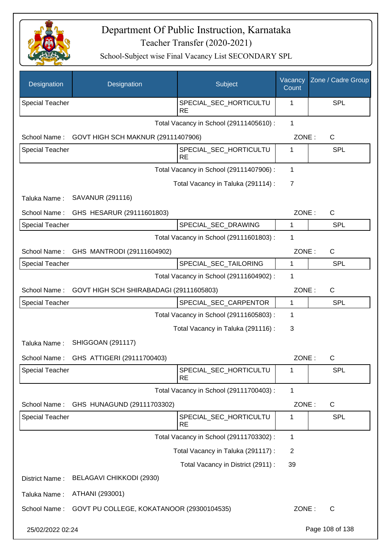

| Designation            | Designation                               | Subject                                 | Vacancy<br>Count | Zone / Cadre Group |
|------------------------|-------------------------------------------|-----------------------------------------|------------------|--------------------|
| <b>Special Teacher</b> |                                           | SPECIAL_SEC_HORTICULTU<br><b>RE</b>     | 1                | <b>SPL</b>         |
|                        |                                           | Total Vacancy in School (29111405610) : | $\mathbf{1}$     |                    |
| School Name:           | GOVT HIGH SCH MAKNUR (29111407906)        |                                         | ZONE:            | $\mathsf{C}$       |
| <b>Special Teacher</b> |                                           | SPECIAL_SEC_HORTICULTU<br><b>RE</b>     | 1                | <b>SPL</b>         |
|                        |                                           | Total Vacancy in School (29111407906) : | 1                |                    |
|                        |                                           | Total Vacancy in Taluka (291114) :      | $\overline{7}$   |                    |
| Taluka Name:           | SAVANUR (291116)                          |                                         |                  |                    |
| School Name:           | GHS HESARUR (29111601803)                 |                                         | ZONE:            | $\mathsf{C}$       |
| <b>Special Teacher</b> |                                           | SPECIAL_SEC_DRAWING                     | 1                | <b>SPL</b>         |
|                        |                                           | Total Vacancy in School (29111601803) : | 1                |                    |
| School Name:           | GHS MANTRODI (29111604902)                |                                         | ZONE:            | $\mathsf{C}$       |
| <b>Special Teacher</b> |                                           | SPECIAL_SEC_TAILORING                   | 1                | <b>SPL</b>         |
|                        |                                           | Total Vacancy in School (29111604902) : | 1                |                    |
| School Name:           | GOVT HIGH SCH SHIRABADAGI (29111605803)   |                                         | ZONE:            | $\mathsf{C}$       |
| <b>Special Teacher</b> |                                           | SPECIAL_SEC_CARPENTOR                   | 1                | <b>SPL</b>         |
|                        |                                           | Total Vacancy in School (29111605803) : | 1                |                    |
|                        |                                           | Total Vacancy in Taluka (291116) :      | 3                |                    |
| Taluka Name:           | <b>SHIGGOAN (291117)</b>                  |                                         |                  |                    |
| School Name:           | GHS ATTIGERI (29111700403)                |                                         | ZONE:            | C                  |
| <b>Special Teacher</b> |                                           | SPECIAL_SEC_HORTICULTU<br><b>RE</b>     | 1                | <b>SPL</b>         |
|                        |                                           | Total Vacancy in School (29111700403) : | $\mathbf{1}$     |                    |
| School Name:           | GHS HUNAGUND (29111703302)                |                                         | ZONE:            | $\mathsf{C}$       |
| Special Teacher        |                                           | SPECIAL_SEC_HORTICULTU<br><b>RE</b>     | 1                | <b>SPL</b>         |
|                        |                                           | Total Vacancy in School (29111703302) : | $\mathbf 1$      |                    |
|                        |                                           | Total Vacancy in Taluka (291117) :      | $\overline{c}$   |                    |
|                        |                                           | Total Vacancy in District (2911) :      | 39               |                    |
| District Name:         | BELAGAVI CHIKKODI (2930)                  |                                         |                  |                    |
| Taluka Name:           | ATHANI (293001)                           |                                         |                  |                    |
| School Name:           | GOVT PU COLLEGE, KOKATANOOR (29300104535) |                                         | ZONE:            | $\mathsf{C}$       |
| 25/02/2022 02:24       |                                           |                                         |                  | Page 108 of 138    |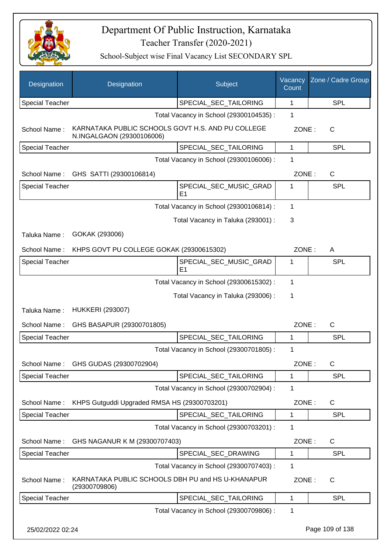

| Designation            | Designation                                                                    | Subject                                  | Vacancy<br>Count | Zone / Cadre Group |
|------------------------|--------------------------------------------------------------------------------|------------------------------------------|------------------|--------------------|
| <b>Special Teacher</b> |                                                                                | SPECIAL_SEC_TAILORING                    | 1                | <b>SPL</b>         |
|                        |                                                                                | Total Vacancy in School (29300104535) :  | 1                |                    |
| School Name:           | KARNATAKA PUBLIC SCHOOLS GOVT H.S. AND PU COLLEGE<br>N.INGALGAON (29300106006) |                                          | ZONE:            | C                  |
| <b>Special Teacher</b> |                                                                                | SPECIAL_SEC_TAILORING                    | 1                | <b>SPL</b>         |
|                        |                                                                                | Total Vacancy in School (29300106006) :  | 1                |                    |
| School Name:           | GHS SATTI (29300106814)                                                        |                                          | ZONE:            | $\mathsf{C}$       |
| <b>Special Teacher</b> |                                                                                | SPECIAL_SEC_MUSIC_GRAD<br>E <sub>1</sub> | 1                | SPL                |
|                        |                                                                                | Total Vacancy in School (29300106814) :  | 1                |                    |
|                        |                                                                                | Total Vacancy in Taluka (293001) :       | 3                |                    |
| Taluka Name:           | GOKAK (293006)                                                                 |                                          |                  |                    |
| School Name:           | KHPS GOVT PU COLLEGE GOKAK (29300615302)                                       |                                          | ZONE:            | A                  |
| <b>Special Teacher</b> |                                                                                | SPECIAL_SEC_MUSIC_GRAD<br>E <sub>1</sub> | 1                | SPL                |
|                        |                                                                                | Total Vacancy in School (29300615302) :  | 1                |                    |
|                        |                                                                                | Total Vacancy in Taluka (293006) :       | 1                |                    |
| Taluka Name:           | <b>HUKKERI (293007)</b>                                                        |                                          |                  |                    |
| School Name:           | GHS BASAPUR (29300701805)                                                      |                                          | ZONE:            | $\mathsf{C}$       |
| <b>Special Teacher</b> |                                                                                | SPECIAL_SEC_TAILORING                    | 1                | <b>SPL</b>         |
|                        |                                                                                | Total Vacancy in School (29300701805) :  | 1                |                    |
|                        | School Name: GHS GUDAS (29300702904)                                           |                                          | ZONE:            | С                  |
| <b>Special Teacher</b> |                                                                                | SPECIAL_SEC_TAILORING                    | $\mathbf 1$      | <b>SPL</b>         |
|                        |                                                                                | Total Vacancy in School (29300702904) :  | 1                |                    |
| School Name:           | KHPS Gutguddi Upgraded RMSA HS (29300703201)                                   |                                          | ZONE:            | $\mathsf{C}$       |
| <b>Special Teacher</b> |                                                                                | SPECIAL SEC TAILORING                    | 1                | <b>SPL</b>         |
|                        |                                                                                | Total Vacancy in School (29300703201) :  | 1                |                    |
| School Name:           | GHS NAGANUR K M (29300707403)                                                  |                                          | ZONE:            | C                  |
| Special Teacher        |                                                                                | SPECIAL_SEC_DRAWING                      | 1                | <b>SPL</b>         |
|                        |                                                                                | Total Vacancy in School (29300707403) :  | 1                |                    |
| School Name:           | KARNATAKA PUBLIC SCHOOLS DBH PU and HS U-KHANAPUR<br>(29300709806)             |                                          | ZONE:            | C                  |
| <b>Special Teacher</b> |                                                                                | SPECIAL_SEC_TAILORING                    | $\mathbf{1}$     | SPL                |
|                        |                                                                                | Total Vacancy in School (29300709806) :  | 1                |                    |
| 25/02/2022 02:24       |                                                                                |                                          |                  | Page 109 of 138    |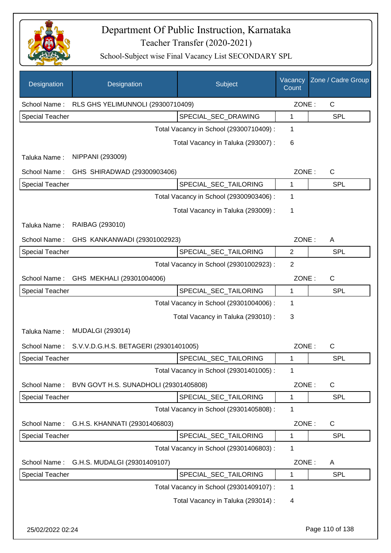

| Designation            | Designation                           | Subject                                 | Vacancy<br>Count | Zone / Cadre Group |
|------------------------|---------------------------------------|-----------------------------------------|------------------|--------------------|
| School Name:           | RLS GHS YELIMUNNOLI (29300710409)     |                                         | ZONE:            | $\mathsf C$        |
| <b>Special Teacher</b> |                                       | SPECIAL_SEC_DRAWING                     | 1                | <b>SPL</b>         |
|                        |                                       | Total Vacancy in School (29300710409) : | 1                |                    |
|                        |                                       | Total Vacancy in Taluka (293007) :      | 6                |                    |
| Taluka Name:           | NIPPANI (293009)                      |                                         |                  |                    |
| School Name:           | GHS SHIRADWAD (29300903406)           |                                         | ZONE:            | C                  |
| Special Teacher        |                                       | SPECIAL_SEC_TAILORING                   | 1                | <b>SPL</b>         |
|                        |                                       | Total Vacancy in School (29300903406) : | 1                |                    |
|                        |                                       | Total Vacancy in Taluka (293009):       | 1                |                    |
| Taluka Name:           | RAIBAG (293010)                       |                                         |                  |                    |
| School Name:           | GHS KANKANWADI (29301002923)          |                                         | ZONE:            | A                  |
| <b>Special Teacher</b> |                                       | SPECIAL_SEC_TAILORING                   | $\overline{2}$   | <b>SPL</b>         |
|                        |                                       | Total Vacancy in School (29301002923) : | $\overline{2}$   |                    |
| School Name:           | GHS MEKHALI (29301004006)             |                                         | ZONE:            | C                  |
| <b>Special Teacher</b> |                                       | SPECIAL_SEC_TAILORING                   | 1                | <b>SPL</b>         |
|                        |                                       | Total Vacancy in School (29301004006) : | 1                |                    |
|                        |                                       | Total Vacancy in Taluka (293010) :      | 3                |                    |
| Taluka Name:           | <b>MUDALGI (293014)</b>               |                                         |                  |                    |
| School Name:           | S.V.V.D.G.H.S. BETAGERI (29301401005) |                                         | ZONE:            | C                  |
| <b>Special Teacher</b> |                                       | SPECIAL_SEC_TAILORING                   | 1                | SPL                |
|                        |                                       | Total Vacancy in School (29301401005) : | 1                |                    |
| School Name:           | BVN GOVT H.S. SUNADHOLI (29301405808) |                                         | ZONE:            | C                  |
| <b>Special Teacher</b> |                                       | SPECIAL_SEC_TAILORING                   | 1                | <b>SPL</b>         |
|                        |                                       | Total Vacancy in School (29301405808) : | 1                |                    |
| School Name:           | G.H.S. KHANNATI (29301406803)         |                                         | ZONE:            | C                  |
| Special Teacher        |                                       | SPECIAL SEC TAILORING                   | 1                | <b>SPL</b>         |
|                        |                                       | Total Vacancy in School (29301406803) : | 1                |                    |
| School Name:           | G.H.S. MUDALGI (29301409107)          |                                         | ZONE:            | A                  |
| <b>Special Teacher</b> |                                       | SPECIAL_SEC_TAILORING                   | 1                | <b>SPL</b>         |
|                        |                                       | Total Vacancy in School (29301409107) : | 1                |                    |
|                        |                                       | Total Vacancy in Taluka (293014) :      | 4                |                    |
|                        |                                       |                                         |                  |                    |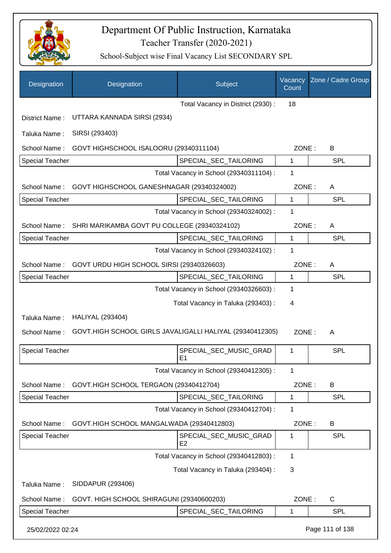

| Designation            | Designation                                              | Subject                                  | Vacancy<br>Count | Zone / Cadre Group |
|------------------------|----------------------------------------------------------|------------------------------------------|------------------|--------------------|
|                        |                                                          | Total Vacancy in District (2930) :       | 18               |                    |
| District Name:         | UTTARA KANNADA SIRSI (2934)                              |                                          |                  |                    |
| Taluka Name:           | SIRSI (293403)                                           |                                          |                  |                    |
| School Name:           | GOVT HIGHSCHOOL ISALOORU (29340311104)                   |                                          | ZONE:            | B                  |
| <b>Special Teacher</b> |                                                          | SPECIAL_SEC_TAILORING                    | $\mathbf{1}$     | <b>SPL</b>         |
|                        |                                                          | Total Vacancy in School (29340311104) :  | 1                |                    |
| School Name:           | GOVT HIGHSCHOOL GANESHNAGAR (29340324002)                |                                          | ZONE:            | A                  |
| <b>Special Teacher</b> |                                                          | SPECIAL SEC TAILORING                    | $\mathbf{1}$     | <b>SPL</b>         |
|                        |                                                          | Total Vacancy in School (29340324002) :  | 1                |                    |
| School Name:           | SHRI MARIKAMBA GOVT PU COLLEGE (29340324102)             |                                          | ZONE:            | A                  |
| <b>Special Teacher</b> |                                                          | SPECIAL_SEC_TAILORING                    | 1                | <b>SPL</b>         |
|                        |                                                          | Total Vacancy in School (29340324102) :  | 1                |                    |
| School Name:           | GOVT URDU HIGH SCHOOL SIRSI (29340326603)                |                                          | ZONE:            | A                  |
| <b>Special Teacher</b> |                                                          | SPECIAL_SEC_TAILORING                    | 1                | SPL                |
|                        |                                                          | Total Vacancy in School (29340326603) :  | 1                |                    |
|                        |                                                          | Total Vacancy in Taluka (293403) :       | 4                |                    |
| Taluka Name:           | <b>HALIYAL (293404)</b>                                  |                                          |                  |                    |
| School Name:           | GOVT.HIGH SCHOOL GIRLS JAVALIGALLI HALIYAL (29340412305) |                                          | ZONE:            | A                  |
| <b>Special Teacher</b> |                                                          | SPECIAL_SEC_MUSIC_GRAD<br>E1             | 1                | SPL                |
|                        |                                                          | Total Vacancy in School (29340412305) :  | 1                |                    |
| School Name:           | GOVT.HIGH SCHOOL TERGAON (29340412704)                   |                                          | ZONE:            | B                  |
| Special Teacher        |                                                          | SPECIAL SEC TAILORING                    | 1                | <b>SPL</b>         |
|                        |                                                          | Total Vacancy in School (29340412704) :  | 1                |                    |
| School Name:           | GOVT.HIGH SCHOOL MANGALWADA (29340412803)                |                                          | ZONE:            | B                  |
| <b>Special Teacher</b> |                                                          | SPECIAL_SEC_MUSIC_GRAD<br>E <sub>2</sub> | 1                | <b>SPL</b>         |
|                        |                                                          | Total Vacancy in School (29340412803) :  | 1                |                    |
|                        |                                                          | Total Vacancy in Taluka (293404) :       | 3                |                    |
| Taluka Name:           | SIDDAPUR (293406)                                        |                                          |                  |                    |
| School Name:           | GOVT. HIGH SCHOOL SHIRAGUNI (29340600203)                |                                          | ZONE:            | C                  |
| <b>Special Teacher</b> |                                                          | SPECIAL_SEC_TAILORING                    | 1                | <b>SPL</b>         |
| 25/02/2022 02:24       |                                                          |                                          |                  | Page 111 of 138    |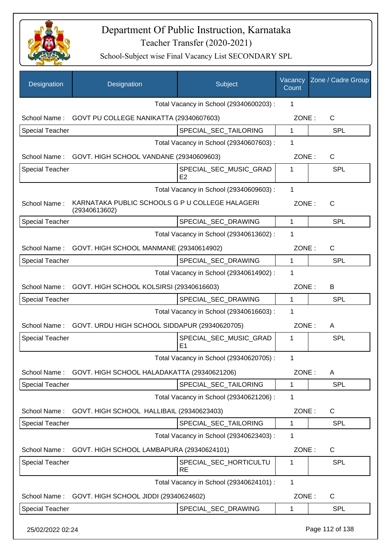

| Designation            | Designation                                                      | Subject                                  | Vacancy<br>Count | Zone / Cadre Group |
|------------------------|------------------------------------------------------------------|------------------------------------------|------------------|--------------------|
|                        |                                                                  | Total Vacancy in School (29340600203) :  | 1                |                    |
| School Name:           | GOVT PU COLLEGE NANIKATTA (29340607603)                          |                                          | ZONE:            | C                  |
| Special Teacher        |                                                                  | SPECIAL_SEC_TAILORING                    | $\mathbf 1$      | <b>SPL</b>         |
|                        |                                                                  | Total Vacancy in School (29340607603) :  | 1                |                    |
|                        | School Name: GOVT. HIGH SCHOOL VANDANE (29340609603)             |                                          | ZONE:            | $\mathsf{C}$       |
| <b>Special Teacher</b> |                                                                  | SPECIAL_SEC_MUSIC_GRAD<br>E <sub>2</sub> | 1                | <b>SPL</b>         |
|                        |                                                                  | Total Vacancy in School (29340609603) :  | 1                |                    |
| School Name:           | KARNATAKA PUBLIC SCHOOLS G P U COLLEGE HALAGERI<br>(29340613602) |                                          | ZONE:            | $\mathsf{C}$       |
| Special Teacher        |                                                                  | SPECIAL_SEC_DRAWING                      | 1                | <b>SPL</b>         |
|                        |                                                                  | Total Vacancy in School (29340613602) :  | 1                |                    |
| School Name:           | GOVT. HIGH SCHOOL MANMANE (29340614902)                          |                                          | ZONE:            | C                  |
| <b>Special Teacher</b> |                                                                  | SPECIAL_SEC_DRAWING                      | 1                | <b>SPL</b>         |
|                        |                                                                  | Total Vacancy in School (29340614902) :  | 1                |                    |
| School Name:           | GOVT. HIGH SCHOOL KOLSIRSI (29340616603)                         |                                          | ZONE:            | В                  |
| <b>Special Teacher</b> |                                                                  | SPECIAL_SEC_DRAWING                      | 1                | <b>SPL</b>         |
|                        |                                                                  | Total Vacancy in School (29340616603) :  | 1                |                    |
| School Name:           | GOVT. URDU HIGH SCHOOL SIDDAPUR (29340620705)                    |                                          | ZONE:            | A                  |
| <b>Special Teacher</b> |                                                                  | SPECIAL_SEC_MUSIC_GRAD<br>E1             | 1                | <b>SPL</b>         |
|                        |                                                                  | Total Vacancy in School (29340620705) :  | 1                |                    |
| School Name:           | GOVT. HIGH SCHOOL HALADAKATTA (29340621206)                      |                                          | ZONE:            | Α                  |
| <b>Special Teacher</b> |                                                                  | SPECIAL_SEC_TAILORING                    | 1                | <b>SPL</b>         |
|                        |                                                                  | Total Vacancy in School (29340621206) :  | 1                |                    |
| School Name:           | GOVT. HIGH SCHOOL HALLIBAIL (29340623403)                        |                                          | ZONE:            | C                  |
| <b>Special Teacher</b> |                                                                  | SPECIAL_SEC_TAILORING                    | 1                | <b>SPL</b>         |
|                        |                                                                  | Total Vacancy in School (29340623403) :  | 1                |                    |
| School Name:           | GOVT. HIGH SCHOOL LAMBAPURA (29340624101)                        |                                          | ZONE:            | $\mathsf{C}$       |
| <b>Special Teacher</b> |                                                                  | SPECIAL_SEC_HORTICULTU<br><b>RE</b>      | 1                | SPL                |
|                        |                                                                  | Total Vacancy in School (29340624101) :  | 1                |                    |
| School Name:           | GOVT. HIGH SCHOOL JIDDI (29340624602)                            |                                          | ZONE:            | C                  |
| Special Teacher        |                                                                  | SPECIAL_SEC_DRAWING                      | 1                | <b>SPL</b>         |
| 25/02/2022 02:24       |                                                                  |                                          |                  | Page 112 of 138    |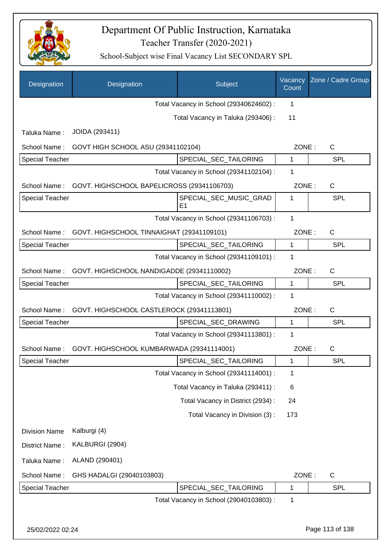

| Designation            | Designation                                | Subject                                  | Vacancy<br>Count | Zone / Cadre Group |
|------------------------|--------------------------------------------|------------------------------------------|------------------|--------------------|
|                        |                                            | Total Vacancy in School (29340624602) :  | 1                |                    |
|                        |                                            | Total Vacancy in Taluka (293406) :       | 11               |                    |
| Taluka Name:           | JOIDA (293411)                             |                                          |                  |                    |
| School Name:           | GOVT HIGH SCHOOL ASU (29341102104)         |                                          | ZONE:            | $\mathsf{C}$       |
| <b>Special Teacher</b> |                                            | SPECIAL_SEC_TAILORING                    | 1                | <b>SPL</b>         |
|                        |                                            | Total Vacancy in School (29341102104) :  | 1                |                    |
| School Name:           | GOVT. HIGHSCHOOL BAPELICROSS (29341106703) |                                          | ZONE:            | $\mathsf{C}$       |
| <b>Special Teacher</b> |                                            | SPECIAL SEC MUSIC GRAD<br>E <sub>1</sub> | 1                | <b>SPL</b>         |
|                        |                                            | Total Vacancy in School (29341106703) :  | $\mathbf{1}$     |                    |
| School Name:           | GOVT. HIGHSCHOOL TINNAIGHAT (29341109101)  |                                          | ZONE:            | $\mathsf{C}$       |
| <b>Special Teacher</b> |                                            | SPECIAL_SEC_TAILORING                    | 1                | <b>SPL</b>         |
|                        |                                            | Total Vacancy in School (29341109101) :  | 1                |                    |
| School Name:           | GOVT. HIGHSCHOOL NANDIGADDE (29341110002)  |                                          | ZONE:            | $\mathsf{C}$       |
| <b>Special Teacher</b> |                                            | SPECIAL_SEC_TAILORING                    | 1                | <b>SPL</b>         |
|                        |                                            | Total Vacancy in School (29341110002) :  | 1                |                    |
| School Name:           | GOVT. HIGHSCHOOL CASTLEROCK (29341113801)  |                                          | ZONE:            | $\mathsf{C}$       |
| <b>Special Teacher</b> |                                            | SPECIAL_SEC_DRAWING                      | 1                | <b>SPL</b>         |
|                        |                                            | Total Vacancy in School (29341113801) :  | 1                |                    |
| School Name:           | GOVT. HIGHSCHOOL KUMBARWADA (29341114001)  |                                          | ZONE:            | $\mathsf C$        |
| Special Teacher        |                                            | SPECIAL_SEC_TAILORING                    | 1                | <b>SPL</b>         |
|                        |                                            | Total Vacancy in School (29341114001) :  | 1                |                    |
|                        |                                            | Total Vacancy in Taluka (293411) :       | 6                |                    |
|                        |                                            | Total Vacancy in District (2934) :       | 24               |                    |
|                        |                                            | Total Vacancy in Division (3):           | 173              |                    |
| <b>Division Name</b>   | Kalburgi (4)                               |                                          |                  |                    |
| District Name:         | KALBURGI (2904)                            |                                          |                  |                    |
| Taluka Name:           | ALAND (290401)                             |                                          |                  |                    |
| School Name:           | GHS HADALGI (29040103803)                  |                                          | ZONE:            | $\mathsf{C}$       |
| Special Teacher        |                                            | SPECIAL_SEC_TAILORING                    | 1                | <b>SPL</b>         |
|                        |                                            | Total Vacancy in School (29040103803) :  | 1                |                    |
|                        |                                            |                                          |                  |                    |
| 25/02/2022 02:24       |                                            |                                          |                  | Page 113 of 138    |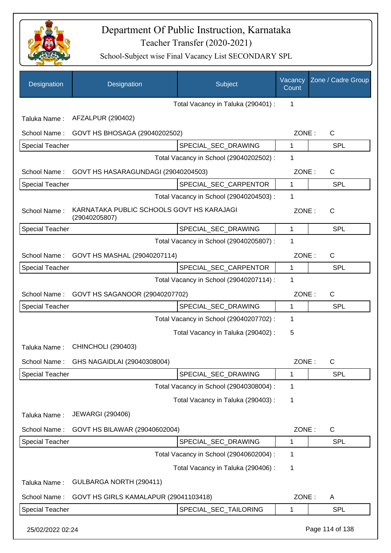

| Designation            | Designation                                                | Subject                                 | Vacancy<br>Count | Zone / Cadre Group |
|------------------------|------------------------------------------------------------|-----------------------------------------|------------------|--------------------|
|                        |                                                            | Total Vacancy in Taluka (290401) :      | 1                |                    |
| Taluka Name:           | AFZALPUR (290402)                                          |                                         |                  |                    |
| School Name:           | GOVT HS BHOSAGA (29040202502)                              |                                         | ZONE:            | $\mathsf{C}$       |
| <b>Special Teacher</b> |                                                            | SPECIAL_SEC_DRAWING                     | 1                | <b>SPL</b>         |
|                        |                                                            | Total Vacancy in School (29040202502) : | 1                |                    |
| School Name:           | GOVT HS HASARAGUNDAGI (29040204503)                        |                                         | ZONE:            | C                  |
| Special Teacher        |                                                            | SPECIAL_SEC_CARPENTOR                   | $\mathbf{1}$     | <b>SPL</b>         |
|                        |                                                            | Total Vacancy in School (29040204503) : | 1                |                    |
| School Name:           | KARNATAKA PUBLIC SCHOOLS GOVT HS KARAJAGI<br>(29040205807) |                                         | ZONE:            | $\mathsf{C}$       |
| <b>Special Teacher</b> |                                                            | SPECIAL_SEC_DRAWING                     | 1                | SPL                |
|                        |                                                            | Total Vacancy in School (29040205807) : | 1                |                    |
| School Name:           | GOVT HS MASHAL (29040207114)                               |                                         | ZONE:            | C                  |
| Special Teacher        |                                                            | SPECIAL_SEC_CARPENTOR                   | 1                | <b>SPL</b>         |
|                        |                                                            | Total Vacancy in School (29040207114) : | 1                |                    |
| School Name:           | GOVT HS SAGANOOR (29040207702)                             |                                         | ZONE:            | C                  |
| Special Teacher        |                                                            | SPECIAL_SEC_DRAWING                     | 1                | <b>SPL</b>         |
|                        |                                                            | Total Vacancy in School (29040207702) : | 1                |                    |
|                        |                                                            | Total Vacancy in Taluka (290402) :      | 5                |                    |
| Taluka Name:           | <b>CHINCHOLI (290403)</b>                                  |                                         |                  |                    |
| School Name:           | GHS NAGAIDLAI (29040308004)                                |                                         | ZONE:            | C                  |
| <b>Special Teacher</b> |                                                            | SPECIAL_SEC_DRAWING                     | 1                | <b>SPL</b>         |
|                        |                                                            | Total Vacancy in School (29040308004) : | 1                |                    |
|                        |                                                            | Total Vacancy in Taluka (290403):       | 1                |                    |
| Taluka Name:           | <b>JEWARGI (290406)</b>                                    |                                         |                  |                    |
| School Name:           | GOVT HS BILAWAR (29040602004)                              |                                         | ZONE:            | C                  |
| Special Teacher        |                                                            | SPECIAL_SEC_DRAWING                     | 1                | <b>SPL</b>         |
|                        |                                                            | Total Vacancy in School (29040602004) : | 1                |                    |
|                        |                                                            | Total Vacancy in Taluka (290406) :      | 1                |                    |
| Taluka Name:           | GULBARGA NORTH (290411)                                    |                                         |                  |                    |
| School Name:           | GOVT HS GIRLS KAMALAPUR (29041103418)                      |                                         | ZONE:            | A                  |
| Special Teacher        |                                                            | SPECIAL_SEC_TAILORING                   | 1                | <b>SPL</b>         |
| 25/02/2022 02:24       |                                                            |                                         |                  | Page 114 of 138    |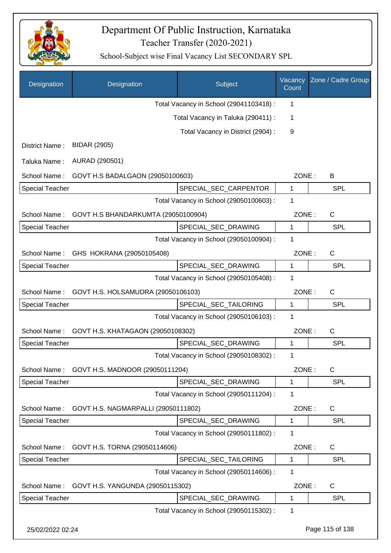

| Designation            | Designation                         | Subject                                 | Vacancy<br>Count | Zone / Cadre Group |
|------------------------|-------------------------------------|-----------------------------------------|------------------|--------------------|
|                        |                                     | Total Vacancy in School (29041103418) : | 1                |                    |
|                        |                                     | Total Vacancy in Taluka (290411) :      | 1                |                    |
|                        |                                     | Total Vacancy in District (2904) :      | 9                |                    |
| District Name:         | <b>BIDAR (2905)</b>                 |                                         |                  |                    |
| Taluka Name:           | AURAD (290501)                      |                                         |                  |                    |
| School Name:           | GOVT H.S BADALGAON (29050100603)    |                                         | ZONE:            | B                  |
| <b>Special Teacher</b> |                                     | SPECIAL_SEC_CARPENTOR                   | $\mathbf{1}$     | <b>SPL</b>         |
|                        |                                     | Total Vacancy in School (29050100603) : | 1                |                    |
| School Name:           | GOVT H.S BHANDARKUMTA (29050100904) |                                         | ZONE:            | $\mathsf{C}$       |
| <b>Special Teacher</b> |                                     | SPECIAL_SEC_DRAWING                     | $\mathbf{1}$     | <b>SPL</b>         |
|                        |                                     | Total Vacancy in School (29050100904) : | 1                |                    |
| School Name:           | GHS HOKRANA (29050105408)           |                                         | ZONE:            | $\mathsf{C}$       |
| <b>Special Teacher</b> |                                     | SPECIAL_SEC_DRAWING                     | $\mathbf 1$      | <b>SPL</b>         |
|                        |                                     | Total Vacancy in School (29050105408) : | 1                |                    |
| School Name:           | GOVT H.S. HOLSAMUDRA (29050106103)  |                                         | ZONE:            | $\mathsf{C}$       |
| <b>Special Teacher</b> |                                     | SPECIAL_SEC_TAILORING                   | 1                | SPL                |
|                        |                                     | Total Vacancy in School (29050106103) : | 1                |                    |
| School Name:           | GOVT H.S. KHATAGAON (29050108302)   |                                         | ZONE:            | C                  |
| Special Teacher        |                                     | SPECIAL_SEC_DRAWING                     | 1                | <b>SPL</b>         |
|                        |                                     | Total Vacancy in School (29050108302) : | 1                |                    |
| School Name:           | GOVT H.S. MADNOOR (29050111204)     |                                         | ZONE:            | $\mathsf C$        |
| <b>Special Teacher</b> |                                     | SPECIAL SEC DRAWING                     | 1                | <b>SPL</b>         |
|                        |                                     | Total Vacancy in School (29050111204) : | 1                |                    |
| School Name:           | GOVT H.S. NAGMARPALLI (29050111802) |                                         | ZONE:            | C                  |
| <b>Special Teacher</b> |                                     | SPECIAL_SEC_DRAWING                     | $\mathbf{1}$     | <b>SPL</b>         |
|                        |                                     | Total Vacancy in School (29050111802) : | 1                |                    |
| School Name:           | GOVT H.S. TORNA (29050114606)       |                                         | ZONE:            | C                  |
| <b>Special Teacher</b> |                                     | SPECIAL_SEC_TAILORING                   | 1                | <b>SPL</b>         |
|                        |                                     | Total Vacancy in School (29050114606) : | 1                |                    |
| School Name:           | GOVT H.S. YANGUNDA (29050115302)    |                                         | ZONE:            | C                  |
| <b>Special Teacher</b> |                                     | SPECIAL_SEC_DRAWING                     | 1                | <b>SPL</b>         |
|                        |                                     | Total Vacancy in School (29050115302) : | 1                |                    |
| 25/02/2022 02:24       |                                     |                                         |                  | Page 115 of 138    |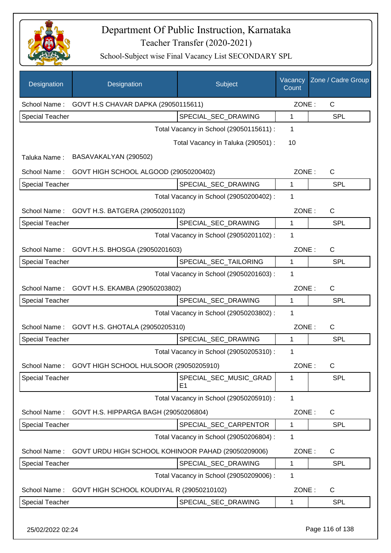

| Designation            | Designation                                        | Subject                                  | Vacancy<br>Count | Zone / Cadre Group |
|------------------------|----------------------------------------------------|------------------------------------------|------------------|--------------------|
|                        | School Name: GOVT H.S CHAVAR DAPKA (29050115611)   |                                          | ZONE:            | C                  |
| <b>Special Teacher</b> |                                                    | SPECIAL_SEC_DRAWING                      | 1                | <b>SPL</b>         |
|                        |                                                    | Total Vacancy in School (29050115611) :  | 1                |                    |
|                        |                                                    | Total Vacancy in Taluka (290501) :       | 10               |                    |
| Taluka Name:           | BASAVAKALYAN (290502)                              |                                          |                  |                    |
| School Name:           | GOVT HIGH SCHOOL ALGOOD (29050200402)              |                                          | ZONE:            | $\mathsf{C}$       |
| <b>Special Teacher</b> |                                                    | SPECIAL_SEC_DRAWING                      | 1                | <b>SPL</b>         |
|                        |                                                    | Total Vacancy in School (29050200402) :  | 1                |                    |
| School Name:           | GOVT H.S. BATGERA (29050201102)                    |                                          | ZONE:            | $\mathsf{C}$       |
| <b>Special Teacher</b> |                                                    | SPECIAL_SEC_DRAWING                      | 1                | <b>SPL</b>         |
|                        |                                                    | Total Vacancy in School (29050201102) :  | 1                |                    |
| School Name:           | GOVT.H.S. BHOSGA (29050201603)                     |                                          | ZONE:            | $\mathsf{C}$       |
| <b>Special Teacher</b> |                                                    | SPECIAL_SEC_TAILORING                    | 1                | <b>SPL</b>         |
|                        |                                                    | Total Vacancy in School (29050201603) :  | 1                |                    |
|                        | School Name: GOVT H.S. EKAMBA (29050203802)        |                                          | ZONE:            | C                  |
| <b>Special Teacher</b> |                                                    | SPECIAL_SEC_DRAWING                      | $\mathbf{1}$     | <b>SPL</b>         |
|                        |                                                    | Total Vacancy in School (29050203802) :  | 1                |                    |
| School Name:           | GOVT H.S. GHOTALA (29050205310)                    |                                          | ZONE:            | C                  |
| <b>Special Teacher</b> |                                                    | SPECIAL SEC DRAWING                      | 1                | SPL                |
|                        |                                                    | Total Vacancy in School (29050205310) :  | 1                |                    |
| School Name :          | GOVT HIGH SCHOOL HULSOOR (29050205910)             |                                          | ZONE:            | C                  |
| <b>Special Teacher</b> |                                                    | SPECIAL SEC MUSIC GRAD<br>E <sub>1</sub> | 1                | <b>SPL</b>         |
|                        |                                                    | Total Vacancy in School (29050205910) :  | 1                |                    |
| School Name:           | GOVT H.S. HIPPARGA BAGH (29050206804)              |                                          | ZONE:            | C                  |
| <b>Special Teacher</b> |                                                    | SPECIAL_SEC_CARPENTOR                    | 1                | <b>SPL</b>         |
|                        |                                                    | Total Vacancy in School (29050206804) :  | 1                |                    |
| School Name:           | GOVT URDU HIGH SCHOOL KOHINOOR PAHAD (29050209006) |                                          | ZONE:            | $\mathsf{C}$       |
| <b>Special Teacher</b> |                                                    | SPECIAL_SEC_DRAWING                      | 1                | <b>SPL</b>         |
|                        |                                                    | Total Vacancy in School (29050209006) :  | 1                |                    |
| School Name:           | GOVT HIGH SCHOOL KOUDIYAL R (29050210102)          |                                          | ZONE:            | C                  |
| <b>Special Teacher</b> |                                                    | SPECIAL_SEC_DRAWING                      | 1                | <b>SPL</b>         |
| 25/02/2022 02:24       |                                                    |                                          |                  | Page 116 of 138    |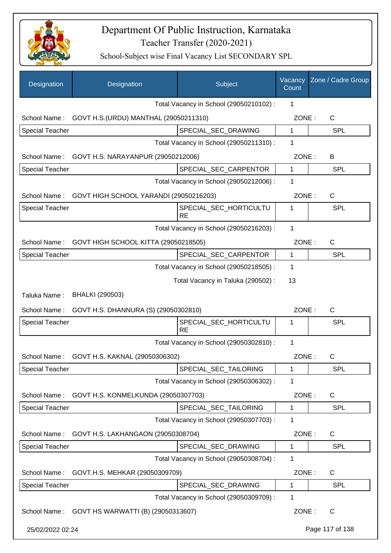

| Designation            | Designation                                         | Subject                                 | Vacancy<br>Count | Zone / Cadre Group |
|------------------------|-----------------------------------------------------|-----------------------------------------|------------------|--------------------|
|                        |                                                     | Total Vacancy in School (29050210102) : | 1                |                    |
| School Name:           | GOVT H.S. (URDU) MANTHAL (29050211310)              |                                         | ZONE:            | $\mathsf{C}$       |
| <b>Special Teacher</b> |                                                     | SPECIAL_SEC_DRAWING                     | $\mathbf{1}$     | <b>SPL</b>         |
|                        |                                                     | Total Vacancy in School (29050211310) : | 1                |                    |
| School Name:           | GOVT H.S. NARAYANPUR (29050212006)                  |                                         | ZONE:            | B                  |
| <b>Special Teacher</b> |                                                     | SPECIAL_SEC_CARPENTOR                   | $\mathbf{1}$     | <b>SPL</b>         |
|                        |                                                     | Total Vacancy in School (29050212006) : | 1                |                    |
|                        | School Name: GOVT HIGH SCHOOL YARANDI (29050216203) |                                         | ZONE:            | $\mathsf{C}$       |
| <b>Special Teacher</b> |                                                     | SPECIAL_SEC_HORTICULTU<br><b>RE</b>     | 1                | SPL                |
|                        |                                                     | Total Vacancy in School (29050216203) : | $\mathbf 1$      |                    |
|                        | School Name: GOVT HIGH SCHOOL KITTA (29050218505)   |                                         | ZONE:            | $\mathsf{C}$       |
| <b>Special Teacher</b> |                                                     | SPECIAL_SEC_CARPENTOR                   | $\mathbf{1}$     | <b>SPL</b>         |
|                        |                                                     | Total Vacancy in School (29050218505) : | 1                |                    |
|                        |                                                     | Total Vacancy in Taluka (290502) :      | 13               |                    |
| Taluka Name:           | <b>BHALKI (290503)</b>                              |                                         |                  |                    |
| School Name:           | GOVT H.S. DHANNURA (S) (29050302810)                |                                         | ZONE:            | $\mathsf{C}$       |
| <b>Special Teacher</b> |                                                     | SPECIAL_SEC_HORTICULTU<br><b>RE</b>     | 1                | SPL                |
|                        |                                                     | Total Vacancy in School (29050302810) : | 1                |                    |
| School Name:           | GOVT H.S. KAKNAL (29050306302)                      |                                         | ZONE:            | C                  |
| <b>Special Teacher</b> |                                                     | SPECIAL_SEC_TAILORING                   | 1                | <b>SPL</b>         |
|                        |                                                     | Total Vacancy in School (29050306302) : | 1                |                    |
| School Name:           | GOVT H.S. KONMELKUNDA (29050307703)                 |                                         | ZONE:            | C                  |
| <b>Special Teacher</b> |                                                     | SPECIAL SEC TAILORING                   | 1                | <b>SPL</b>         |
|                        |                                                     | Total Vacancy in School (29050307703) : | $\mathbf 1$      |                    |
| School Name:           | GOVT H.S. LAKHANGAON (29050308704)                  |                                         | ZONE:            | C                  |
| <b>Special Teacher</b> |                                                     | SPECIAL_SEC_DRAWING                     | 1                | <b>SPL</b>         |
|                        |                                                     | Total Vacancy in School (29050308704) : | 1                |                    |
| School Name:           | GOVT.H.S. MEHKAR (29050309709)                      |                                         | ZONE:            | $\mathsf{C}$       |
| <b>Special Teacher</b> |                                                     | SPECIAL_SEC_DRAWING                     | 1                | <b>SPL</b>         |
|                        |                                                     | Total Vacancy in School (29050309709) : | $\mathbf 1$      |                    |
| School Name:           | GOVT HS WARWATTI (B) (29050313607)                  |                                         | ZONE:            | $\mathsf{C}$       |
| 25/02/2022 02:24       |                                                     |                                         |                  | Page 117 of 138    |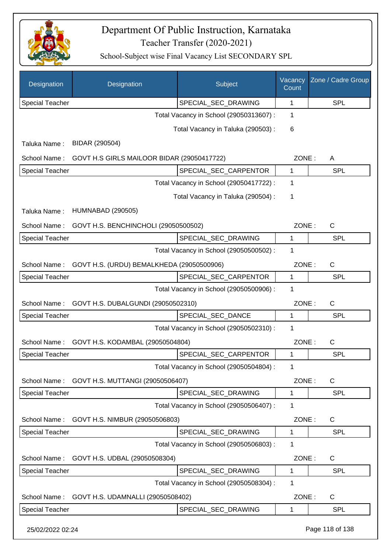

| Designation            | Designation                                | Subject                                 | Vacancy<br>Count | Zone / Cadre Group |
|------------------------|--------------------------------------------|-----------------------------------------|------------------|--------------------|
| <b>Special Teacher</b> |                                            | SPECIAL_SEC_DRAWING                     | $\mathbf{1}$     | <b>SPL</b>         |
|                        |                                            | Total Vacancy in School (29050313607) : | 1                |                    |
|                        |                                            | Total Vacancy in Taluka (290503) :      | 6                |                    |
| Taluka Name:           | BIDAR (290504)                             |                                         |                  |                    |
| School Name:           | GOVT H.S GIRLS MAILOOR BIDAR (29050417722) |                                         | ZONE:            | Α                  |
| <b>Special Teacher</b> |                                            | SPECIAL_SEC_CARPENTOR                   | $\mathbf{1}$     | <b>SPL</b>         |
|                        |                                            | Total Vacancy in School (29050417722) : | 1                |                    |
|                        |                                            | Total Vacancy in Taluka (290504) :      | 1                |                    |
| Taluka Name:           | <b>HUMNABAD (290505)</b>                   |                                         |                  |                    |
| School Name:           | GOVT H.S. BENCHINCHOLI (29050500502)       |                                         | ZONE:            | C                  |
| <b>Special Teacher</b> |                                            | SPECIAL_SEC_DRAWING                     | 1                | <b>SPL</b>         |
|                        |                                            | Total Vacancy in School (29050500502) : | 1                |                    |
| School Name:           | GOVT H.S. (URDU) BEMALKHEDA (29050500906)  |                                         | ZONE:            | C                  |
| <b>Special Teacher</b> |                                            | SPECIAL_SEC_CARPENTOR                   | 1                | <b>SPL</b>         |
|                        |                                            | Total Vacancy in School (29050500906) : | 1                |                    |
| School Name:           | GOVT H.S. DUBALGUNDI (29050502310)         |                                         | ZONE:            | C                  |
| <b>Special Teacher</b> |                                            | SPECIAL_SEC_DANCE                       | 1                | <b>SPL</b>         |
|                        |                                            | Total Vacancy in School (29050502310) : | 1                |                    |
| School Name:           | GOVT H.S. KODAMBAL (29050504804)           |                                         | ZONE:            | C                  |
| <b>Special Teacher</b> |                                            | SPECIAL_SEC_CARPENTOR                   | 1                | SPL                |
|                        |                                            | Total Vacancy in School (29050504804) : | 1                |                    |
| School Name:           | GOVT H.S. MUTTANGI (29050506407)           |                                         | ZONE:            | $\mathsf C$        |
| <b>Special Teacher</b> |                                            | SPECIAL_SEC_DRAWING                     | 1                | <b>SPL</b>         |
|                        |                                            | Total Vacancy in School (29050506407) : | 1                |                    |
| School Name:           | GOVT H.S. NIMBUR (29050506803)             |                                         | ZONE:            | $\mathsf C$        |
| Special Teacher        |                                            | SPECIAL_SEC_DRAWING                     | 1                | <b>SPL</b>         |
|                        |                                            | Total Vacancy in School (29050506803) : | 1                |                    |
| School Name:           | GOVT H.S. UDBAL (29050508304)              |                                         | ZONE:            | $\mathsf{C}$       |
| Special Teacher        |                                            | SPECIAL_SEC_DRAWING                     | 1                | SPL                |
|                        |                                            | Total Vacancy in School (29050508304) : | 1                |                    |
| School Name:           | GOVT H.S. UDAMNALLI (29050508402)          |                                         | ZONE:            | $\mathsf{C}$       |
| <b>Special Teacher</b> |                                            | SPECIAL_SEC_DRAWING                     | 1                | <b>SPL</b>         |
| 25/02/2022 02:24       |                                            |                                         |                  | Page 118 of 138    |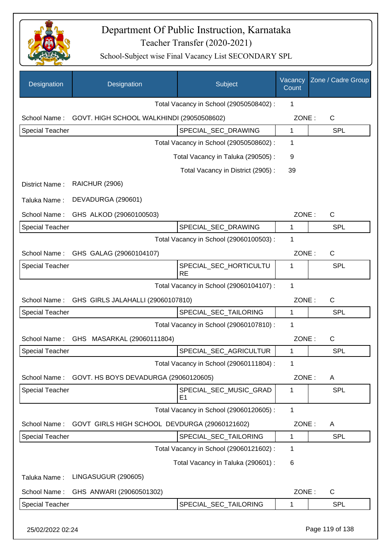

| Designation            | Designation                                   | Subject                                  | Vacancy<br>Count | Zone / Cadre Group |
|------------------------|-----------------------------------------------|------------------------------------------|------------------|--------------------|
|                        |                                               | Total Vacancy in School (29050508402) :  | 1                |                    |
| School Name:           | GOVT. HIGH SCHOOL WALKHINDI (29050508602)     |                                          | ZONE:            | C                  |
| <b>Special Teacher</b> |                                               | SPECIAL_SEC_DRAWING                      | $\mathbf{1}$     | <b>SPL</b>         |
|                        |                                               | Total Vacancy in School (29050508602) :  | 1                |                    |
|                        |                                               | Total Vacancy in Taluka (290505):        | 9                |                    |
|                        |                                               | Total Vacancy in District (2905):        | 39               |                    |
| District Name:         | <b>RAICHUR (2906)</b>                         |                                          |                  |                    |
| Taluka Name:           | DEVADURGA (290601)                            |                                          |                  |                    |
| School Name:           | GHS ALKOD (29060100503)                       |                                          | ZONE:            | $\mathsf{C}$       |
| Special Teacher        |                                               | SPECIAL_SEC_DRAWING                      | 1                | <b>SPL</b>         |
|                        |                                               | Total Vacancy in School (29060100503) :  | 1                |                    |
| School Name:           | GHS GALAG (29060104107)                       |                                          | ZONE:            | C                  |
| <b>Special Teacher</b> |                                               | SPECIAL_SEC_HORTICULTU<br><b>RE</b>      | 1                | <b>SPL</b>         |
|                        |                                               | Total Vacancy in School (29060104107) :  | 1                |                    |
| School Name:           | GHS GIRLS JALAHALLI (29060107810)             |                                          | ZONE:            | $\mathsf{C}$       |
| <b>Special Teacher</b> |                                               | SPECIAL_SEC_TAILORING                    | $\mathbf{1}$     | <b>SPL</b>         |
|                        |                                               | Total Vacancy in School (29060107810) :  | 1                |                    |
| School Name:           | GHS MASARKAL (29060111804)                    |                                          | ZONE:            | $\mathsf{C}$       |
| <b>Special Teacher</b> |                                               | SPECIAL_SEC_AGRICULTUR                   | 1                | SPL                |
|                        |                                               | Total Vacancy in School (29060111804) :  | 1                |                    |
| School Name:           | GOVT. HS BOYS DEVADURGA (29060120605)         |                                          | ZONE:            | A                  |
| Special Teacher        |                                               | SPECIAL_SEC_MUSIC_GRAD<br>E <sub>1</sub> | 1                | <b>SPL</b>         |
|                        |                                               | Total Vacancy in School (29060120605) :  | 1                |                    |
| School Name:           | GOVT GIRLS HIGH SCHOOL DEVDURGA (29060121602) |                                          | ZONE:            | A                  |
| Special Teacher        |                                               | SPECIAL_SEC_TAILORING                    | 1                | <b>SPL</b>         |
|                        |                                               | Total Vacancy in School (29060121602) :  | 1                |                    |
|                        |                                               | Total Vacancy in Taluka (290601) :       | 6                |                    |
| Taluka Name:           | LINGASUGUR (290605)                           |                                          |                  |                    |
| School Name:           | GHS ANWARI (29060501302)                      |                                          | ZONE:            | C                  |
| Special Teacher        |                                               | SPECIAL_SEC_TAILORING                    | 1                | <b>SPL</b>         |
| 25/02/2022 02:24       |                                               |                                          |                  | Page 119 of 138    |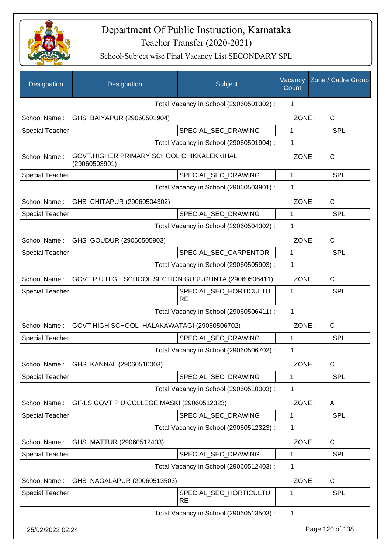

| Designation            | Designation                                                | Subject                                 | Vacancy<br>Count | Zone / Cadre Group |
|------------------------|------------------------------------------------------------|-----------------------------------------|------------------|--------------------|
|                        |                                                            | Total Vacancy in School (29060501302) : | 1                |                    |
|                        | School Name: GHS BAIYAPUR (29060501904)                    |                                         | ZONE:            | $\mathsf{C}$       |
| Special Teacher        |                                                            | SPECIAL_SEC_DRAWING                     | $\mathbf{1}$     | <b>SPL</b>         |
|                        |                                                            | Total Vacancy in School (29060501904) : | 1                |                    |
| School Name:           | GOVT.HIGHER PRIMARY SCHOOL CHIKKALEKKIHAL<br>(29060503901) |                                         | ZONE:            | C                  |
| <b>Special Teacher</b> |                                                            | SPECIAL_SEC_DRAWING                     | 1                | <b>SPL</b>         |
|                        |                                                            | Total Vacancy in School (29060503901) : | 1                |                    |
| School Name:           | GHS CHITAPUR (29060504302)                                 |                                         | ZONE:            | C                  |
| <b>Special Teacher</b> |                                                            | SPECIAL SEC DRAWING                     | 1                | <b>SPL</b>         |
|                        |                                                            | Total Vacancy in School (29060504302) : | 1                |                    |
| School Name:           | GHS GOUDUR (29060505903)                                   |                                         | ZONE:            | $\mathsf{C}$       |
| <b>Special Teacher</b> |                                                            | SPECIAL_SEC_CARPENTOR                   | 1                | <b>SPL</b>         |
|                        |                                                            | Total Vacancy in School (29060505903) : | 1                |                    |
| School Name:           | GOVT P U HIGH SCHOOL SECTION GURUGUNTA (29060506411)       |                                         | ZONE:            | C                  |
| <b>Special Teacher</b> |                                                            | SPECIAL_SEC_HORTICULTU<br><b>RE</b>     | 1                | <b>SPL</b>         |
|                        |                                                            | Total Vacancy in School (29060506411) : | 1                |                    |
| School Name:           | GOVT HIGH SCHOOL HALAKAWATAGI (29060506702)                |                                         | ZONE:            | C                  |
| <b>Special Teacher</b> |                                                            | SPECIAL_SEC_DRAWING                     | 1                | <b>SPL</b>         |
|                        |                                                            | Total Vacancy in School (29060506702) : | 1                |                    |
| School Name:           | GHS KANNAL (29060510003)                                   |                                         | ZONE:            | C                  |
| Special Teacher        |                                                            | SPECIAL_SEC_DRAWING                     | 1                | SPL                |
|                        |                                                            | Total Vacancy in School (29060510003) : | 1                |                    |
| School Name:           | GIRLS GOVT P U COLLEGE MASKI (29060512323)                 |                                         | ZONE:            | A                  |
| <b>Special Teacher</b> |                                                            | SPECIAL_SEC_DRAWING                     | 1                | <b>SPL</b>         |
|                        |                                                            | Total Vacancy in School (29060512323) : | 1                |                    |
| School Name:           | GHS MATTUR (29060512403)                                   |                                         | ZONE:            | $\mathsf{C}$       |
| Special Teacher        |                                                            | SPECIAL_SEC_DRAWING                     | 1                | <b>SPL</b>         |
|                        |                                                            | Total Vacancy in School (29060512403) : | 1                |                    |
| School Name:           | GHS NAGALAPUR (29060513503)                                |                                         | ZONE:            | $\mathsf{C}$       |
| <b>Special Teacher</b> |                                                            | SPECIAL_SEC_HORTICULTU<br><b>RE</b>     | 1                | <b>SPL</b>         |
|                        |                                                            | Total Vacancy in School (29060513503) : | $\mathbf 1$      |                    |
| 25/02/2022 02:24       |                                                            |                                         |                  | Page 120 of 138    |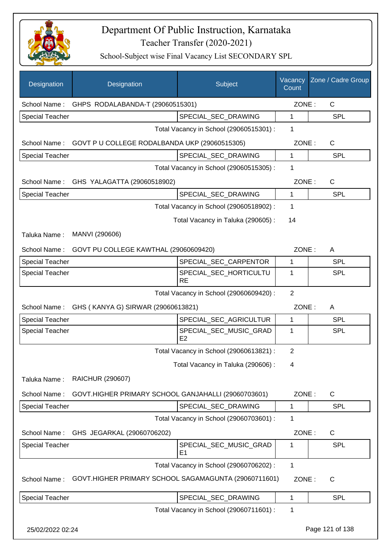

| Designation            | Designation                                          | Subject                                  | Vacancy<br>Count | Zone / Cadre Group |
|------------------------|------------------------------------------------------|------------------------------------------|------------------|--------------------|
|                        | School Name: GHPS RODALABANDA-T (29060515301)        |                                          | ZONE:            | $\mathsf{C}$       |
| <b>Special Teacher</b> |                                                      | SPECIAL SEC DRAWING                      | $\mathbf{1}$     | <b>SPL</b>         |
|                        |                                                      | Total Vacancy in School (29060515301) :  | 1                |                    |
| School Name:           | GOVT P U COLLEGE RODALBANDA UKP (29060515305)        |                                          | ZONE:            | $\mathsf{C}$       |
| <b>Special Teacher</b> |                                                      | SPECIAL_SEC_DRAWING                      | 1                | <b>SPL</b>         |
|                        |                                                      | Total Vacancy in School (29060515305) :  | 1                |                    |
|                        | School Name: GHS YALAGATTA (29060518902)             |                                          | ZONE:            | $\mathsf{C}$       |
| <b>Special Teacher</b> |                                                      | SPECIAL_SEC_DRAWING                      | 1                | <b>SPL</b>         |
|                        |                                                      | Total Vacancy in School (29060518902):   | 1                |                    |
|                        |                                                      | Total Vacancy in Taluka (290605):        | 14               |                    |
| Taluka Name:           | MANVI (290606)                                       |                                          |                  |                    |
| School Name:           | GOVT PU COLLEGE KAWTHAL (29060609420)                |                                          | ZONE:            | A                  |
| <b>Special Teacher</b> |                                                      | SPECIAL_SEC_CARPENTOR                    | 1                | <b>SPL</b>         |
| <b>Special Teacher</b> |                                                      | SPECIAL_SEC_HORTICULTU<br><b>RE</b>      | 1                | SPL                |
|                        |                                                      | Total Vacancy in School (29060609420) :  | $\overline{2}$   |                    |
| School Name:           | GHS (KANYA G) SIRWAR (29060613821)                   |                                          | ZONE:            | A                  |
| <b>Special Teacher</b> |                                                      | SPECIAL_SEC_AGRICULTUR                   | $\mathbf{1}$     | <b>SPL</b>         |
| <b>Special Teacher</b> |                                                      | SPECIAL_SEC_MUSIC_GRAD<br>E2             | 1                | SPL                |
|                        |                                                      | Total Vacancy in School (29060613821) :  | $\overline{2}$   |                    |
|                        |                                                      | Total Vacancy in Taluka (290606) :       | 4                |                    |
| Taluka Name:           | <b>RAICHUR (290607)</b>                              |                                          |                  |                    |
| School Name:           | GOVT.HIGHER PRIMARY SCHOOL GANJAHALLI (29060703601)  |                                          | ZONE:            | $\mathsf C$        |
| Special Teacher        |                                                      | SPECIAL_SEC_DRAWING                      | $\mathbf 1$      | <b>SPL</b>         |
|                        |                                                      | Total Vacancy in School (29060703601) :  | 1                |                    |
| School Name:           | GHS JEGARKAL (29060706202)                           |                                          | ZONE:            | $\mathsf C$        |
| <b>Special Teacher</b> |                                                      | SPECIAL_SEC_MUSIC_GRAD<br>E <sub>1</sub> | 1                | <b>SPL</b>         |
|                        |                                                      | Total Vacancy in School (29060706202) :  | 1                |                    |
| School Name:           | GOVT.HIGHER PRIMARY SCHOOL SAGAMAGUNTA (29060711601) |                                          | ZONE:            | C                  |
| <b>Special Teacher</b> |                                                      | SPECIAL_SEC_DRAWING                      | $\mathbf 1$      | <b>SPL</b>         |
|                        |                                                      | Total Vacancy in School (29060711601) :  | 1                |                    |
| 25/02/2022 02:24       |                                                      |                                          |                  | Page 121 of 138    |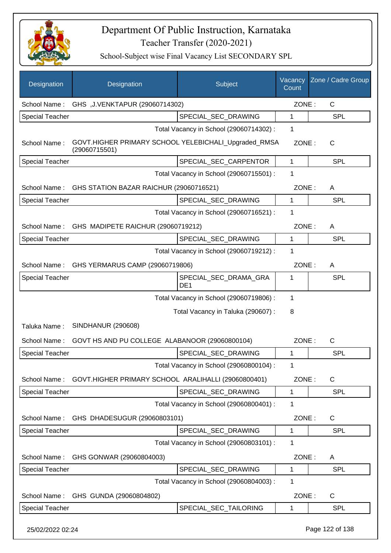

| Designation            | Designation                                                           | Subject                                  | Vacancy<br>Count | Zone / Cadre Group |
|------------------------|-----------------------------------------------------------------------|------------------------------------------|------------------|--------------------|
| School Name:           | GHS, J.VENKTAPUR (29060714302)                                        |                                          | ZONE:            | $\mathsf{C}$       |
| <b>Special Teacher</b> |                                                                       | SPECIAL SEC DRAWING                      | 1                | <b>SPL</b>         |
|                        |                                                                       | Total Vacancy in School (29060714302) :  | 1                |                    |
| School Name:           | GOVT.HIGHER PRIMARY SCHOOL YELEBICHALI_Upgraded_RMSA<br>(29060715501) |                                          | ZONE:            | $\mathsf{C}$       |
| <b>Special Teacher</b> |                                                                       | SPECIAL SEC CARPENTOR                    | 1                | <b>SPL</b>         |
|                        |                                                                       | Total Vacancy in School (29060715501) :  | 1                |                    |
| School Name:           | GHS STATION BAZAR RAICHUR (29060716521)                               |                                          | ZONE:            | A                  |
| <b>Special Teacher</b> |                                                                       | SPECIAL_SEC_DRAWING                      | 1                | <b>SPL</b>         |
|                        |                                                                       | Total Vacancy in School (29060716521) :  | 1                |                    |
| School Name:           | GHS MADIPETE RAICHUR (29060719212)                                    |                                          | ZONE:            | A                  |
| <b>Special Teacher</b> |                                                                       | SPECIAL_SEC_DRAWING                      | 1                | <b>SPL</b>         |
|                        |                                                                       | Total Vacancy in School (29060719212) :  | 1                |                    |
| School Name:           | GHS YERMARUS CAMP (29060719806)                                       |                                          | ZONE:            | A                  |
| <b>Special Teacher</b> |                                                                       | SPECIAL_SEC_DRAMA_GRA<br>DE <sub>1</sub> | 1                | <b>SPL</b>         |
|                        |                                                                       | Total Vacancy in School (29060719806) :  | 1                |                    |
|                        |                                                                       | Total Vacancy in Taluka (290607) :       | 8                |                    |
| Taluka Name:           | <b>SINDHANUR (290608)</b>                                             |                                          |                  |                    |
| School Name:           | GOVT HS AND PU COLLEGE ALABANOOR (29060800104)                        |                                          | ZONE:            | $\mathsf{C}$       |
| <b>Special Teacher</b> |                                                                       | SPECIAL_SEC_DRAWING                      | 1                | <b>SPL</b>         |
|                        |                                                                       | Total Vacancy in School (29060800104) :  | 1                |                    |
| School Name:           | GOVT.HIGHER PRIMARY SCHOOL ARALIHALLI (29060800401)                   |                                          | ZONE:            | $\mathsf{C}$       |
| <b>Special Teacher</b> |                                                                       | SPECIAL_SEC_DRAWING                      | 1                | <b>SPL</b>         |
|                        |                                                                       | Total Vacancy in School (29060800401) :  | 1                |                    |
| School Name:           | GHS DHADESUGUR (29060803101)                                          |                                          | ZONE:            | $\mathsf{C}$       |
| <b>Special Teacher</b> |                                                                       | SPECIAL SEC DRAWING                      | 1                | <b>SPL</b>         |
|                        |                                                                       | Total Vacancy in School (29060803101) :  | 1                |                    |
| School Name:           | GHS GONWAR (29060804003)                                              |                                          | ZONE:            | A                  |
| <b>Special Teacher</b> |                                                                       | SPECIAL_SEC_DRAWING                      | 1                | <b>SPL</b>         |
|                        |                                                                       | Total Vacancy in School (29060804003) :  | 1                |                    |
| School Name:           | GHS GUNDA (29060804802)                                               |                                          | ZONE:            | $\mathsf{C}$       |
| <b>Special Teacher</b> |                                                                       | SPECIAL_SEC_TAILORING                    | 1                | <b>SPL</b>         |
| 25/02/2022 02:24       |                                                                       |                                          |                  | Page 122 of 138    |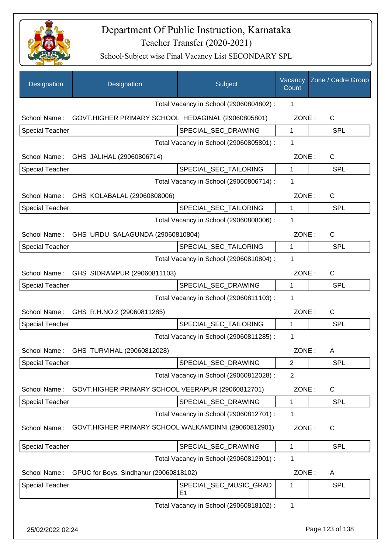

| Designation            | Designation                                          | Subject                                 | Vacancy<br>Count | Zone / Cadre Group |
|------------------------|------------------------------------------------------|-----------------------------------------|------------------|--------------------|
|                        |                                                      | Total Vacancy in School (29060804802) : | 1                |                    |
| School Name:           | GOVT.HIGHER PRIMARY SCHOOL HEDAGINAL (29060805801)   |                                         | ZONE:            | C                  |
| <b>Special Teacher</b> |                                                      | SPECIAL_SEC_DRAWING                     | $\mathbf 1$      | <b>SPL</b>         |
|                        |                                                      | Total Vacancy in School (29060805801) : | 1                |                    |
|                        | School Name: GHS JALIHAL (29060806714)               |                                         | ZONE:            | $\mathsf C$        |
| <b>Special Teacher</b> |                                                      | SPECIAL_SEC_TAILORING                   | 1                | SPL                |
|                        |                                                      | Total Vacancy in School (29060806714) : | 1                |                    |
| School Name:           | GHS KOLABALAL (29060808006)                          |                                         | ZONE:            | $\mathsf{C}$       |
| <b>Special Teacher</b> |                                                      | SPECIAL_SEC_TAILORING                   | 1                | <b>SPL</b>         |
|                        |                                                      | Total Vacancy in School (29060808006) : | 1                |                    |
| School Name:           | GHS URDU SALAGUNDA (29060810804)                     |                                         | ZONE:            | $\mathsf{C}$       |
| Special Teacher        |                                                      | SPECIAL_SEC_TAILORING                   | 1                | <b>SPL</b>         |
|                        |                                                      | Total Vacancy in School (29060810804) : | 1                |                    |
| School Name:           | GHS SIDRAMPUR (29060811103)                          |                                         | ZONE:            | $\mathsf{C}$       |
| <b>Special Teacher</b> |                                                      | SPECIAL_SEC_DRAWING                     | 1                | SPL                |
|                        |                                                      | Total Vacancy in School (29060811103) : | 1                |                    |
|                        | School Name: GHS R.H.NO.2 (29060811285)              |                                         | ZONE:            | $\mathsf{C}$       |
| <b>Special Teacher</b> |                                                      | SPECIAL_SEC_TAILORING                   | $\mathbf{1}$     | <b>SPL</b>         |
|                        |                                                      | Total Vacancy in School (29060811285) : | 1                |                    |
|                        | School Name: GHS TURVIHAL (29060812028)              |                                         | ZONE:            | Α                  |
| Special Teacher        |                                                      | SPECIAL_SEC_DRAWING                     | 2                | <b>SPL</b>         |
|                        |                                                      | Total Vacancy in School (29060812028) : | 2                |                    |
| School Name:           | GOVT.HIGHER PRIMARY SCHOOL VEERAPUR (29060812701)    |                                         | ZONE:            | C                  |
| <b>Special Teacher</b> |                                                      | SPECIAL_SEC_DRAWING                     | 1                | <b>SPL</b>         |
|                        |                                                      | Total Vacancy in School (29060812701) : | 1                |                    |
| School Name:           | GOVT.HIGHER PRIMARY SCHOOL WALKAMDINNI (29060812901) |                                         | ZONE:            | C                  |
| <b>Special Teacher</b> |                                                      | SPECIAL_SEC_DRAWING                     | 1                | <b>SPL</b>         |
|                        |                                                      | Total Vacancy in School (29060812901) : | 1                |                    |
| School Name:           | GPUC for Boys, Sindhanur (29060818102)               |                                         | ZONE:            | Α                  |
| <b>Special Teacher</b> |                                                      | SPECIAL_SEC_MUSIC_GRAD<br>E1            | 1                | <b>SPL</b>         |
|                        |                                                      | Total Vacancy in School (29060818102) : | 1                |                    |
| 25/02/2022 02:24       |                                                      |                                         |                  | Page 123 of 138    |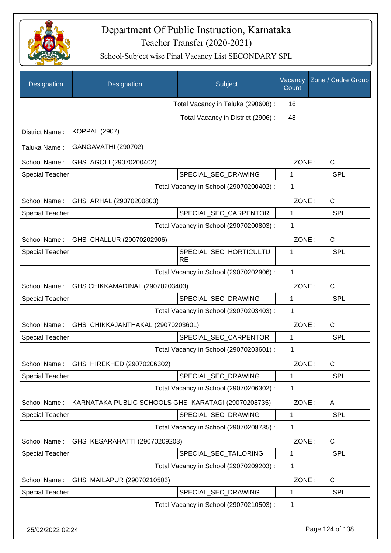

| Designation            | Designation                             | Subject                                             | Vacancy<br>Count | Zone / Cadre Group |
|------------------------|-----------------------------------------|-----------------------------------------------------|------------------|--------------------|
|                        |                                         | Total Vacancy in Taluka (290608) :                  | 16               |                    |
|                        |                                         | Total Vacancy in District (2906):                   | 48               |                    |
| District Name:         | <b>KOPPAL (2907)</b>                    |                                                     |                  |                    |
| Taluka Name:           | GANGAVATHI (290702)                     |                                                     |                  |                    |
| School Name:           | GHS AGOLI (29070200402)                 |                                                     | ZONE:            | $\mathsf{C}$       |
| <b>Special Teacher</b> |                                         | SPECIAL_SEC_DRAWING                                 | 1                | <b>SPL</b>         |
|                        |                                         | Total Vacancy in School (29070200402) :             | $\mathbf 1$      |                    |
| School Name:           | GHS ARHAL (29070200803)                 |                                                     | ZONE:            | C                  |
| <b>Special Teacher</b> |                                         | SPECIAL_SEC_CARPENTOR                               | 1                | SPL                |
|                        |                                         | Total Vacancy in School (29070200803) :             | 1                |                    |
| School Name:           | GHS CHALLUR (29070202906)               |                                                     | ZONE:            | $\mathsf{C}$       |
| <b>Special Teacher</b> |                                         | SPECIAL_SEC_HORTICULTU<br><b>RE</b>                 | 1                | SPL                |
|                        |                                         | Total Vacancy in School (29070202906) :             | 1                |                    |
| School Name:           | GHS CHIKKAMADINAL (29070203403)         |                                                     | ZONE:            | $\mathsf{C}$       |
| Special Teacher        |                                         | SPECIAL_SEC_DRAWING                                 | 1                | <b>SPL</b>         |
|                        |                                         | Total Vacancy in School (29070203403) :             | 1                |                    |
| School Name:           | GHS CHIKKAJANTHAKAL (29070203601)       |                                                     | ZONE:            | C                  |
| <b>Special Teacher</b> |                                         | SPECIAL_SEC_CARPENTOR                               | $\mathbf{1}$     | SPL                |
|                        |                                         | Total Vacancy in School (29070203601) :             | 1                |                    |
|                        | School Name: GHS HIREKHED (29070206302) |                                                     | ZONE:            | C                  |
| <b>Special Teacher</b> |                                         | SPECIAL_SEC_DRAWING                                 | 1                | <b>SPL</b>         |
|                        |                                         | Total Vacancy in School (29070206302) :             | 1                |                    |
| School Name:           |                                         | KARNATAKA PUBLIC SCHOOLS GHS KARATAGI (29070208735) | ZONE:            | A                  |
| <b>Special Teacher</b> |                                         | SPECIAL_SEC_DRAWING                                 | 1                | <b>SPL</b>         |
|                        |                                         | Total Vacancy in School (29070208735) :             | 1                |                    |
| School Name:           | GHS KESARAHATTI (29070209203)           |                                                     | ZONE:            | C                  |
| <b>Special Teacher</b> |                                         | SPECIAL_SEC_TAILORING                               | 1                | <b>SPL</b>         |
|                        |                                         | Total Vacancy in School (29070209203) :             | 1                |                    |
| School Name:           | GHS MAILAPUR (29070210503)              |                                                     | ZONE:            | C                  |
| <b>Special Teacher</b> |                                         | SPECIAL_SEC_DRAWING                                 | 1                | <b>SPL</b>         |
|                        |                                         | Total Vacancy in School (29070210503) :             | 1                |                    |
| 25/02/2022 02:24       |                                         |                                                     |                  | Page 124 of 138    |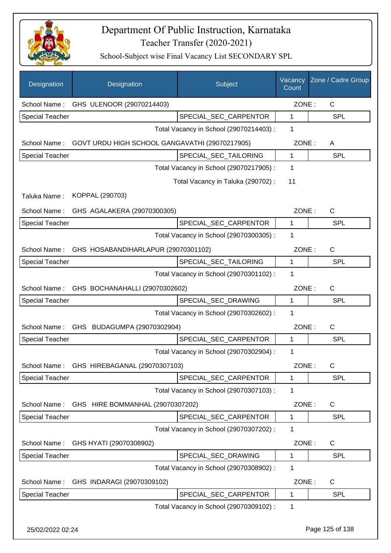

| Designation            | Designation                                    | Subject                                 | Vacancy<br>Count | Zone / Cadre Group |
|------------------------|------------------------------------------------|-----------------------------------------|------------------|--------------------|
| School Name:           | GHS ULENOOR (29070214403)                      |                                         | ZONE:            | C                  |
| Special Teacher        |                                                | SPECIAL SEC CARPENTOR                   | $\mathbf{1}$     | SPL                |
|                        |                                                | Total Vacancy in School (29070214403) : | 1                |                    |
| School Name:           | GOVT URDU HIGH SCHOOL GANGAVATHI (29070217905) |                                         | ZONE:            | A                  |
| Special Teacher        |                                                | SPECIAL_SEC_TAILORING                   | 1                | <b>SPL</b>         |
|                        |                                                | Total Vacancy in School (29070217905) : | 1                |                    |
|                        |                                                | Total Vacancy in Taluka (290702) :      | 11               |                    |
| Taluka Name:           | KOPPAL (290703)                                |                                         |                  |                    |
|                        | School Name: GHS AGALAKERA (29070300305)       |                                         | ZONE:            | $\mathsf{C}$       |
| <b>Special Teacher</b> |                                                | SPECIAL_SEC_CARPENTOR                   | $\mathbf 1$      | SPL                |
|                        |                                                | Total Vacancy in School (29070300305) : | 1                |                    |
| School Name:           | GHS HOSABANDIHARLAPUR (29070301102)            |                                         | ZONE:            | $\mathsf{C}$       |
| <b>Special Teacher</b> |                                                | SPECIAL_SEC_TAILORING                   | $\mathbf{1}$     | <b>SPL</b>         |
|                        |                                                | Total Vacancy in School (29070301102) : | 1                |                    |
| School Name:           | GHS BOCHANAHALLI (29070302602)                 |                                         | ZONE:            | $\mathsf{C}$       |
| <b>Special Teacher</b> |                                                | SPECIAL_SEC_DRAWING                     | 1                | <b>SPL</b>         |
|                        |                                                | Total Vacancy in School (29070302602) : | 1                |                    |
| School Name:           | GHS BUDAGUMPA (29070302904)                    |                                         | ZONE:            | $\mathsf{C}$       |
| <b>Special Teacher</b> |                                                | SPECIAL_SEC_CARPENTOR                   | $\mathbf{1}$     | <b>SPL</b>         |
|                        |                                                | Total Vacancy in School (29070302904) : | 1                |                    |
| School Name:           | GHS HIREBAGANAL (29070307103)                  |                                         | ZONE:            | C                  |
| <b>Special Teacher</b> |                                                | SPECIAL_SEC_CARPENTOR                   | 1                | <b>SPL</b>         |
|                        |                                                | Total Vacancy in School (29070307103) : | 1                |                    |
| School Name:           | GHS HIRE BOMMANHAL (29070307202)               |                                         | ZONE:            | C                  |
| Special Teacher        |                                                | SPECIAL_SEC_CARPENTOR                   | $\mathbf 1$      | <b>SPL</b>         |
|                        |                                                | Total Vacancy in School (29070307202) : | $\mathbf 1$      |                    |
| School Name:           | GHS HYATI (29070308902)                        |                                         | ZONE:            | C                  |
| <b>Special Teacher</b> |                                                | SPECIAL_SEC_DRAWING                     | 1                | SPL                |
|                        |                                                | Total Vacancy in School (29070308902) : | 1                |                    |
| School Name:           | GHS INDARAGI (29070309102)                     |                                         | ZONE:            | C                  |
| Special Teacher        |                                                | SPECIAL_SEC_CARPENTOR                   | $\mathbf 1$      | <b>SPL</b>         |
|                        |                                                | Total Vacancy in School (29070309102) : | 1                |                    |
| 25/02/2022 02:24       |                                                |                                         |                  | Page 125 of 138    |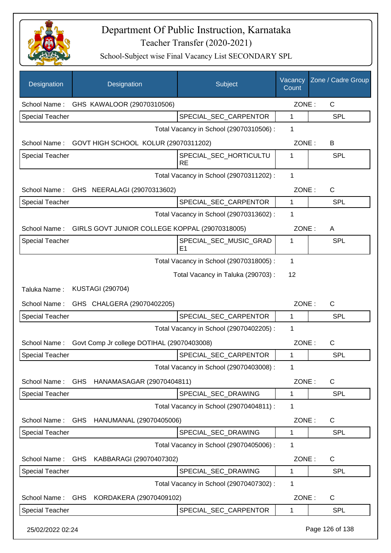

| Designation            | Designation                                    | Subject                                  | Vacancy<br>Count | Zone / Cadre Group |
|------------------------|------------------------------------------------|------------------------------------------|------------------|--------------------|
| School Name:           | GHS KAWALOOR (29070310506)                     |                                          | ZONE:            | C                  |
| <b>Special Teacher</b> |                                                | SPECIAL_SEC_CARPENTOR                    | $\mathbf{1}$     | SPL                |
|                        |                                                | Total Vacancy in School (29070310506) :  | 1                |                    |
| School Name:           | GOVT HIGH SCHOOL KOLUR (29070311202)           |                                          | ZONE:            | В                  |
| <b>Special Teacher</b> |                                                | SPECIAL_SEC_HORTICULTU<br><b>RE</b>      | 1                | <b>SPL</b>         |
|                        |                                                | Total Vacancy in School (29070311202) :  | 1                |                    |
| School Name:           | GHS NEERALAGI (29070313602)                    |                                          | ZONE:            | C                  |
| <b>Special Teacher</b> |                                                | SPECIAL_SEC_CARPENTOR                    | 1                | <b>SPL</b>         |
|                        |                                                | Total Vacancy in School (29070313602) :  | 1                |                    |
| School Name:           | GIRLS GOVT JUNIOR COLLEGE KOPPAL (29070318005) |                                          | ZONE:            | A                  |
| <b>Special Teacher</b> |                                                | SPECIAL SEC MUSIC GRAD<br>E <sub>1</sub> | 1                | SPL                |
|                        |                                                | Total Vacancy in School (29070318005) :  | 1                |                    |
|                        |                                                | Total Vacancy in Taluka (290703):        | 12               |                    |
| Taluka Name:           | <b>KUSTAGI (290704)</b>                        |                                          |                  |                    |
| School Name:           | GHS CHALGERA (29070402205)                     |                                          | ZONE:            | C                  |
| <b>Special Teacher</b> |                                                | SPECIAL_SEC_CARPENTOR                    | 1                | <b>SPL</b>         |
|                        |                                                | Total Vacancy in School (29070402205) :  | 1                |                    |
| School Name:           | Govt Comp Jr college DOTIHAL (29070403008)     |                                          | ZONE:            | $\mathsf{C}$       |
| <b>Special Teacher</b> |                                                | SPECIAL_SEC_CARPENTOR                    | 1                | SPL                |
|                        |                                                | Total Vacancy in School (29070403008) :  | 1                |                    |
| School Name:           | GHS HANAMASAGAR (29070404811)                  |                                          | ZONE:            | C                  |
| <b>Special Teacher</b> |                                                | SPECIAL_SEC_DRAWING                      | 1                | <b>SPL</b>         |
|                        |                                                | Total Vacancy in School (29070404811) :  | 1                |                    |
| School Name:           | GHS HANUMANAL (29070405006)                    |                                          | ZONE:            | C                  |
| Special Teacher        |                                                | SPECIAL_SEC_DRAWING                      | 1                | <b>SPL</b>         |
|                        |                                                | Total Vacancy in School (29070405006) :  | 1                |                    |
| School Name:           | GHS KABBARAGI (29070407302)                    |                                          | ZONE:            | C                  |
| <b>Special Teacher</b> |                                                | SPECIAL_SEC_DRAWING                      | 1                | SPL                |
|                        |                                                | Total Vacancy in School (29070407302) :  | 1                |                    |
| School Name:           | <b>GHS</b><br>KORDAKERA (29070409102)          |                                          | ZONE:            | C                  |
| <b>Special Teacher</b> |                                                | SPECIAL_SEC_CARPENTOR                    | 1                | <b>SPL</b>         |
| 25/02/2022 02:24       |                                                |                                          |                  | Page 126 of 138    |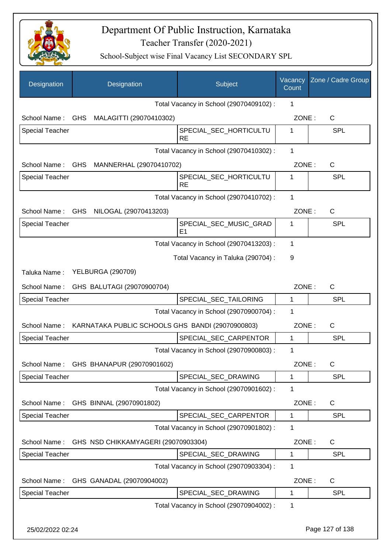

| Designation            | Designation                                      | Subject                                 | Vacancy<br>Count | Zone / Cadre Group |
|------------------------|--------------------------------------------------|-----------------------------------------|------------------|--------------------|
|                        |                                                  | Total Vacancy in School (29070409102) : | 1                |                    |
| School Name:           | GHS MALAGITTI (29070410302)                      |                                         | ZONE:            | $\mathsf{C}$       |
| <b>Special Teacher</b> |                                                  | SPECIAL_SEC_HORTICULTU<br><b>RE</b>     | 1                | <b>SPL</b>         |
|                        |                                                  | Total Vacancy in School (29070410302) : | 1                |                    |
| School Name:           | GHS<br>MANNERHAL (29070410702)                   |                                         | ZONE:            | C                  |
| <b>Special Teacher</b> |                                                  | SPECIAL_SEC_HORTICULTU<br><b>RE</b>     | 1                | <b>SPL</b>         |
|                        |                                                  | Total Vacancy in School (29070410702) : | 1                |                    |
| School Name:           | GHS NILOGAL (29070413203)                        |                                         | ZONE:            | C                  |
| <b>Special Teacher</b> |                                                  | SPECIAL_SEC_MUSIC_GRAD<br>E1            | 1                | <b>SPL</b>         |
|                        |                                                  | Total Vacancy in School (29070413203) : | 1                |                    |
|                        |                                                  | Total Vacancy in Taluka (290704) :      | 9                |                    |
| Taluka Name:           | <b>YELBURGA (290709)</b>                         |                                         |                  |                    |
| School Name:           | GHS BALUTAGI (29070900704)                       |                                         | ZONE:            | C                  |
| <b>Special Teacher</b> |                                                  | SPECIAL_SEC_TAILORING                   | 1                | <b>SPL</b>         |
|                        |                                                  | Total Vacancy in School (29070900704) : | 1                |                    |
| School Name:           | KARNATAKA PUBLIC SCHOOLS GHS BANDI (29070900803) |                                         | ZONE:            | C                  |
| <b>Special Teacher</b> |                                                  | SPECIAL_SEC_CARPENTOR                   | 1                | <b>SPL</b>         |
|                        |                                                  | Total Vacancy in School (29070900803) : | 1                |                    |
| School Name:           | GHS BHANAPUR (29070901602)                       |                                         | ZONE:            | $\mathsf C$        |
| Special Teacher        |                                                  | SPECIAL_SEC_DRAWING                     | 1                | <b>SPL</b>         |
|                        |                                                  | Total Vacancy in School (29070901602) : | 1                |                    |
| School Name:           | GHS BINNAL (29070901802)                         |                                         | ZONE:            | C                  |
| Special Teacher        |                                                  | SPECIAL SEC CARPENTOR                   | 1                | <b>SPL</b>         |
|                        |                                                  | Total Vacancy in School (29070901802) : | 1                |                    |
| School Name:           | GHS NSD CHIKKAMYAGERI (29070903304)              |                                         | ZONE:            | $\mathsf{C}$       |
| Special Teacher        |                                                  | SPECIAL_SEC_DRAWING                     | 1                | <b>SPL</b>         |
|                        |                                                  | Total Vacancy in School (29070903304) : | 1                |                    |
| School Name:           | GHS GANADAL (29070904002)                        |                                         | ZONE:            | $\mathsf{C}$       |
| <b>Special Teacher</b> |                                                  | SPECIAL_SEC_DRAWING                     | 1                | <b>SPL</b>         |
|                        |                                                  | Total Vacancy in School (29070904002) : | 1                |                    |
| 25/02/2022 02:24       |                                                  |                                         |                  | Page 127 of 138    |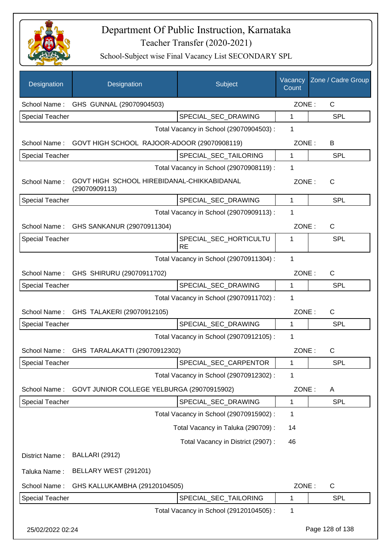

| Designation            | Designation                                                 | Subject                                 | Vacancy<br>Count | Zone / Cadre Group |
|------------------------|-------------------------------------------------------------|-----------------------------------------|------------------|--------------------|
| School Name:           | GHS GUNNAL (29070904503)                                    |                                         | ZONE:            | $\mathsf{C}$       |
| <b>Special Teacher</b> |                                                             | SPECIAL SEC DRAWING                     | 1                | <b>SPL</b>         |
|                        |                                                             | Total Vacancy in School (29070904503) : | 1                |                    |
| School Name:           | GOVT HIGH SCHOOL RAJOOR-ADOOR (29070908119)                 |                                         | ZONE:            | B                  |
| <b>Special Teacher</b> |                                                             | SPECIAL SEC TAILORING                   | 1                | <b>SPL</b>         |
|                        |                                                             | Total Vacancy in School (29070908119) : | 1                |                    |
| School Name:           | GOVT HIGH SCHOOL HIREBIDANAL-CHIKKABIDANAL<br>(29070909113) |                                         | ZONE:            | $\mathsf{C}$       |
| <b>Special Teacher</b> |                                                             | SPECIAL SEC DRAWING                     | 1                | SPL                |
|                        |                                                             | Total Vacancy in School (29070909113) : | 1                |                    |
| School Name:           | GHS SANKANUR (29070911304)                                  |                                         | ZONE:            | C                  |
| <b>Special Teacher</b> |                                                             | SPECIAL SEC HORTICULTU<br><b>RE</b>     | 1                | SPL                |
|                        |                                                             | Total Vacancy in School (29070911304) : | 1                |                    |
| School Name:           | GHS SHIRURU (29070911702)                                   |                                         | ZONE:            | C                  |
| <b>Special Teacher</b> |                                                             | SPECIAL_SEC_DRAWING                     | 1                | <b>SPL</b>         |
|                        |                                                             | Total Vacancy in School (29070911702) : | 1                |                    |
| School Name:           | GHS TALAKERI (29070912105)                                  |                                         | ZONE:            | $\mathsf{C}$       |
| <b>Special Teacher</b> |                                                             | SPECIAL_SEC_DRAWING                     | 1                | SPL                |
|                        |                                                             | Total Vacancy in School (29070912105) : | 1                |                    |
|                        | School Name: GHS TARALAKATTI (29070912302)                  |                                         | ZONE:            | C                  |
| Special Teacher        |                                                             | SPECIAL_SEC_CARPENTOR                   | 1                | <b>SPL</b>         |
|                        |                                                             | Total Vacancy in School (29070912302) : | 1                |                    |
| School Name:           | GOVT JUNIOR COLLEGE YELBURGA (29070915902)                  |                                         | ZONE:            | Α                  |
| <b>Special Teacher</b> |                                                             | SPECIAL_SEC_DRAWING                     | 1                | <b>SPL</b>         |
|                        |                                                             | Total Vacancy in School (29070915902) : | 1                |                    |
|                        |                                                             | Total Vacancy in Taluka (290709):       | 14               |                    |
|                        |                                                             | Total Vacancy in District (2907):       | 46               |                    |
| District Name:         | <b>BALLARI (2912)</b>                                       |                                         |                  |                    |
| Taluka Name:           | BELLARY WEST (291201)                                       |                                         |                  |                    |
| School Name:           | GHS KALLUKAMBHA (29120104505)                               |                                         | ZONE:            | C                  |
| <b>Special Teacher</b> |                                                             | SPECIAL_SEC_TAILORING                   | 1                | <b>SPL</b>         |
|                        |                                                             | Total Vacancy in School (29120104505) : | 1                |                    |
| 25/02/2022 02:24       |                                                             |                                         |                  | Page 128 of 138    |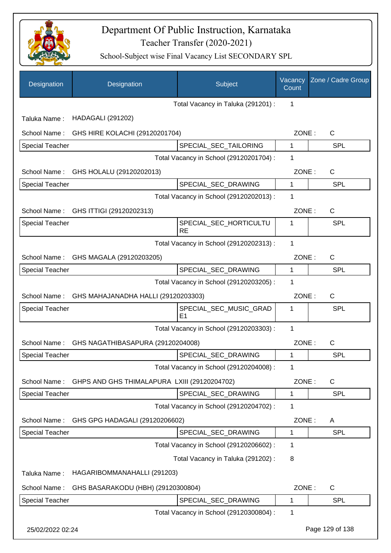

| Designation            | Designation                                  | Subject                                 | Vacancy<br>Count | Zone / Cadre Group |
|------------------------|----------------------------------------------|-----------------------------------------|------------------|--------------------|
|                        |                                              | Total Vacancy in Taluka (291201) :      | 1                |                    |
| Taluka Name:           | <b>HADAGALI (291202)</b>                     |                                         |                  |                    |
| School Name:           | GHS HIRE KOLACHI (29120201704)               |                                         | ZONE:            | $\mathsf{C}$       |
| <b>Special Teacher</b> |                                              | SPECIAL SEC TAILORING                   | 1                | <b>SPL</b>         |
|                        |                                              | Total Vacancy in School (29120201704) : | 1                |                    |
| School Name:           | GHS HOLALU (29120202013)                     |                                         | ZONE:            | C                  |
| <b>Special Teacher</b> |                                              | SPECIAL_SEC_DRAWING                     | $\mathbf{1}$     | <b>SPL</b>         |
|                        |                                              | Total Vacancy in School (29120202013) : | 1                |                    |
| School Name:           | GHS ITTIGI (29120202313)                     |                                         | ZONE:            | $\mathsf{C}$       |
| <b>Special Teacher</b> |                                              | SPECIAL_SEC_HORTICULTU<br><b>RE</b>     | 1                | <b>SPL</b>         |
|                        |                                              | Total Vacancy in School (29120202313) : | 1                |                    |
| School Name:           | GHS MAGALA (29120203205)                     |                                         | ZONE:            | $\mathsf{C}$       |
| <b>Special Teacher</b> |                                              | SPECIAL_SEC_DRAWING                     | $\mathbf{1}$     | <b>SPL</b>         |
|                        |                                              | Total Vacancy in School (29120203205) : | 1                |                    |
| School Name:           | GHS MAHAJANADHA HALLI (29120203303)          |                                         | ZONE:            | $\mathsf{C}$       |
| Special Teacher        |                                              | SPECIAL_SEC_MUSIC_GRAD<br>E1            | 1                | <b>SPL</b>         |
|                        |                                              | Total Vacancy in School (29120203303) : | 1                |                    |
| School Name:           | GHS NAGATHIBASAPURA (29120204008)            |                                         | ZONE:            | $\mathsf{C}$       |
| <b>Special Teacher</b> |                                              | SPECIAL_SEC_DRAWING                     | 1                | <b>SPL</b>         |
|                        |                                              | Total Vacancy in School (29120204008) : | 1                |                    |
| School Name:           | GHPS AND GHS THIMALAPURA LXIII (29120204702) |                                         | ZONE:            | C                  |
| Special Teacher        |                                              | SPECIAL_SEC_DRAWING                     | 1                | <b>SPL</b>         |
|                        |                                              | Total Vacancy in School (29120204702) : | 1                |                    |
| School Name:           | GHS GPG HADAGALI (29120206602)               |                                         | ZONE:            | A                  |
| Special Teacher        |                                              | SPECIAL_SEC_DRAWING                     | 1                | <b>SPL</b>         |
|                        |                                              | Total Vacancy in School (29120206602) : | 1                |                    |
|                        |                                              | Total Vacancy in Taluka (291202):       | 8                |                    |
| Taluka Name:           | HAGARIBOMMANAHALLI (291203)                  |                                         |                  |                    |
| School Name:           | GHS BASARAKODU (HBH) (29120300804)           |                                         | ZONE:            | C                  |
| Special Teacher        |                                              | SPECIAL_SEC_DRAWING                     | 1                | <b>SPL</b>         |
|                        |                                              | Total Vacancy in School (29120300804) : | 1                |                    |
| 25/02/2022 02:24       |                                              |                                         |                  | Page 129 of 138    |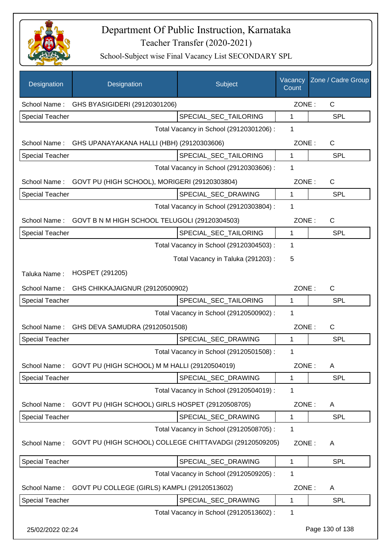

| Designation            | Designation                                             | Subject                                 | Vacancy<br>Count | Zone / Cadre Group |
|------------------------|---------------------------------------------------------|-----------------------------------------|------------------|--------------------|
| School Name:           | GHS BYASIGIDERI (29120301206)                           |                                         | ZONE:            | $\mathsf{C}$       |
| <b>Special Teacher</b> |                                                         | SPECIAL SEC TAILORING                   | 1                | <b>SPL</b>         |
|                        |                                                         | Total Vacancy in School (29120301206) : | 1                |                    |
| School Name:           | GHS UPANAYAKANA HALLI (HBH) (29120303606)               |                                         | ZONE:            | $\mathsf{C}$       |
| <b>Special Teacher</b> |                                                         | SPECIAL_SEC_TAILORING                   | 1                | <b>SPL</b>         |
|                        |                                                         | Total Vacancy in School (29120303606) : | 1                |                    |
| School Name:           | GOVT PU (HIGH SCHOOL), MORIGERI (29120303804)           |                                         | ZONE:            | $\mathsf{C}$       |
| <b>Special Teacher</b> |                                                         | SPECIAL_SEC_DRAWING                     | 1                | <b>SPL</b>         |
|                        |                                                         | Total Vacancy in School (29120303804) : | 1                |                    |
| School Name:           | GOVT B N M HIGH SCHOOL TELUGOLI (29120304503)           |                                         | ZONE:            | $\mathsf{C}$       |
| <b>Special Teacher</b> |                                                         | SPECIAL_SEC_TAILORING                   | $\mathbf{1}$     | <b>SPL</b>         |
|                        |                                                         | Total Vacancy in School (29120304503) : | 1                |                    |
|                        |                                                         | Total Vacancy in Taluka (291203):       | 5                |                    |
| Taluka Name:           | HOSPET (291205)                                         |                                         |                  |                    |
| School Name:           | GHS CHIKKAJAIGNUR (29120500902)                         |                                         | ZONE:            | C                  |
| <b>Special Teacher</b> |                                                         | SPECIAL_SEC_TAILORING                   | 1                | <b>SPL</b>         |
|                        |                                                         | Total Vacancy in School (29120500902) : | 1                |                    |
| School Name:           | GHS DEVA SAMUDRA (29120501508)                          |                                         | ZONE:            | $\mathsf{C}$       |
| <b>Special Teacher</b> |                                                         | SPECIAL_SEC_DRAWING                     | 1                | <b>SPL</b>         |
|                        |                                                         | Total Vacancy in School (29120501508) : | 1                |                    |
| School Name:           | GOVT PU (HIGH SCHOOL) M M HALLI (29120504019)           |                                         | ZONE:            | A                  |
| <b>Special Teacher</b> |                                                         | SPECIAL SEC DRAWING                     | 1                | <b>SPL</b>         |
|                        |                                                         | Total Vacancy in School (29120504019) : | 1                |                    |
| School Name:           | GOVT PU (HIGH SCHOOL) GIRLS HOSPET (29120508705)        |                                         | ZONE:            | A                  |
| Special Teacher        |                                                         | SPECIAL SEC DRAWING                     | 1                | SPL                |
|                        |                                                         | Total Vacancy in School (29120508705) : | 1                |                    |
| School Name:           | GOVT PU (HIGH SCHOOL) COLLEGE CHITTAVADGI (29120509205) |                                         | ZONE:            | A                  |
| <b>Special Teacher</b> |                                                         | SPECIAL_SEC_DRAWING                     | 1                | <b>SPL</b>         |
|                        |                                                         | Total Vacancy in School (29120509205) : | 1                |                    |
| School Name:           | GOVT PU COLLEGE (GIRLS) KAMPLI (29120513602)            |                                         | ZONE:            | A                  |
| <b>Special Teacher</b> |                                                         | SPECIAL_SEC_DRAWING                     | 1                | <b>SPL</b>         |
|                        |                                                         | Total Vacancy in School (29120513602):  | 1                |                    |
| 25/02/2022 02:24       |                                                         |                                         |                  | Page 130 of 138    |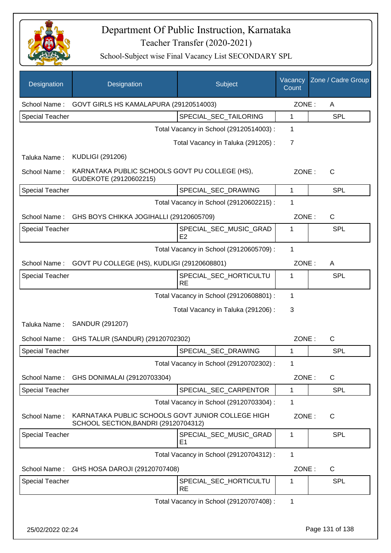

| Designation            | Designation                                                                               | Subject                                 | Vacancy<br>Count | Zone / Cadre Group |
|------------------------|-------------------------------------------------------------------------------------------|-----------------------------------------|------------------|--------------------|
| School Name:           | GOVT GIRLS HS KAMALAPURA (29120514003)                                                    |                                         | ZONE:            | A                  |
| <b>Special Teacher</b> |                                                                                           | SPECIAL_SEC_TAILORING                   | 1                | <b>SPL</b>         |
|                        |                                                                                           | Total Vacancy in School (29120514003) : | 1                |                    |
|                        |                                                                                           | Total Vacancy in Taluka (291205):       | 7                |                    |
| Taluka Name:           | <b>KUDLIGI (291206)</b>                                                                   |                                         |                  |                    |
| School Name:           | KARNATAKA PUBLIC SCHOOLS GOVT PU COLLEGE (HS),<br>GUDEKOTE (29120602215)                  |                                         | ZONE:            | C                  |
| <b>Special Teacher</b> |                                                                                           | SPECIAL_SEC_DRAWING                     | 1                | <b>SPL</b>         |
|                        |                                                                                           | Total Vacancy in School (29120602215) : | 1                |                    |
| School Name:           | GHS BOYS CHIKKA JOGIHALLI (29120605709)                                                   |                                         | ZONE:            | $\mathsf{C}$       |
| <b>Special Teacher</b> |                                                                                           | SPECIAL_SEC_MUSIC_GRAD<br>E2            | 1                | <b>SPL</b>         |
|                        |                                                                                           | Total Vacancy in School (29120605709) : | 1                |                    |
| School Name:           | GOVT PU COLLEGE (HS), KUDLIGI (29120608801)                                               |                                         | ZONE:            | A                  |
| <b>Special Teacher</b> |                                                                                           | SPECIAL_SEC_HORTICULTU<br><b>RE</b>     | 1                | <b>SPL</b>         |
|                        |                                                                                           | Total Vacancy in School (29120608801) : | 1                |                    |
|                        |                                                                                           | Total Vacancy in Taluka (291206):       | 3                |                    |
| Taluka Name:           | SANDUR (291207)                                                                           |                                         |                  |                    |
| School Name:           | GHS TALUR (SANDUR) (29120702302)                                                          |                                         | ZONE:            | $\mathsf{C}$       |
| <b>Special Teacher</b> |                                                                                           | SPECIAL_SEC_DRAWING                     | 1                | <b>SPL</b>         |
|                        |                                                                                           | Total Vacancy in School (29120702302) : | 1                |                    |
| School Name:           | GHS DONIMALAI (29120703304)                                                               |                                         | ZONE:            | $\mathsf{C}$       |
| <b>Special Teacher</b> |                                                                                           | SPECIAL_SEC_CARPENTOR                   | $\mathbf{1}$     | <b>SPL</b>         |
|                        |                                                                                           | Total Vacancy in School (29120703304) : | 1                |                    |
| School Name:           | KARNATAKA PUBLIC SCHOOLS GOVT JUNIOR COLLEGE HIGH<br>SCHOOL SECTION, BANDRI (29120704312) |                                         | ZONE:            | C                  |
| <b>Special Teacher</b> |                                                                                           | SPECIAL_SEC_MUSIC_GRAD<br>E1            | 1                | <b>SPL</b>         |
|                        |                                                                                           | Total Vacancy in School (29120704312) : | 1                |                    |
| School Name:           | GHS HOSA DAROJI (29120707408)                                                             |                                         | ZONE:            | $\mathsf{C}$       |
| <b>Special Teacher</b> |                                                                                           | SPECIAL_SEC_HORTICULTU<br><b>RE</b>     | 1                | <b>SPL</b>         |
|                        |                                                                                           | Total Vacancy in School (29120707408) : | $\mathbf{1}$     |                    |
| 25/02/2022 02:24       |                                                                                           |                                         |                  | Page 131 of 138    |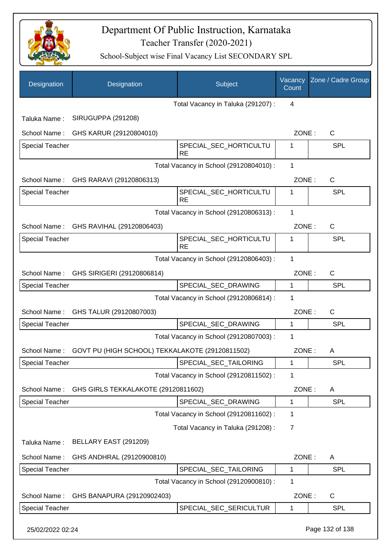

| Designation            | Designation                                     | Subject                                 | Vacancy<br>Count | Zone / Cadre Group |
|------------------------|-------------------------------------------------|-----------------------------------------|------------------|--------------------|
|                        |                                                 | Total Vacancy in Taluka (291207):       | 4                |                    |
| Taluka Name:           | <b>SIRUGUPPA (291208)</b>                       |                                         |                  |                    |
| School Name:           | GHS KARUR (29120804010)                         |                                         | ZONE:            | C                  |
| <b>Special Teacher</b> |                                                 | SPECIAL_SEC_HORTICULTU<br><b>RE</b>     | 1                | <b>SPL</b>         |
|                        |                                                 | Total Vacancy in School (29120804010) : | 1                |                    |
|                        | School Name: GHS RARAVI (29120806313)           |                                         | ZONE:            | C                  |
| <b>Special Teacher</b> |                                                 | SPECIAL_SEC_HORTICULTU<br><b>RE</b>     | 1                | <b>SPL</b>         |
|                        |                                                 | Total Vacancy in School (29120806313) : | 1                |                    |
|                        | School Name: GHS RAVIHAL (29120806403)          |                                         | ZONE:            | C                  |
| <b>Special Teacher</b> |                                                 | SPECIAL_SEC_HORTICULTU<br><b>RE</b>     | 1                | <b>SPL</b>         |
|                        |                                                 | Total Vacancy in School (29120806403) : | 1                |                    |
|                        | School Name: GHS SIRIGERI (29120806814)         |                                         | ZONE:            | $\mathsf{C}$       |
| <b>Special Teacher</b> |                                                 | SPECIAL_SEC_DRAWING                     | 1                | <b>SPL</b>         |
|                        |                                                 | Total Vacancy in School (29120806814) : | 1                |                    |
| School Name:           | GHS TALUR (29120807003)                         |                                         | ZONE:            | C                  |
| <b>Special Teacher</b> |                                                 | SPECIAL_SEC_DRAWING                     | 1                | <b>SPL</b>         |
|                        |                                                 | Total Vacancy in School (29120807003) : | 1                |                    |
| School Name:           | GOVT PU (HIGH SCHOOL) TEKKALAKOTE (29120811502) |                                         | ZONE:            | A                  |
| <b>Special Teacher</b> |                                                 | SPECIAL_SEC_TAILORING                   | 1                | SPL                |
|                        |                                                 | Total Vacancy in School (29120811502) : | 1                |                    |
| School Name:           | GHS GIRLS TEKKALAKOTE (29120811602)             |                                         | ZONE:            | A                  |
| <b>Special Teacher</b> |                                                 | SPECIAL_SEC_DRAWING                     | 1                | <b>SPL</b>         |
|                        |                                                 | Total Vacancy in School (29120811602) : | 1                |                    |
|                        |                                                 | Total Vacancy in Taluka (291208):       | 7                |                    |
| Taluka Name:           | BELLARY EAST (291209)                           |                                         |                  |                    |
| School Name:           | GHS ANDHRAL (29120900810)                       |                                         | ZONE:            | A                  |
| <b>Special Teacher</b> |                                                 | SPECIAL_SEC_TAILORING                   | 1                | <b>SPL</b>         |
|                        |                                                 | Total Vacancy in School (29120900810) : | 1                |                    |
| School Name:           | GHS BANAPURA (29120902403)                      |                                         | ZONE:            | C                  |
| <b>Special Teacher</b> |                                                 | SPECIAL_SEC_SERICULTUR                  | 1                | <b>SPL</b>         |
| 25/02/2022 02:24       |                                                 |                                         |                  | Page 132 of 138    |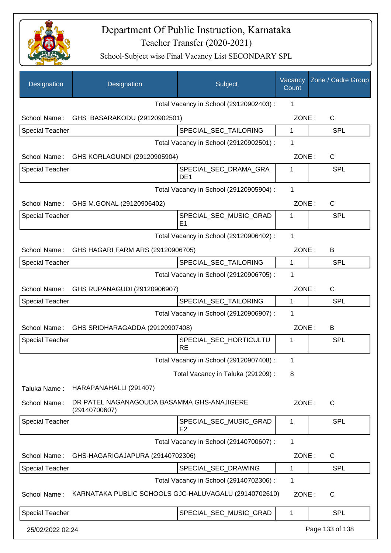

| Designation            | Designation                                                 | Subject                                  | Vacancy<br>Count | Zone / Cadre Group |
|------------------------|-------------------------------------------------------------|------------------------------------------|------------------|--------------------|
|                        |                                                             | Total Vacancy in School (29120902403) :  | 1                |                    |
|                        | School Name: GHS BASARAKODU (29120902501)                   |                                          | ZONE:            | C                  |
| <b>Special Teacher</b> |                                                             | SPECIAL_SEC_TAILORING                    | 1                | <b>SPL</b>         |
|                        |                                                             | Total Vacancy in School (29120902501) :  | 1                |                    |
|                        | School Name: GHS KORLAGUNDI (29120905904)                   |                                          | ZONE:            | $\mathsf{C}$       |
| <b>Special Teacher</b> |                                                             | SPECIAL_SEC_DRAMA_GRA<br>DE <sub>1</sub> | 1                | <b>SPL</b>         |
|                        |                                                             | Total Vacancy in School (29120905904) :  | 1                |                    |
|                        | School Name: GHS M.GONAL (29120906402)                      |                                          | ZONE:            | C                  |
| <b>Special Teacher</b> |                                                             | SPECIAL SEC MUSIC GRAD<br>E <sub>1</sub> | 1                | <b>SPL</b>         |
|                        |                                                             | Total Vacancy in School (29120906402) :  | 1                |                    |
|                        | School Name: GHS HAGARI FARM ARS (29120906705)              |                                          | ZONE:            | B                  |
| <b>Special Teacher</b> |                                                             | SPECIAL_SEC_TAILORING                    | $\mathbf 1$      | <b>SPL</b>         |
|                        |                                                             | Total Vacancy in School (29120906705) :  | 1                |                    |
|                        | School Name: GHS RUPANAGUDI (29120906907)                   |                                          | ZONE:            | $\mathsf{C}$       |
| Special Teacher        |                                                             | SPECIAL_SEC_TAILORING                    | 1                | <b>SPL</b>         |
|                        |                                                             | Total Vacancy in School (29120906907) :  | 1                |                    |
| School Name:           | GHS SRIDHARAGADDA (29120907408)                             |                                          | ZONE:            | B                  |
| <b>Special Teacher</b> |                                                             | SPECIAL_SEC_HORTICULTU<br><b>RE</b>      | 1                | <b>SPL</b>         |
|                        |                                                             | Total Vacancy in School (29120907408) :  | 1                |                    |
|                        |                                                             | Total Vacancy in Taluka (291209):        | 8                |                    |
| Taluka Name:           | HARAPANAHALLI (291407)                                      |                                          |                  |                    |
| School Name:           | DR PATEL NAGANAGOUDA BASAMMA GHS-ANAJIGERE<br>(29140700607) |                                          | ZONE:            | $\mathsf{C}$       |
| <b>Special Teacher</b> |                                                             | SPECIAL_SEC_MUSIC_GRAD<br>E <sub>2</sub> | 1                | <b>SPL</b>         |
|                        |                                                             | Total Vacancy in School (29140700607) :  | 1                |                    |
| School Name:           | GHS-HAGARIGAJAPURA (29140702306)                            |                                          | ZONE:            | C                  |
| <b>Special Teacher</b> |                                                             | SPECIAL_SEC_DRAWING                      | 1                | <b>SPL</b>         |
|                        |                                                             | Total Vacancy in School (29140702306) :  | 1                |                    |
| School Name:           | KARNATAKA PUBLIC SCHOOLS GJC-HALUVAGALU (29140702610)       |                                          | ZONE:            | C                  |
| <b>Special Teacher</b> |                                                             | SPECIAL_SEC_MUSIC_GRAD                   | 1                | <b>SPL</b>         |
| 25/02/2022 02:24       |                                                             |                                          |                  | Page 133 of 138    |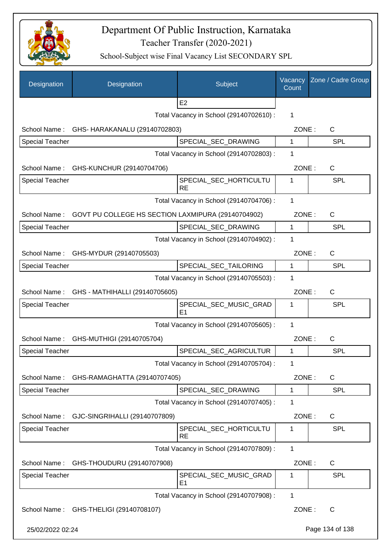

| Designation            | Designation                                        | Subject                                  | Vacancy<br>Count | Zone / Cadre Group |
|------------------------|----------------------------------------------------|------------------------------------------|------------------|--------------------|
|                        |                                                    | E <sub>2</sub>                           |                  |                    |
|                        |                                                    | Total Vacancy in School (29140702610) :  | 1                |                    |
| School Name:           | GHS- HARAKANALU (29140702803)                      |                                          | ZONE:            | C                  |
| <b>Special Teacher</b> |                                                    | SPECIAL_SEC_DRAWING                      | 1                | <b>SPL</b>         |
|                        |                                                    | Total Vacancy in School (29140702803) :  | 1                |                    |
|                        | School Name: GHS-KUNCHUR (29140704706)             |                                          | ZONE:            | C                  |
| <b>Special Teacher</b> |                                                    | SPECIAL_SEC_HORTICULTU<br><b>RE</b>      | 1                | SPL                |
|                        |                                                    | Total Vacancy in School (29140704706) :  | 1                |                    |
| School Name:           | GOVT PU COLLEGE HS SECTION LAXMIPURA (29140704902) |                                          | ZONE:            | C                  |
| <b>Special Teacher</b> |                                                    | SPECIAL_SEC_DRAWING                      | 1                | <b>SPL</b>         |
|                        |                                                    | Total Vacancy in School (29140704902) :  | 1                |                    |
| School Name:           | GHS-MYDUR (29140705503)                            |                                          | ZONE:            | C                  |
| <b>Special Teacher</b> |                                                    | SPECIAL_SEC_TAILORING                    | 1                | <b>SPL</b>         |
|                        |                                                    | Total Vacancy in School (29140705503) :  | 1                |                    |
|                        | School Name: GHS - MATHIHALLI (29140705605)        |                                          | ZONE:            | $\mathsf{C}$       |
| <b>Special Teacher</b> |                                                    | SPECIAL_SEC_MUSIC_GRAD<br>E <sub>1</sub> | 1                | <b>SPL</b>         |
|                        |                                                    | Total Vacancy in School (29140705605) :  | 1                |                    |
| School Name:           | GHS-MUTHIGI (29140705704)                          |                                          | ZONE:            | $\mathsf{C}$       |
| <b>Special Teacher</b> |                                                    | SPECIAL_SEC_AGRICULTUR                   | 1                | <b>SPL</b>         |
|                        |                                                    | Total Vacancy in School (29140705704) :  | 1                |                    |
| School Name:           | GHS-RAMAGHATTA (29140707405)                       |                                          | ZONE:            | $\mathsf{C}$       |
| <b>Special Teacher</b> |                                                    | SPECIAL SEC DRAWING                      | 1                | <b>SPL</b>         |
|                        |                                                    | Total Vacancy in School (29140707405) :  | 1                |                    |
| School Name:           | GJC-SINGRIHALLI (29140707809)                      |                                          | ZONE:            | C                  |
| <b>Special Teacher</b> |                                                    | SPECIAL_SEC_HORTICULTU<br><b>RE</b>      | 1                | <b>SPL</b>         |
|                        |                                                    | Total Vacancy in School (29140707809) :  | 1                |                    |
| School Name:           | GHS-THOUDURU (29140707908)                         |                                          | ZONE:            | C                  |
| <b>Special Teacher</b> |                                                    | SPECIAL_SEC_MUSIC_GRAD<br>E <sub>1</sub> | 1                | <b>SPL</b>         |
|                        |                                                    | Total Vacancy in School (29140707908) :  | 1                |                    |
| School Name:           | GHS-THELIGI (29140708107)                          |                                          | ZONE:            | C                  |
| 25/02/2022 02:24       |                                                    |                                          |                  | Page 134 of 138    |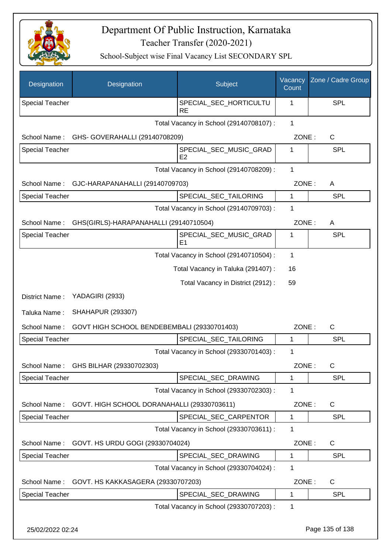

| Designation            | Designation                                 | Subject                                  | Vacancy<br>Count | Zone / Cadre Group |
|------------------------|---------------------------------------------|------------------------------------------|------------------|--------------------|
| <b>Special Teacher</b> |                                             | SPECIAL SEC HORTICULTU<br><b>RE</b>      | 1                | <b>SPL</b>         |
|                        |                                             | Total Vacancy in School (29140708107) :  | $\mathbf{1}$     |                    |
| School Name:           | GHS- GOVERAHALLI (29140708209)              |                                          | ZONE:            | $\mathsf{C}$       |
| <b>Special Teacher</b> |                                             | SPECIAL_SEC_MUSIC_GRAD<br>E2             | 1                | <b>SPL</b>         |
|                        |                                             | Total Vacancy in School (29140708209) :  | $\mathbf 1$      |                    |
| School Name:           | GJC-HARAPANAHALLI (29140709703)             |                                          | ZONE:            | A                  |
| <b>Special Teacher</b> |                                             | SPECIAL_SEC_TAILORING                    | 1                | <b>SPL</b>         |
|                        |                                             | Total Vacancy in School (29140709703) :  | 1                |                    |
| School Name:           | GHS(GIRLS)-HARAPANAHALLI (29140710504)      |                                          | ZONE:            | A                  |
| <b>Special Teacher</b> |                                             | SPECIAL_SEC_MUSIC_GRAD<br>E <sub>1</sub> | 1                | <b>SPL</b>         |
|                        |                                             | Total Vacancy in School (29140710504) :  | $\mathbf 1$      |                    |
|                        |                                             | Total Vacancy in Taluka (291407):        | 16               |                    |
|                        |                                             | Total Vacancy in District (2912):        | 59               |                    |
| District Name:         | YADAGIRI (2933)                             |                                          |                  |                    |
| Taluka Name:           | <b>SHAHAPUR (293307)</b>                    |                                          |                  |                    |
| School Name:           | GOVT HIGH SCHOOL BENDEBEMBALI (29330701403) |                                          | ZONE:            | C                  |
| <b>Special Teacher</b> |                                             | SPECIAL_SEC_TAILORING                    | $\mathbf 1$      | <b>SPL</b>         |
|                        |                                             | Total Vacancy in School (29330701403) :  | 1                |                    |
| School Name:           | GHS BILHAR (29330702303)                    |                                          | ZONE:            | C                  |
| <b>Special Teacher</b> |                                             | SPECIAL_SEC_DRAWING                      | 1                | <b>SPL</b>         |
|                        |                                             | Total Vacancy in School (29330702303) :  | $\mathbf 1$      |                    |
| School Name:           | GOVT. HIGH SCHOOL DORANAHALLI (29330703611) |                                          | ZONE:            | C                  |
| <b>Special Teacher</b> |                                             | SPECIAL SEC CARPENTOR                    | 1                | <b>SPL</b>         |
|                        |                                             | Total Vacancy in School (29330703611) :  | 1                |                    |
| School Name:           | GOVT. HS URDU GOGI (29330704024)            |                                          | ZONE:            | $\mathsf{C}$       |
| <b>Special Teacher</b> |                                             | SPECIAL_SEC_DRAWING                      | 1                | <b>SPL</b>         |
|                        |                                             | Total Vacancy in School (29330704024) :  | 1                |                    |
| School Name:           | GOVT. HS KAKKASAGERA (29330707203)          |                                          | ZONE:            | $\mathsf{C}$       |
| <b>Special Teacher</b> |                                             | SPECIAL_SEC_DRAWING                      | 1                | <b>SPL</b>         |
|                        |                                             | Total Vacancy in School (29330707203) :  | 1                |                    |
| 25/02/2022 02:24       |                                             |                                          |                  | Page 135 of 138    |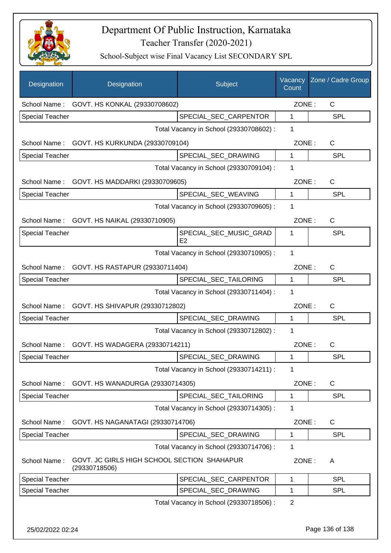

School-Subject wise Final Vacancy List SECONDARY SPL

| Designation            | Designation                                                  | Subject                                  | Vacancy<br>Count | Zone / Cadre Group |
|------------------------|--------------------------------------------------------------|------------------------------------------|------------------|--------------------|
| School Name:           | GOVT. HS KONKAL (29330708602)                                |                                          | ZONE:            | C                  |
| <b>Special Teacher</b> |                                                              | SPECIAL_SEC_CARPENTOR                    | $\mathbf{1}$     | SPL                |
|                        |                                                              | Total Vacancy in School (29330708602) :  | 1                |                    |
| School Name:           | GOVT. HS KURKUNDA (29330709104)                              |                                          | ZONE:            | $\mathsf C$        |
| <b>Special Teacher</b> |                                                              | SPECIAL_SEC_DRAWING                      | 1                | <b>SPL</b>         |
|                        |                                                              | Total Vacancy in School (29330709104) :  | 1                |                    |
| School Name:           | GOVT. HS MADDARKI (29330709605)                              |                                          | ZONE:            | $\mathsf C$        |
| <b>Special Teacher</b> |                                                              | SPECIAL_SEC_WEAVING                      | 1                | <b>SPL</b>         |
|                        |                                                              | Total Vacancy in School (29330709605) :  | 1                |                    |
|                        | School Name: GOVT. HS NAIKAL (29330710905)                   |                                          | ZONE:            | $\mathsf{C}$       |
| <b>Special Teacher</b> |                                                              | SPECIAL SEC MUSIC GRAD<br>E <sub>2</sub> | 1                | SPL                |
|                        |                                                              | Total Vacancy in School (29330710905) :  | 1                |                    |
| School Name:           | GOVT. HS RASTAPUR (29330711404)                              |                                          | ZONE:            | $\mathsf{C}$       |
| <b>Special Teacher</b> |                                                              | SPECIAL_SEC_TAILORING                    | 1                | SPL                |
|                        |                                                              | Total Vacancy in School (29330711404) :  | 1                |                    |
|                        | School Name: GOVT. HS SHIVAPUR (29330712802)                 |                                          | ZONE:            | C                  |
| <b>Special Teacher</b> |                                                              | SPECIAL_SEC_DRAWING                      | 1                | <b>SPL</b>         |
|                        |                                                              | Total Vacancy in School (29330712802) :  | 1                |                    |
| School Name:           | GOVT. HS WADAGERA (29330714211)                              |                                          | ZONE:            | C                  |
| <b>Special Teacher</b> |                                                              | SPECIAL_SEC_DRAWING                      | 1                | SPL                |
|                        |                                                              | Total Vacancy in School (29330714211) :  | $\mathbf{1}$     |                    |
| School Name:           | GOVT. HS WANADURGA (29330714305)                             |                                          | ZONE:            | C                  |
| <b>Special Teacher</b> |                                                              | SPECIAL_SEC_TAILORING                    | 1                | <b>SPL</b>         |
|                        |                                                              | Total Vacancy in School (29330714305) :  | 1                |                    |
| School Name:           | GOVT. HS NAGANATAGI (29330714706)                            |                                          | ZONE:            | $\mathsf{C}$       |
| <b>Special Teacher</b> |                                                              | SPECIAL_SEC_DRAWING                      | 1                | <b>SPL</b>         |
|                        |                                                              | Total Vacancy in School (29330714706) :  | 1                |                    |
| School Name:           | GOVT. JC GIRLS HIGH SCHOOL SECTION SHAHAPUR<br>(29330718506) |                                          | ZONE:            | A                  |
| <b>Special Teacher</b> |                                                              | SPECIAL_SEC_CARPENTOR                    | 1                | SPL                |
| <b>Special Teacher</b> |                                                              | SPECIAL_SEC_DRAWING                      | 1                | <b>SPL</b>         |
|                        |                                                              | Total Vacancy in School (29330718506) :  | $\overline{2}$   |                    |

25/02/2022 02:24 Page 136 of 138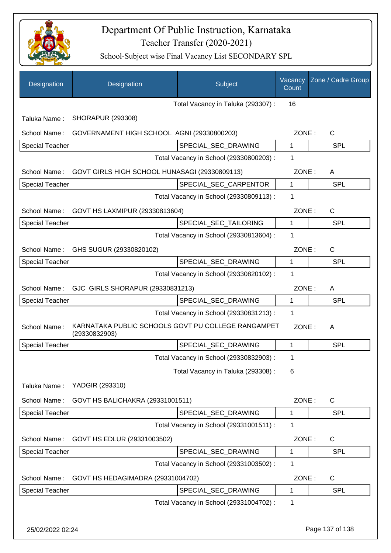

| Designation                                       | Designation                                                         | Subject                                 | Vacancy<br>Count | Zone / Cadre Group |
|---------------------------------------------------|---------------------------------------------------------------------|-----------------------------------------|------------------|--------------------|
|                                                   |                                                                     | Total Vacancy in Taluka (293307) :      | 16               |                    |
| Taluka Name:                                      | <b>SHORAPUR (293308)</b>                                            |                                         |                  |                    |
| School Name:                                      | GOVERNAMENT HIGH SCHOOL AGNI (29330800203)                          |                                         | ZONE:            | $\mathsf{C}$       |
| Special Teacher                                   |                                                                     | SPECIAL_SEC_DRAWING                     | 1                | <b>SPL</b>         |
|                                                   |                                                                     | Total Vacancy in School (29330800203) : | 1                |                    |
| School Name:                                      | GOVT GIRLS HIGH SCHOOL HUNASAGI (29330809113)                       |                                         | ZONE:            | A                  |
| Special Teacher                                   |                                                                     | SPECIAL_SEC_CARPENTOR                   | 1                | <b>SPL</b>         |
|                                                   |                                                                     | Total Vacancy in School (29330809113) : | 1                |                    |
| School Name:                                      | GOVT HS LAXMIPUR (29330813604)                                      |                                         | ZONE:            | $\mathsf{C}$       |
| <b>Special Teacher</b>                            |                                                                     | SPECIAL_SEC_TAILORING                   | $\mathbf 1$      | <b>SPL</b>         |
|                                                   |                                                                     | Total Vacancy in School (29330813604) : | 1                |                    |
| School Name:                                      | GHS SUGUR (29330820102)                                             |                                         | ZONE:            | $\mathsf{C}$       |
| <b>Special Teacher</b>                            |                                                                     | SPECIAL_SEC_DRAWING                     | 1                | <b>SPL</b>         |
|                                                   |                                                                     | Total Vacancy in School (29330820102) : | 1                |                    |
| School Name:                                      | GJC GIRLS SHORAPUR (29330831213)                                    |                                         | ZONE:            | A                  |
| Special Teacher                                   |                                                                     | SPECIAL_SEC_DRAWING                     | 1                | <b>SPL</b>         |
|                                                   |                                                                     | Total Vacancy in School (29330831213) : | 1                |                    |
| School Name:                                      | KARNATAKA PUBLIC SCHOOLS GOVT PU COLLEGE RANGAMPET<br>(29330832903) |                                         | ZONE:            | A                  |
| <b>Special Teacher</b>                            |                                                                     | SPECIAL SEC DRAWING                     | $\mathbf{1}$     | SPL                |
|                                                   |                                                                     | Total Vacancy in School (29330832903) : | 1                |                    |
|                                                   |                                                                     | Total Vacancy in Taluka (293308) :      | 6                |                    |
| Taluka Name:                                      | YADGIR (293310)                                                     |                                         |                  |                    |
| School Name:                                      | GOVT HS BALICHAKRA (29331001511)                                    |                                         | ZONE:            | $\mathsf{C}$       |
| Special Teacher                                   |                                                                     | SPECIAL SEC DRAWING                     | $\mathbf{1}$     | <b>SPL</b>         |
|                                                   |                                                                     | Total Vacancy in School (29331001511) : | 1                |                    |
| School Name:                                      | GOVT HS EDLUR (29331003502)                                         |                                         | ZONE:            | C                  |
| <b>Special Teacher</b>                            |                                                                     | SPECIAL_SEC_DRAWING                     | 1                | <b>SPL</b>         |
|                                                   |                                                                     | Total Vacancy in School (29331003502) : | 1                |                    |
| School Name:<br>GOVT HS HEDAGIMADRA (29331004702) |                                                                     | ZONE:                                   | C                |                    |
| Special Teacher                                   |                                                                     | SPECIAL_SEC_DRAWING                     | 1                | <b>SPL</b>         |
|                                                   |                                                                     | Total Vacancy in School (29331004702) : | 1                |                    |
| 25/02/2022 02:24                                  |                                                                     |                                         |                  | Page 137 of 138    |